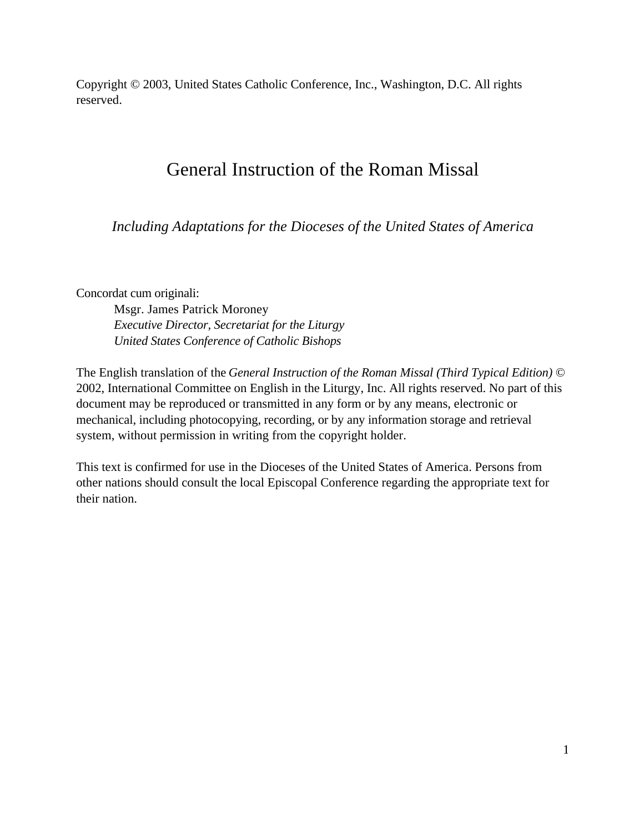Copyright © 2003, United States Catholic Conference, Inc., Washington, D.C. All rights reserved.

# General Instruction of the Roman Missal

*Including Adaptations for the Dioceses of the United States of America*

Concordat cum originali:

Msgr. James Patrick Moroney *Executive Director, Secretariat for the Liturgy United States Conference of Catholic Bishops*

The English translation of the *General Instruction of the Roman Missal (Third Typical Edition)* © 2002, International Committee on English in the Liturgy, Inc. All rights reserved. No part of this document may be reproduced or transmitted in any form or by any means, electronic or mechanical, including photocopying, recording, or by any information storage and retrieval system, without permission in writing from the copyright holder.

This text is confirmed for use in the Dioceses of the United States of America. Persons from other nations should consult the local Episcopal Conference regarding the appropriate text for their nation.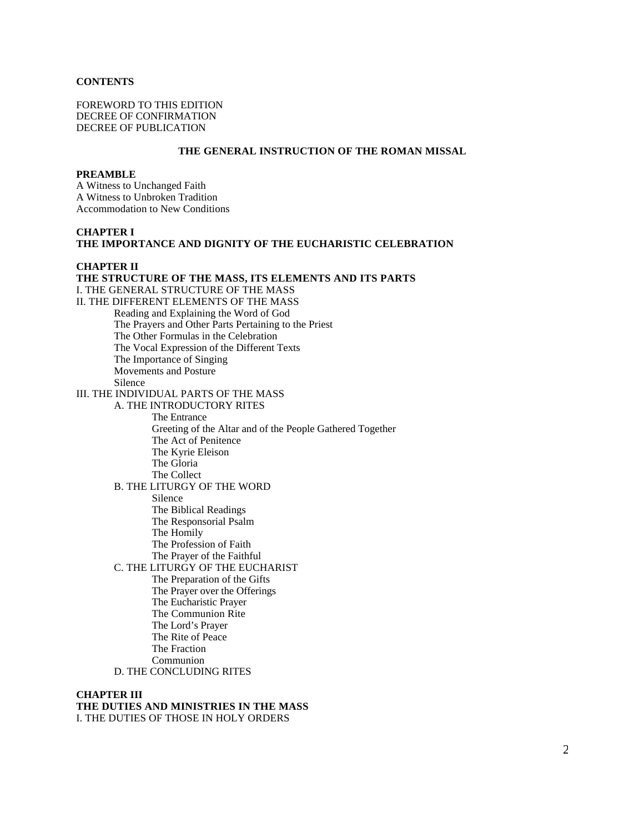#### **CONTENTS**

FOREWORD TO THIS EDITION DECREE OF CONFIRMATION DECREE OF PUBLICATION

#### **THE GENERAL INSTRUCTION OF THE ROMAN MISSAL**

#### **PREAMBLE**

A Witness to Unchanged Faith A Witness to Unbroken Tradition Accommodation to New Conditions

#### **CHAPTER I THE IMPORTANCE AND DIGNITY OF THE EUCHARISTIC CELEBRATION**

**CHAPTER II THE STRUCTURE OF THE MASS, ITS ELEMENTS AND ITS PARTS** I. THE GENERAL STRUCTURE OF THE MASS II. THE DIFFERENT ELEMENTS OF THE MASS Reading and Explaining the Word of God The Prayers and Other Parts Pertaining to the Priest The Other Formulas in the Celebration The Vocal Expression of the Different Texts The Importance of Singing Movements and Posture Silence III. THE INDIVIDUAL PARTS OF THE MASS A. THE INTRODUCTORY RITES The Entrance Greeting of the Altar and of the People Gathered Together The Act of Penitence The Kyrie Eleison The Gloria The Collect B. THE LITURGY OF THE WORD Silence The Biblical Readings The Responsorial Psalm The Homily The Profession of Faith The Prayer of the Faithful C. THE LITURGY OF THE EUCHARIST The Preparation of the Gifts The Prayer over the Offerings The Eucharistic Prayer The Communion Rite The Lord's Prayer The Rite of Peace The Fraction Communion D. THE CONCLUDING RITES

**CHAPTER III THE DUTIES AND MINISTRIES IN THE MASS** I. THE DUTIES OF THOSE IN HOLY ORDERS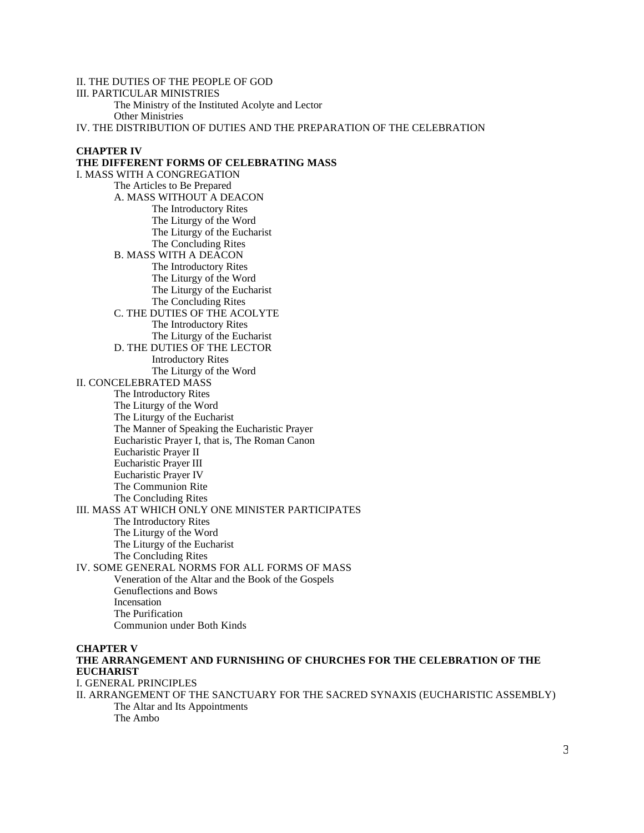II. THE DUTIES OF THE PEOPLE OF GOD III. PARTICULAR MINISTRIES The Ministry of the Instituted Acolyte and Lector Other Ministries IV. THE DISTRIBUTION OF DUTIES AND THE PREPARATION OF THE CELEBRATION

#### **CHAPTER IV**

**THE DIFFERENT FORMS OF CELEBRATING MASS** I. MASS WITH A CONGREGATION The Articles to Be Prepared A. MASS WITHOUT A DEACON The Introductory Rites The Liturgy of the Word The Liturgy of the Eucharist The Concluding Rites B. MASS WITH A DEACON The Introductory Rites The Liturgy of the Word The Liturgy of the Eucharist The Concluding Rites C. THE DUTIES OF THE ACOLYTE The Introductory Rites The Liturgy of the Eucharist D. THE DUTIES OF THE LECTOR Introductory Rites The Liturgy of the Word II. CONCELEBRATED MASS The Introductory Rites The Liturgy of the Word The Liturgy of the Eucharist The Manner of Speaking the Eucharistic Prayer Eucharistic Prayer I, that is, The Roman Canon Eucharistic Prayer II Eucharistic Prayer III Eucharistic Prayer IV The Communion Rite The Concluding Rites III. MASS AT WHICH ONLY ONE MINISTER PARTICIPATES The Introductory Rites The Liturgy of the Word The Liturgy of the Eucharist The Concluding Rites IV. SOME GENERAL NORMS FOR ALL FORMS OF MASS Veneration of the Altar and the Book of the Gospels Genuflections and Bows Incensation The Purification Communion under Both Kinds

#### **CHAPTER V**

**THE ARRANGEMENT AND FURNISHING OF CHURCHES FOR THE CELEBRATION OF THE EUCHARIST** I. GENERAL PRINCIPLES

II. ARRANGEMENT OF THE SANCTUARY FOR THE SACRED SYNAXIS (EUCHARISTIC ASSEMBLY) The Altar and Its Appointments

The Ambo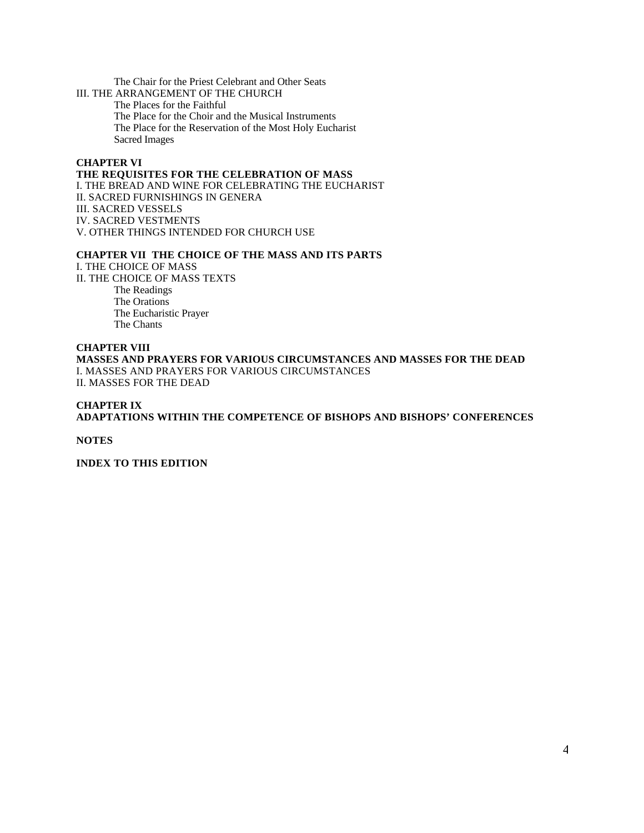The Chair for the Priest Celebrant and Other Seats III. THE ARRANGEMENT OF THE CHURCH

The Places for the Faithful

The Place for the Choir and the Musical Instruments The Place for the Reservation of the Most Holy Eucharist Sacred Images

#### **CHAPTER VI THE REQUISITES FOR THE CELEBRATION OF MASS**

I. THE BREAD AND WINE FOR CELEBRATING THE EUCHARIST II. SACRED FURNISHINGS IN GENERA III. SACRED VESSELS IV. SACRED VESTMENTS V. OTHER THINGS INTENDED FOR CHURCH USE

#### **CHAPTER VII THE CHOICE OF THE MASS AND ITS PARTS**

I. THE CHOICE OF MASS II. THE CHOICE OF MASS TEXTS The Readings The Orations The Eucharistic Prayer The Chants

#### **CHAPTER VIII MASSES AND PRAYERS FOR VARIOUS CIRCUMSTANCES AND MASSES FOR THE DEAD** I. MASSES AND PRAYERS FOR VARIOUS CIRCUMSTANCES II. MASSES FOR THE DEAD

#### **CHAPTER IX ADAPTATIONS WITHIN THE COMPETENCE OF BISHOPS AND BISHOPS' CONFERENCES**

**NOTES**

**INDEX TO THIS EDITION**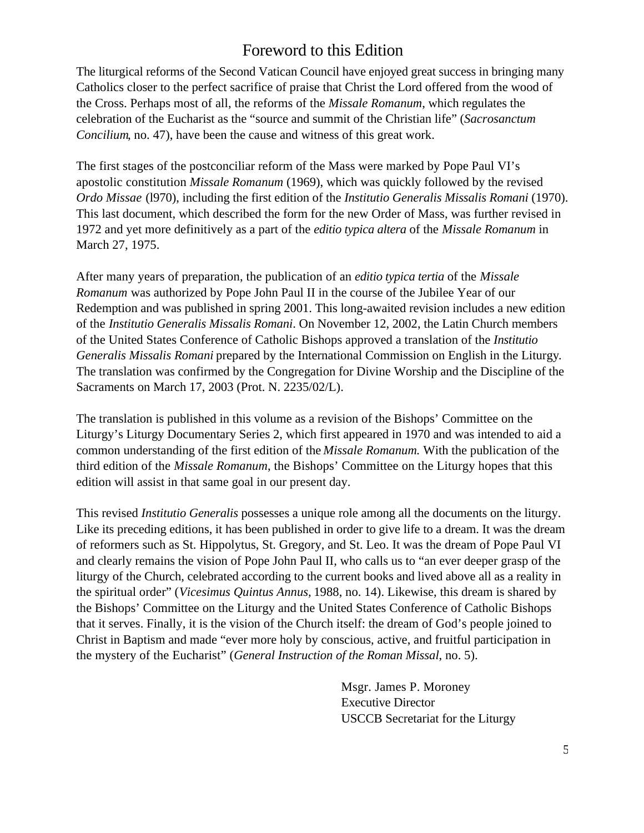# Foreword to this Edition

The liturgical reforms of the Second Vatican Council have enjoyed great success in bringing many Catholics closer to the perfect sacrifice of praise that Christ the Lord offered from the wood of the Cross. Perhaps most of all, the reforms of the *Missale Romanum*, which regulates the celebration of the Eucharist as the "source and summit of the Christian life" (*Sacrosanctum Concilium*, no. 47), have been the cause and witness of this great work.

The first stages of the postconciliar reform of the Mass were marked by Pope Paul VI's apostolic constitution *Missale Romanum* (1969), which was quickly followed by the revised *Ordo Missae* (l970), including the first edition of the *Institutio Generalis Missalis Romani* (1970). This last document, which described the form for the new Order of Mass, was further revised in 1972 and yet more definitively as a part of the *editio typica altera* of the *Missale Romanum* in March 27, 1975.

After many years of preparation, the publication of an *editio typica tertia* of the *Missale Romanum* was authorized by Pope John Paul II in the course of the Jubilee Year of our Redemption and was published in spring 2001. This long-awaited revision includes a new edition of the *Institutio Generalis Missalis Romani*. On November 12, 2002, the Latin Church members of the United States Conference of Catholic Bishops approved a translation of the *Institutio Generalis Missalis Romani* prepared by the International Commission on English in the Liturgy*.* The translation was confirmed by the Congregation for Divine Worship and the Discipline of the Sacraments on March 17, 2003 (Prot. N. 2235/02/L).

The translation is published in this volume as a revision of the Bishops' Committee on the Liturgy's Liturgy Documentary Series 2, which first appeared in 1970 and was intended to aid a common understanding of the first edition of the *Missale Romanum.* With the publication of the third edition of the *Missale Romanum*, the Bishops' Committee on the Liturgy hopes that this edition will assist in that same goal in our present day.

This revised *Institutio Generalis* possesses a unique role among all the documents on the liturgy. Like its preceding editions, it has been published in order to give life to a dream. It was the dream of reformers such as St. Hippolytus, St. Gregory, and St. Leo. It was the dream of Pope Paul VI and clearly remains the vision of Pope John Paul II, who calls us to "an ever deeper grasp of the liturgy of the Church, celebrated according to the current books and lived above all as a reality in the spiritual order" (*Vicesimus Quintus Annus,* 1988, no. 14). Likewise, this dream is shared by the Bishops' Committee on the Liturgy and the United States Conference of Catholic Bishops that it serves. Finally, it is the vision of the Church itself: the dream of God's people joined to Christ in Baptism and made "ever more holy by conscious, active, and fruitful participation in the mystery of the Eucharist" (*General Instruction of the Roman Missal*, no. 5).

> Msgr. James P. Moroney Executive Director USCCB Secretariat for the Liturgy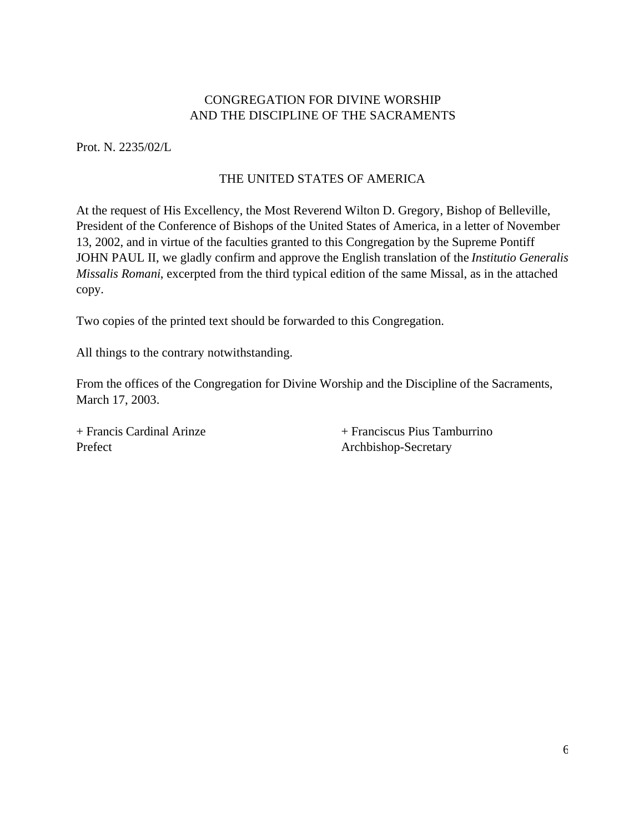#### CONGREGATION FOR DIVINE WORSHIP AND THE DISCIPLINE OF THE SACRAMENTS

Prot. N. 2235/02/L

#### THE UNITED STATES OF AMERICA

At the request of His Excellency, the Most Reverend Wilton D. Gregory, Bishop of Belleville, President of the Conference of Bishops of the United States of America, in a letter of November 13, 2002, and in virtue of the faculties granted to this Congregation by the Supreme Pontiff JOHN PAUL II, we gladly confirm and approve the English translation of the *Institutio Generalis Missalis Romani*, excerpted from the third typical edition of the same Missal, as in the attached copy.

Two copies of the printed text should be forwarded to this Congregation.

All things to the contrary notwithstanding.

From the offices of the Congregation for Divine Worship and the Discipline of the Sacraments, March 17, 2003.

Prefect Archbishop-Secretary

+ Francis Cardinal Arinze + Franciscus Pius Tamburrino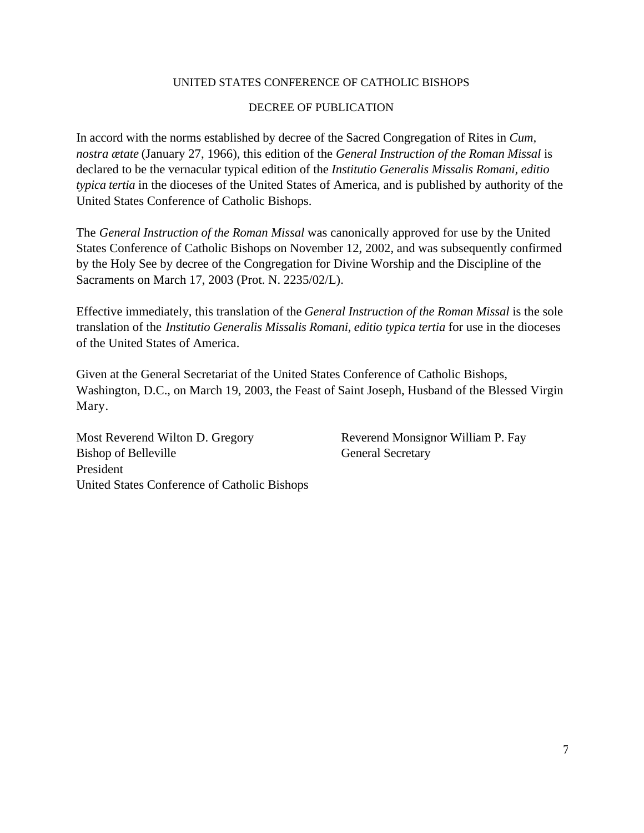#### UNITED STATES CONFERENCE OF CATHOLIC BISHOPS

#### DECREE OF PUBLICATION

In accord with the norms established by decree of the Sacred Congregation of Rites in *Cum, nostra ætate* (January 27, 1966), this edition of the *General Instruction of the Roman Missal* is declared to be the vernacular typical edition of the *Institutio Generalis Missalis Romani, editio typica tertia* in the dioceses of the United States of America, and is published by authority of the United States Conference of Catholic Bishops.

The *General Instruction of the Roman Missal* was canonically approved for use by the United States Conference of Catholic Bishops on November 12, 2002, and was subsequently confirmed by the Holy See by decree of the Congregation for Divine Worship and the Discipline of the Sacraments on March 17, 2003 (Prot. N. 2235/02/L).

Effective immediately, this translation of the *General Instruction of the Roman Missal* is the sole translation of the *Institutio Generalis Missalis Romani, editio typica tertia* for use in the dioceses of the United States of America.

Given at the General Secretariat of the United States Conference of Catholic Bishops, Washington, D.C., on March 19, 2003, the Feast of Saint Joseph, Husband of the Blessed Virgin Mary.

Most Reverend Wilton D. Gregory Reverend Monsignor William P. Fay Bishop of Belleville General Secretary President United States Conference of Catholic Bishops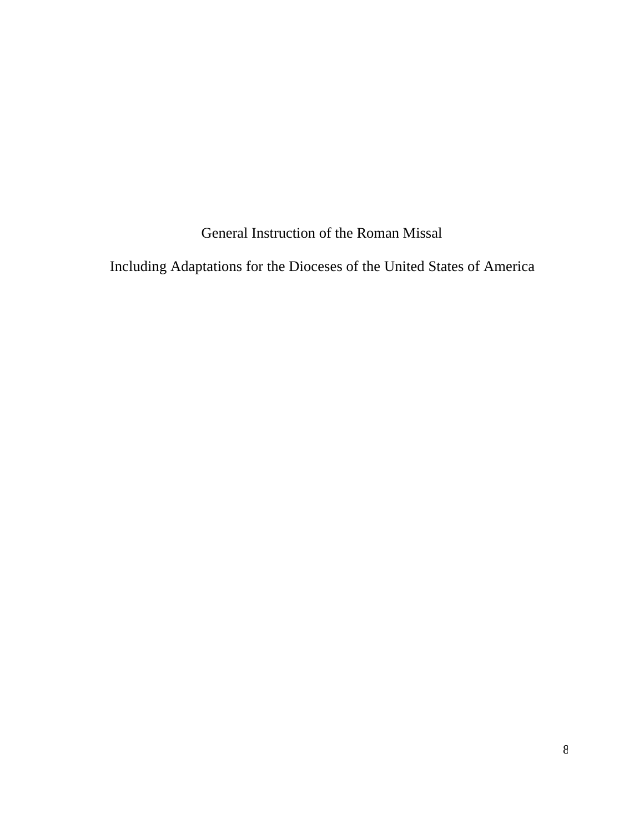General Instruction of the Roman Missal

Including Adaptations for the Dioceses of the United States of America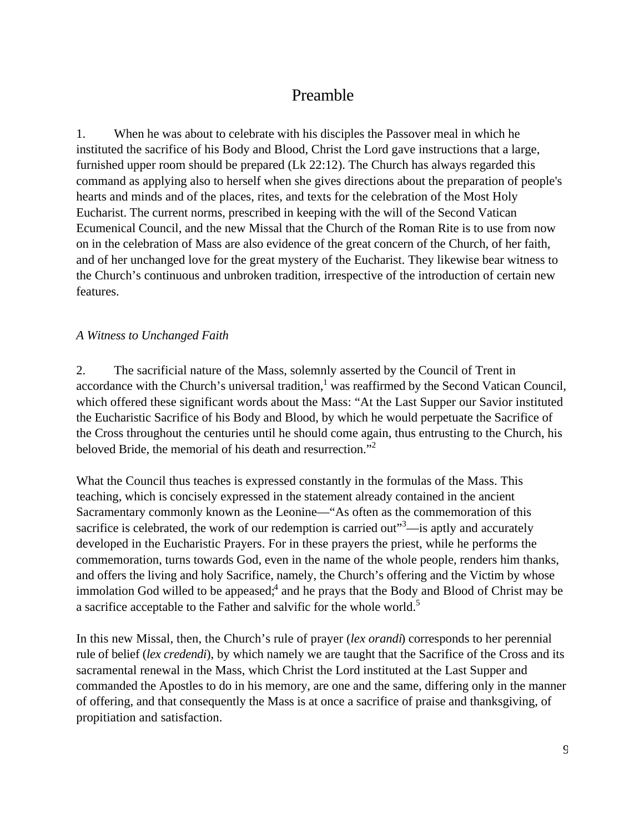# Preamble

1. When he was about to celebrate with his disciples the Passover meal in which he instituted the sacrifice of his Body and Blood, Christ the Lord gave instructions that a large, furnished upper room should be prepared (Lk 22:12). The Church has always regarded this command as applying also to herself when she gives directions about the preparation of people's hearts and minds and of the places, rites, and texts for the celebration of the Most Holy Eucharist. The current norms, prescribed in keeping with the will of the Second Vatican Ecumenical Council, and the new Missal that the Church of the Roman Rite is to use from now on in the celebration of Mass are also evidence of the great concern of the Church, of her faith, and of her unchanged love for the great mystery of the Eucharist. They likewise bear witness to the Church's continuous and unbroken tradition, irrespective of the introduction of certain new features.

#### *A Witness to Unchanged Faith*

2. The sacrificial nature of the Mass, solemnly asserted by the Council of Trent in accordance with the Church's universal tradition,<sup>1</sup> was reaffirmed by the Second Vatican Council, which offered these significant words about the Mass: "At the Last Supper our Savior instituted the Eucharistic Sacrifice of his Body and Blood, by which he would perpetuate the Sacrifice of the Cross throughout the centuries until he should come again, thus entrusting to the Church, his beloved Bride, the memorial of his death and resurrection."<sup>2</sup>

What the Council thus teaches is expressed constantly in the formulas of the Mass. This teaching, which is concisely expressed in the statement already contained in the ancient Sacramentary commonly known as the Leonine—"As often as the commemoration of this sacrifice is celebrated, the work of our redemption is carried out" $3$ —is aptly and accurately developed in the Eucharistic Prayers. For in these prayers the priest, while he performs the commemoration, turns towards God, even in the name of the whole people, renders him thanks, and offers the living and holy Sacrifice, namely, the Church's offering and the Victim by whose immolation God willed to be appeased;<sup>4</sup> and he prays that the Body and Blood of Christ may be a sacrifice acceptable to the Father and salvific for the whole world.<sup>5</sup>

In this new Missal, then, the Church's rule of prayer (*lex orandi*) corresponds to her perennial rule of belief (*lex credendi*), by which namely we are taught that the Sacrifice of the Cross and its sacramental renewal in the Mass, which Christ the Lord instituted at the Last Supper and commanded the Apostles to do in his memory, are one and the same, differing only in the manner of offering, and that consequently the Mass is at once a sacrifice of praise and thanksgiving, of propitiation and satisfaction.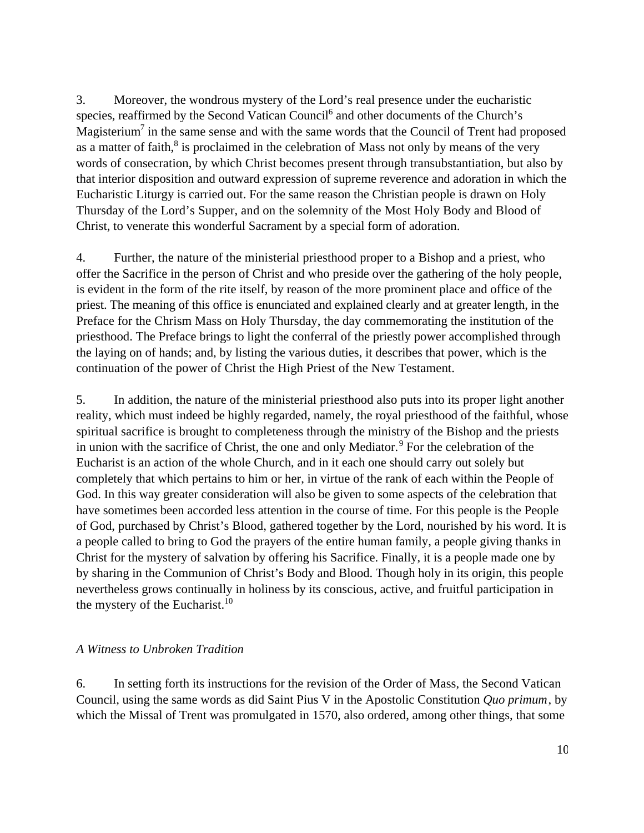3. Moreover, the wondrous mystery of the Lord's real presence under the eucharistic species, reaffirmed by the Second Vatican Council<sup>6</sup> and other documents of the Church's Magisterium<sup>7</sup> in the same sense and with the same words that the Council of Trent had proposed as a matter of faith, $8$  is proclaimed in the celebration of Mass not only by means of the very words of consecration, by which Christ becomes present through transubstantiation, but also by that interior disposition and outward expression of supreme reverence and adoration in which the Eucharistic Liturgy is carried out. For the same reason the Christian people is drawn on Holy Thursday of the Lord's Supper, and on the solemnity of the Most Holy Body and Blood of Christ, to venerate this wonderful Sacrament by a special form of adoration.

4. Further, the nature of the ministerial priesthood proper to a Bishop and a priest, who offer the Sacrifice in the person of Christ and who preside over the gathering of the holy people, is evident in the form of the rite itself, by reason of the more prominent place and office of the priest. The meaning of this office is enunciated and explained clearly and at greater length, in the Preface for the Chrism Mass on Holy Thursday, the day commemorating the institution of the priesthood. The Preface brings to light the conferral of the priestly power accomplished through the laying on of hands; and, by listing the various duties, it describes that power, which is the continuation of the power of Christ the High Priest of the New Testament.

5. In addition, the nature of the ministerial priesthood also puts into its proper light another reality, which must indeed be highly regarded, namely, the royal priesthood of the faithful, whose spiritual sacrifice is brought to completeness through the ministry of the Bishop and the priests in union with the sacrifice of Christ, the one and only Mediator.<sup>9</sup> For the celebration of the Eucharist is an action of the whole Church, and in it each one should carry out solely but completely that which pertains to him or her, in virtue of the rank of each within the People of God. In this way greater consideration will also be given to some aspects of the celebration that have sometimes been accorded less attention in the course of time. For this people is the People of God, purchased by Christ's Blood, gathered together by the Lord, nourished by his word. It is a people called to bring to God the prayers of the entire human family, a people giving thanks in Christ for the mystery of salvation by offering his Sacrifice. Finally, it is a people made one by by sharing in the Communion of Christ's Body and Blood. Though holy in its origin, this people nevertheless grows continually in holiness by its conscious, active, and fruitful participation in the mystery of the Eucharist.<sup>10</sup>

#### *A Witness to Unbroken Tradition*

6. In setting forth its instructions for the revision of the Order of Mass, the Second Vatican Council, using the same words as did Saint Pius V in the Apostolic Constitution *Quo primum*, by which the Missal of Trent was promulgated in 1570, also ordered, among other things, that some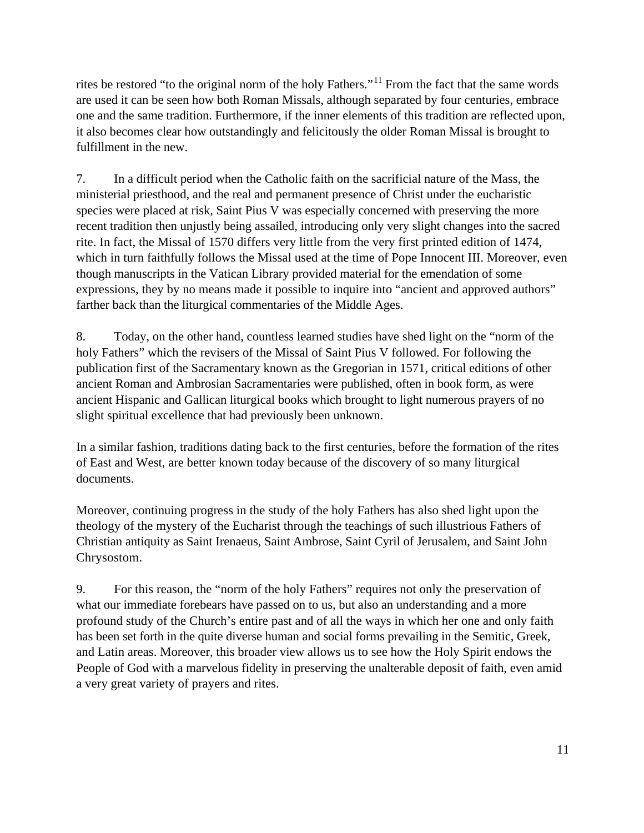rites be restored "to the original norm of the holy Fathers."<sup>11</sup> From the fact that the same words are used it can be seen how both Roman Missals, although separated by four centuries, embrace one and the same tradition. Furthermore, if the inner elements of this tradition are reflected upon, it also becomes clear how outstandingly and felicitously the older Roman Missal is brought to fulfillment in the new.

7. In a difficult period when the Catholic faith on the sacrificial nature of the Mass, the ministerial priesthood, and the real and permanent presence of Christ under the eucharistic species were placed at risk, Saint Pius V was especially concerned with preserving the more recent tradition then unjustly being assailed, introducing only very slight changes into the sacred rite. In fact, the Missal of 1570 differs very little from the very first printed edition of 1474, which in turn faithfully follows the Missal used at the time of Pope Innocent III. Moreover, even though manuscripts in the Vatican Library provided material for the emendation of some expressions, they by no means made it possible to inquire into "ancient and approved authors" farther back than the liturgical commentaries of the Middle Ages.

8. Today, on the other hand, countless learned studies have shed light on the "norm of the holy Fathers" which the revisers of the Missal of Saint Pius V followed. For following the publication first of the Sacramentary known as the Gregorian in 1571, critical editions of other ancient Roman and Ambrosian Sacramentaries were published, often in book form, as were ancient Hispanic and Gallican liturgical books which brought to light numerous prayers of no slight spiritual excellence that had previously been unknown.

In a similar fashion, traditions dating back to the first centuries, before the formation of the rites of East and West, are better known today because of the discovery of so many liturgical documents.

Moreover, continuing progress in the study of the holy Fathers has also shed light upon the theology of the mystery of the Eucharist through the teachings of such illustrious Fathers of Christian antiquity as Saint Irenaeus, Saint Ambrose, Saint Cyril of Jerusalem, and Saint John Chrysostom.

9. For this reason, the "norm of the holy Fathers" requires not only the preservation of what our immediate forebears have passed on to us, but also an understanding and a more profound study of the Church's entire past and of all the ways in which her one and only faith has been set forth in the quite diverse human and social forms prevailing in the Semitic, Greek, and Latin areas. Moreover, this broader view allows us to see how the Holy Spirit endows the People of God with a marvelous fidelity in preserving the unalterable deposit of faith, even amid a very great variety of prayers and rites.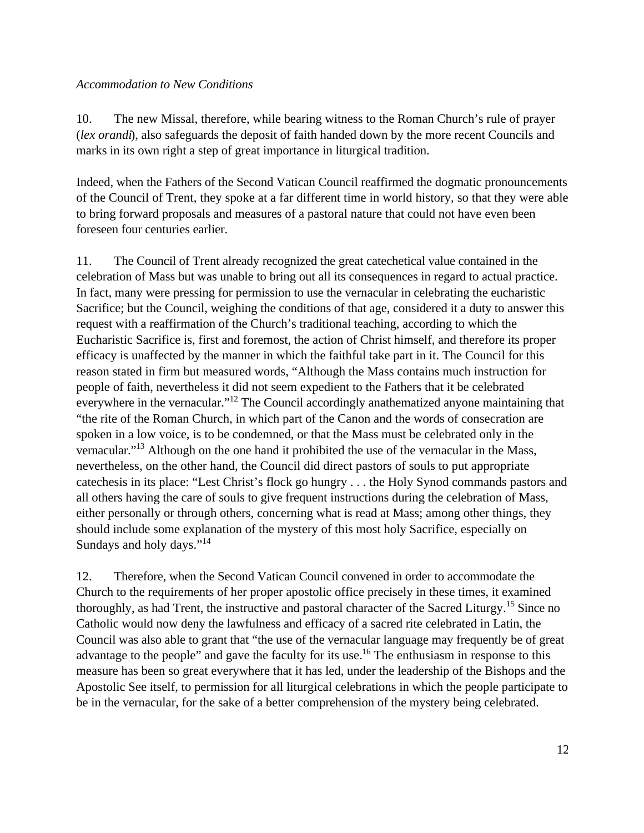#### *Accommodation to New Conditions*

10. The new Missal, therefore, while bearing witness to the Roman Church's rule of prayer (*lex orandi*), also safeguards the deposit of faith handed down by the more recent Councils and marks in its own right a step of great importance in liturgical tradition.

Indeed, when the Fathers of the Second Vatican Council reaffirmed the dogmatic pronouncements of the Council of Trent, they spoke at a far different time in world history, so that they were able to bring forward proposals and measures of a pastoral nature that could not have even been foreseen four centuries earlier.

11. The Council of Trent already recognized the great catechetical value contained in the celebration of Mass but was unable to bring out all its consequences in regard to actual practice. In fact, many were pressing for permission to use the vernacular in celebrating the eucharistic Sacrifice; but the Council, weighing the conditions of that age, considered it a duty to answer this request with a reaffirmation of the Church's traditional teaching, according to which the Eucharistic Sacrifice is, first and foremost, the action of Christ himself, and therefore its proper efficacy is unaffected by the manner in which the faithful take part in it. The Council for this reason stated in firm but measured words, "Although the Mass contains much instruction for people of faith, nevertheless it did not seem expedient to the Fathers that it be celebrated everywhere in the vernacular."<sup>12</sup> The Council accordingly anathematized anyone maintaining that "the rite of the Roman Church, in which part of the Canon and the words of consecration are spoken in a low voice, is to be condemned, or that the Mass must be celebrated only in the vernacular."<sup>13</sup> Although on the one hand it prohibited the use of the vernacular in the Mass, nevertheless, on the other hand, the Council did direct pastors of souls to put appropriate catechesis in its place: "Lest Christ's flock go hungry . . . the Holy Synod commands pastors and all others having the care of souls to give frequent instructions during the celebration of Mass, either personally or through others, concerning what is read at Mass; among other things, they should include some explanation of the mystery of this most holy Sacrifice, especially on Sundays and holy days."<sup>14</sup>

12. Therefore, when the Second Vatican Council convened in order to accommodate the Church to the requirements of her proper apostolic office precisely in these times, it examined thoroughly, as had Trent, the instructive and pastoral character of the Sacred Liturgy.<sup>15</sup> Since no Catholic would now deny the lawfulness and efficacy of a sacred rite celebrated in Latin, the Council was also able to grant that "the use of the vernacular language may frequently be of great advantage to the people" and gave the faculty for its use.<sup>16</sup> The enthusiasm in response to this measure has been so great everywhere that it has led, under the leadership of the Bishops and the Apostolic See itself, to permission for all liturgical celebrations in which the people participate to be in the vernacular, for the sake of a better comprehension of the mystery being celebrated.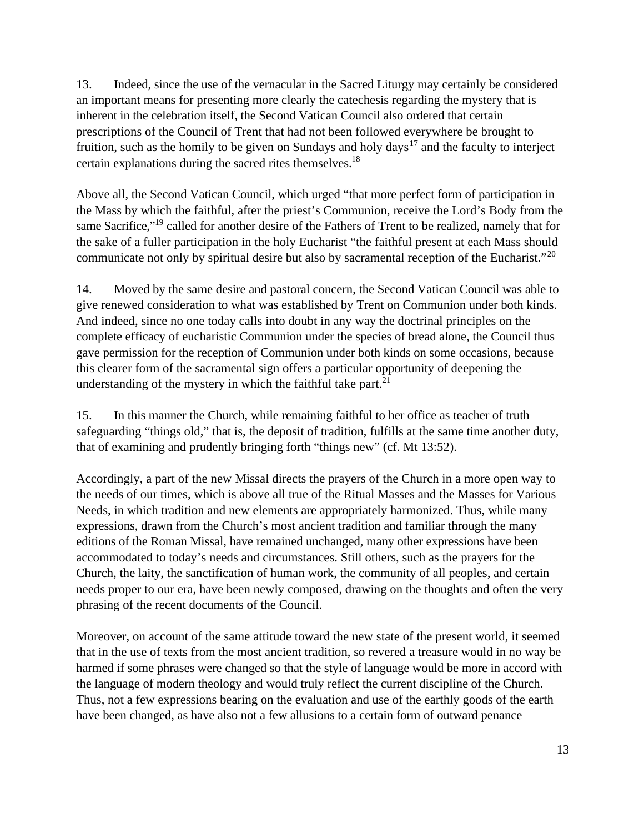13. Indeed, since the use of the vernacular in the Sacred Liturgy may certainly be considered an important means for presenting more clearly the catechesis regarding the mystery that is inherent in the celebration itself, the Second Vatican Council also ordered that certain prescriptions of the Council of Trent that had not been followed everywhere be brought to fruition, such as the homily to be given on Sundays and holy days<sup>17</sup> and the faculty to interject certain explanations during the sacred rites themselves.<sup>18</sup>

Above all, the Second Vatican Council, which urged "that more perfect form of participation in the Mass by which the faithful, after the priest's Communion, receive the Lord's Body from the same Sacrifice,"<sup>19</sup> called for another desire of the Fathers of Trent to be realized, namely that for the sake of a fuller participation in the holy Eucharist "the faithful present at each Mass should communicate not only by spiritual desire but also by sacramental reception of the Eucharist."<sup>20</sup>

14. Moved by the same desire and pastoral concern, the Second Vatican Council was able to give renewed consideration to what was established by Trent on Communion under both kinds. And indeed, since no one today calls into doubt in any way the doctrinal principles on the complete efficacy of eucharistic Communion under the species of bread alone, the Council thus gave permission for the reception of Communion under both kinds on some occasions, because this clearer form of the sacramental sign offers a particular opportunity of deepening the understanding of the mystery in which the faithful take part. $21$ 

15. In this manner the Church, while remaining faithful to her office as teacher of truth safeguarding "things old," that is, the deposit of tradition, fulfills at the same time another duty, that of examining and prudently bringing forth "things new" (cf. Mt 13:52).

Accordingly, a part of the new Missal directs the prayers of the Church in a more open way to the needs of our times, which is above all true of the Ritual Masses and the Masses for Various Needs, in which tradition and new elements are appropriately harmonized. Thus, while many expressions, drawn from the Church's most ancient tradition and familiar through the many editions of the Roman Missal, have remained unchanged, many other expressions have been accommodated to today's needs and circumstances. Still others, such as the prayers for the Church, the laity, the sanctification of human work, the community of all peoples, and certain needs proper to our era, have been newly composed, drawing on the thoughts and often the very phrasing of the recent documents of the Council.

Moreover, on account of the same attitude toward the new state of the present world, it seemed that in the use of texts from the most ancient tradition, so revered a treasure would in no way be harmed if some phrases were changed so that the style of language would be more in accord with the language of modern theology and would truly reflect the current discipline of the Church. Thus, not a few expressions bearing on the evaluation and use of the earthly goods of the earth have been changed, as have also not a few allusions to a certain form of outward penance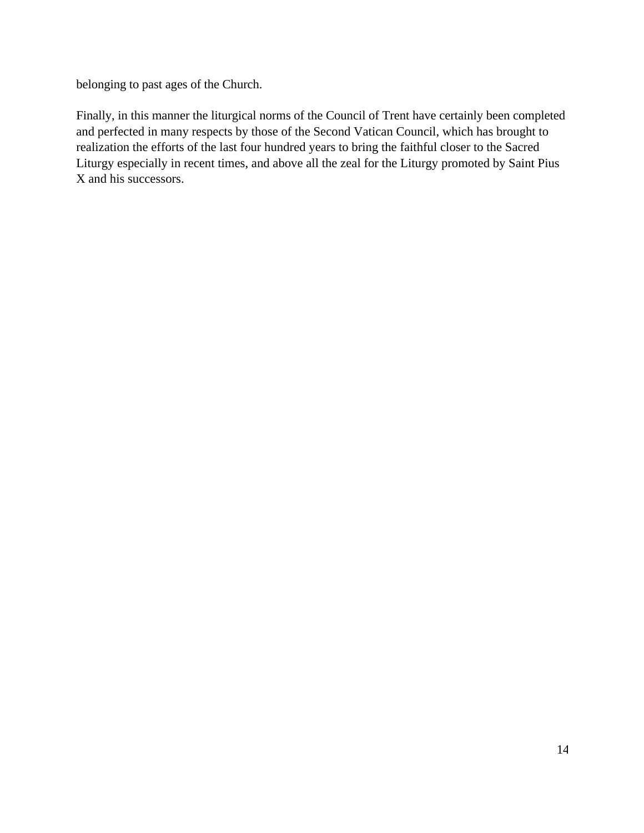belonging to past ages of the Church.

Finally, in this manner the liturgical norms of the Council of Trent have certainly been completed and perfected in many respects by those of the Second Vatican Council, which has brought to realization the efforts of the last four hundred years to bring the faithful closer to the Sacred Liturgy especially in recent times, and above all the zeal for the Liturgy promoted by Saint Pius X and his successors.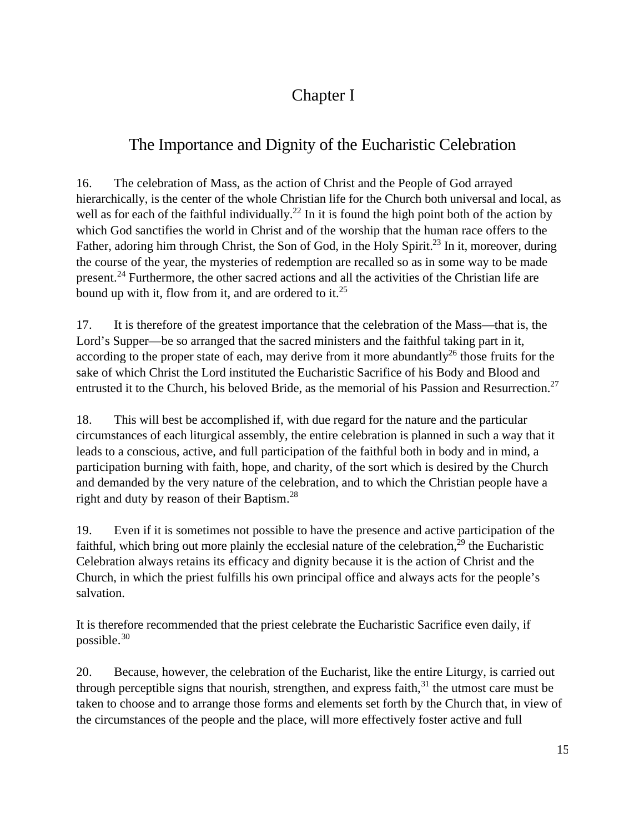# Chapter I

# The Importance and Dignity of the Eucharistic Celebration

16. The celebration of Mass, as the action of Christ and the People of God arrayed hierarchically, is the center of the whole Christian life for the Church both universal and local, as well as for each of the faithful individually.<sup>22</sup> In it is found the high point both of the action by which God sanctifies the world in Christ and of the worship that the human race offers to the Father, adoring him through Christ, the Son of God, in the Holy Spirit.<sup>23</sup> In it, moreover, during the course of the year, the mysteries of redemption are recalled so as in some way to be made present.<sup>24</sup> Furthermore, the other sacred actions and all the activities of the Christian life are bound up with it, flow from it, and are ordered to it.<sup>25</sup>

17. It is therefore of the greatest importance that the celebration of the Mass—that is, the Lord's Supper—be so arranged that the sacred ministers and the faithful taking part in it, according to the proper state of each, may derive from it more abundantly<sup>26</sup> those fruits for the sake of which Christ the Lord instituted the Eucharistic Sacrifice of his Body and Blood and entrusted it to the Church, his beloved Bride, as the memorial of his Passion and Resurrection.<sup>27</sup>

18. This will best be accomplished if, with due regard for the nature and the particular circumstances of each liturgical assembly, the entire celebration is planned in such a way that it leads to a conscious, active, and full participation of the faithful both in body and in mind, a participation burning with faith, hope, and charity, of the sort which is desired by the Church and demanded by the very nature of the celebration, and to which the Christian people have a right and duty by reason of their Baptism.<sup>28</sup>

19. Even if it is sometimes not possible to have the presence and active participation of the faithful, which bring out more plainly the ecclesial nature of the celebration,  $2<sup>9</sup>$  the Eucharistic Celebration always retains its efficacy and dignity because it is the action of Christ and the Church, in which the priest fulfills his own principal office and always acts for the people's salvation.

It is therefore recommended that the priest celebrate the Eucharistic Sacrifice even daily, if possible. $30$ 

20. Because, however, the celebration of the Eucharist, like the entire Liturgy, is carried out through perceptible signs that nourish, strengthen, and express faith,  $31$  the utmost care must be taken to choose and to arrange those forms and elements set forth by the Church that, in view of the circumstances of the people and the place, will more effectively foster active and full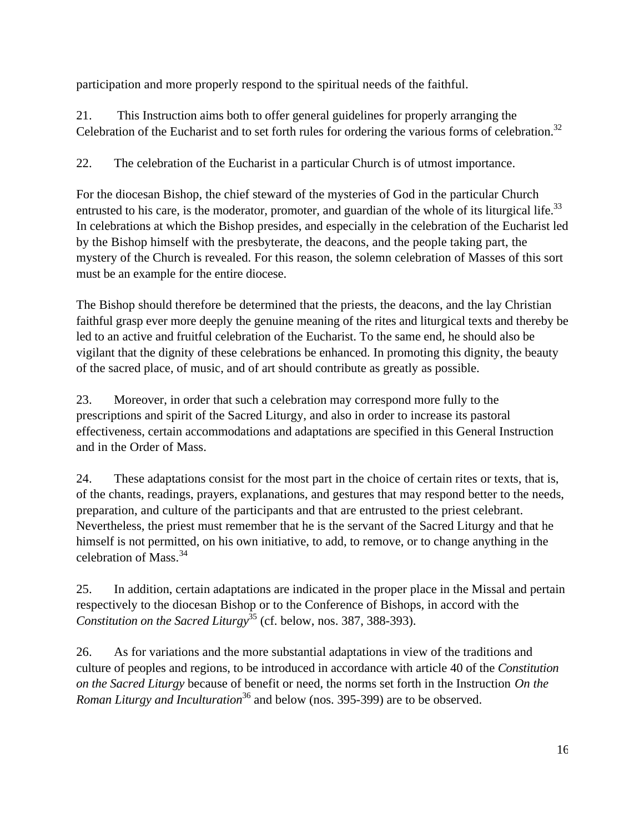participation and more properly respond to the spiritual needs of the faithful.

21. This Instruction aims both to offer general guidelines for properly arranging the Celebration of the Eucharist and to set forth rules for ordering the various forms of celebration.<sup>32</sup>

22. The celebration of the Eucharist in a particular Church is of utmost importance.

For the diocesan Bishop, the chief steward of the mysteries of God in the particular Church entrusted to his care, is the moderator, promoter, and guardian of the whole of its liturgical life.<sup>33</sup> In celebrations at which the Bishop presides, and especially in the celebration of the Eucharist led by the Bishop himself with the presbyterate, the deacons, and the people taking part, the mystery of the Church is revealed. For this reason, the solemn celebration of Masses of this sort must be an example for the entire diocese.

The Bishop should therefore be determined that the priests, the deacons, and the lay Christian faithful grasp ever more deeply the genuine meaning of the rites and liturgical texts and thereby be led to an active and fruitful celebration of the Eucharist. To the same end, he should also be vigilant that the dignity of these celebrations be enhanced. In promoting this dignity, the beauty of the sacred place, of music, and of art should contribute as greatly as possible.

23. Moreover, in order that such a celebration may correspond more fully to the prescriptions and spirit of the Sacred Liturgy, and also in order to increase its pastoral effectiveness, certain accommodations and adaptations are specified in this General Instruction and in the Order of Mass.

24. These adaptations consist for the most part in the choice of certain rites or texts, that is, of the chants, readings, prayers, explanations, and gestures that may respond better to the needs, preparation, and culture of the participants and that are entrusted to the priest celebrant. Nevertheless, the priest must remember that he is the servant of the Sacred Liturgy and that he himself is not permitted, on his own initiative, to add, to remove, or to change anything in the celebration of Mass.<sup>34</sup>

25. In addition, certain adaptations are indicated in the proper place in the Missal and pertain respectively to the diocesan Bishop or to the Conference of Bishops, in accord with the *Constitution on the Sacred Liturgy*<sup>35</sup> (cf. below, nos. 387, 388-393).

26. As for variations and the more substantial adaptations in view of the traditions and culture of peoples and regions, to be introduced in accordance with article 40 of the *Constitution on the Sacred Liturgy* because of benefit or need, the norms set forth in the Instruction *On the Roman Liturgy and Inculturation*<sup>36</sup> and below (nos. 395-399) are to be observed.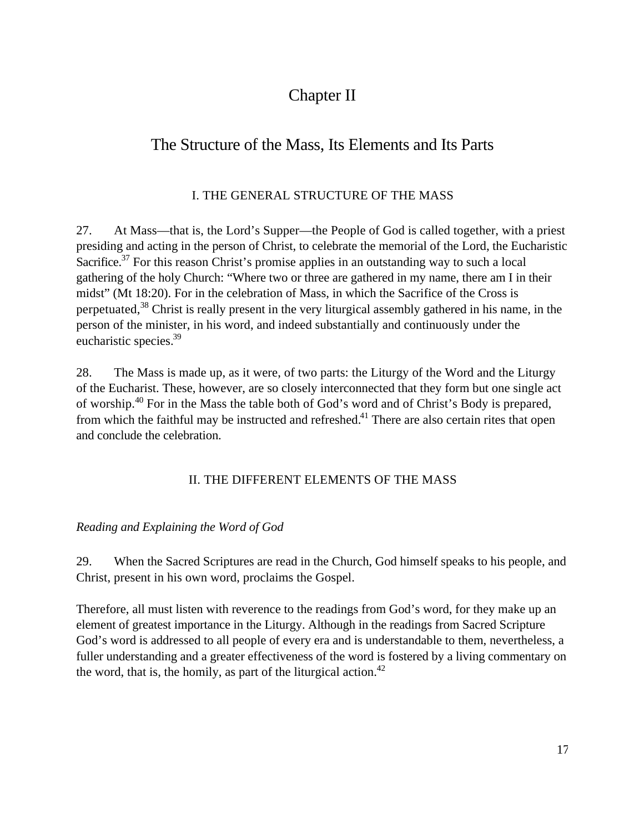# Chapter II

# The Structure of the Mass, Its Elements and Its Parts

# I. THE GENERAL STRUCTURE OF THE MASS

27. At Mass—that is, the Lord's Supper—the People of God is called together, with a priest presiding and acting in the person of Christ, to celebrate the memorial of the Lord, the Eucharistic Sacrifice.<sup>37</sup> For this reason Christ's promise applies in an outstanding way to such a local gathering of the holy Church: "Where two or three are gathered in my name, there am I in their midst" (Mt 18:20). For in the celebration of Mass, in which the Sacrifice of the Cross is perpetuated,<sup>38</sup> Christ is really present in the very liturgical assembly gathered in his name, in the person of the minister, in his word, and indeed substantially and continuously under the eucharistic species.<sup>39</sup>

28. The Mass is made up, as it were, of two parts: the Liturgy of the Word and the Liturgy of the Eucharist. These, however, are so closely interconnected that they form but one single act of worship.<sup>40</sup> For in the Mass the table both of God's word and of Christ's Body is prepared, from which the faithful may be instructed and refreshed.<sup>41</sup> There are also certain rites that open and conclude the celebration.

# II. THE DIFFERENT ELEMENTS OF THE MASS

# *Reading and Explaining the Word of God*

29. When the Sacred Scriptures are read in the Church, God himself speaks to his people, and Christ, present in his own word, proclaims the Gospel.

Therefore, all must listen with reverence to the readings from God's word, for they make up an element of greatest importance in the Liturgy. Although in the readings from Sacred Scripture God's word is addressed to all people of every era and is understandable to them, nevertheless, a fuller understanding and a greater effectiveness of the word is fostered by a living commentary on the word, that is, the homily, as part of the liturgical action.<sup>42</sup>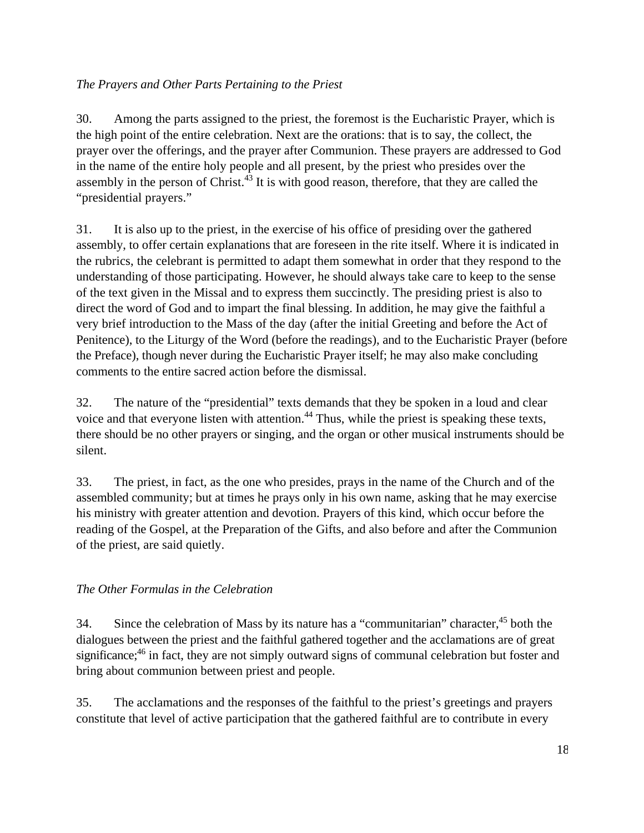### *The Prayers and Other Parts Pertaining to the Priest*

30. Among the parts assigned to the priest, the foremost is the Eucharistic Prayer, which is the high point of the entire celebration. Next are the orations: that is to say, the collect, the prayer over the offerings, and the prayer after Communion. These prayers are addressed to God in the name of the entire holy people and all present, by the priest who presides over the assembly in the person of Christ. $43$  It is with good reason, therefore, that they are called the "presidential prayers."

31. It is also up to the priest, in the exercise of his office of presiding over the gathered assembly, to offer certain explanations that are foreseen in the rite itself. Where it is indicated in the rubrics, the celebrant is permitted to adapt them somewhat in order that they respond to the understanding of those participating. However, he should always take care to keep to the sense of the text given in the Missal and to express them succinctly. The presiding priest is also to direct the word of God and to impart the final blessing. In addition, he may give the faithful a very brief introduction to the Mass of the day (after the initial Greeting and before the Act of Penitence), to the Liturgy of the Word (before the readings), and to the Eucharistic Prayer (before the Preface), though never during the Eucharistic Prayer itself; he may also make concluding comments to the entire sacred action before the dismissal.

32. The nature of the "presidential" texts demands that they be spoken in a loud and clear voice and that everyone listen with attention.<sup>44</sup> Thus, while the priest is speaking these texts, there should be no other prayers or singing, and the organ or other musical instruments should be silent.

33. The priest, in fact, as the one who presides, prays in the name of the Church and of the assembled community; but at times he prays only in his own name, asking that he may exercise his ministry with greater attention and devotion. Prayers of this kind, which occur before the reading of the Gospel, at the Preparation of the Gifts, and also before and after the Communion of the priest, are said quietly.

# *The Other Formulas in the Celebration*

34. Since the celebration of Mass by its nature has a "communitarian" character,<sup>45</sup> both the dialogues between the priest and the faithful gathered together and the acclamations are of great significance;<sup>46</sup> in fact, they are not simply outward signs of communal celebration but foster and bring about communion between priest and people.

35. The acclamations and the responses of the faithful to the priest's greetings and prayers constitute that level of active participation that the gathered faithful are to contribute in every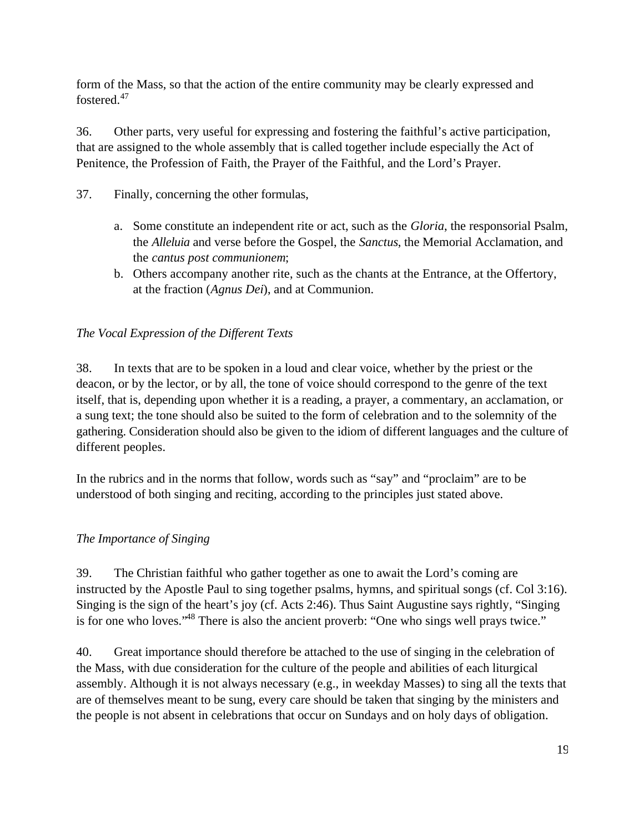form of the Mass, so that the action of the entire community may be clearly expressed and fostered.<sup>47</sup>

36. Other parts, very useful for expressing and fostering the faithful's active participation, that are assigned to the whole assembly that is called together include especially the Act of Penitence, the Profession of Faith, the Prayer of the Faithful, and the Lord's Prayer.

37. Finally, concerning the other formulas,

- a. Some constitute an independent rite or act, such as the *Gloria*, the responsorial Psalm, the *Alleluia* and verse before the Gospel, the *Sanctus*, the Memorial Acclamation, and the *cantus post communionem*;
- b. Others accompany another rite, such as the chants at the Entrance, at the Offertory, at the fraction (*Agnus Dei*), and at Communion.

# *The Vocal Expression of the Different Texts*

38. In texts that are to be spoken in a loud and clear voice, whether by the priest or the deacon, or by the lector, or by all, the tone of voice should correspond to the genre of the text itself, that is, depending upon whether it is a reading, a prayer, a commentary, an acclamation, or a sung text; the tone should also be suited to the form of celebration and to the solemnity of the gathering. Consideration should also be given to the idiom of different languages and the culture of different peoples.

In the rubrics and in the norms that follow, words such as "say" and "proclaim" are to be understood of both singing and reciting, according to the principles just stated above.

#### *The Importance of Singing*

39. The Christian faithful who gather together as one to await the Lord's coming are instructed by the Apostle Paul to sing together psalms, hymns, and spiritual songs (cf. Col 3:16). Singing is the sign of the heart's joy (cf. Acts 2:46). Thus Saint Augustine says rightly, "Singing is for one who loves."<sup>48</sup> There is also the ancient proverb: "One who sings well prays twice."

40. Great importance should therefore be attached to the use of singing in the celebration of the Mass, with due consideration for the culture of the people and abilities of each liturgical assembly. Although it is not always necessary (e.g., in weekday Masses) to sing all the texts that are of themselves meant to be sung, every care should be taken that singing by the ministers and the people is not absent in celebrations that occur on Sundays and on holy days of obligation.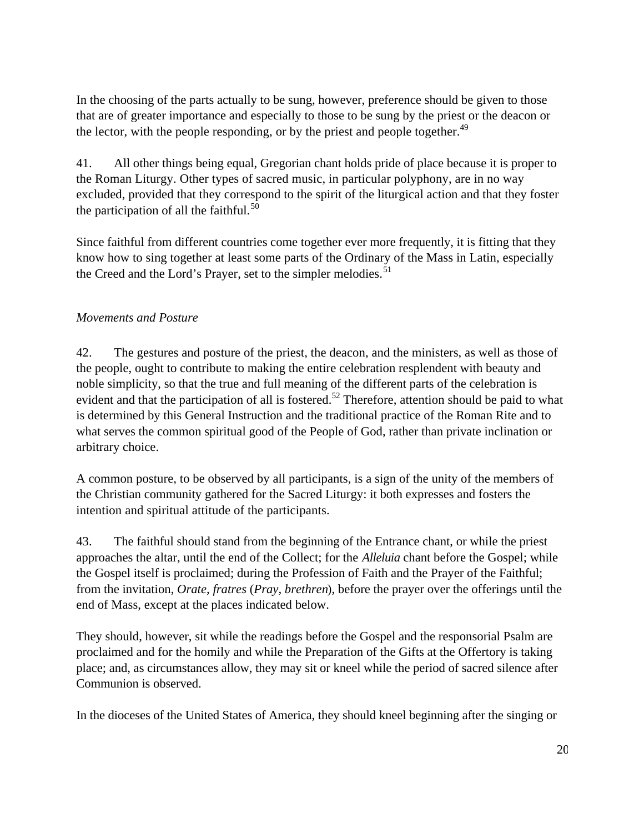In the choosing of the parts actually to be sung, however, preference should be given to those that are of greater importance and especially to those to be sung by the priest or the deacon or the lector, with the people responding, or by the priest and people together.<sup>49</sup>

41. All other things being equal, Gregorian chant holds pride of place because it is proper to the Roman Liturgy. Other types of sacred music, in particular polyphony, are in no way excluded, provided that they correspond to the spirit of the liturgical action and that they foster the participation of all the faithful.<sup>50</sup>

Since faithful from different countries come together ever more frequently, it is fitting that they know how to sing together at least some parts of the Ordinary of the Mass in Latin, especially the Creed and the Lord's Prayer, set to the simpler melodies.<sup>51</sup>

# *Movements and Posture*

42. The gestures and posture of the priest, the deacon, and the ministers, as well as those of the people, ought to contribute to making the entire celebration resplendent with beauty and noble simplicity, so that the true and full meaning of the different parts of the celebration is evident and that the participation of all is fostered.<sup>52</sup> Therefore, attention should be paid to what is determined by this General Instruction and the traditional practice of the Roman Rite and to what serves the common spiritual good of the People of God, rather than private inclination or arbitrary choice.

A common posture, to be observed by all participants, is a sign of the unity of the members of the Christian community gathered for the Sacred Liturgy: it both expresses and fosters the intention and spiritual attitude of the participants.

43. The faithful should stand from the beginning of the Entrance chant, or while the priest approaches the altar, until the end of the Collect; for the *Alleluia* chant before the Gospel; while the Gospel itself is proclaimed; during the Profession of Faith and the Prayer of the Faithful; from the invitation, *Orate, fratres* (*Pray, brethren*), before the prayer over the offerings until the end of Mass, except at the places indicated below.

They should, however, sit while the readings before the Gospel and the responsorial Psalm are proclaimed and for the homily and while the Preparation of the Gifts at the Offertory is taking place; and, as circumstances allow, they may sit or kneel while the period of sacred silence after Communion is observed.

In the dioceses of the United States of America, they should kneel beginning after the singing or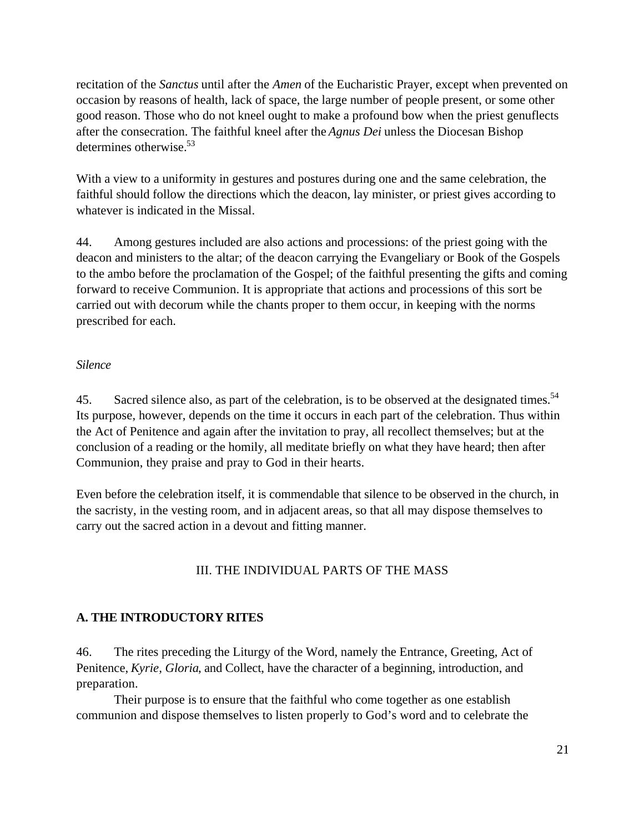recitation of the *Sanctus* until after the *Amen* of the Eucharistic Prayer, except when prevented on occasion by reasons of health, lack of space, the large number of people present, or some other good reason. Those who do not kneel ought to make a profound bow when the priest genuflects after the consecration. The faithful kneel after the *Agnus Dei* unless the Diocesan Bishop determines otherwise.<sup>53</sup>

With a view to a uniformity in gestures and postures during one and the same celebration, the faithful should follow the directions which the deacon, lay minister, or priest gives according to whatever is indicated in the Missal.

44. Among gestures included are also actions and processions: of the priest going with the deacon and ministers to the altar; of the deacon carrying the Evangeliary or Book of the Gospels to the ambo before the proclamation of the Gospel; of the faithful presenting the gifts and coming forward to receive Communion. It is appropriate that actions and processions of this sort be carried out with decorum while the chants proper to them occur, in keeping with the norms prescribed for each.

#### *Silence*

45. Sacred silence also, as part of the celebration, is to be observed at the designated times.<sup>54</sup> Its purpose, however, depends on the time it occurs in each part of the celebration. Thus within the Act of Penitence and again after the invitation to pray, all recollect themselves; but at the conclusion of a reading or the homily, all meditate briefly on what they have heard; then after Communion, they praise and pray to God in their hearts.

Even before the celebration itself, it is commendable that silence to be observed in the church, in the sacristy, in the vesting room, and in adjacent areas, so that all may dispose themselves to carry out the sacred action in a devout and fitting manner.

# III. THE INDIVIDUAL PARTS OF THE MASS

# **A. THE INTRODUCTORY RITES**

46. The rites preceding the Liturgy of the Word, namely the Entrance, Greeting, Act of Penitence, *Kyrie, Gloria*, and Collect, have the character of a beginning, introduction, and preparation.

Their purpose is to ensure that the faithful who come together as one establish communion and dispose themselves to listen properly to God's word and to celebrate the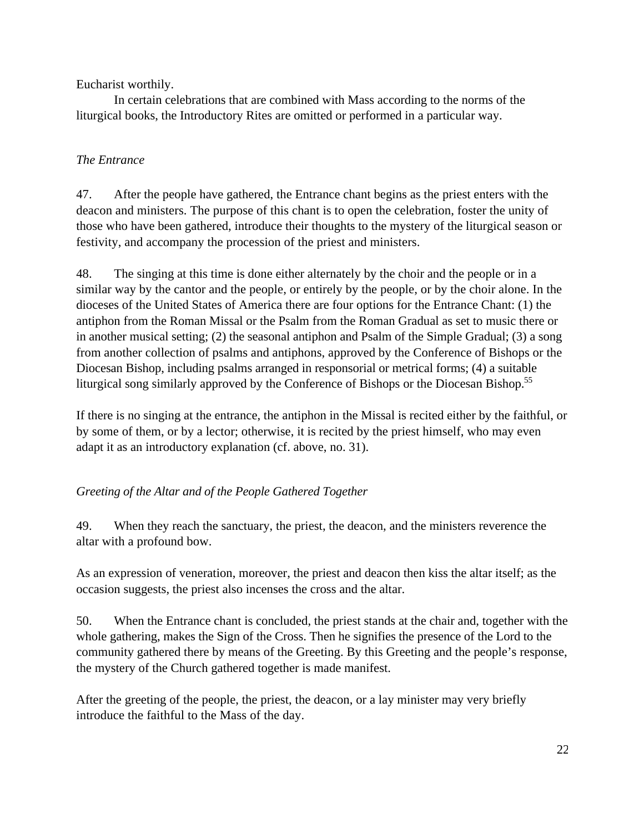Eucharist worthily.

In certain celebrations that are combined with Mass according to the norms of the liturgical books, the Introductory Rites are omitted or performed in a particular way.

# *The Entrance*

47. After the people have gathered, the Entrance chant begins as the priest enters with the deacon and ministers. The purpose of this chant is to open the celebration, foster the unity of those who have been gathered, introduce their thoughts to the mystery of the liturgical season or festivity, and accompany the procession of the priest and ministers.

48. The singing at this time is done either alternately by the choir and the people or in a similar way by the cantor and the people, or entirely by the people, or by the choir alone. In the dioceses of the United States of America there are four options for the Entrance Chant: (1) the antiphon from the Roman Missal or the Psalm from the Roman Gradual as set to music there or in another musical setting; (2) the seasonal antiphon and Psalm of the Simple Gradual; (3) a song from another collection of psalms and antiphons, approved by the Conference of Bishops or the Diocesan Bishop, including psalms arranged in responsorial or metrical forms; (4) a suitable liturgical song similarly approved by the Conference of Bishops or the Diocesan Bishop.<sup>55</sup>

If there is no singing at the entrance, the antiphon in the Missal is recited either by the faithful, or by some of them, or by a lector; otherwise, it is recited by the priest himself, who may even adapt it as an introductory explanation (cf. above, no. 31).

# *Greeting of the Altar and of the People Gathered Together*

49. When they reach the sanctuary, the priest, the deacon, and the ministers reverence the altar with a profound bow.

As an expression of veneration, moreover, the priest and deacon then kiss the altar itself; as the occasion suggests, the priest also incenses the cross and the altar.

50. When the Entrance chant is concluded, the priest stands at the chair and, together with the whole gathering, makes the Sign of the Cross. Then he signifies the presence of the Lord to the community gathered there by means of the Greeting. By this Greeting and the people's response, the mystery of the Church gathered together is made manifest.

After the greeting of the people, the priest, the deacon, or a lay minister may very briefly introduce the faithful to the Mass of the day.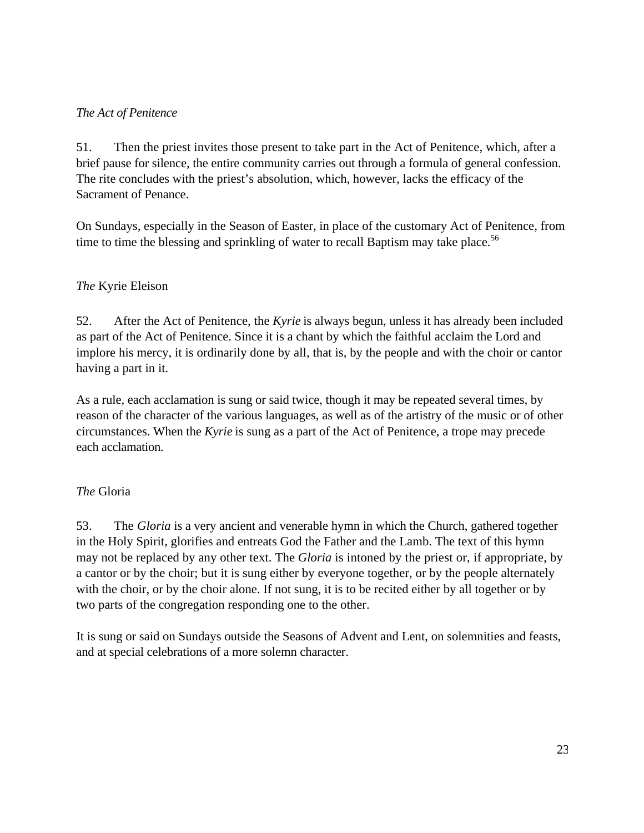### *The Act of Penitence*

51. Then the priest invites those present to take part in the Act of Penitence, which, after a brief pause for silence, the entire community carries out through a formula of general confession. The rite concludes with the priest's absolution, which, however, lacks the efficacy of the Sacrament of Penance.

On Sundays, especially in the Season of Easter, in place of the customary Act of Penitence, from time to time the blessing and sprinkling of water to recall Baptism may take place.<sup>56</sup>

#### *The* Kyrie Eleison

52. After the Act of Penitence, the *Kyrie* is always begun, unless it has already been included as part of the Act of Penitence. Since it is a chant by which the faithful acclaim the Lord and implore his mercy, it is ordinarily done by all, that is, by the people and with the choir or cantor having a part in it.

As a rule, each acclamation is sung or said twice, though it may be repeated several times, by reason of the character of the various languages, as well as of the artistry of the music or of other circumstances. When the *Kyrie* is sung as a part of the Act of Penitence, a trope may precede each acclamation.

#### *The* Gloria

53. The *Gloria* is a very ancient and venerable hymn in which the Church, gathered together in the Holy Spirit, glorifies and entreats God the Father and the Lamb. The text of this hymn may not be replaced by any other text. The *Gloria* is intoned by the priest or, if appropriate, by a cantor or by the choir; but it is sung either by everyone together, or by the people alternately with the choir, or by the choir alone. If not sung, it is to be recited either by all together or by two parts of the congregation responding one to the other.

It is sung or said on Sundays outside the Seasons of Advent and Lent, on solemnities and feasts, and at special celebrations of a more solemn character.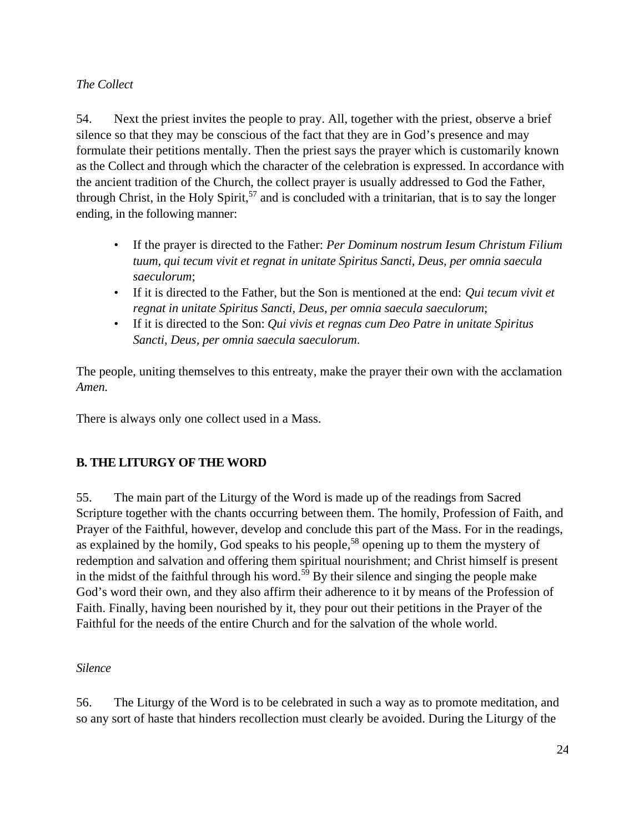#### *The Collect*

54. Next the priest invites the people to pray. All, together with the priest, observe a brief silence so that they may be conscious of the fact that they are in God's presence and may formulate their petitions mentally. Then the priest says the prayer which is customarily known as the Collect and through which the character of the celebration is expressed. In accordance with the ancient tradition of the Church, the collect prayer is usually addressed to God the Father, through Christ, in the Holy Spirit,  $57$  and is concluded with a trinitarian, that is to say the longer ending, in the following manner:

- If the prayer is directed to the Father: *Per Dominum nostrum Iesum Christum Filium tuum, qui tecum vivit et regnat in unitate Spiritus Sancti, Deus, per omnia saecula saeculorum*;
- If it is directed to the Father, but the Son is mentioned at the end: *Qui tecum vivit et regnat in unitate Spiritus Sancti, Deus, per omnia saecula saeculorum*;
- If it is directed to the Son: *Qui vivis et regnas cum Deo Patre in unitate Spiritus Sancti, Deus, per omnia saecula saeculorum*.

The people, uniting themselves to this entreaty, make the prayer their own with the acclamation *Amen*.

There is always only one collect used in a Mass.

# **B. THE LITURGY OF THE WORD**

55. The main part of the Liturgy of the Word is made up of the readings from Sacred Scripture together with the chants occurring between them. The homily, Profession of Faith, and Prayer of the Faithful, however, develop and conclude this part of the Mass. For in the readings, as explained by the homily, God speaks to his people,<sup>58</sup> opening up to them the mystery of redemption and salvation and offering them spiritual nourishment; and Christ himself is present in the midst of the faithful through his word.<sup>59</sup> By their silence and singing the people make God's word their own, and they also affirm their adherence to it by means of the Profession of Faith. Finally, having been nourished by it, they pour out their petitions in the Prayer of the Faithful for the needs of the entire Church and for the salvation of the whole world.

#### *Silence*

56. The Liturgy of the Word is to be celebrated in such a way as to promote meditation, and so any sort of haste that hinders recollection must clearly be avoided. During the Liturgy of the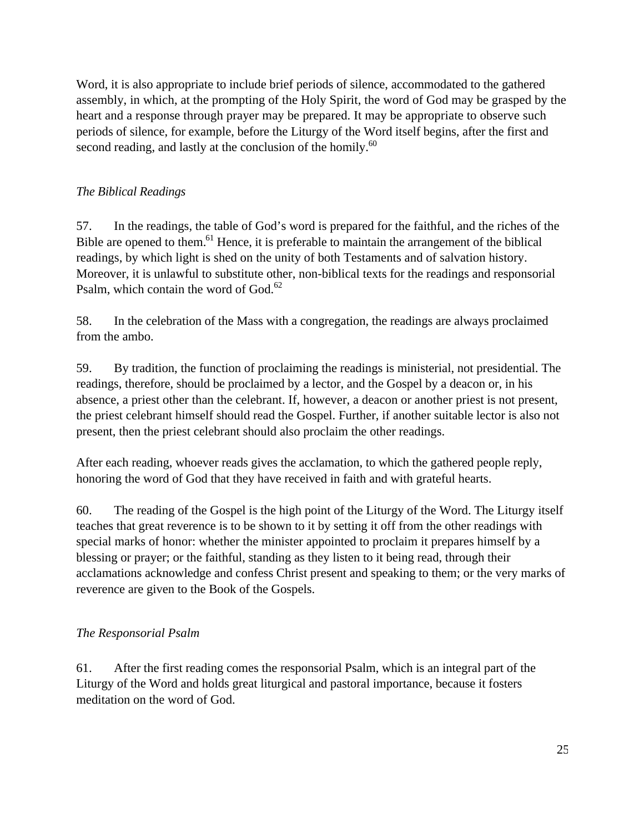Word, it is also appropriate to include brief periods of silence, accommodated to the gathered assembly, in which, at the prompting of the Holy Spirit, the word of God may be grasped by the heart and a response through prayer may be prepared. It may be appropriate to observe such periods of silence, for example, before the Liturgy of the Word itself begins, after the first and second reading, and lastly at the conclusion of the homily.<sup>60</sup>

# *The Biblical Readings*

57. In the readings, the table of God's word is prepared for the faithful, and the riches of the Bible are opened to them.<sup>61</sup> Hence, it is preferable to maintain the arrangement of the biblical readings, by which light is shed on the unity of both Testaments and of salvation history. Moreover, it is unlawful to substitute other, non-biblical texts for the readings and responsorial Psalm, which contain the word of God.<sup>62</sup>

58. In the celebration of the Mass with a congregation, the readings are always proclaimed from the ambo.

59. By tradition, the function of proclaiming the readings is ministerial, not presidential. The readings, therefore, should be proclaimed by a lector, and the Gospel by a deacon or, in his absence, a priest other than the celebrant. If, however, a deacon or another priest is not present, the priest celebrant himself should read the Gospel. Further, if another suitable lector is also not present, then the priest celebrant should also proclaim the other readings.

After each reading, whoever reads gives the acclamation, to which the gathered people reply, honoring the word of God that they have received in faith and with grateful hearts.

60. The reading of the Gospel is the high point of the Liturgy of the Word. The Liturgy itself teaches that great reverence is to be shown to it by setting it off from the other readings with special marks of honor: whether the minister appointed to proclaim it prepares himself by a blessing or prayer; or the faithful, standing as they listen to it being read, through their acclamations acknowledge and confess Christ present and speaking to them; or the very marks of reverence are given to the Book of the Gospels.

# *The Responsorial Psalm*

61. After the first reading comes the responsorial Psalm, which is an integral part of the Liturgy of the Word and holds great liturgical and pastoral importance, because it fosters meditation on the word of God.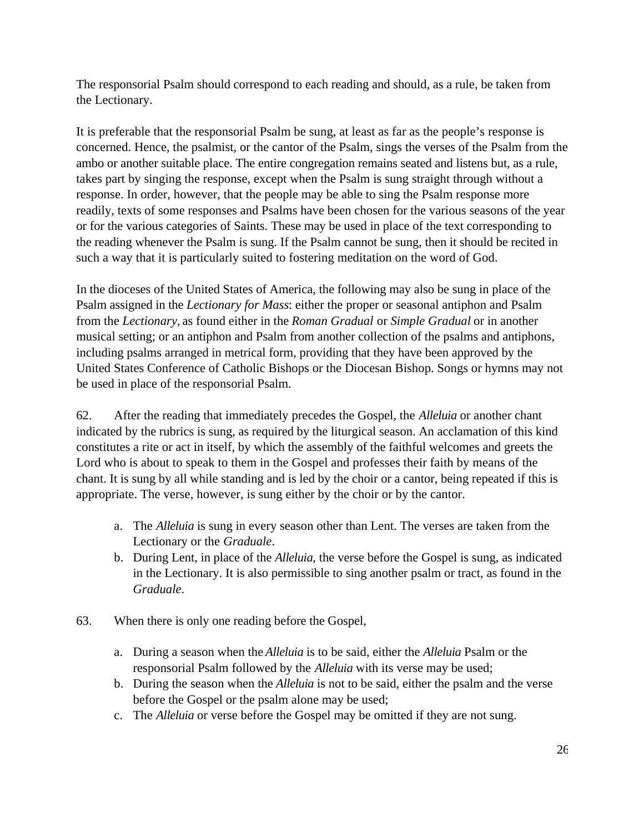The responsorial Psalm should correspond to each reading and should, as a rule, be taken from the Lectionary.

It is preferable that the responsorial Psalm be sung, at least as far as the people's response is concerned. Hence, the psalmist, or the cantor of the Psalm, sings the verses of the Psalm from the ambo or another suitable place. The entire congregation remains seated and listens but, as a rule, takes part by singing the response, except when the Psalm is sung straight through without a response. In order, however, that the people may be able to sing the Psalm response more readily, texts of some responses and Psalms have been chosen for the various seasons of the year or for the various categories of Saints. These may be used in place of the text corresponding to the reading whenever the Psalm is sung. If the Psalm cannot be sung, then it should be recited in such a way that it is particularly suited to fostering meditation on the word of God.

In the dioceses of the United States of America, the following may also be sung in place of the Psalm assigned in the *Lectionary for Mass*: either the proper or seasonal antiphon and Psalm from the *Lectionary,* as found either in the *Roman Gradual* or *Simple Gradual* or in another musical setting; or an antiphon and Psalm from another collection of the psalms and antiphons, including psalms arranged in metrical form, providing that they have been approved by the United States Conference of Catholic Bishops or the Diocesan Bishop. Songs or hymns may not be used in place of the responsorial Psalm.

62. After the reading that immediately precedes the Gospel, the *Alleluia* or another chant indicated by the rubrics is sung, as required by the liturgical season. An acclamation of this kind constitutes a rite or act in itself, by which the assembly of the faithful welcomes and greets the Lord who is about to speak to them in the Gospel and professes their faith by means of the chant. It is sung by all while standing and is led by the choir or a cantor, being repeated if this is appropriate. The verse, however, is sung either by the choir or by the cantor.

- a. The *Alleluia* is sung in every season other than Lent. The verses are taken from the Lectionary or the *Graduale*.
- b. During Lent, in place of the *Alleluia*, the verse before the Gospel is sung, as indicated in the Lectionary. It is also permissible to sing another psalm or tract, as found in the *Graduale*.
- 63. When there is only one reading before the Gospel,
	- a. During a season when the *Alleluia* is to be said, either the *Alleluia* Psalm or the responsorial Psalm followed by the *Alleluia* with its verse may be used;
	- b. During the season when the *Alleluia* is not to be said, either the psalm and the verse before the Gospel or the psalm alone may be used;
	- c. The *Alleluia* or verse before the Gospel may be omitted if they are not sung.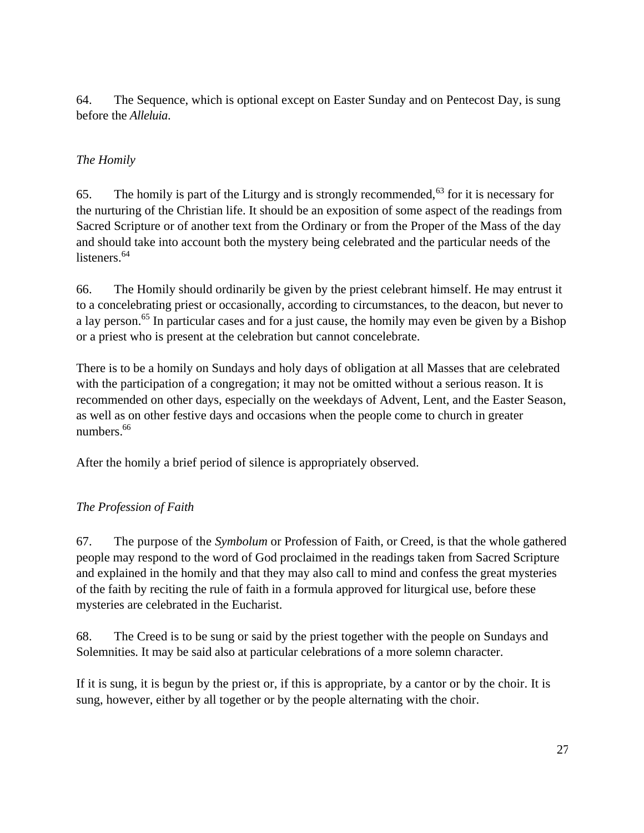64. The Sequence, which is optional except on Easter Sunday and on Pentecost Day, is sung before the *Alleluia*.

# *The Homily*

65. The homily is part of the Liturgy and is strongly recommended,  $63$  for it is necessary for the nurturing of the Christian life. It should be an exposition of some aspect of the readings from Sacred Scripture or of another text from the Ordinary or from the Proper of the Mass of the day and should take into account both the mystery being celebrated and the particular needs of the listeners.<sup>64</sup>

66. The Homily should ordinarily be given by the priest celebrant himself. He may entrust it to a concelebrating priest or occasionally, according to circumstances, to the deacon, but never to a lay person.<sup>65</sup> In particular cases and for a just cause, the homily may even be given by a Bishop or a priest who is present at the celebration but cannot concelebrate.

There is to be a homily on Sundays and holy days of obligation at all Masses that are celebrated with the participation of a congregation; it may not be omitted without a serious reason. It is recommended on other days, especially on the weekdays of Advent, Lent, and the Easter Season, as well as on other festive days and occasions when the people come to church in greater numbers $66$ 

After the homily a brief period of silence is appropriately observed.

# *The Profession of Faith*

67. The purpose of the *Symbolum* or Profession of Faith, or Creed, is that the whole gathered people may respond to the word of God proclaimed in the readings taken from Sacred Scripture and explained in the homily and that they may also call to mind and confess the great mysteries of the faith by reciting the rule of faith in a formula approved for liturgical use, before these mysteries are celebrated in the Eucharist.

68. The Creed is to be sung or said by the priest together with the people on Sundays and Solemnities. It may be said also at particular celebrations of a more solemn character.

If it is sung, it is begun by the priest or, if this is appropriate, by a cantor or by the choir. It is sung, however, either by all together or by the people alternating with the choir.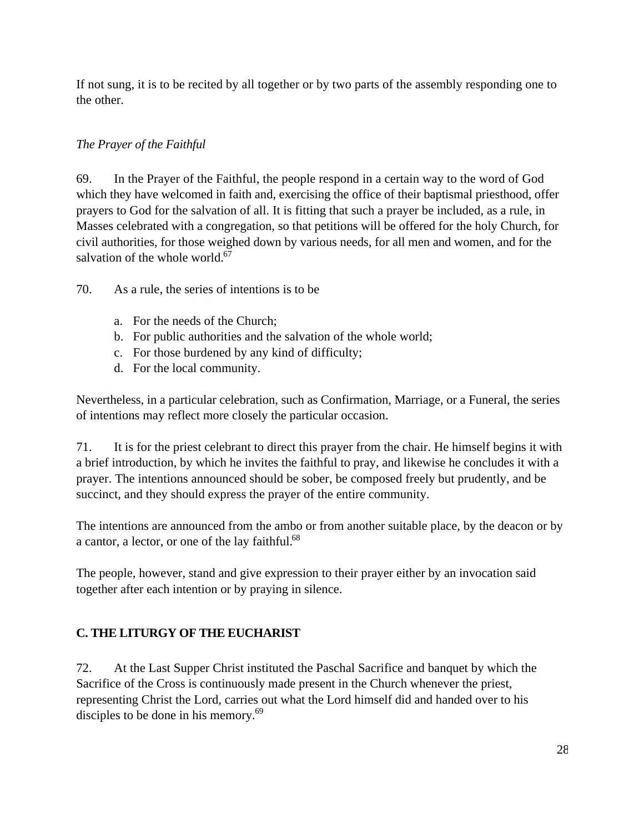If not sung, it is to be recited by all together or by two parts of the assembly responding one to the other.

# *The Prayer of the Faithful*

69. In the Prayer of the Faithful, the people respond in a certain way to the word of God which they have welcomed in faith and, exercising the office of their baptismal priesthood, offer prayers to God for the salvation of all. It is fitting that such a prayer be included, as a rule, in Masses celebrated with a congregation, so that petitions will be offered for the holy Church, for civil authorities, for those weighed down by various needs, for all men and women, and for the salvation of the whole world. $67$ 

70. As a rule, the series of intentions is to be

- a. For the needs of the Church;
- b. For public authorities and the salvation of the whole world;
- c. For those burdened by any kind of difficulty;
- d. For the local community.

Nevertheless, in a particular celebration, such as Confirmation, Marriage, or a Funeral, the series of intentions may reflect more closely the particular occasion.

71. It is for the priest celebrant to direct this prayer from the chair. He himself begins it with a brief introduction, by which he invites the faithful to pray, and likewise he concludes it with a prayer. The intentions announced should be sober, be composed freely but prudently, and be succinct, and they should express the prayer of the entire community.

The intentions are announced from the ambo or from another suitable place, by the deacon or by a cantor, a lector, or one of the lay faithful.<sup>68</sup>

The people, however, stand and give expression to their prayer either by an invocation said together after each intention or by praying in silence.

# **C. THE LITURGY OF THE EUCHARIST**

72. At the Last Supper Christ instituted the Paschal Sacrifice and banquet by which the Sacrifice of the Cross is continuously made present in the Church whenever the priest, representing Christ the Lord, carries out what the Lord himself did and handed over to his disciples to be done in his memory.<sup>69</sup>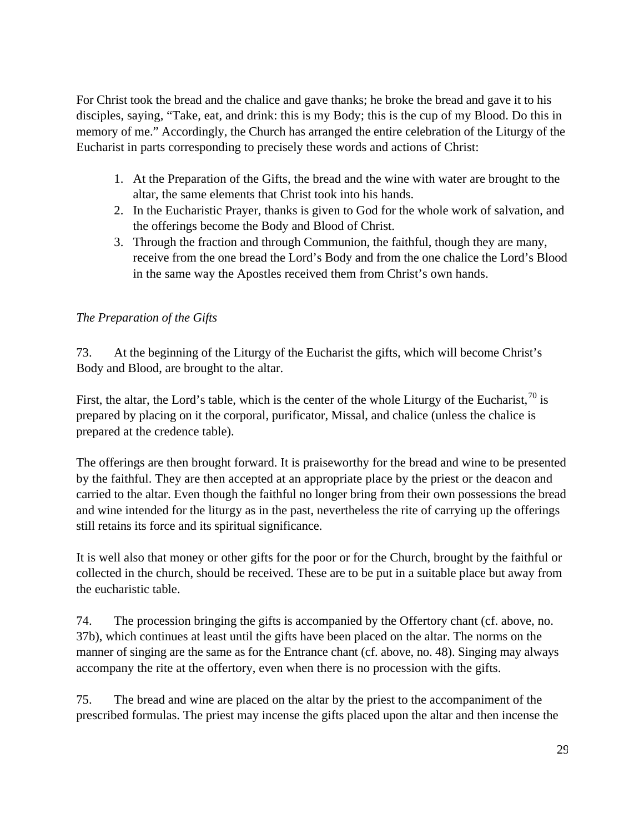For Christ took the bread and the chalice and gave thanks; he broke the bread and gave it to his disciples, saying, "Take, eat, and drink: this is my Body; this is the cup of my Blood. Do this in memory of me." Accordingly, the Church has arranged the entire celebration of the Liturgy of the Eucharist in parts corresponding to precisely these words and actions of Christ:

- 1. At the Preparation of the Gifts, the bread and the wine with water are brought to the altar, the same elements that Christ took into his hands.
- 2. In the Eucharistic Prayer, thanks is given to God for the whole work of salvation, and the offerings become the Body and Blood of Christ.
- 3. Through the fraction and through Communion, the faithful, though they are many, receive from the one bread the Lord's Body and from the one chalice the Lord's Blood in the same way the Apostles received them from Christ's own hands.

#### *The Preparation of the Gifts*

73. At the beginning of the Liturgy of the Eucharist the gifts, which will become Christ's Body and Blood, are brought to the altar.

First, the altar, the Lord's table, which is the center of the whole Liturgy of the Eucharist,  $^{70}$  is prepared by placing on it the corporal, purificator, Missal, and chalice (unless the chalice is prepared at the credence table).

The offerings are then brought forward. It is praiseworthy for the bread and wine to be presented by the faithful. They are then accepted at an appropriate place by the priest or the deacon and carried to the altar. Even though the faithful no longer bring from their own possessions the bread and wine intended for the liturgy as in the past, nevertheless the rite of carrying up the offerings still retains its force and its spiritual significance.

It is well also that money or other gifts for the poor or for the Church, brought by the faithful or collected in the church, should be received. These are to be put in a suitable place but away from the eucharistic table.

74. The procession bringing the gifts is accompanied by the Offertory chant (cf. above, no. 37b), which continues at least until the gifts have been placed on the altar. The norms on the manner of singing are the same as for the Entrance chant (cf. above, no. 48). Singing may always accompany the rite at the offertory, even when there is no procession with the gifts.

75. The bread and wine are placed on the altar by the priest to the accompaniment of the prescribed formulas. The priest may incense the gifts placed upon the altar and then incense the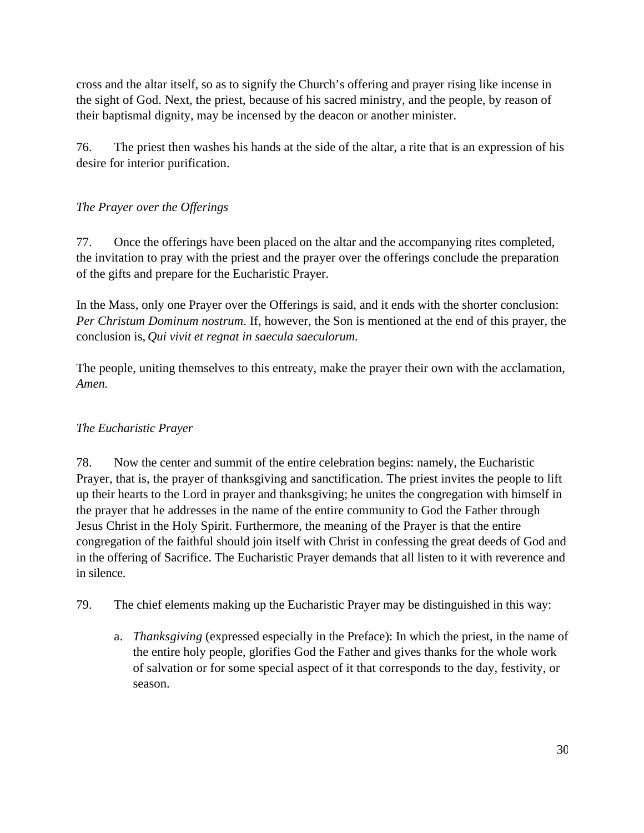cross and the altar itself, so as to signify the Church's offering and prayer rising like incense in the sight of God. Next, the priest, because of his sacred ministry, and the people, by reason of their baptismal dignity, may be incensed by the deacon or another minister.

76. The priest then washes his hands at the side of the altar, a rite that is an expression of his desire for interior purification.

### *The Prayer over the Offerings*

77. Once the offerings have been placed on the altar and the accompanying rites completed, the invitation to pray with the priest and the prayer over the offerings conclude the preparation of the gifts and prepare for the Eucharistic Prayer.

In the Mass, only one Prayer over the Offerings is said, and it ends with the shorter conclusion: *Per Christum Dominum nostrum*. If, however, the Son is mentioned at the end of this prayer, the conclusion is, *Qui vivit et regnat in saecula saeculorum*.

The people, uniting themselves to this entreaty, make the prayer their own with the acclamation, *Amen*.

# *The Eucharistic Prayer*

78. Now the center and summit of the entire celebration begins: namely, the Eucharistic Prayer, that is, the prayer of thanksgiving and sanctification. The priest invites the people to lift up their hearts to the Lord in prayer and thanksgiving; he unites the congregation with himself in the prayer that he addresses in the name of the entire community to God the Father through Jesus Christ in the Holy Spirit. Furthermore, the meaning of the Prayer is that the entire congregation of the faithful should join itself with Christ in confessing the great deeds of God and in the offering of Sacrifice. The Eucharistic Prayer demands that all listen to it with reverence and in silence.

79. The chief elements making up the Eucharistic Prayer may be distinguished in this way:

a. *Thanksgiving* (expressed especially in the Preface): In which the priest, in the name of the entire holy people, glorifies God the Father and gives thanks for the whole work of salvation or for some special aspect of it that corresponds to the day, festivity, or season.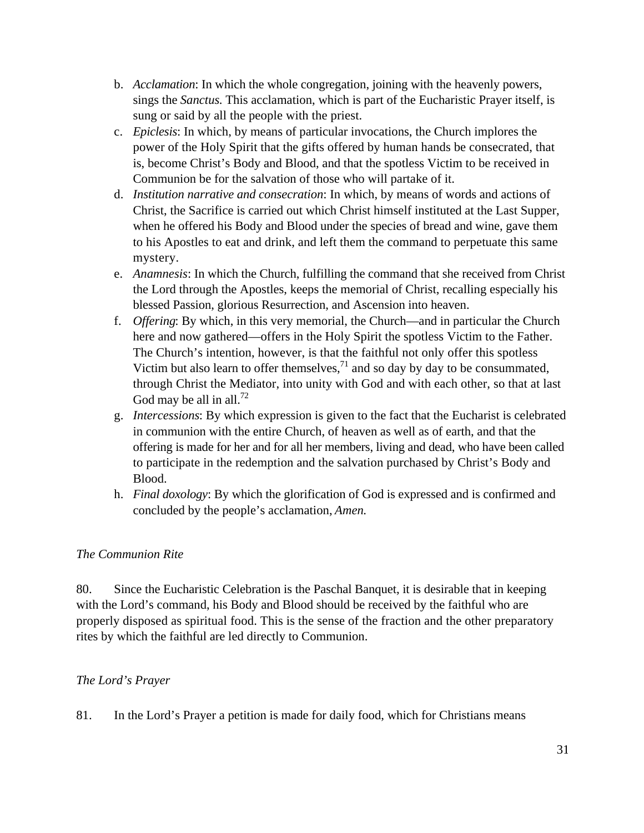- b. *Acclamation*: In which the whole congregation, joining with the heavenly powers, sings the *Sanctus*. This acclamation, which is part of the Eucharistic Prayer itself, is sung or said by all the people with the priest.
- c. *Epiclesis*: In which, by means of particular invocations, the Church implores the power of the Holy Spirit that the gifts offered by human hands be consecrated, that is, become Christ's Body and Blood, and that the spotless Victim to be received in Communion be for the salvation of those who will partake of it.
- d. *Institution narrative and consecration*: In which, by means of words and actions of Christ, the Sacrifice is carried out which Christ himself instituted at the Last Supper, when he offered his Body and Blood under the species of bread and wine, gave them to his Apostles to eat and drink, and left them the command to perpetuate this same mystery.
- e. *Anamnesis*: In which the Church, fulfilling the command that she received from Christ the Lord through the Apostles, keeps the memorial of Christ, recalling especially his blessed Passion, glorious Resurrection, and Ascension into heaven.
- f. *Offering*: By which, in this very memorial, the Church—and in particular the Church here and now gathered—offers in the Holy Spirit the spotless Victim to the Father. The Church's intention, however, is that the faithful not only offer this spotless Victim but also learn to offer themselves,  $^{71}$  and so day by day to be consummated, through Christ the Mediator, into unity with God and with each other, so that at last God may be all in all.<sup>72</sup>
- g. *Intercessions*: By which expression is given to the fact that the Eucharist is celebrated in communion with the entire Church, of heaven as well as of earth, and that the offering is made for her and for all her members, living and dead, who have been called to participate in the redemption and the salvation purchased by Christ's Body and Blood.
- h. *Final doxology*: By which the glorification of God is expressed and is confirmed and concluded by the people's acclamation, *Amen*.

#### *The Communion Rite*

80. Since the Eucharistic Celebration is the Paschal Banquet, it is desirable that in keeping with the Lord's command, his Body and Blood should be received by the faithful who are properly disposed as spiritual food. This is the sense of the fraction and the other preparatory rites by which the faithful are led directly to Communion.

#### *The Lord's Prayer*

81. In the Lord's Prayer a petition is made for daily food, which for Christians means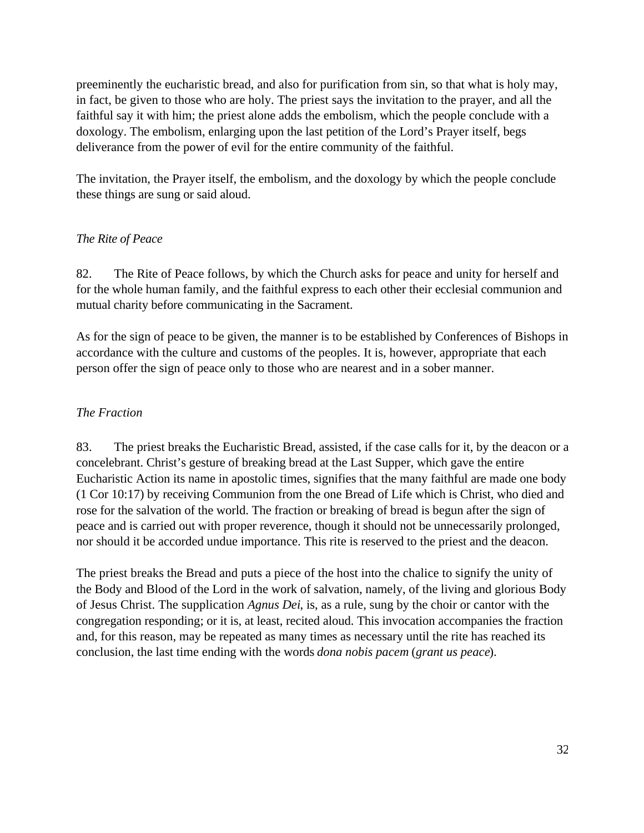preeminently the eucharistic bread, and also for purification from sin, so that what is holy may, in fact, be given to those who are holy. The priest says the invitation to the prayer, and all the faithful say it with him; the priest alone adds the embolism, which the people conclude with a doxology. The embolism, enlarging upon the last petition of the Lord's Prayer itself, begs deliverance from the power of evil for the entire community of the faithful.

The invitation, the Prayer itself, the embolism, and the doxology by which the people conclude these things are sung or said aloud.

#### *The Rite of Peace*

82. The Rite of Peace follows, by which the Church asks for peace and unity for herself and for the whole human family, and the faithful express to each other their ecclesial communion and mutual charity before communicating in the Sacrament.

As for the sign of peace to be given, the manner is to be established by Conferences of Bishops in accordance with the culture and customs of the peoples. It is, however, appropriate that each person offer the sign of peace only to those who are nearest and in a sober manner.

### *The Fraction*

83. The priest breaks the Eucharistic Bread, assisted, if the case calls for it, by the deacon or a concelebrant. Christ's gesture of breaking bread at the Last Supper, which gave the entire Eucharistic Action its name in apostolic times, signifies that the many faithful are made one body (1 Cor 10:17) by receiving Communion from the one Bread of Life which is Christ, who died and rose for the salvation of the world. The fraction or breaking of bread is begun after the sign of peace and is carried out with proper reverence, though it should not be unnecessarily prolonged, nor should it be accorded undue importance. This rite is reserved to the priest and the deacon.

The priest breaks the Bread and puts a piece of the host into the chalice to signify the unity of the Body and Blood of the Lord in the work of salvation, namely, of the living and glorious Body of Jesus Christ. The supplication *Agnus Dei*, is, as a rule, sung by the choir or cantor with the congregation responding; or it is, at least, recited aloud. This invocation accompanies the fraction and, for this reason, may be repeated as many times as necessary until the rite has reached its conclusion, the last time ending with the words *dona nobis pacem* (*grant us peace*).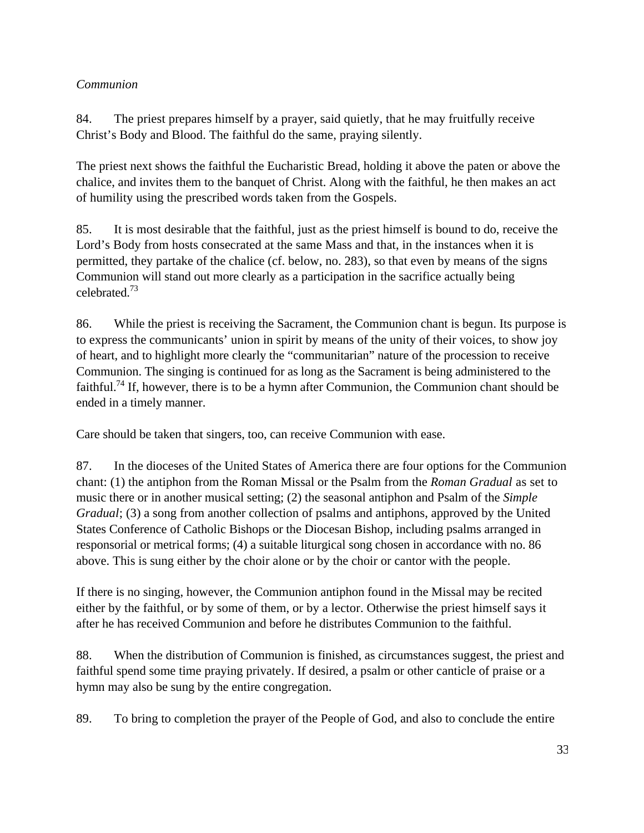# *Communion*

84. The priest prepares himself by a prayer, said quietly, that he may fruitfully receive Christ's Body and Blood. The faithful do the same, praying silently.

The priest next shows the faithful the Eucharistic Bread, holding it above the paten or above the chalice, and invites them to the banquet of Christ. Along with the faithful, he then makes an act of humility using the prescribed words taken from the Gospels.

85. It is most desirable that the faithful, just as the priest himself is bound to do, receive the Lord's Body from hosts consecrated at the same Mass and that, in the instances when it is permitted, they partake of the chalice (cf. below, no. 283), so that even by means of the signs Communion will stand out more clearly as a participation in the sacrifice actually being celebrated.<sup>73</sup>

86. While the priest is receiving the Sacrament, the Communion chant is begun. Its purpose is to express the communicants' union in spirit by means of the unity of their voices, to show joy of heart, and to highlight more clearly the "communitarian" nature of the procession to receive Communion. The singing is continued for as long as the Sacrament is being administered to the faithful.<sup>74</sup> If, however, there is to be a hymn after Communion, the Communion chant should be ended in a timely manner.

Care should be taken that singers, too, can receive Communion with ease.

87. In the dioceses of the United States of America there are four options for the Communion chant: (1) the antiphon from the Roman Missal or the Psalm from the *Roman Gradual* as set to music there or in another musical setting; (2) the seasonal antiphon and Psalm of the *Simple Gradual*; (3) a song from another collection of psalms and antiphons, approved by the United States Conference of Catholic Bishops or the Diocesan Bishop, including psalms arranged in responsorial or metrical forms; (4) a suitable liturgical song chosen in accordance with no. 86 above. This is sung either by the choir alone or by the choir or cantor with the people.

If there is no singing, however, the Communion antiphon found in the Missal may be recited either by the faithful, or by some of them, or by a lector. Otherwise the priest himself says it after he has received Communion and before he distributes Communion to the faithful.

88. When the distribution of Communion is finished, as circumstances suggest, the priest and faithful spend some time praying privately. If desired, a psalm or other canticle of praise or a hymn may also be sung by the entire congregation.

89. To bring to completion the prayer of the People of God, and also to conclude the entire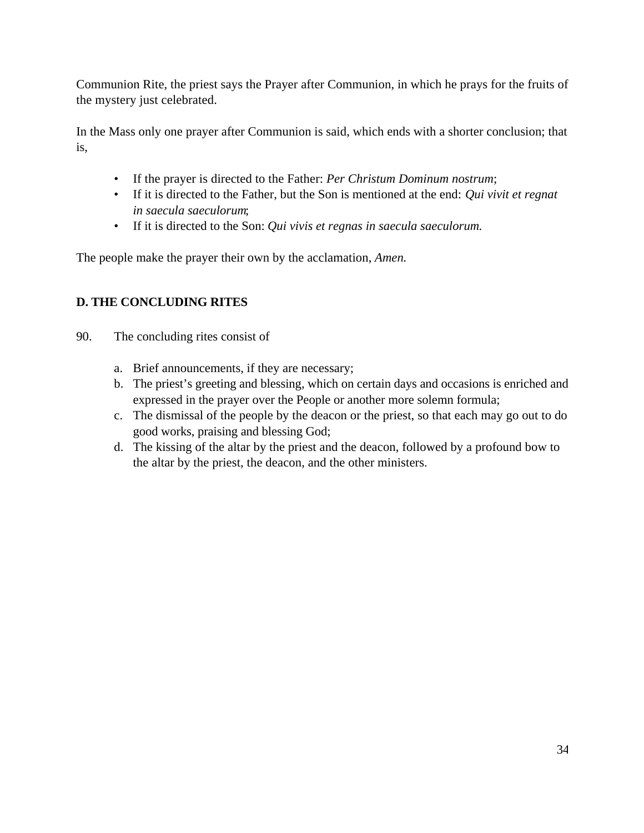Communion Rite, the priest says the Prayer after Communion, in which he prays for the fruits of the mystery just celebrated.

In the Mass only one prayer after Communion is said, which ends with a shorter conclusion; that is,

- If the prayer is directed to the Father: *Per Christum Dominum nostrum*;
- If it is directed to the Father, but the Son is mentioned at the end: *Qui vivit et regnat in saecula saeculorum*;
- If it is directed to the Son: *Qui vivis et regnas in saecula saeculorum*.

The people make the prayer their own by the acclamation, *Amen*.

# **D. THE CONCLUDING RITES**

- 90. The concluding rites consist of
	- a. Brief announcements, if they are necessary;
	- b. The priest's greeting and blessing, which on certain days and occasions is enriched and expressed in the prayer over the People or another more solemn formula;
	- c. The dismissal of the people by the deacon or the priest, so that each may go out to do good works, praising and blessing God;
	- d. The kissing of the altar by the priest and the deacon, followed by a profound bow to the altar by the priest, the deacon, and the other ministers.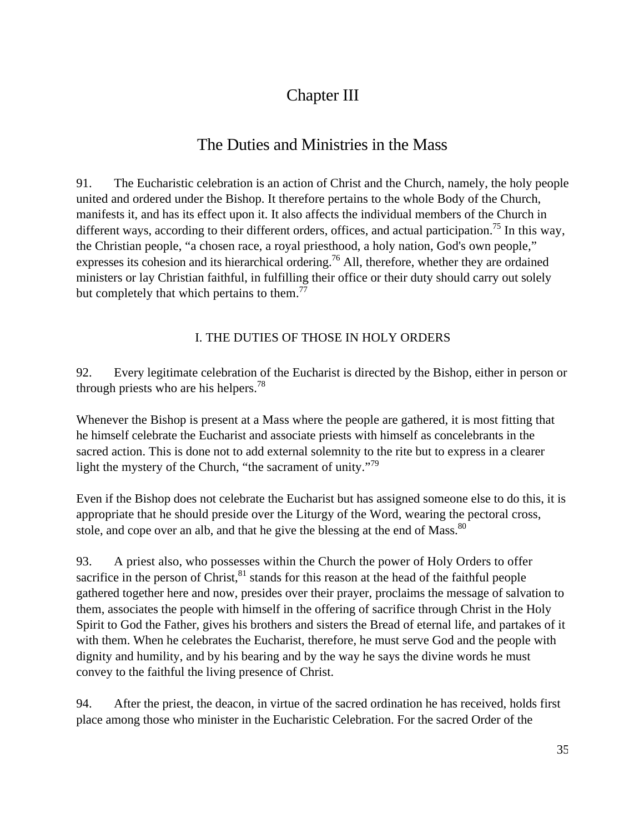# Chapter III

# The Duties and Ministries in the Mass

91. The Eucharistic celebration is an action of Christ and the Church, namely, the holy people united and ordered under the Bishop. It therefore pertains to the whole Body of the Church, manifests it, and has its effect upon it. It also affects the individual members of the Church in different ways, according to their different orders, offices, and actual participation.<sup>75</sup> In this way, the Christian people, "a chosen race, a royal priesthood, a holy nation, God's own people," expresses its cohesion and its hierarchical ordering.<sup>76</sup> All, therefore, whether they are ordained ministers or lay Christian faithful, in fulfilling their office or their duty should carry out solely but completely that which pertains to them.<sup>77</sup>

# I. THE DUTIES OF THOSE IN HOLY ORDERS

92. Every legitimate celebration of the Eucharist is directed by the Bishop, either in person or through priests who are his helpers.<sup>78</sup>

Whenever the Bishop is present at a Mass where the people are gathered, it is most fitting that he himself celebrate the Eucharist and associate priests with himself as concelebrants in the sacred action. This is done not to add external solemnity to the rite but to express in a clearer light the mystery of the Church, "the sacrament of unity."<sup>79</sup>

Even if the Bishop does not celebrate the Eucharist but has assigned someone else to do this, it is appropriate that he should preside over the Liturgy of the Word, wearing the pectoral cross, stole, and cope over an alb, and that he give the blessing at the end of Mass. $^{80}$ 

93. A priest also, who possesses within the Church the power of Holy Orders to offer sacrifice in the person of Christ, $81$  stands for this reason at the head of the faithful people gathered together here and now, presides over their prayer, proclaims the message of salvation to them, associates the people with himself in the offering of sacrifice through Christ in the Holy Spirit to God the Father, gives his brothers and sisters the Bread of eternal life, and partakes of it with them. When he celebrates the Eucharist, therefore, he must serve God and the people with dignity and humility, and by his bearing and by the way he says the divine words he must convey to the faithful the living presence of Christ.

94. After the priest, the deacon, in virtue of the sacred ordination he has received, holds first place among those who minister in the Eucharistic Celebration. For the sacred Order of the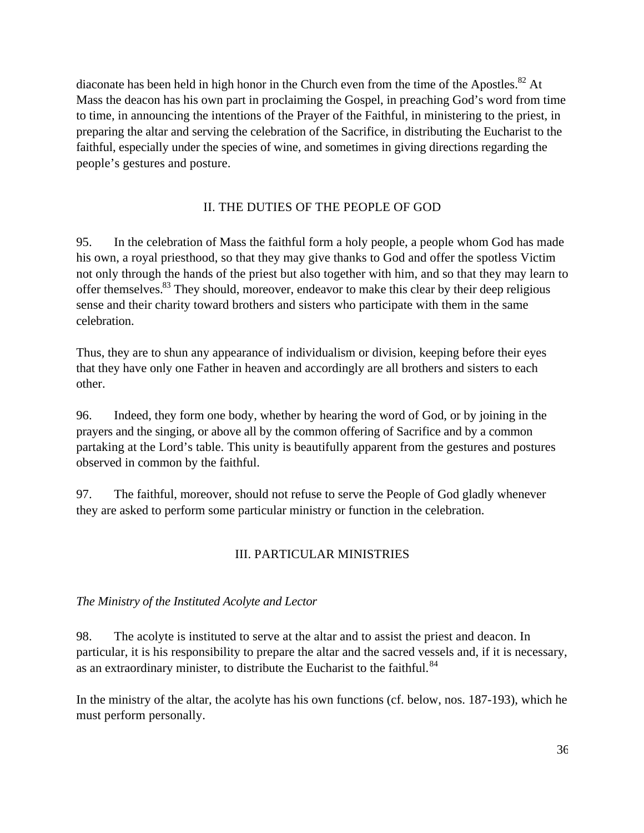diaconate has been held in high honor in the Church even from the time of the Apostles.<sup>82</sup> At Mass the deacon has his own part in proclaiming the Gospel, in preaching God's word from time to time, in announcing the intentions of the Prayer of the Faithful, in ministering to the priest, in preparing the altar and serving the celebration of the Sacrifice, in distributing the Eucharist to the faithful, especially under the species of wine, and sometimes in giving directions regarding the people's gestures and posture.

### II. THE DUTIES OF THE PEOPLE OF GOD

95. In the celebration of Mass the faithful form a holy people, a people whom God has made his own, a royal priesthood, so that they may give thanks to God and offer the spotless Victim not only through the hands of the priest but also together with him, and so that they may learn to offer themselves.<sup>83</sup> They should, moreover, endeavor to make this clear by their deep religious sense and their charity toward brothers and sisters who participate with them in the same celebration.

Thus, they are to shun any appearance of individualism or division, keeping before their eyes that they have only one Father in heaven and accordingly are all brothers and sisters to each other.

96. Indeed, they form one body, whether by hearing the word of God, or by joining in the prayers and the singing, or above all by the common offering of Sacrifice and by a common partaking at the Lord's table. This unity is beautifully apparent from the gestures and postures observed in common by the faithful.

97. The faithful, moreover, should not refuse to serve the People of God gladly whenever they are asked to perform some particular ministry or function in the celebration.

# III. PARTICULAR MINISTRIES

*The Ministry of the Instituted Acolyte and Lector*

98. The acolyte is instituted to serve at the altar and to assist the priest and deacon. In particular, it is his responsibility to prepare the altar and the sacred vessels and, if it is necessary, as an extraordinary minister, to distribute the Eucharist to the faithful.<sup>84</sup>

In the ministry of the altar, the acolyte has his own functions (cf. below, nos. 187-193), which he must perform personally.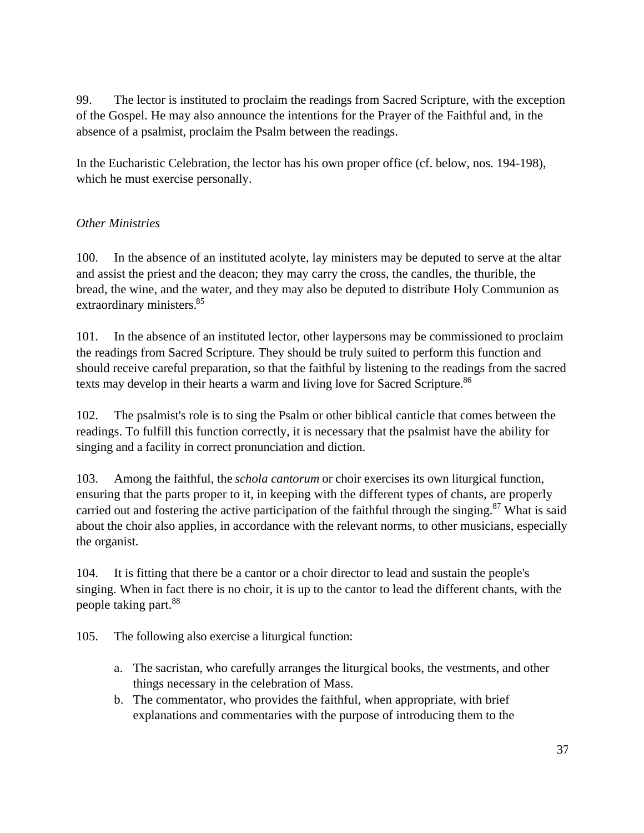99. The lector is instituted to proclaim the readings from Sacred Scripture, with the exception of the Gospel. He may also announce the intentions for the Prayer of the Faithful and, in the absence of a psalmist, proclaim the Psalm between the readings.

In the Eucharistic Celebration, the lector has his own proper office (cf. below, nos. 194-198), which he must exercise personally.

# *Other Ministries*

100. In the absence of an instituted acolyte, lay ministers may be deputed to serve at the altar and assist the priest and the deacon; they may carry the cross, the candles, the thurible, the bread, the wine, and the water, and they may also be deputed to distribute Holy Communion as extraordinary ministers.<sup>85</sup>

101. In the absence of an instituted lector, other laypersons may be commissioned to proclaim the readings from Sacred Scripture. They should be truly suited to perform this function and should receive careful preparation, so that the faithful by listening to the readings from the sacred texts may develop in their hearts a warm and living love for Sacred Scripture.<sup>86</sup>

102. The psalmist's role is to sing the Psalm or other biblical canticle that comes between the readings. To fulfill this function correctly, it is necessary that the psalmist have the ability for singing and a facility in correct pronunciation and diction.

103. Among the faithful, the *schola cantorum* or choir exercises its own liturgical function, ensuring that the parts proper to it, in keeping with the different types of chants, are properly carried out and fostering the active participation of the faithful through the singing.<sup>87</sup> What is said about the choir also applies, in accordance with the relevant norms, to other musicians, especially the organist.

104. It is fitting that there be a cantor or a choir director to lead and sustain the people's singing. When in fact there is no choir, it is up to the cantor to lead the different chants, with the people taking part.<sup>88</sup>

105. The following also exercise a liturgical function:

- a. The sacristan, who carefully arranges the liturgical books, the vestments, and other things necessary in the celebration of Mass.
- b. The commentator, who provides the faithful, when appropriate, with brief explanations and commentaries with the purpose of introducing them to the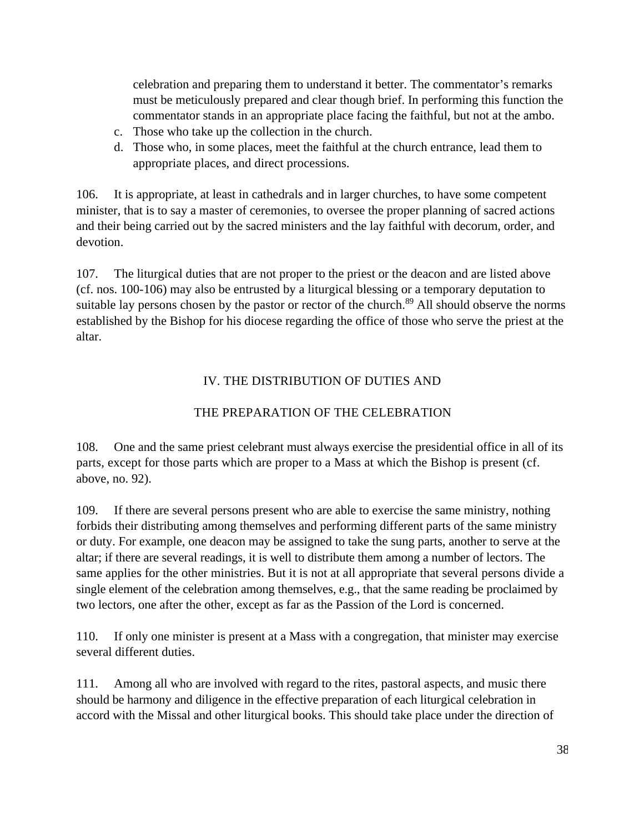celebration and preparing them to understand it better. The commentator's remarks must be meticulously prepared and clear though brief. In performing this function the commentator stands in an appropriate place facing the faithful, but not at the ambo.

- c. Those who take up the collection in the church.
- d. Those who, in some places, meet the faithful at the church entrance, lead them to appropriate places, and direct processions.

106. It is appropriate, at least in cathedrals and in larger churches, to have some competent minister, that is to say a master of ceremonies, to oversee the proper planning of sacred actions and their being carried out by the sacred ministers and the lay faithful with decorum, order, and devotion.

107. The liturgical duties that are not proper to the priest or the deacon and are listed above (cf. nos. 100-106) may also be entrusted by a liturgical blessing or a temporary deputation to suitable lay persons chosen by the pastor or rector of the church.<sup>89</sup> All should observe the norms established by the Bishop for his diocese regarding the office of those who serve the priest at the altar.

#### IV. THE DISTRIBUTION OF DUTIES AND

#### THE PREPARATION OF THE CELEBRATION

108. One and the same priest celebrant must always exercise the presidential office in all of its parts, except for those parts which are proper to a Mass at which the Bishop is present (cf. above, no. 92).

109. If there are several persons present who are able to exercise the same ministry, nothing forbids their distributing among themselves and performing different parts of the same ministry or duty. For example, one deacon may be assigned to take the sung parts, another to serve at the altar; if there are several readings, it is well to distribute them among a number of lectors. The same applies for the other ministries. But it is not at all appropriate that several persons divide a single element of the celebration among themselves, e.g., that the same reading be proclaimed by two lectors, one after the other, except as far as the Passion of the Lord is concerned.

110. If only one minister is present at a Mass with a congregation, that minister may exercise several different duties.

111. Among all who are involved with regard to the rites, pastoral aspects, and music there should be harmony and diligence in the effective preparation of each liturgical celebration in accord with the Missal and other liturgical books. This should take place under the direction of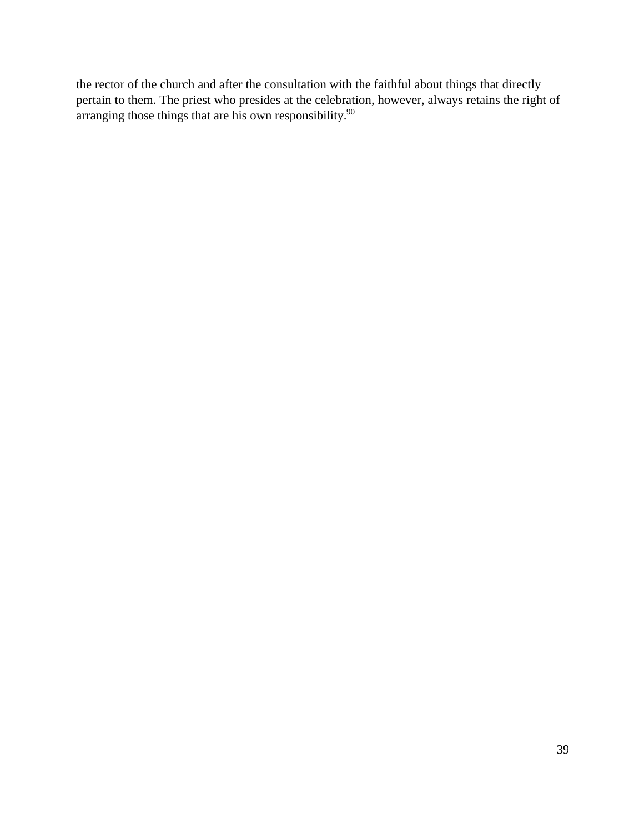the rector of the church and after the consultation with the faithful about things that directly pertain to them. The priest who presides at the celebration, however, always retains the right of arranging those things that are his own responsibility.<sup>90</sup>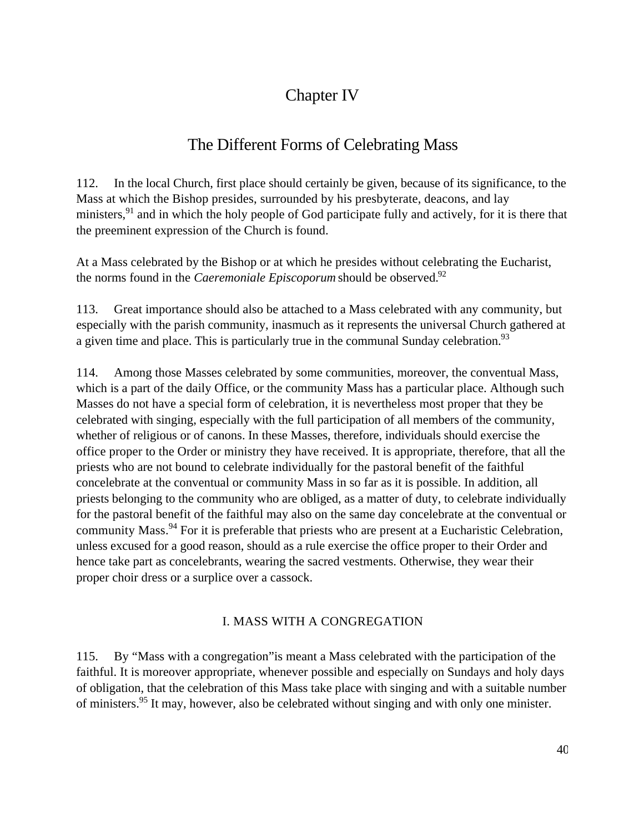# Chapter IV

# The Different Forms of Celebrating Mass

112. In the local Church, first place should certainly be given, because of its significance, to the Mass at which the Bishop presides, surrounded by his presbyterate, deacons, and lay ministers,  $91$  and in which the holy people of God participate fully and actively, for it is there that the preeminent expression of the Church is found.

At a Mass celebrated by the Bishop or at which he presides without celebrating the Eucharist, the norms found in the *Caeremoniale Episcoporum* should be observed.<sup>92</sup>

113. Great importance should also be attached to a Mass celebrated with any community, but especially with the parish community, inasmuch as it represents the universal Church gathered at a given time and place. This is particularly true in the communal Sunday celebration.<sup>93</sup>

114. Among those Masses celebrated by some communities, moreover, the conventual Mass, which is a part of the daily Office, or the community Mass has a particular place. Although such Masses do not have a special form of celebration, it is nevertheless most proper that they be celebrated with singing, especially with the full participation of all members of the community, whether of religious or of canons. In these Masses, therefore, individuals should exercise the office proper to the Order or ministry they have received. It is appropriate, therefore, that all the priests who are not bound to celebrate individually for the pastoral benefit of the faithful concelebrate at the conventual or community Mass in so far as it is possible. In addition, all priests belonging to the community who are obliged, as a matter of duty, to celebrate individually for the pastoral benefit of the faithful may also on the same day concelebrate at the conventual or community Mass.<sup>94</sup> For it is preferable that priests who are present at a Eucharistic Celebration, unless excused for a good reason, should as a rule exercise the office proper to their Order and hence take part as concelebrants, wearing the sacred vestments. Otherwise, they wear their proper choir dress or a surplice over a cassock.

# I. MASS WITH A CONGREGATION

115. By "Mass with a congregation"is meant a Mass celebrated with the participation of the faithful. It is moreover appropriate, whenever possible and especially on Sundays and holy days of obligation, that the celebration of this Mass take place with singing and with a suitable number of ministers.<sup>95</sup> It may, however, also be celebrated without singing and with only one minister.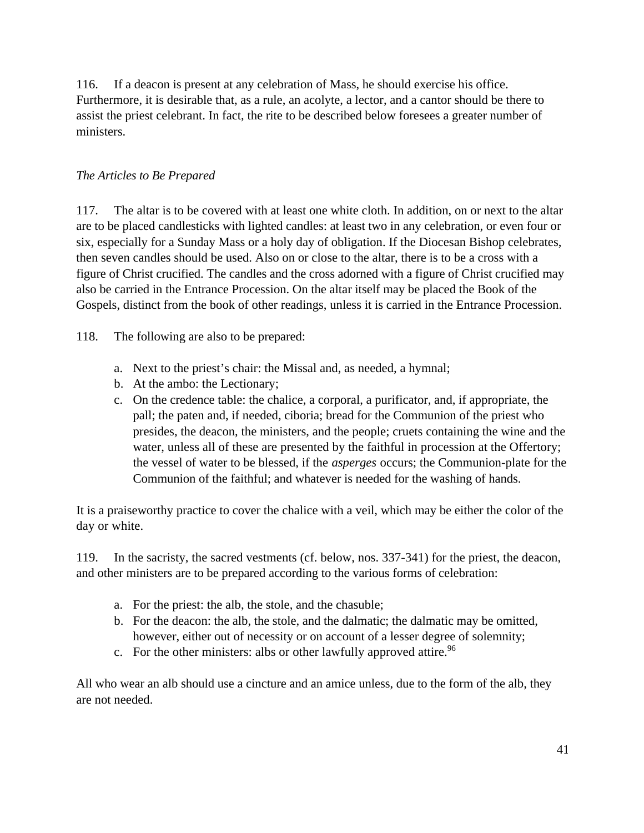116. If a deacon is present at any celebration of Mass, he should exercise his office. Furthermore, it is desirable that, as a rule, an acolyte, a lector, and a cantor should be there to assist the priest celebrant. In fact, the rite to be described below foresees a greater number of ministers.

### *The Articles to Be Prepared*

117. The altar is to be covered with at least one white cloth. In addition, on or next to the altar are to be placed candlesticks with lighted candles: at least two in any celebration, or even four or six, especially for a Sunday Mass or a holy day of obligation. If the Diocesan Bishop celebrates, then seven candles should be used. Also on or close to the altar, there is to be a cross with a figure of Christ crucified. The candles and the cross adorned with a figure of Christ crucified may also be carried in the Entrance Procession. On the altar itself may be placed the Book of the Gospels, distinct from the book of other readings, unless it is carried in the Entrance Procession.

118. The following are also to be prepared:

- a. Next to the priest's chair: the Missal and, as needed, a hymnal;
- b. At the ambo: the Lectionary;
- c. On the credence table: the chalice, a corporal, a purificator, and, if appropriate, the pall; the paten and, if needed, ciboria; bread for the Communion of the priest who presides, the deacon, the ministers, and the people; cruets containing the wine and the water, unless all of these are presented by the faithful in procession at the Offertory; the vessel of water to be blessed, if the *asperges* occurs; the Communion-plate for the Communion of the faithful; and whatever is needed for the washing of hands.

It is a praiseworthy practice to cover the chalice with a veil, which may be either the color of the day or white.

119. In the sacristy, the sacred vestments (cf. below, nos. 337-341) for the priest, the deacon, and other ministers are to be prepared according to the various forms of celebration:

- a. For the priest: the alb, the stole, and the chasuble;
- b. For the deacon: the alb, the stole, and the dalmatic; the dalmatic may be omitted, however, either out of necessity or on account of a lesser degree of solemnity;
- c. For the other ministers: albs or other lawfully approved attire.<sup>96</sup>

All who wear an alb should use a cincture and an amice unless, due to the form of the alb, they are not needed.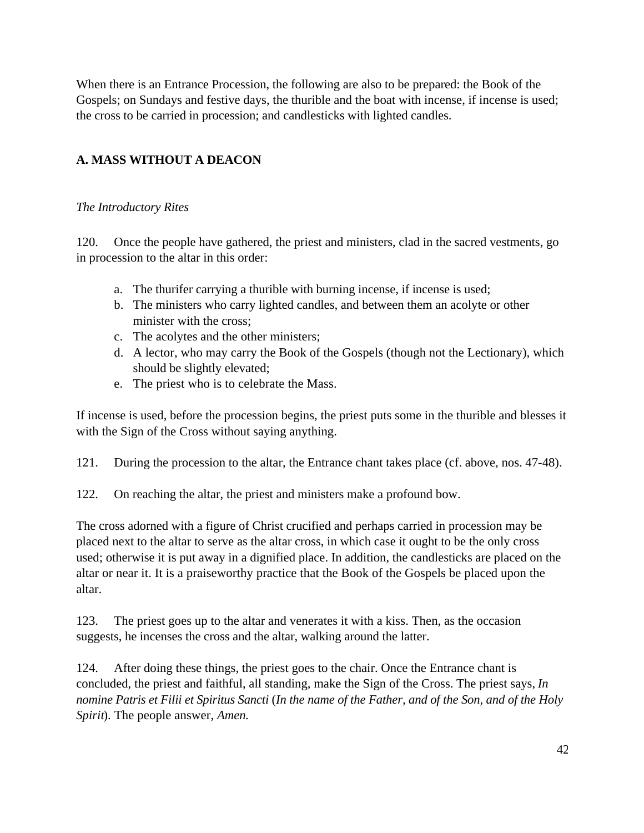When there is an Entrance Procession, the following are also to be prepared: the Book of the Gospels; on Sundays and festive days, the thurible and the boat with incense, if incense is used; the cross to be carried in procession; and candlesticks with lighted candles.

# **A. MASS WITHOUT A DEACON**

#### *The Introductory Rites*

120. Once the people have gathered, the priest and ministers, clad in the sacred vestments, go in procession to the altar in this order:

- a. The thurifer carrying a thurible with burning incense, if incense is used;
- b. The ministers who carry lighted candles, and between them an acolyte or other minister with the cross;
- c. The acolytes and the other ministers;
- d. A lector, who may carry the Book of the Gospels (though not the Lectionary), which should be slightly elevated;
- e. The priest who is to celebrate the Mass.

If incense is used, before the procession begins, the priest puts some in the thurible and blesses it with the Sign of the Cross without saying anything.

- 121. During the procession to the altar, the Entrance chant takes place (cf. above, nos. 47-48).
- 122. On reaching the altar, the priest and ministers make a profound bow.

The cross adorned with a figure of Christ crucified and perhaps carried in procession may be placed next to the altar to serve as the altar cross, in which case it ought to be the only cross used; otherwise it is put away in a dignified place. In addition, the candlesticks are placed on the altar or near it. It is a praiseworthy practice that the Book of the Gospels be placed upon the altar.

123. The priest goes up to the altar and venerates it with a kiss. Then, as the occasion suggests, he incenses the cross and the altar, walking around the latter.

124. After doing these things, the priest goes to the chair. Once the Entrance chant is concluded, the priest and faithful, all standing, make the Sign of the Cross. The priest says, *In nomine Patris et Filii et Spiritus Sancti* (*In the name of the Father, and of the Son, and of the Holy Spirit*). The people answer, *Amen*.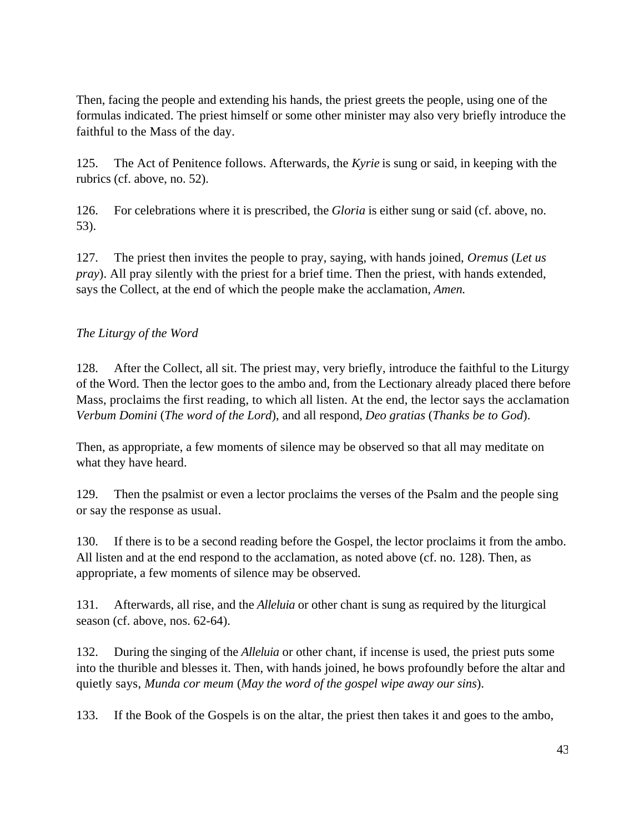Then, facing the people and extending his hands, the priest greets the people, using one of the formulas indicated. The priest himself or some other minister may also very briefly introduce the faithful to the Mass of the day.

125. The Act of Penitence follows. Afterwards, the *Kyrie* is sung or said, in keeping with the rubrics (cf. above, no. 52).

126. For celebrations where it is prescribed, the *Gloria* is either sung or said (cf. above, no. 53).

127. The priest then invites the people to pray, saying, with hands joined, *Oremus* (*Let us pray*). All pray silently with the priest for a brief time. Then the priest, with hands extended, says the Collect, at the end of which the people make the acclamation, *Amen*.

#### *The Liturgy of the Word*

128. After the Collect, all sit. The priest may, very briefly, introduce the faithful to the Liturgy of the Word. Then the lector goes to the ambo and, from the Lectionary already placed there before Mass, proclaims the first reading, to which all listen. At the end, the lector says the acclamation *Verbum Domini* (*The word of the Lord*), and all respond, *Deo gratias* (*Thanks be to God*).

Then, as appropriate, a few moments of silence may be observed so that all may meditate on what they have heard.

129. Then the psalmist or even a lector proclaims the verses of the Psalm and the people sing or say the response as usual.

130. If there is to be a second reading before the Gospel, the lector proclaims it from the ambo. All listen and at the end respond to the acclamation, as noted above (cf. no. 128). Then, as appropriate, a few moments of silence may be observed.

131. Afterwards, all rise, and the *Alleluia* or other chant is sung as required by the liturgical season (cf. above, nos. 62-64).

132. During the singing of the *Alleluia* or other chant, if incense is used, the priest puts some into the thurible and blesses it. Then, with hands joined, he bows profoundly before the altar and quietly says, *Munda cor meum* (*May the word of the gospel wipe away our sins*).

133. If the Book of the Gospels is on the altar, the priest then takes it and goes to the ambo,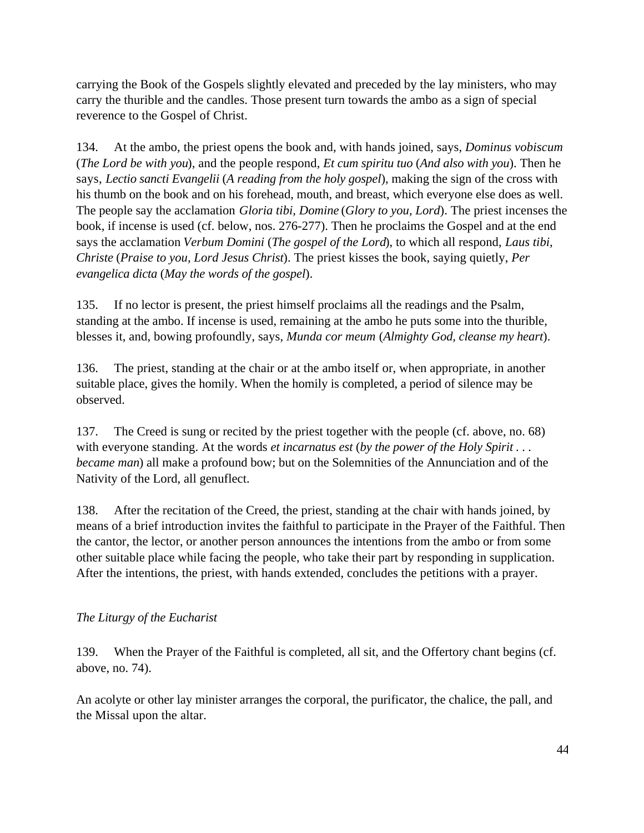carrying the Book of the Gospels slightly elevated and preceded by the lay ministers, who may carry the thurible and the candles. Those present turn towards the ambo as a sign of special reverence to the Gospel of Christ.

134. At the ambo, the priest opens the book and, with hands joined, says, *Dominus vobiscum* (*The Lord be with you*), and the people respond, *Et cum spiritu tuo* (*And also with you*). Then he says, *Lectio sancti Evangelii* (*A reading from the holy gospel*), making the sign of the cross with his thumb on the book and on his forehead, mouth, and breast, which everyone else does as well. The people say the acclamation *Gloria tibi, Domine* (*Glory to you, Lord*). The priest incenses the book, if incense is used (cf. below, nos. 276-277). Then he proclaims the Gospel and at the end says the acclamation *Verbum Domini* (*The gospel of the Lord*), to which all respond, *Laus tibi, Christe* (*Praise to you, Lord Jesus Christ*). The priest kisses the book, saying quietly, *Per evangelica dicta* (*May the words of the gospel*).

135. If no lector is present, the priest himself proclaims all the readings and the Psalm, standing at the ambo. If incense is used, remaining at the ambo he puts some into the thurible, blesses it, and, bowing profoundly, says, *Munda cor meum* (*Almighty God, cleanse my heart*).

136. The priest, standing at the chair or at the ambo itself or, when appropriate, in another suitable place, gives the homily. When the homily is completed, a period of silence may be observed.

137. The Creed is sung or recited by the priest together with the people (cf. above, no. 68) with everyone standing. At the words *et incarnatus est* (*by the power of the Holy Spirit . . . became man*) all make a profound bow; but on the Solemnities of the Annunciation and of the Nativity of the Lord, all genuflect.

138. After the recitation of the Creed, the priest, standing at the chair with hands joined, by means of a brief introduction invites the faithful to participate in the Prayer of the Faithful. Then the cantor, the lector, or another person announces the intentions from the ambo or from some other suitable place while facing the people, who take their part by responding in supplication. After the intentions, the priest, with hands extended, concludes the petitions with a prayer.

# *The Liturgy of the Eucharist*

139. When the Prayer of the Faithful is completed, all sit, and the Offertory chant begins (cf. above, no. 74).

An acolyte or other lay minister arranges the corporal, the purificator, the chalice, the pall, and the Missal upon the altar.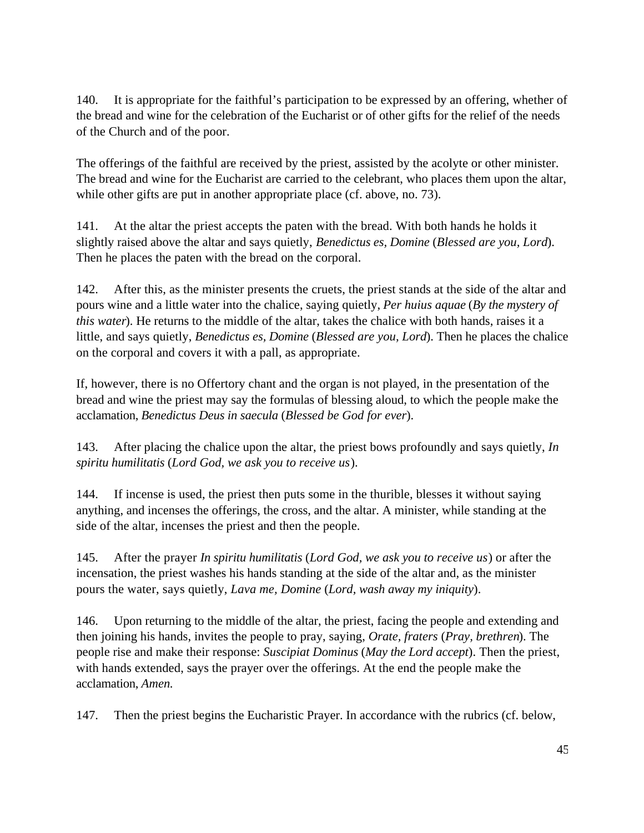140. It is appropriate for the faithful's participation to be expressed by an offering, whether of the bread and wine for the celebration of the Eucharist or of other gifts for the relief of the needs of the Church and of the poor.

The offerings of the faithful are received by the priest, assisted by the acolyte or other minister. The bread and wine for the Eucharist are carried to the celebrant, who places them upon the altar, while other gifts are put in another appropriate place (cf. above, no. 73).

141. At the altar the priest accepts the paten with the bread. With both hands he holds it slightly raised above the altar and says quietly, *Benedictus es, Domine* (*Blessed are you, Lord*). Then he places the paten with the bread on the corporal.

142. After this, as the minister presents the cruets, the priest stands at the side of the altar and pours wine and a little water into the chalice, saying quietly, *Per huius aquae* (*By the mystery of this water*). He returns to the middle of the altar, takes the chalice with both hands, raises it a little, and says quietly, *Benedictus es, Domine* (*Blessed are you, Lord*). Then he places the chalice on the corporal and covers it with a pall, as appropriate.

If, however, there is no Offertory chant and the organ is not played, in the presentation of the bread and wine the priest may say the formulas of blessing aloud, to which the people make the acclamation, *Benedictus Deus in saecula* (*Blessed be God for ever*).

143. After placing the chalice upon the altar, the priest bows profoundly and says quietly, *In spiritu humilitatis* (*Lord God, we ask you to receive us*).

144. If incense is used, the priest then puts some in the thurible, blesses it without saying anything, and incenses the offerings, the cross, and the altar. A minister, while standing at the side of the altar, incenses the priest and then the people.

145. After the prayer *In spiritu humilitatis* (*Lord God, we ask you to receive us*) or after the incensation, the priest washes his hands standing at the side of the altar and, as the minister pours the water, says quietly, *Lava me, Domine* (*Lord, wash away my iniquity*).

146. Upon returning to the middle of the altar, the priest, facing the people and extending and then joining his hands, invites the people to pray, saying, *Orate, fraters* (*Pray, brethren*). The people rise and make their response: *Suscipiat Dominus* (*May the Lord accept*). Then the priest, with hands extended, says the prayer over the offerings. At the end the people make the acclamation, *Amen*.

147. Then the priest begins the Eucharistic Prayer. In accordance with the rubrics (cf. below,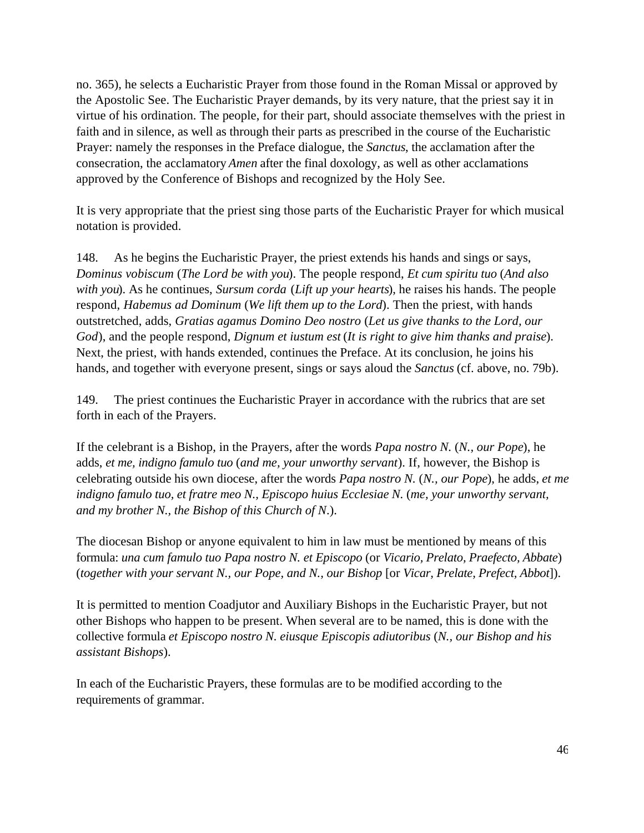no. 365), he selects a Eucharistic Prayer from those found in the Roman Missal or approved by the Apostolic See. The Eucharistic Prayer demands, by its very nature, that the priest say it in virtue of his ordination. The people, for their part, should associate themselves with the priest in faith and in silence, as well as through their parts as prescribed in the course of the Eucharistic Prayer: namely the responses in the Preface dialogue, the *Sanctus*, the acclamation after the consecration, the acclamatory *Amen* after the final doxology, as well as other acclamations approved by the Conference of Bishops and recognized by the Holy See.

It is very appropriate that the priest sing those parts of the Eucharistic Prayer for which musical notation is provided.

148. As he begins the Eucharistic Prayer, the priest extends his hands and sings or says, *Dominus vobiscum* (*The Lord be with you*). The people respond, *Et cum spiritu tuo* (*And also with you*). As he continues, *Sursum corda* (*Lift up your hearts*), he raises his hands. The people respond, *Habemus ad Dominum* (*We lift them up to the Lord*). Then the priest, with hands outstretched, adds, *Gratias agamus Domino Deo nostro* (*Let us give thanks to the Lord, our God*), and the people respond, *Dignum et iustum est* (*It is right to give him thanks and praise*). Next, the priest, with hands extended, continues the Preface. At its conclusion, he joins his hands, and together with everyone present, sings or says aloud the *Sanctus* (cf. above, no. 79b).

149. The priest continues the Eucharistic Prayer in accordance with the rubrics that are set forth in each of the Prayers.

If the celebrant is a Bishop, in the Prayers, after the words *Papa nostro N.* (*N., our Pope*), he adds, *et me, indigno famulo tuo* (*and me, your unworthy servant*). If, however, the Bishop is celebrating outside his own diocese, after the words *Papa nostro N.* (*N., our Pope*), he adds, *et me* indigno famulo tuo, et fratre meo N., Episcopo huius Ecclesiae N. (me, your unworthy servant, *and my brother N., the Bishop of this Church of N*.).

The diocesan Bishop or anyone equivalent to him in law must be mentioned by means of this formula: *una cum famulo tuo Papa nostro N. et Episcopo* (or *Vicario, Prelato, Praefecto, Abbate*) (*together with your servant N., our Pope, and N., our Bishop* [or *Vicar, Prelate, Prefect, Abbot*]).

It is permitted to mention Coadjutor and Auxiliary Bishops in the Eucharistic Prayer, but not other Bishops who happen to be present. When several are to be named, this is done with the collective formula *et Episcopo nostro N. eiusque Episcopis adiutoribus* (*N., our Bishop and his assistant Bishops*).

In each of the Eucharistic Prayers, these formulas are to be modified according to the requirements of grammar.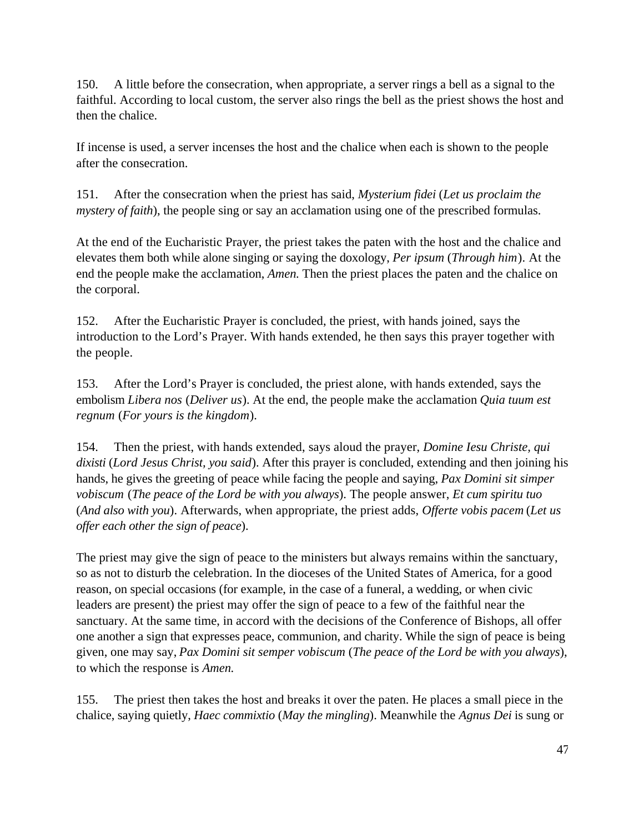150. A little before the consecration, when appropriate, a server rings a bell as a signal to the faithful. According to local custom, the server also rings the bell as the priest shows the host and then the chalice.

If incense is used, a server incenses the host and the chalice when each is shown to the people after the consecration.

151. After the consecration when the priest has said, *Mysterium fidei* (*Let us proclaim the mystery of faith*), the people sing or say an acclamation using one of the prescribed formulas.

At the end of the Eucharistic Prayer, the priest takes the paten with the host and the chalice and elevates them both while alone singing or saying the doxology, *Per ipsum* (*Through him*). At the end the people make the acclamation, *Amen*. Then the priest places the paten and the chalice on the corporal.

152. After the Eucharistic Prayer is concluded, the priest, with hands joined, says the introduction to the Lord's Prayer. With hands extended, he then says this prayer together with the people.

153. After the Lord's Prayer is concluded, the priest alone, with hands extended, says the embolism *Libera nos* (*Deliver us*). At the end, the people make the acclamation *Quia tuum est regnum* (*For yours is the kingdom*).

154. Then the priest, with hands extended, says aloud the prayer, *Domine Iesu Christe, qui dixisti* (*Lord Jesus Christ, you said*). After this prayer is concluded, extending and then joining his hands, he gives the greeting of peace while facing the people and saying, *Pax Domini sit simper vobiscum* (*The peace of the Lord be with you always*). The people answer, *Et cum spiritu tuo* (*And also with you*). Afterwards, when appropriate, the priest adds, *Offerte vobis pacem* (*Let us offer each other the sign of peace*).

The priest may give the sign of peace to the ministers but always remains within the sanctuary, so as not to disturb the celebration. In the dioceses of the United States of America, for a good reason, on special occasions (for example, in the case of a funeral, a wedding, or when civic leaders are present) the priest may offer the sign of peace to a few of the faithful near the sanctuary. At the same time, in accord with the decisions of the Conference of Bishops, all offer one another a sign that expresses peace, communion, and charity. While the sign of peace is being given, one may say, *Pax Domini sit semper vobiscum* (*The peace of the Lord be with you always*), to which the response is *Amen*.

155. The priest then takes the host and breaks it over the paten. He places a small piece in the chalice, saying quietly, *Haec commixtio* (*May the mingling*). Meanwhile the *Agnus Dei* is sung or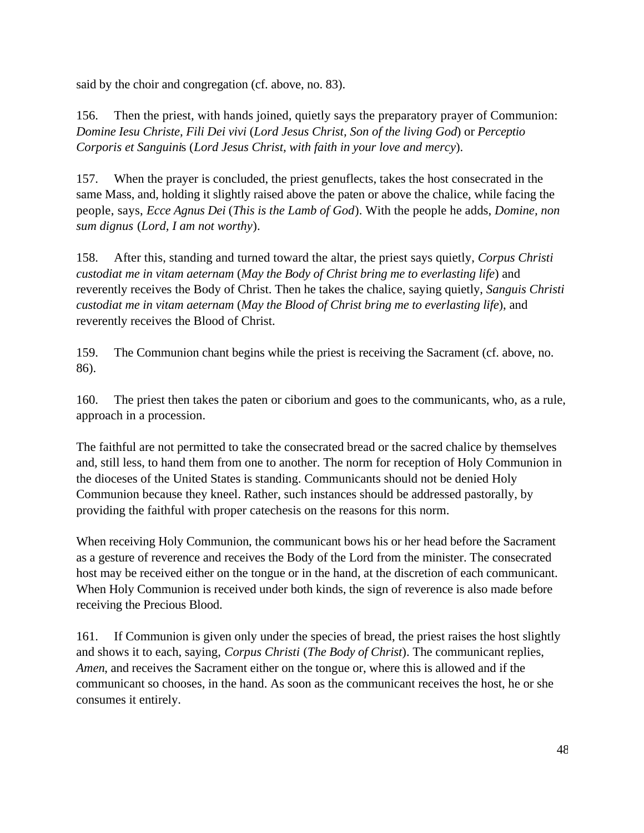said by the choir and congregation (cf. above, no. 83).

156. Then the priest, with hands joined, quietly says the preparatory prayer of Communion: *Domine Iesu Christe, Fili Dei vivi* (*Lord Jesus Christ, Son of the living God*) or *Perceptio Corporis et Sanguini*s (*Lord Jesus Christ, with faith in your love and mercy*).

157. When the prayer is concluded, the priest genuflects, takes the host consecrated in the same Mass, and, holding it slightly raised above the paten or above the chalice, while facing the people, says, *Ecce Agnus Dei* (*This is the Lamb of God*). With the people he adds, *Domine, non sum dignus* (*Lord, I am not worthy*).

158. After this, standing and turned toward the altar, the priest says quietly, *Corpus Christi custodiat me in vitam aeternam* (*May the Body of Christ bring me to everlasting life*) and reverently receives the Body of Christ. Then he takes the chalice, saying quietly, *Sanguis Christi custodiat me in vitam aeternam* (*May the Blood of Christ bring me to everlasting life*), and reverently receives the Blood of Christ.

159. The Communion chant begins while the priest is receiving the Sacrament (cf. above, no. 86).

160. The priest then takes the paten or ciborium and goes to the communicants, who, as a rule, approach in a procession.

The faithful are not permitted to take the consecrated bread or the sacred chalice by themselves and, still less, to hand them from one to another. The norm for reception of Holy Communion in the dioceses of the United States is standing. Communicants should not be denied Holy Communion because they kneel. Rather, such instances should be addressed pastorally, by providing the faithful with proper catechesis on the reasons for this norm.

When receiving Holy Communion, the communicant bows his or her head before the Sacrament as a gesture of reverence and receives the Body of the Lord from the minister. The consecrated host may be received either on the tongue or in the hand, at the discretion of each communicant. When Holy Communion is received under both kinds, the sign of reverence is also made before receiving the Precious Blood.

161. If Communion is given only under the species of bread, the priest raises the host slightly and shows it to each, saying, *Corpus Christi* (*The Body of Christ*). The communicant replies, *Amen*, and receives the Sacrament either on the tongue or, where this is allowed and if the communicant so chooses, in the hand. As soon as the communicant receives the host, he or she consumes it entirely.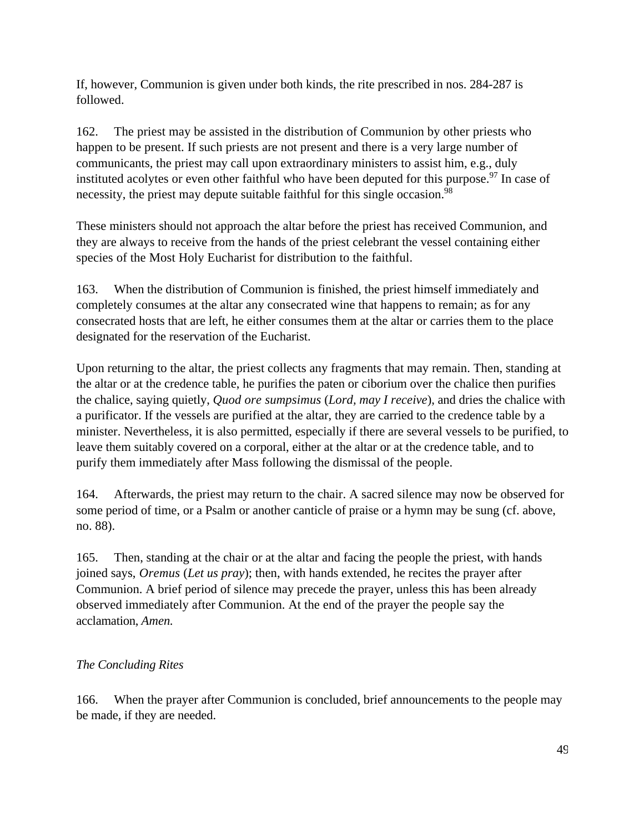If, however, Communion is given under both kinds, the rite prescribed in nos. 284-287 is followed.

162. The priest may be assisted in the distribution of Communion by other priests who happen to be present. If such priests are not present and there is a very large number of communicants, the priest may call upon extraordinary ministers to assist him, e.g., duly instituted acolytes or even other faithful who have been deputed for this purpose.<sup>97</sup> In case of necessity, the priest may depute suitable faithful for this single occasion.<sup>98</sup>

These ministers should not approach the altar before the priest has received Communion, and they are always to receive from the hands of the priest celebrant the vessel containing either species of the Most Holy Eucharist for distribution to the faithful.

163. When the distribution of Communion is finished, the priest himself immediately and completely consumes at the altar any consecrated wine that happens to remain; as for any consecrated hosts that are left, he either consumes them at the altar or carries them to the place designated for the reservation of the Eucharist.

Upon returning to the altar, the priest collects any fragments that may remain. Then, standing at the altar or at the credence table, he purifies the paten or ciborium over the chalice then purifies the chalice, saying quietly, *Quod ore sumpsimus* (*Lord, may I receive*), and dries the chalice with a purificator. If the vessels are purified at the altar, they are carried to the credence table by a minister. Nevertheless, it is also permitted, especially if there are several vessels to be purified, to leave them suitably covered on a corporal, either at the altar or at the credence table, and to purify them immediately after Mass following the dismissal of the people.

164. Afterwards, the priest may return to the chair. A sacred silence may now be observed for some period of time, or a Psalm or another canticle of praise or a hymn may be sung (cf. above, no. 88).

165. Then, standing at the chair or at the altar and facing the people the priest, with hands joined says, *Oremus* (*Let us pray*); then, with hands extended, he recites the prayer after Communion. A brief period of silence may precede the prayer, unless this has been already observed immediately after Communion. At the end of the prayer the people say the acclamation, *Amen*.

# *The Concluding Rites*

166. When the prayer after Communion is concluded, brief announcements to the people may be made, if they are needed.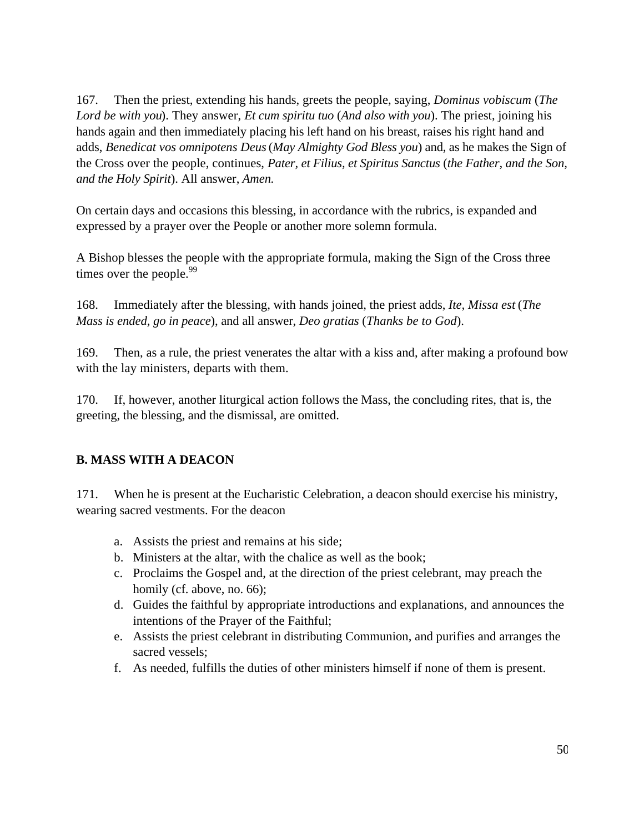167. Then the priest, extending his hands, greets the people, saying, *Dominus vobiscum* (*The Lord be with you*). They answer, *Et cum spiritu tuo* (*And also with you*). The priest, joining his hands again and then immediately placing his left hand on his breast, raises his right hand and adds, *Benedicat vos omnipotens Deus* (*May Almighty God Bless you*) and, as he makes the Sign of the Cross over the people, continues, *Pater, et Filius, et Spiritus Sanctus* (*the Father, and the Son, and the Holy Spirit*). All answer, *Amen*.

On certain days and occasions this blessing, in accordance with the rubrics, is expanded and expressed by a prayer over the People or another more solemn formula.

A Bishop blesses the people with the appropriate formula, making the Sign of the Cross three times over the people. $99$ 

168. Immediately after the blessing, with hands joined, the priest adds, *Ite, Missa est* (*The Mass is ended, go in peace*), and all answer, *Deo gratias* (*Thanks be to God*).

169. Then, as a rule, the priest venerates the altar with a kiss and, after making a profound bow with the lay ministers, departs with them.

170. If, however, another liturgical action follows the Mass, the concluding rites, that is, the greeting, the blessing, and the dismissal, are omitted.

#### **B. MASS WITH A DEACON**

171. When he is present at the Eucharistic Celebration, a deacon should exercise his ministry, wearing sacred vestments. For the deacon

- a. Assists the priest and remains at his side;
- b. Ministers at the altar, with the chalice as well as the book;
- c. Proclaims the Gospel and, at the direction of the priest celebrant, may preach the homily (cf. above, no. 66);
- d. Guides the faithful by appropriate introductions and explanations, and announces the intentions of the Prayer of the Faithful;
- e. Assists the priest celebrant in distributing Communion, and purifies and arranges the sacred vessels;
- f. As needed, fulfills the duties of other ministers himself if none of them is present.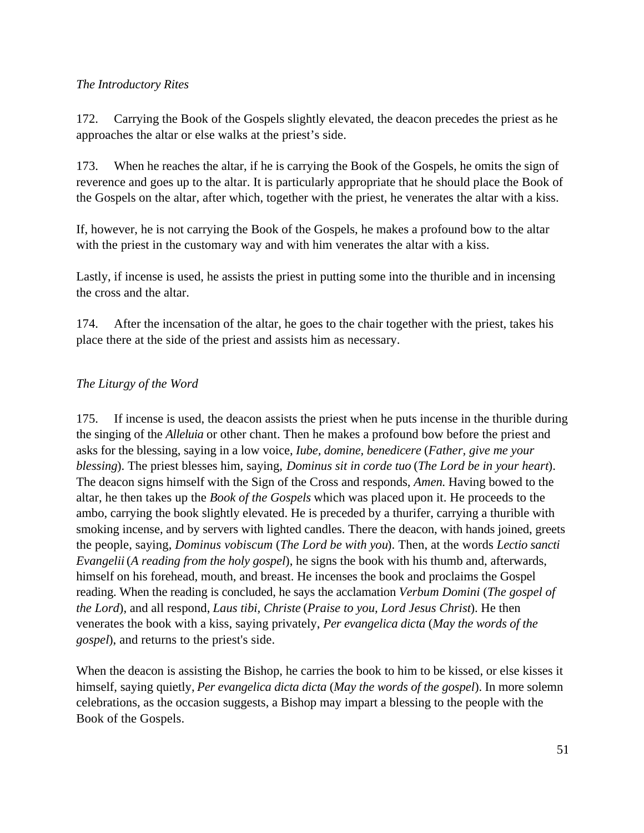#### *The Introductory Rites*

172. Carrying the Book of the Gospels slightly elevated, the deacon precedes the priest as he approaches the altar or else walks at the priest's side.

173. When he reaches the altar, if he is carrying the Book of the Gospels, he omits the sign of reverence and goes up to the altar. It is particularly appropriate that he should place the Book of the Gospels on the altar, after which, together with the priest, he venerates the altar with a kiss.

If, however, he is not carrying the Book of the Gospels, he makes a profound bow to the altar with the priest in the customary way and with him venerates the altar with a kiss.

Lastly, if incense is used, he assists the priest in putting some into the thurible and in incensing the cross and the altar.

174. After the incensation of the altar, he goes to the chair together with the priest, takes his place there at the side of the priest and assists him as necessary.

# *The Liturgy of the Word*

175. If incense is used, the deacon assists the priest when he puts incense in the thurible during the singing of the *Alleluia* or other chant. Then he makes a profound bow before the priest and asks for the blessing, saying in a low voice, *Iube, domine, benedicere* (*Father, give me your blessing*). The priest blesses him, saying, *Dominus sit in corde tuo* (*The Lord be in your heart*). The deacon signs himself with the Sign of the Cross and responds, *Amen*. Having bowed to the altar, he then takes up the *Book of the Gospels* which was placed upon it. He proceeds to the ambo, carrying the book slightly elevated. He is preceded by a thurifer, carrying a thurible with smoking incense, and by servers with lighted candles. There the deacon, with hands joined, greets the people, saying, *Dominus vobiscum* (*The Lord be with you*). Then, at the words *Lectio sancti Evangelii* (*A reading from the holy gospel*), he signs the book with his thumb and, afterwards, himself on his forehead, mouth, and breast. He incenses the book and proclaims the Gospel reading. When the reading is concluded, he says the acclamation *Verbum Domini* (*The gospel of the Lord*), and all respond, *Laus tibi, Christe* (*Praise to you, Lord Jesus Christ*). He then venerates the book with a kiss, saying privately, *Per evangelica dicta* (*May the words of the gospel*), and returns to the priest's side.

When the deacon is assisting the Bishop, he carries the book to him to be kissed, or else kisses it himself, saying quietly, *Per evangelica dicta dicta* (*May the words of the gospel*). In more solemn celebrations, as the occasion suggests, a Bishop may impart a blessing to the people with the Book of the Gospels.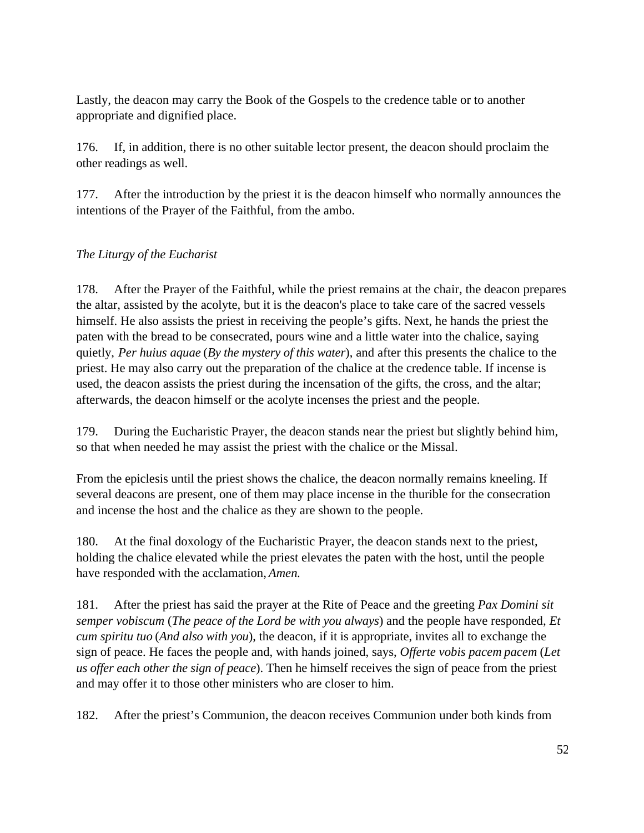Lastly, the deacon may carry the Book of the Gospels to the credence table or to another appropriate and dignified place.

176. If, in addition, there is no other suitable lector present, the deacon should proclaim the other readings as well.

177. After the introduction by the priest it is the deacon himself who normally announces the intentions of the Prayer of the Faithful, from the ambo.

#### *The Liturgy of the Eucharist*

178. After the Prayer of the Faithful, while the priest remains at the chair, the deacon prepares the altar, assisted by the acolyte, but it is the deacon's place to take care of the sacred vessels himself. He also assists the priest in receiving the people's gifts. Next, he hands the priest the paten with the bread to be consecrated, pours wine and a little water into the chalice, saying quietly, *Per huius aquae* (*By the mystery of this water*), and after this presents the chalice to the priest. He may also carry out the preparation of the chalice at the credence table. If incense is used, the deacon assists the priest during the incensation of the gifts, the cross, and the altar; afterwards, the deacon himself or the acolyte incenses the priest and the people.

179. During the Eucharistic Prayer, the deacon stands near the priest but slightly behind him, so that when needed he may assist the priest with the chalice or the Missal.

From the epiclesis until the priest shows the chalice, the deacon normally remains kneeling. If several deacons are present, one of them may place incense in the thurible for the consecration and incense the host and the chalice as they are shown to the people.

180. At the final doxology of the Eucharistic Prayer, the deacon stands next to the priest, holding the chalice elevated while the priest elevates the paten with the host, until the people have responded with the acclamation, *Amen*.

181. After the priest has said the prayer at the Rite of Peace and the greeting *Pax Domini sit semper vobiscum* (*The peace of the Lord be with you always*) and the people have responded, *Et cum spiritu tuo* (*And also with you*), the deacon, if it is appropriate, invites all to exchange the sign of peace. He faces the people and, with hands joined, says, *Offerte vobis pacem pacem* (*Let us offer each other the sign of peace*). Then he himself receives the sign of peace from the priest and may offer it to those other ministers who are closer to him.

182. After the priest's Communion, the deacon receives Communion under both kinds from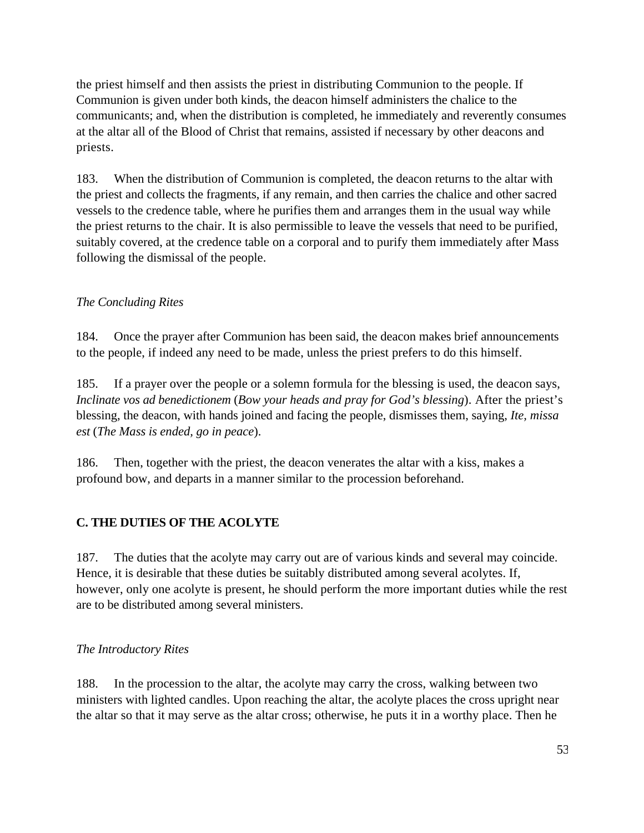the priest himself and then assists the priest in distributing Communion to the people. If Communion is given under both kinds, the deacon himself administers the chalice to the communicants; and, when the distribution is completed, he immediately and reverently consumes at the altar all of the Blood of Christ that remains, assisted if necessary by other deacons and priests.

183. When the distribution of Communion is completed, the deacon returns to the altar with the priest and collects the fragments, if any remain, and then carries the chalice and other sacred vessels to the credence table, where he purifies them and arranges them in the usual way while the priest returns to the chair. It is also permissible to leave the vessels that need to be purified, suitably covered, at the credence table on a corporal and to purify them immediately after Mass following the dismissal of the people.

# *The Concluding Rites*

184. Once the prayer after Communion has been said, the deacon makes brief announcements to the people, if indeed any need to be made, unless the priest prefers to do this himself.

185. If a prayer over the people or a solemn formula for the blessing is used, the deacon says, *Inclinate vos ad benedictionem* (*Bow your heads and pray for God's blessing*). After the priest's blessing, the deacon, with hands joined and facing the people, dismisses them, saying, *Ite, missa est* (*The Mass is ended, go in peace*).

186. Then, together with the priest, the deacon venerates the altar with a kiss, makes a profound bow, and departs in a manner similar to the procession beforehand.

# **C. THE DUTIES OF THE ACOLYTE**

187. The duties that the acolyte may carry out are of various kinds and several may coincide. Hence, it is desirable that these duties be suitably distributed among several acolytes. If, however, only one acolyte is present, he should perform the more important duties while the rest are to be distributed among several ministers.

#### *The Introductory Rites*

188. In the procession to the altar, the acolyte may carry the cross, walking between two ministers with lighted candles. Upon reaching the altar, the acolyte places the cross upright near the altar so that it may serve as the altar cross; otherwise, he puts it in a worthy place. Then he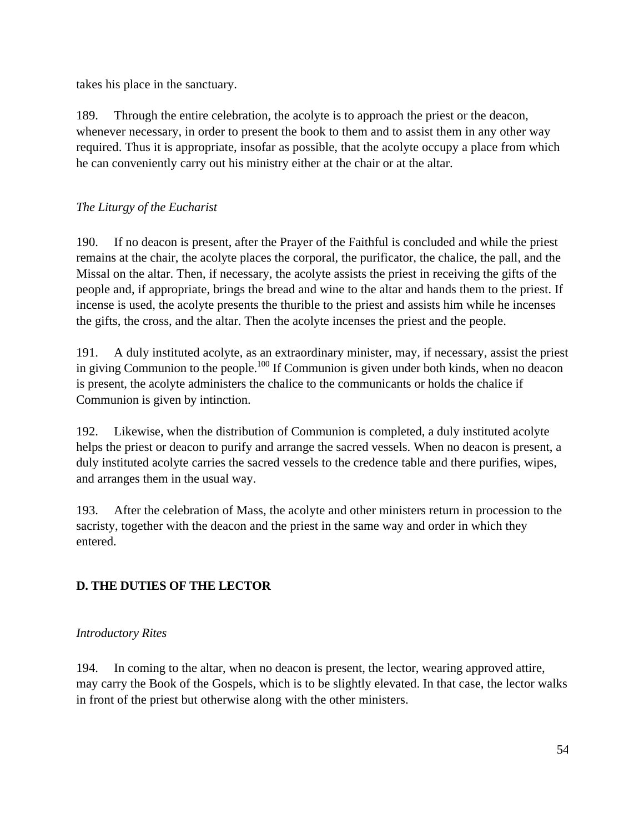takes his place in the sanctuary.

189. Through the entire celebration, the acolyte is to approach the priest or the deacon, whenever necessary, in order to present the book to them and to assist them in any other way required. Thus it is appropriate, insofar as possible, that the acolyte occupy a place from which he can conveniently carry out his ministry either at the chair or at the altar.

# *The Liturgy of the Eucharist*

190. If no deacon is present, after the Prayer of the Faithful is concluded and while the priest remains at the chair, the acolyte places the corporal, the purificator, the chalice, the pall, and the Missal on the altar. Then, if necessary, the acolyte assists the priest in receiving the gifts of the people and, if appropriate, brings the bread and wine to the altar and hands them to the priest. If incense is used, the acolyte presents the thurible to the priest and assists him while he incenses the gifts, the cross, and the altar. Then the acolyte incenses the priest and the people.

191. A duly instituted acolyte, as an extraordinary minister, may, if necessary, assist the priest in giving Communion to the people.<sup>100</sup> If Communion is given under both kinds, when no deacon is present, the acolyte administers the chalice to the communicants or holds the chalice if Communion is given by intinction.

192. Likewise, when the distribution of Communion is completed, a duly instituted acolyte helps the priest or deacon to purify and arrange the sacred vessels. When no deacon is present, a duly instituted acolyte carries the sacred vessels to the credence table and there purifies, wipes, and arranges them in the usual way.

193. After the celebration of Mass, the acolyte and other ministers return in procession to the sacristy, together with the deacon and the priest in the same way and order in which they entered.

# **D. THE DUTIES OF THE LECTOR**

# *Introductory Rites*

194. In coming to the altar, when no deacon is present, the lector, wearing approved attire, may carry the Book of the Gospels, which is to be slightly elevated. In that case, the lector walks in front of the priest but otherwise along with the other ministers.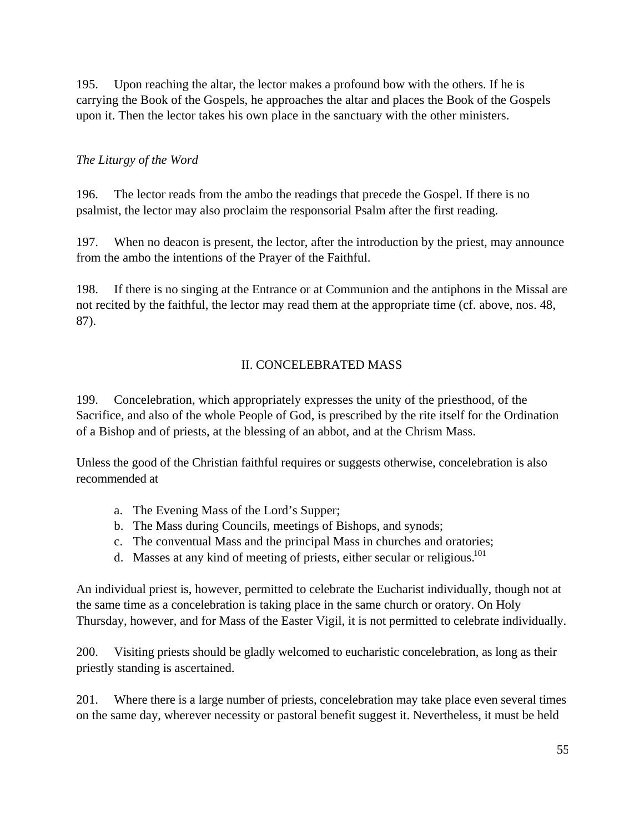195. Upon reaching the altar, the lector makes a profound bow with the others. If he is carrying the Book of the Gospels, he approaches the altar and places the Book of the Gospels upon it. Then the lector takes his own place in the sanctuary with the other ministers.

#### *The Liturgy of the Word*

196. The lector reads from the ambo the readings that precede the Gospel. If there is no psalmist, the lector may also proclaim the responsorial Psalm after the first reading.

197. When no deacon is present, the lector, after the introduction by the priest, may announce from the ambo the intentions of the Prayer of the Faithful.

198. If there is no singing at the Entrance or at Communion and the antiphons in the Missal are not recited by the faithful, the lector may read them at the appropriate time (cf. above, nos. 48, 87).

#### II. CONCELEBRATED MASS

199. Concelebration, which appropriately expresses the unity of the priesthood, of the Sacrifice, and also of the whole People of God, is prescribed by the rite itself for the Ordination of a Bishop and of priests, at the blessing of an abbot, and at the Chrism Mass.

Unless the good of the Christian faithful requires or suggests otherwise, concelebration is also recommended at

- a. The Evening Mass of the Lord's Supper;
- b. The Mass during Councils, meetings of Bishops, and synods;
- c. The conventual Mass and the principal Mass in churches and oratories;
- d. Masses at any kind of meeting of priests, either secular or religious.<sup>101</sup>

An individual priest is, however, permitted to celebrate the Eucharist individually, though not at the same time as a concelebration is taking place in the same church or oratory. On Holy Thursday, however, and for Mass of the Easter Vigil, it is not permitted to celebrate individually.

200. Visiting priests should be gladly welcomed to eucharistic concelebration, as long as their priestly standing is ascertained.

201. Where there is a large number of priests, concelebration may take place even several times on the same day, wherever necessity or pastoral benefit suggest it. Nevertheless, it must be held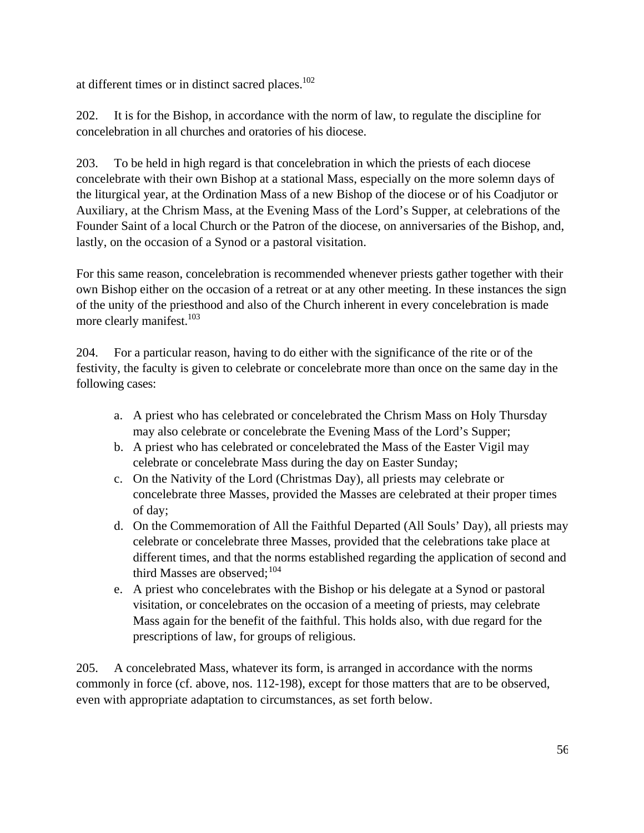at different times or in distinct sacred places.<sup>102</sup>

202. It is for the Bishop, in accordance with the norm of law, to regulate the discipline for concelebration in all churches and oratories of his diocese.

203. To be held in high regard is that concelebration in which the priests of each diocese concelebrate with their own Bishop at a stational Mass, especially on the more solemn days of the liturgical year, at the Ordination Mass of a new Bishop of the diocese or of his Coadjutor or Auxiliary, at the Chrism Mass, at the Evening Mass of the Lord's Supper, at celebrations of the Founder Saint of a local Church or the Patron of the diocese, on anniversaries of the Bishop, and, lastly, on the occasion of a Synod or a pastoral visitation.

For this same reason, concelebration is recommended whenever priests gather together with their own Bishop either on the occasion of a retreat or at any other meeting. In these instances the sign of the unity of the priesthood and also of the Church inherent in every concelebration is made more clearly manifest.<sup>103</sup>

204. For a particular reason, having to do either with the significance of the rite or of the festivity, the faculty is given to celebrate or concelebrate more than once on the same day in the following cases:

- a. A priest who has celebrated or concelebrated the Chrism Mass on Holy Thursday may also celebrate or concelebrate the Evening Mass of the Lord's Supper;
- b. A priest who has celebrated or concelebrated the Mass of the Easter Vigil may celebrate or concelebrate Mass during the day on Easter Sunday;
- c. On the Nativity of the Lord (Christmas Day), all priests may celebrate or concelebrate three Masses, provided the Masses are celebrated at their proper times of day;
- d. On the Commemoration of All the Faithful Departed (All Souls' Day), all priests may celebrate or concelebrate three Masses, provided that the celebrations take place at different times, and that the norms established regarding the application of second and third Masses are observed:  $104$
- e. A priest who concelebrates with the Bishop or his delegate at a Synod or pastoral visitation, or concelebrates on the occasion of a meeting of priests, may celebrate Mass again for the benefit of the faithful. This holds also, with due regard for the prescriptions of law, for groups of religious.

205. A concelebrated Mass, whatever its form, is arranged in accordance with the norms commonly in force (cf. above, nos. 112-198), except for those matters that are to be observed, even with appropriate adaptation to circumstances, as set forth below.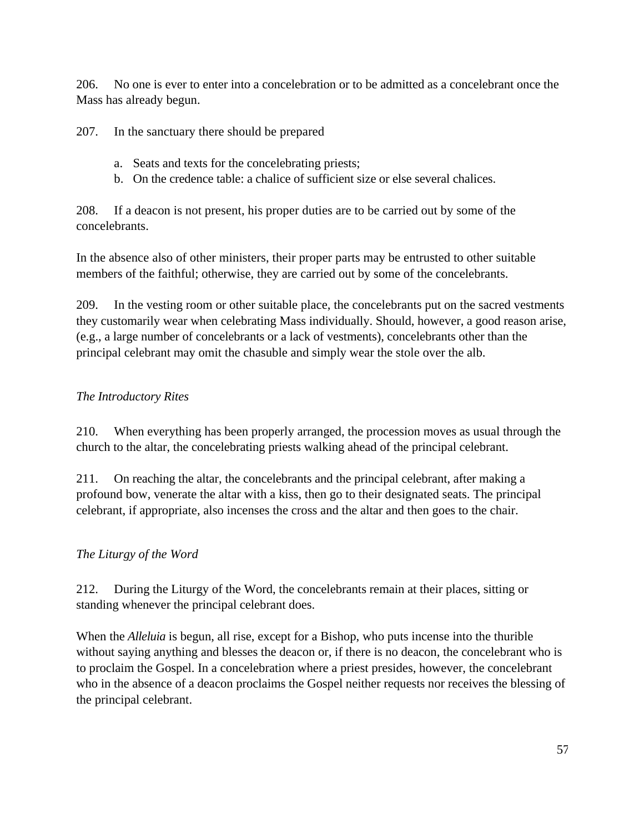206. No one is ever to enter into a concelebration or to be admitted as a concelebrant once the Mass has already begun.

207. In the sanctuary there should be prepared

- a. Seats and texts for the concelebrating priests;
- b. On the credence table: a chalice of sufficient size or else several chalices.

208. If a deacon is not present, his proper duties are to be carried out by some of the concelebrants.

In the absence also of other ministers, their proper parts may be entrusted to other suitable members of the faithful; otherwise, they are carried out by some of the concelebrants.

209. In the vesting room or other suitable place, the concelebrants put on the sacred vestments they customarily wear when celebrating Mass individually. Should, however, a good reason arise, (e.g., a large number of concelebrants or a lack of vestments), concelebrants other than the principal celebrant may omit the chasuble and simply wear the stole over the alb.

# *The Introductory Rites*

210. When everything has been properly arranged, the procession moves as usual through the church to the altar, the concelebrating priests walking ahead of the principal celebrant.

211. On reaching the altar, the concelebrants and the principal celebrant, after making a profound bow, venerate the altar with a kiss, then go to their designated seats. The principal celebrant, if appropriate, also incenses the cross and the altar and then goes to the chair.

# *The Liturgy of the Word*

212. During the Liturgy of the Word, the concelebrants remain at their places, sitting or standing whenever the principal celebrant does.

When the *Alleluia* is begun, all rise, except for a Bishop, who puts incense into the thurible without saying anything and blesses the deacon or, if there is no deacon, the concelebrant who is to proclaim the Gospel. In a concelebration where a priest presides, however, the concelebrant who in the absence of a deacon proclaims the Gospel neither requests nor receives the blessing of the principal celebrant.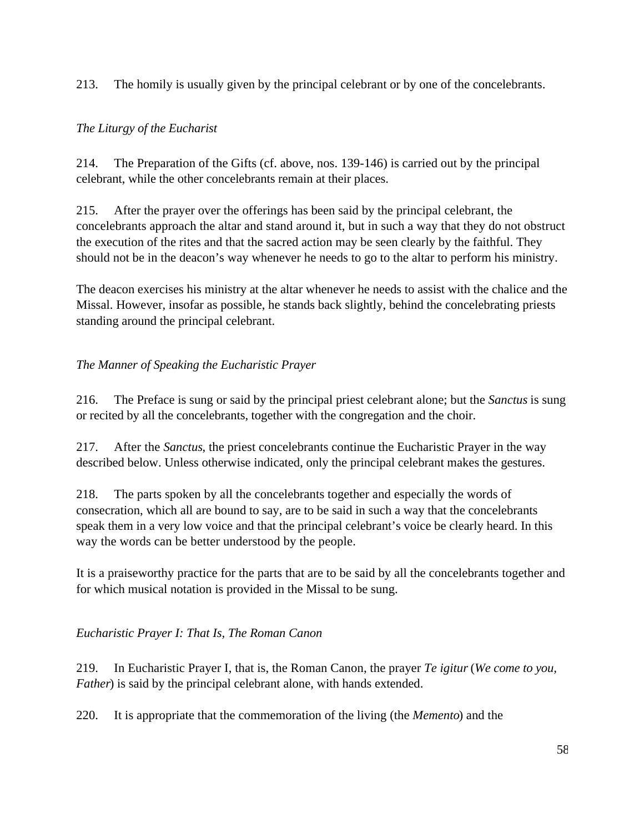213. The homily is usually given by the principal celebrant or by one of the concelebrants.

#### *The Liturgy of the Eucharist*

214. The Preparation of the Gifts (cf. above, nos. 139-146) is carried out by the principal celebrant, while the other concelebrants remain at their places.

215. After the prayer over the offerings has been said by the principal celebrant, the concelebrants approach the altar and stand around it, but in such a way that they do not obstruct the execution of the rites and that the sacred action may be seen clearly by the faithful. They should not be in the deacon's way whenever he needs to go to the altar to perform his ministry.

The deacon exercises his ministry at the altar whenever he needs to assist with the chalice and the Missal. However, insofar as possible, he stands back slightly, behind the concelebrating priests standing around the principal celebrant.

#### *The Manner of Speaking the Eucharistic Prayer*

216. The Preface is sung or said by the principal priest celebrant alone; but the *Sanctus* is sung or recited by all the concelebrants, together with the congregation and the choir.

217. After the *Sanctus*, the priest concelebrants continue the Eucharistic Prayer in the way described below. Unless otherwise indicated, only the principal celebrant makes the gestures.

218. The parts spoken by all the concelebrants together and especially the words of consecration, which all are bound to say, are to be said in such a way that the concelebrants speak them in a very low voice and that the principal celebrant's voice be clearly heard. In this way the words can be better understood by the people.

It is a praiseworthy practice for the parts that are to be said by all the concelebrants together and for which musical notation is provided in the Missal to be sung.

#### *Eucharistic Prayer I: That Is, The Roman Canon*

219. In Eucharistic Prayer I, that is, the Roman Canon, the prayer *Te igitur* (*We come to you, Father*) is said by the principal celebrant alone, with hands extended.

220. It is appropriate that the commemoration of the living (the *Memento*) and the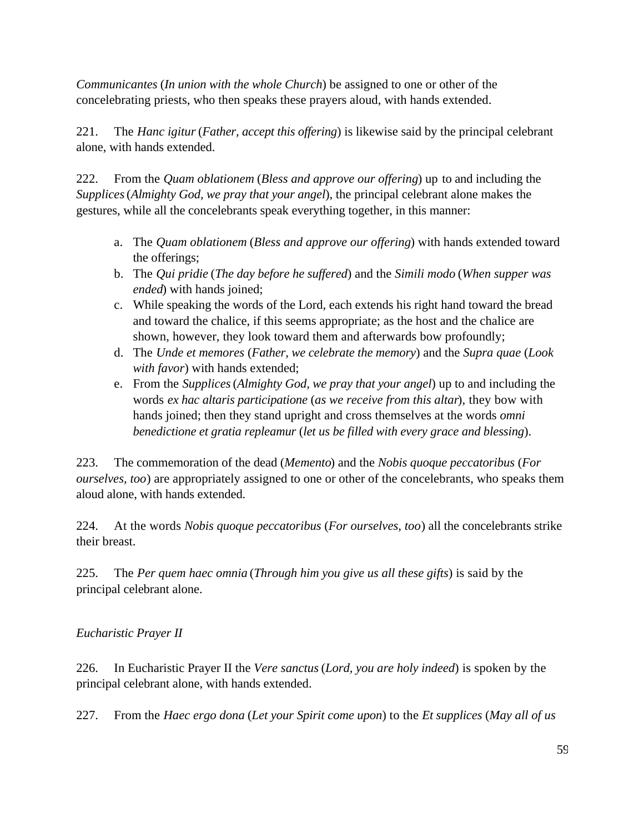*Communicantes* (*In union with the whole Church*) be assigned to one or other of the concelebrating priests, who then speaks these prayers aloud, with hands extended.

221. The *Hanc igitur* (*Father, accept this offering*) is likewise said by the principal celebrant alone, with hands extended.

222. From the *Quam oblationem* (*Bless and approve our offering*) up to and including the *Supplices* (*Almighty God, we pray that your angel*), the principal celebrant alone makes the gestures, while all the concelebrants speak everything together, in this manner:

- a. The *Quam oblationem* (*Bless and approve our offering*) with hands extended toward the offerings;
- b. The *Qui pridie* (*The day before he suffered*) and the *Simili modo* (*When supper was ended*) with hands joined;
- c. While speaking the words of the Lord, each extends his right hand toward the bread and toward the chalice, if this seems appropriate; as the host and the chalice are shown, however, they look toward them and afterwards bow profoundly;
- d. The *Unde et memores* (*Father, we celebrate the memory*) and the *Supra quae* (*Look with favor*) with hands extended;
- e. From the *Supplices* (*Almighty God, we pray that your angel*) up to and including the words *ex hac altaris participatione* (*as we receive from this altar*), they bow with hands joined; then they stand upright and cross themselves at the words *omni benedictione et gratia repleamur* (*let us be filled with every grace and blessing*).

223. The commemoration of the dead (*Memento*) and the *Nobis quoque peccatoribus* (*For ourselves, too*) are appropriately assigned to one or other of the concelebrants, who speaks them aloud alone, with hands extended.

224. At the words *Nobis quoque peccatoribus* (*For ourselves, too*) all the concelebrants strike their breast.

225. The *Per quem haec omnia* (*Through him you give us all these gifts*) is said by the principal celebrant alone.

# *Eucharistic Prayer II*

226. In Eucharistic Prayer II the *Vere sanctus* (*Lord, you are holy indeed*) is spoken by the principal celebrant alone, with hands extended.

227. From the *Haec ergo dona* (*Let your Spirit come upon*) to the *Et supplices* (*May all of us*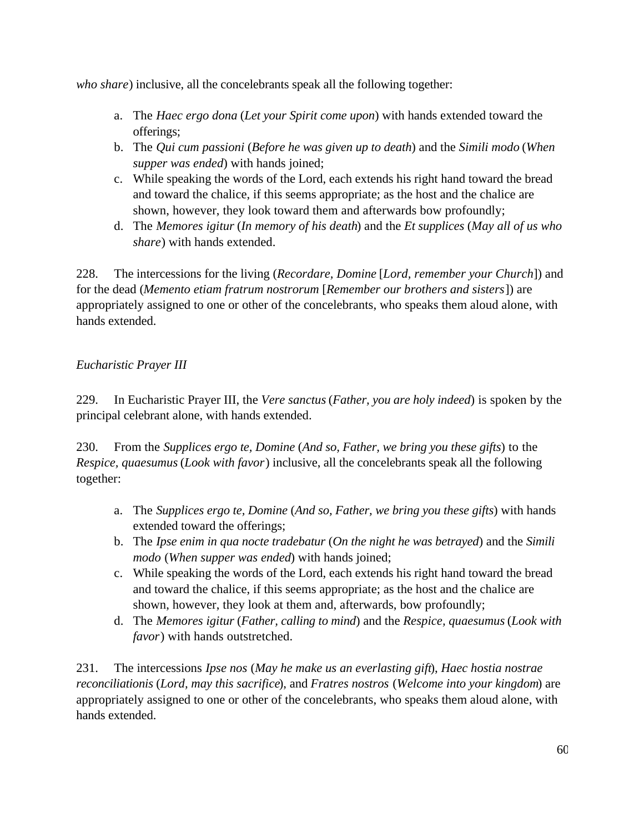*who share*) inclusive, all the concelebrants speak all the following together:

- a. The *Haec ergo dona* (*Let your Spirit come upon*) with hands extended toward the offerings;
- b. The *Qui cum passioni* (*Before he was given up to death*) and the *Simili modo* (*When supper was ended*) with hands joined;
- c. While speaking the words of the Lord, each extends his right hand toward the bread and toward the chalice, if this seems appropriate; as the host and the chalice are shown, however, they look toward them and afterwards bow profoundly;
- d. The *Memores igitur* (*In memory of his death*) and the *Et supplices* (*May all of us who share*) with hands extended.

228. The intercessions for the living (*Recordare, Domine* [*Lord, remember your Church*]) and for the dead (*Memento etiam fratrum nostrorum* [*Remember our brothers and sisters*]) are appropriately assigned to one or other of the concelebrants, who speaks them aloud alone, with hands extended.

# *Eucharistic Prayer III*

229. In Eucharistic Prayer III, the *Vere sanctus* (*Father, you are holy indeed*) is spoken by the principal celebrant alone, with hands extended.

230. From the *Supplices ergo te, Domine* (*And so, Father, we bring you these gifts*) to the *Respice, quaesumus* (*Look with favor*) inclusive, all the concelebrants speak all the following together:

- a. The *Supplices ergo te, Domine* (*And so, Father, we bring you these gifts*) with hands extended toward the offerings;
- b. The *Ipse enim in qua nocte tradebatur* (*On the night he was betrayed*) and the *Simili modo* (*When supper was ended*) with hands joined;
- c. While speaking the words of the Lord, each extends his right hand toward the bread and toward the chalice, if this seems appropriate; as the host and the chalice are shown, however, they look at them and, afterwards, bow profoundly;
- d. The *Memores igitur* (*Father, calling to mind*) and the *Respice, quaesumus* (*Look with favor*) with hands outstretched.

231. The intercessions *Ipse nos* (*May he make us an everlasting gift*), *Haec hostia nostrae reconciliationis* (*Lord, may this sacrifice*), and *Fratres nostros* (*Welcome into your kingdom*) are appropriately assigned to one or other of the concelebrants, who speaks them aloud alone, with hands extended.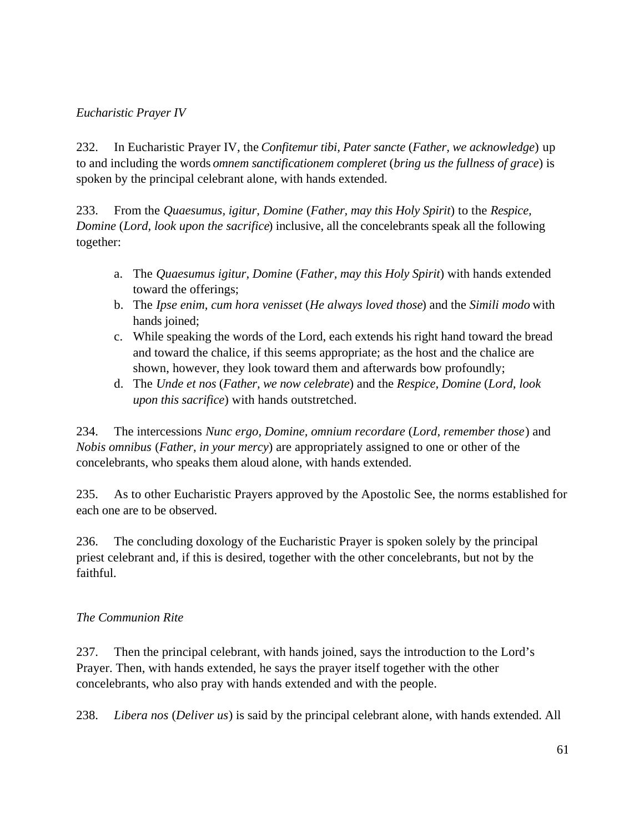#### *Eucharistic Prayer IV*

232. In Eucharistic Prayer IV, the *Confitemur tibi, Pater sancte* (*Father, we acknowledge*) up to and including the words *omnem sanctificationem compleret* (*bring us the fullness of grace*) is spoken by the principal celebrant alone, with hands extended.

233. From the *Quaesumus, igitur, Domine* (*Father, may this Holy Spirit*) to the *Respice, Domine* (*Lord, look upon the sacrifice*) inclusive, all the concelebrants speak all the following together:

- a. The *Quaesumus igitur, Domine* (*Father, may this Holy Spirit*) with hands extended toward the offerings;
- b. The *Ipse enim, cum hora venisset* (*He always loved those*) and the *Simili modo* with hands joined;
- c. While speaking the words of the Lord, each extends his right hand toward the bread and toward the chalice, if this seems appropriate; as the host and the chalice are shown, however, they look toward them and afterwards bow profoundly;
- d. The *Unde et nos* (*Father, we now celebrate*) and the *Respice, Domine* (*Lord, look upon this sacrifice*) with hands outstretched.

234. The intercessions *Nunc ergo, Domine, omnium recordare* (*Lord, remember those*) and *Nobis omnibus* (*Father, in your mercy*) are appropriately assigned to one or other of the concelebrants, who speaks them aloud alone, with hands extended.

235. As to other Eucharistic Prayers approved by the Apostolic See, the norms established for each one are to be observed.

236. The concluding doxology of the Eucharistic Prayer is spoken solely by the principal priest celebrant and, if this is desired, together with the other concelebrants, but not by the faithful.

#### *The Communion Rite*

237. Then the principal celebrant, with hands joined, says the introduction to the Lord's Prayer. Then, with hands extended, he says the prayer itself together with the other concelebrants, who also pray with hands extended and with the people.

238. *Libera nos* (*Deliver us*) is said by the principal celebrant alone, with hands extended. All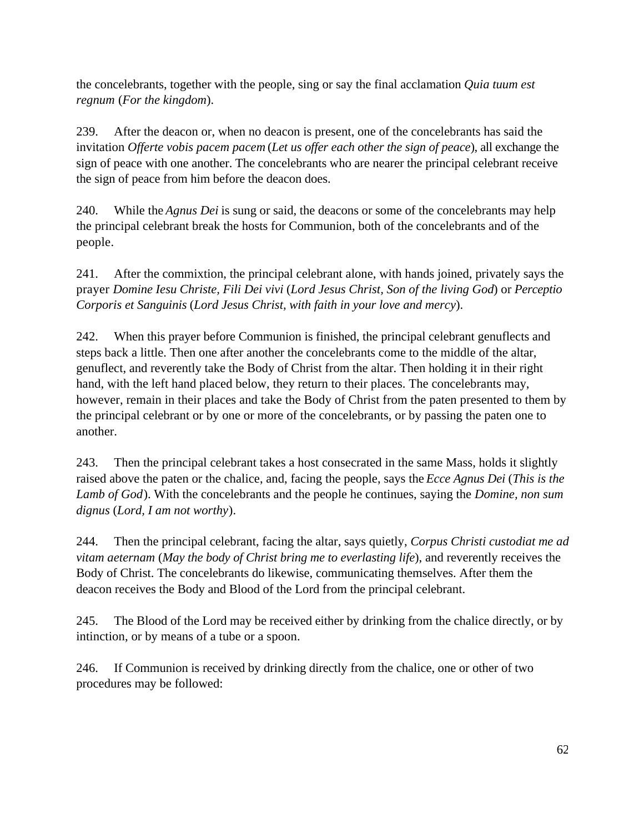the concelebrants, together with the people, sing or say the final acclamation *Quia tuum est regnum* (*For the kingdom*).

239. After the deacon or, when no deacon is present, one of the concelebrants has said the invitation *Offerte vobis pacem pacem* (*Let us offer each other the sign of peace*), all exchange the sign of peace with one another. The concelebrants who are nearer the principal celebrant receive the sign of peace from him before the deacon does.

240. While the *Agnus Dei* is sung or said, the deacons or some of the concelebrants may help the principal celebrant break the hosts for Communion, both of the concelebrants and of the people.

241. After the commixtion, the principal celebrant alone, with hands joined, privately says the prayer *Domine Iesu Christe, Fili Dei vivi* (*Lord Jesus Christ, Son of the living God*) or *Perceptio Corporis et Sanguinis* (*Lord Jesus Christ, with faith in your love and mercy*).

242. When this prayer before Communion is finished, the principal celebrant genuflects and steps back a little. Then one after another the concelebrants come to the middle of the altar, genuflect, and reverently take the Body of Christ from the altar. Then holding it in their right hand, with the left hand placed below, they return to their places. The concelebrants may, however, remain in their places and take the Body of Christ from the paten presented to them by the principal celebrant or by one or more of the concelebrants, or by passing the paten one to another.

243. Then the principal celebrant takes a host consecrated in the same Mass, holds it slightly raised above the paten or the chalice, and, facing the people, says the *Ecce Agnus Dei* (*This is the Lamb of God*). With the concelebrants and the people he continues, saying the *Domine, non sum dignus* (*Lord, I am not worthy*).

244. Then the principal celebrant, facing the altar, says quietly, *Corpus Christi custodiat me ad vitam aeternam* (*May the body of Christ bring me to everlasting life*), and reverently receives the Body of Christ. The concelebrants do likewise, communicating themselves. After them the deacon receives the Body and Blood of the Lord from the principal celebrant.

245. The Blood of the Lord may be received either by drinking from the chalice directly, or by intinction, or by means of a tube or a spoon.

246. If Communion is received by drinking directly from the chalice, one or other of two procedures may be followed: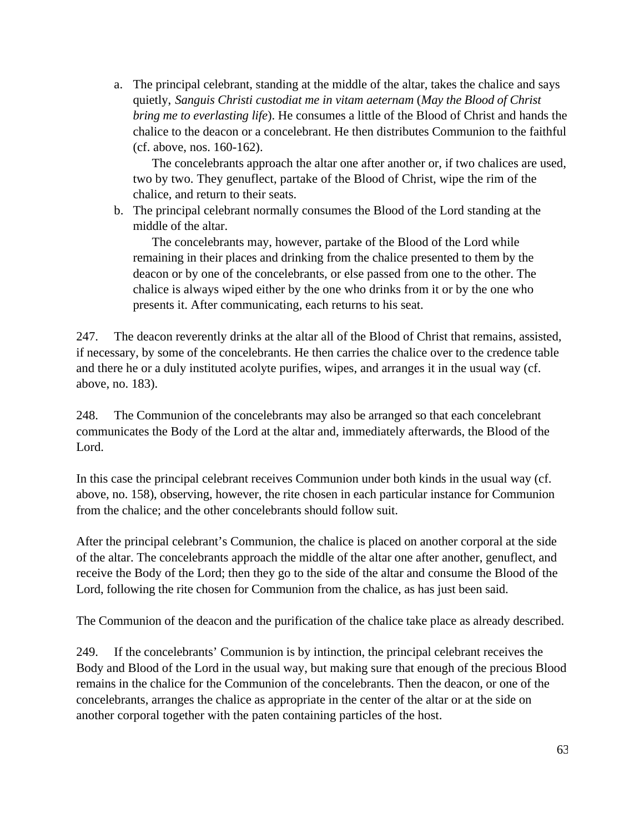a. The principal celebrant, standing at the middle of the altar, takes the chalice and says quietly, *Sanguis Christi custodiat me in vitam aeternam* (*May the Blood of Christ bring me to everlasting life*). He consumes a little of the Blood of Christ and hands the chalice to the deacon or a concelebrant. He then distributes Communion to the faithful (cf. above, nos. 160-162).

The concelebrants approach the altar one after another or, if two chalices are used, two by two. They genuflect, partake of the Blood of Christ, wipe the rim of the chalice, and return to their seats.

b. The principal celebrant normally consumes the Blood of the Lord standing at the middle of the altar.

The concelebrants may, however, partake of the Blood of the Lord while remaining in their places and drinking from the chalice presented to them by the deacon or by one of the concelebrants, or else passed from one to the other. The chalice is always wiped either by the one who drinks from it or by the one who presents it. After communicating, each returns to his seat.

247. The deacon reverently drinks at the altar all of the Blood of Christ that remains, assisted, if necessary, by some of the concelebrants. He then carries the chalice over to the credence table and there he or a duly instituted acolyte purifies, wipes, and arranges it in the usual way (cf. above, no. 183).

248. The Communion of the concelebrants may also be arranged so that each concelebrant communicates the Body of the Lord at the altar and, immediately afterwards, the Blood of the Lord.

In this case the principal celebrant receives Communion under both kinds in the usual way (cf. above, no. 158), observing, however, the rite chosen in each particular instance for Communion from the chalice; and the other concelebrants should follow suit.

After the principal celebrant's Communion, the chalice is placed on another corporal at the side of the altar. The concelebrants approach the middle of the altar one after another, genuflect, and receive the Body of the Lord; then they go to the side of the altar and consume the Blood of the Lord, following the rite chosen for Communion from the chalice, as has just been said.

The Communion of the deacon and the purification of the chalice take place as already described.

249. If the concelebrants' Communion is by intinction, the principal celebrant receives the Body and Blood of the Lord in the usual way, but making sure that enough of the precious Blood remains in the chalice for the Communion of the concelebrants. Then the deacon, or one of the concelebrants, arranges the chalice as appropriate in the center of the altar or at the side on another corporal together with the paten containing particles of the host.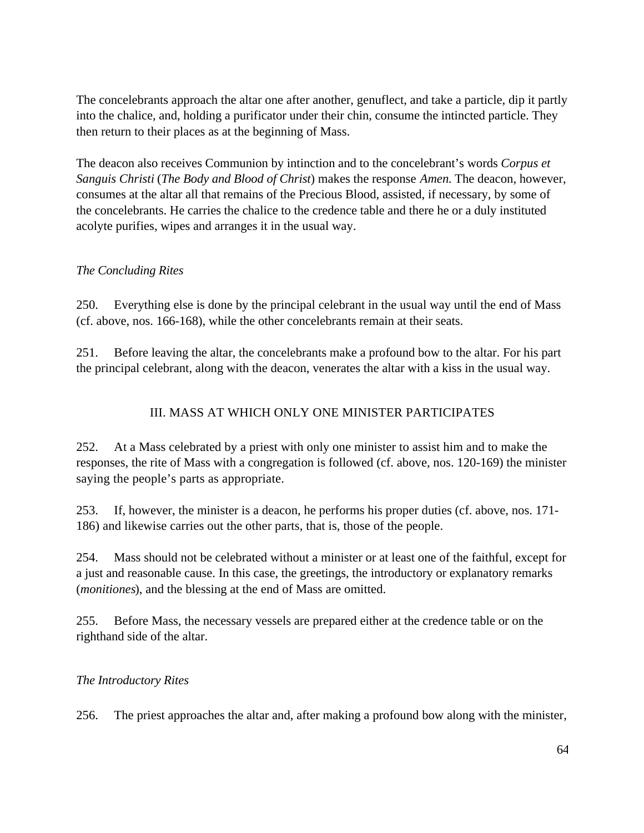The concelebrants approach the altar one after another, genuflect, and take a particle, dip it partly into the chalice, and, holding a purificator under their chin, consume the intincted particle. They then return to their places as at the beginning of Mass.

The deacon also receives Communion by intinction and to the concelebrant's words *Corpus et Sanguis Christi* (*The Body and Blood of Christ*) makes the response *Amen*. The deacon, however, consumes at the altar all that remains of the Precious Blood, assisted, if necessary, by some of the concelebrants. He carries the chalice to the credence table and there he or a duly instituted acolyte purifies, wipes and arranges it in the usual way.

#### *The Concluding Rites*

250. Everything else is done by the principal celebrant in the usual way until the end of Mass (cf. above, nos. 166-168), while the other concelebrants remain at their seats.

251. Before leaving the altar, the concelebrants make a profound bow to the altar. For his part the principal celebrant, along with the deacon, venerates the altar with a kiss in the usual way.

# III. MASS AT WHICH ONLY ONE MINISTER PARTICIPATES

252. At a Mass celebrated by a priest with only one minister to assist him and to make the responses, the rite of Mass with a congregation is followed (cf. above, nos. 120-169) the minister saying the people's parts as appropriate.

253. If, however, the minister is a deacon, he performs his proper duties (cf. above, nos. 171- 186) and likewise carries out the other parts, that is, those of the people.

254. Mass should not be celebrated without a minister or at least one of the faithful, except for a just and reasonable cause. In this case, the greetings, the introductory or explanatory remarks (*monitiones*), and the blessing at the end of Mass are omitted.

255. Before Mass, the necessary vessels are prepared either at the credence table or on the righthand side of the altar.

#### *The Introductory Rites*

256. The priest approaches the altar and, after making a profound bow along with the minister,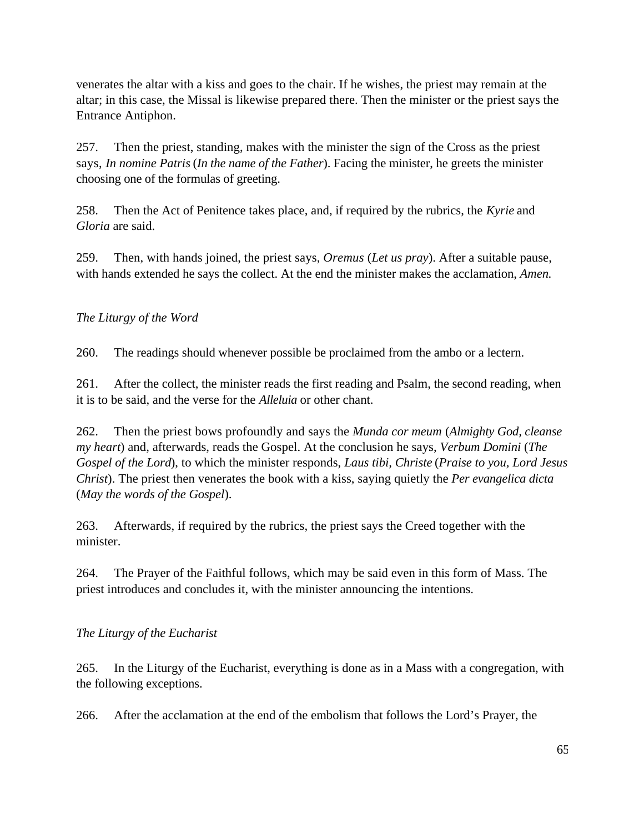venerates the altar with a kiss and goes to the chair. If he wishes, the priest may remain at the altar; in this case, the Missal is likewise prepared there. Then the minister or the priest says the Entrance Antiphon.

257. Then the priest, standing, makes with the minister the sign of the Cross as the priest says, *In nomine Patris* (*In the name of the Father*). Facing the minister, he greets the minister choosing one of the formulas of greeting.

258. Then the Act of Penitence takes place, and, if required by the rubrics, the *Kyrie* and *Gloria* are said.

259. Then, with hands joined, the priest says, *Oremus* (*Let us pray*). After a suitable pause, with hands extended he says the collect. At the end the minister makes the acclamation, *Amen*.

#### *The Liturgy of the Word*

260. The readings should whenever possible be proclaimed from the ambo or a lectern.

261. After the collect, the minister reads the first reading and Psalm, the second reading, when it is to be said, and the verse for the *Alleluia* or other chant.

262. Then the priest bows profoundly and says the *Munda cor meum* (*Almighty God, cleanse my heart*) and, afterwards, reads the Gospel. At the conclusion he says, *Verbum Domini* (*The Gospel of the Lord*), to which the minister responds, *Laus tibi, Christe* (*Praise to you, Lord Jesus Christ*). The priest then venerates the book with a kiss, saying quietly the *Per evangelica dicta* (*May the words of the Gospel*).

263. Afterwards, if required by the rubrics, the priest says the Creed together with the minister.

264. The Prayer of the Faithful follows, which may be said even in this form of Mass. The priest introduces and concludes it, with the minister announcing the intentions.

#### *The Liturgy of the Eucharist*

265. In the Liturgy of the Eucharist, everything is done as in a Mass with a congregation, with the following exceptions.

266. After the acclamation at the end of the embolism that follows the Lord's Prayer, the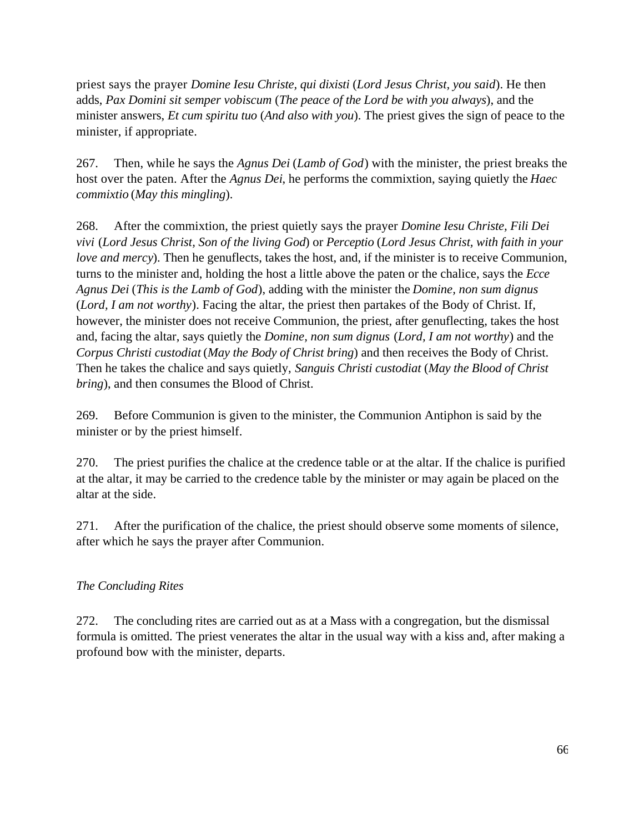priest says the prayer *Domine Iesu Christe, qui dixisti* (*Lord Jesus Christ, you said*). He then adds, *Pax Domini sit semper vobiscum* (*The peace of the Lord be with you always*), and the minister answers, *Et cum spiritu tuo* (*And also with you*). The priest gives the sign of peace to the minister, if appropriate.

267. Then, while he says the *Agnus Dei* (*Lamb of God*) with the minister, the priest breaks the host over the paten. After the *Agnus Dei*, he performs the commixtion, saying quietly the *Haec commixtio* (*May this mingling*).

268. After the commixtion, the priest quietly says the prayer *Domine Iesu Christe, Fili Dei vivi* (*Lord Jesus Christ, Son of the living God*) or *Perceptio* (*Lord Jesus Christ, with faith in your love and mercy*). Then he genuflects, takes the host, and, if the minister is to receive Communion, turns to the minister and, holding the host a little above the paten or the chalice, says the *Ecce Agnus Dei* (*This is the Lamb of God*), adding with the minister the *Domine, non sum dignus* (*Lord, I am not worthy*). Facing the altar, the priest then partakes of the Body of Christ. If, however, the minister does not receive Communion, the priest, after genuflecting, takes the host and, facing the altar, says quietly the *Domine, non sum dignus* (*Lord, I am not worthy*) and the *Corpus Christi custodiat* (*May the Body of Christ bring*) and then receives the Body of Christ. Then he takes the chalice and says quietly, *Sanguis Christi custodiat* (*May the Blood of Christ bring*), and then consumes the Blood of Christ.

269. Before Communion is given to the minister, the Communion Antiphon is said by the minister or by the priest himself.

270. The priest purifies the chalice at the credence table or at the altar. If the chalice is purified at the altar, it may be carried to the credence table by the minister or may again be placed on the altar at the side.

271. After the purification of the chalice, the priest should observe some moments of silence, after which he says the prayer after Communion.

# *The Concluding Rites*

272. The concluding rites are carried out as at a Mass with a congregation, but the dismissal formula is omitted. The priest venerates the altar in the usual way with a kiss and, after making a profound bow with the minister, departs.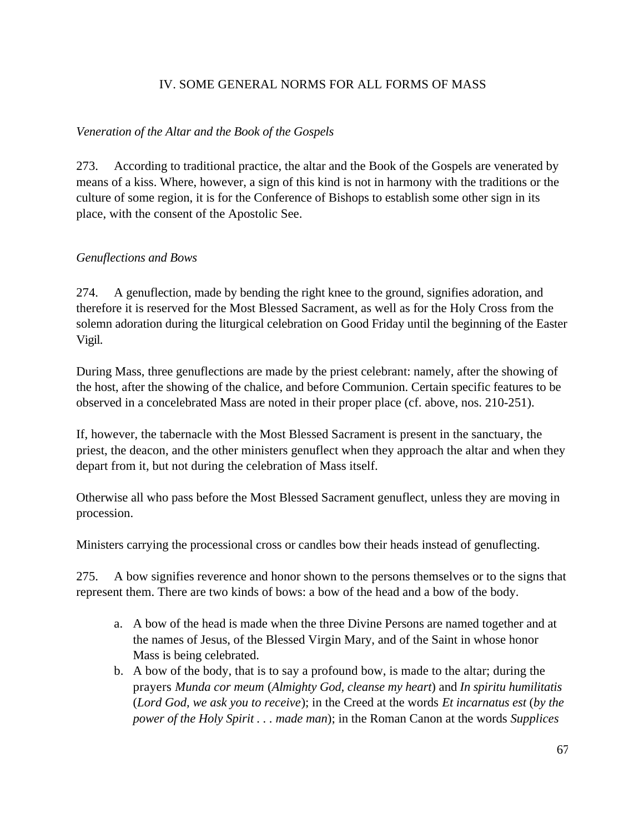#### IV. SOME GENERAL NORMS FOR ALL FORMS OF MASS

#### *Veneration of the Altar and the Book of the Gospels*

273. According to traditional practice, the altar and the Book of the Gospels are venerated by means of a kiss. Where, however, a sign of this kind is not in harmony with the traditions or the culture of some region, it is for the Conference of Bishops to establish some other sign in its place, with the consent of the Apostolic See.

#### *Genuflections and Bows*

274. A genuflection, made by bending the right knee to the ground, signifies adoration, and therefore it is reserved for the Most Blessed Sacrament, as well as for the Holy Cross from the solemn adoration during the liturgical celebration on Good Friday until the beginning of the Easter Vigil.

During Mass, three genuflections are made by the priest celebrant: namely, after the showing of the host, after the showing of the chalice, and before Communion. Certain specific features to be observed in a concelebrated Mass are noted in their proper place (cf. above, nos. 210-251).

If, however, the tabernacle with the Most Blessed Sacrament is present in the sanctuary, the priest, the deacon, and the other ministers genuflect when they approach the altar and when they depart from it, but not during the celebration of Mass itself.

Otherwise all who pass before the Most Blessed Sacrament genuflect, unless they are moving in procession.

Ministers carrying the processional cross or candles bow their heads instead of genuflecting.

275. A bow signifies reverence and honor shown to the persons themselves or to the signs that represent them. There are two kinds of bows: a bow of the head and a bow of the body.

- a. A bow of the head is made when the three Divine Persons are named together and at the names of Jesus, of the Blessed Virgin Mary, and of the Saint in whose honor Mass is being celebrated.
- b. A bow of the body, that is to say a profound bow, is made to the altar; during the prayers *Munda cor meum* (*Almighty God, cleanse my heart*) and *In spiritu humilitatis* (*Lord God, we ask you to receive*); in the Creed at the words *Et incarnatus est* (*by the power of the Holy Spirit . . . made man*); in the Roman Canon at the words *Supplices*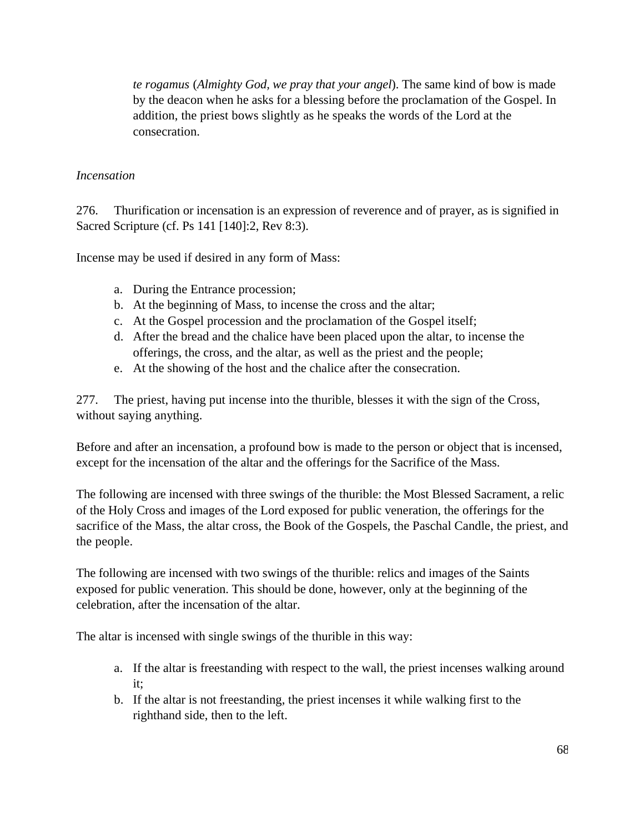*te rogamus* (*Almighty God, we pray that your angel*). The same kind of bow is made by the deacon when he asks for a blessing before the proclamation of the Gospel. In addition, the priest bows slightly as he speaks the words of the Lord at the consecration.

#### *Incensation*

276. Thurification or incensation is an expression of reverence and of prayer, as is signified in Sacred Scripture (cf. Ps 141 [140]:2, Rev 8:3).

Incense may be used if desired in any form of Mass:

- a. During the Entrance procession;
- b. At the beginning of Mass, to incense the cross and the altar;
- c. At the Gospel procession and the proclamation of the Gospel itself;
- d. After the bread and the chalice have been placed upon the altar, to incense the offerings, the cross, and the altar, as well as the priest and the people;
- e. At the showing of the host and the chalice after the consecration.

277. The priest, having put incense into the thurible, blesses it with the sign of the Cross, without saying anything.

Before and after an incensation, a profound bow is made to the person or object that is incensed, except for the incensation of the altar and the offerings for the Sacrifice of the Mass.

The following are incensed with three swings of the thurible: the Most Blessed Sacrament, a relic of the Holy Cross and images of the Lord exposed for public veneration, the offerings for the sacrifice of the Mass, the altar cross, the Book of the Gospels, the Paschal Candle, the priest, and the people.

The following are incensed with two swings of the thurible: relics and images of the Saints exposed for public veneration. This should be done, however, only at the beginning of the celebration, after the incensation of the altar.

The altar is incensed with single swings of the thurible in this way:

- a. If the altar is freestanding with respect to the wall, the priest incenses walking around it;
- b. If the altar is not freestanding, the priest incenses it while walking first to the righthand side, then to the left.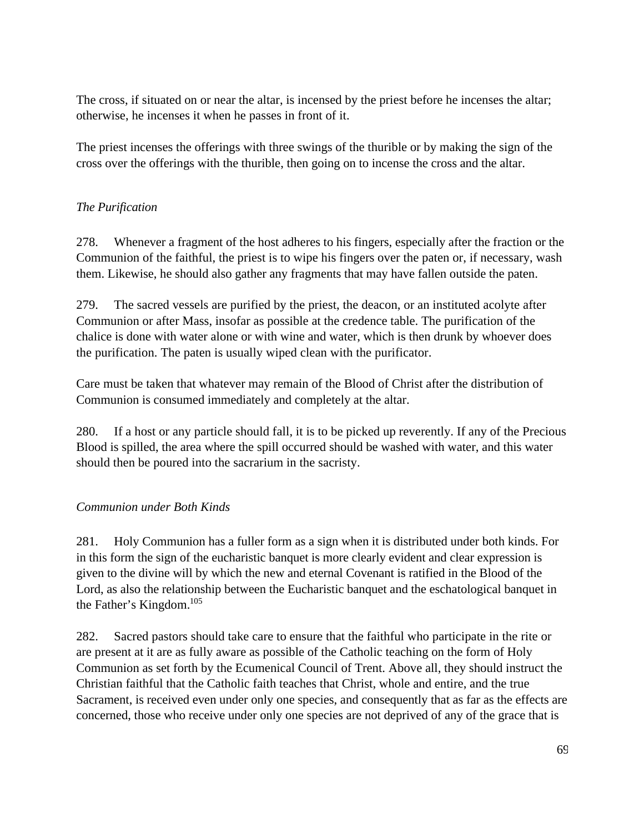The cross, if situated on or near the altar, is incensed by the priest before he incenses the altar; otherwise, he incenses it when he passes in front of it.

The priest incenses the offerings with three swings of the thurible or by making the sign of the cross over the offerings with the thurible, then going on to incense the cross and the altar.

# *The Purification*

278. Whenever a fragment of the host adheres to his fingers, especially after the fraction or the Communion of the faithful, the priest is to wipe his fingers over the paten or, if necessary, wash them. Likewise, he should also gather any fragments that may have fallen outside the paten.

279. The sacred vessels are purified by the priest, the deacon, or an instituted acolyte after Communion or after Mass, insofar as possible at the credence table. The purification of the chalice is done with water alone or with wine and water, which is then drunk by whoever does the purification. The paten is usually wiped clean with the purificator.

Care must be taken that whatever may remain of the Blood of Christ after the distribution of Communion is consumed immediately and completely at the altar.

280. If a host or any particle should fall, it is to be picked up reverently. If any of the Precious Blood is spilled, the area where the spill occurred should be washed with water, and this water should then be poured into the sacrarium in the sacristy.

# *Communion under Both Kinds*

281. Holy Communion has a fuller form as a sign when it is distributed under both kinds. For in this form the sign of the eucharistic banquet is more clearly evident and clear expression is given to the divine will by which the new and eternal Covenant is ratified in the Blood of the Lord, as also the relationship between the Eucharistic banquet and the eschatological banquet in the Father's Kingdom.<sup>105</sup>

282. Sacred pastors should take care to ensure that the faithful who participate in the rite or are present at it are as fully aware as possible of the Catholic teaching on the form of Holy Communion as set forth by the Ecumenical Council of Trent. Above all, they should instruct the Christian faithful that the Catholic faith teaches that Christ, whole and entire, and the true Sacrament, is received even under only one species, and consequently that as far as the effects are concerned, those who receive under only one species are not deprived of any of the grace that is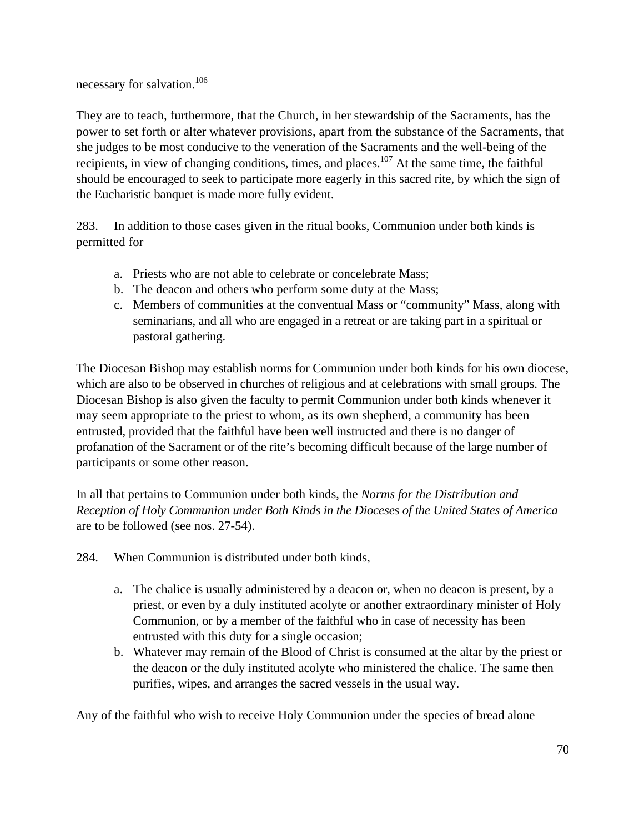necessary for salvation.<sup>106</sup>

They are to teach, furthermore, that the Church, in her stewardship of the Sacraments, has the power to set forth or alter whatever provisions, apart from the substance of the Sacraments, that she judges to be most conducive to the veneration of the Sacraments and the well-being of the recipients, in view of changing conditions, times, and places.<sup>107</sup> At the same time, the faithful should be encouraged to seek to participate more eagerly in this sacred rite, by which the sign of the Eucharistic banquet is made more fully evident.

283. In addition to those cases given in the ritual books, Communion under both kinds is permitted for

- a. Priests who are not able to celebrate or concelebrate Mass;
- b. The deacon and others who perform some duty at the Mass;
- c. Members of communities at the conventual Mass or "community" Mass, along with seminarians, and all who are engaged in a retreat or are taking part in a spiritual or pastoral gathering.

The Diocesan Bishop may establish norms for Communion under both kinds for his own diocese, which are also to be observed in churches of religious and at celebrations with small groups. The Diocesan Bishop is also given the faculty to permit Communion under both kinds whenever it may seem appropriate to the priest to whom, as its own shepherd, a community has been entrusted, provided that the faithful have been well instructed and there is no danger of profanation of the Sacrament or of the rite's becoming difficult because of the large number of participants or some other reason.

In all that pertains to Communion under both kinds, the *Norms for the Distribution and Reception of Holy Communion under Both Kinds in the Dioceses of the United States of America* are to be followed (see nos. 27-54).

- 284. When Communion is distributed under both kinds,
	- a. The chalice is usually administered by a deacon or, when no deacon is present, by a priest, or even by a duly instituted acolyte or another extraordinary minister of Holy Communion, or by a member of the faithful who in case of necessity has been entrusted with this duty for a single occasion;
	- b. Whatever may remain of the Blood of Christ is consumed at the altar by the priest or the deacon or the duly instituted acolyte who ministered the chalice. The same then purifies, wipes, and arranges the sacred vessels in the usual way.

Any of the faithful who wish to receive Holy Communion under the species of bread alone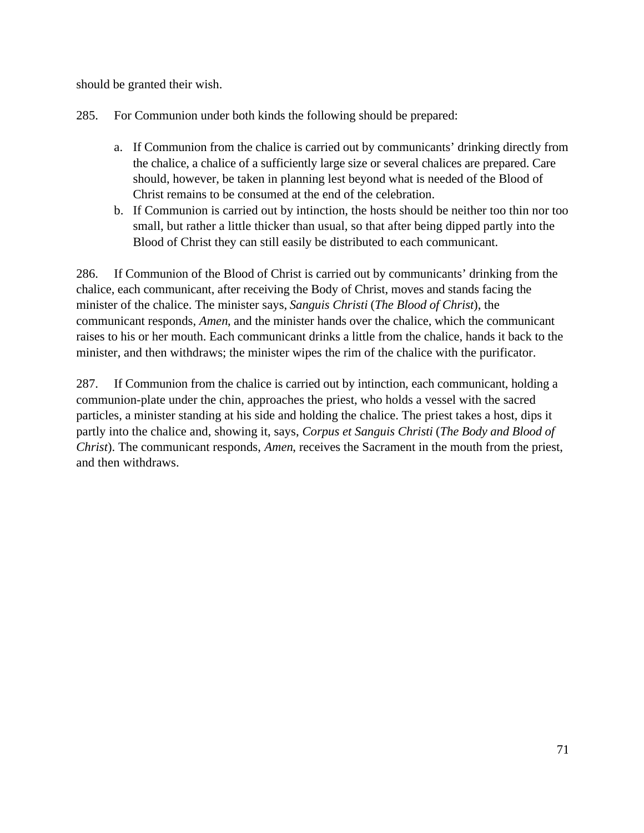should be granted their wish.

285. For Communion under both kinds the following should be prepared:

- a. If Communion from the chalice is carried out by communicants' drinking directly from the chalice, a chalice of a sufficiently large size or several chalices are prepared. Care should, however, be taken in planning lest beyond what is needed of the Blood of Christ remains to be consumed at the end of the celebration.
- b. If Communion is carried out by intinction, the hosts should be neither too thin nor too small, but rather a little thicker than usual, so that after being dipped partly into the Blood of Christ they can still easily be distributed to each communicant.

286. If Communion of the Blood of Christ is carried out by communicants' drinking from the chalice, each communicant, after receiving the Body of Christ, moves and stands facing the minister of the chalice. The minister says, *Sanguis Christi* (*The Blood of Christ*), the communicant responds, *Amen*, and the minister hands over the chalice, which the communicant raises to his or her mouth. Each communicant drinks a little from the chalice, hands it back to the minister, and then withdraws; the minister wipes the rim of the chalice with the purificator.

287. If Communion from the chalice is carried out by intinction, each communicant, holding a communion-plate under the chin, approaches the priest, who holds a vessel with the sacred particles, a minister standing at his side and holding the chalice. The priest takes a host, dips it partly into the chalice and, showing it, says, *Corpus et Sanguis Christi* (*The Body and Blood of Christ*). The communicant responds, *Amen*, receives the Sacrament in the mouth from the priest, and then withdraws.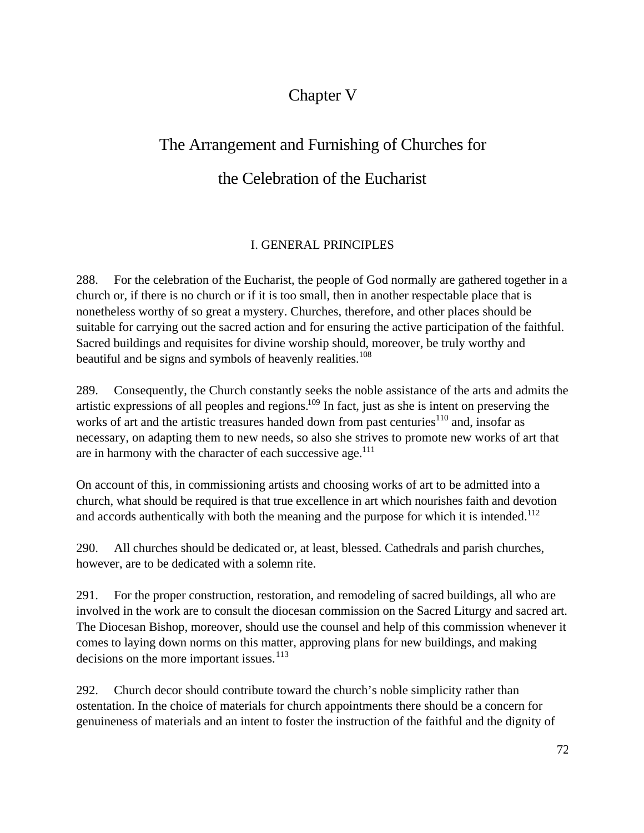# Chapter V

# The Arrangement and Furnishing of Churches for

# the Celebration of the Eucharist

# I. GENERAL PRINCIPLES

288. For the celebration of the Eucharist, the people of God normally are gathered together in a church or, if there is no church or if it is too small, then in another respectable place that is nonetheless worthy of so great a mystery. Churches, therefore, and other places should be suitable for carrying out the sacred action and for ensuring the active participation of the faithful. Sacred buildings and requisites for divine worship should, moreover, be truly worthy and beautiful and be signs and symbols of heavenly realities.<sup>108</sup>

289. Consequently, the Church constantly seeks the noble assistance of the arts and admits the artistic expressions of all peoples and regions.<sup>109</sup> In fact, just as she is intent on preserving the works of art and the artistic treasures handed down from past centuries $110$  and, insofar as necessary, on adapting them to new needs, so also she strives to promote new works of art that are in harmony with the character of each successive age. $111$ 

On account of this, in commissioning artists and choosing works of art to be admitted into a church, what should be required is that true excellence in art which nourishes faith and devotion and accords authentically with both the meaning and the purpose for which it is intended.<sup>112</sup>

290. All churches should be dedicated or, at least, blessed. Cathedrals and parish churches, however, are to be dedicated with a solemn rite.

291. For the proper construction, restoration, and remodeling of sacred buildings, all who are involved in the work are to consult the diocesan commission on the Sacred Liturgy and sacred art. The Diocesan Bishop, moreover, should use the counsel and help of this commission whenever it comes to laying down norms on this matter, approving plans for new buildings, and making decisions on the more important issues.<sup>113</sup>

292. Church decor should contribute toward the church's noble simplicity rather than ostentation. In the choice of materials for church appointments there should be a concern for genuineness of materials and an intent to foster the instruction of the faithful and the dignity of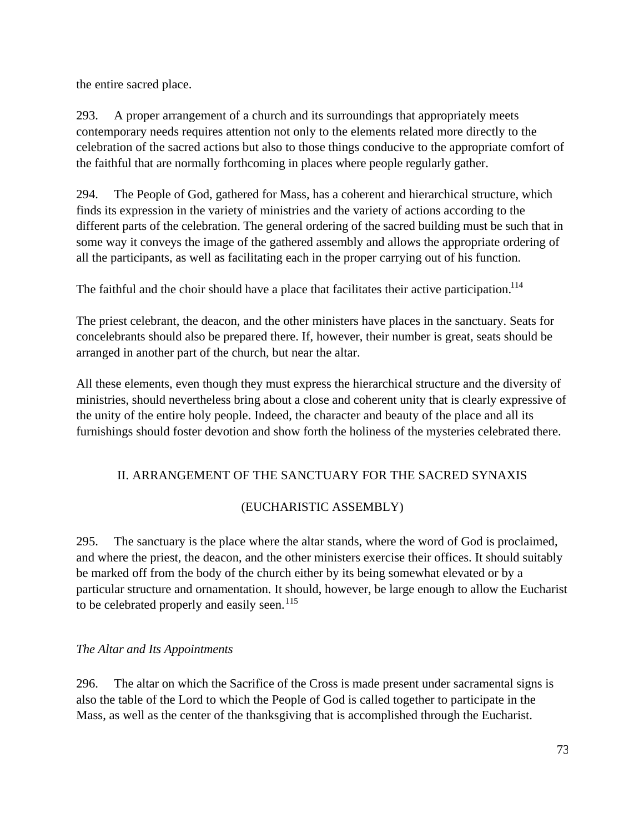the entire sacred place.

293. A proper arrangement of a church and its surroundings that appropriately meets contemporary needs requires attention not only to the elements related more directly to the celebration of the sacred actions but also to those things conducive to the appropriate comfort of the faithful that are normally forthcoming in places where people regularly gather.

294. The People of God, gathered for Mass, has a coherent and hierarchical structure, which finds its expression in the variety of ministries and the variety of actions according to the different parts of the celebration. The general ordering of the sacred building must be such that in some way it conveys the image of the gathered assembly and allows the appropriate ordering of all the participants, as well as facilitating each in the proper carrying out of his function.

The faithful and the choir should have a place that facilitates their active participation.<sup>114</sup>

The priest celebrant, the deacon, and the other ministers have places in the sanctuary. Seats for concelebrants should also be prepared there. If, however, their number is great, seats should be arranged in another part of the church, but near the altar.

All these elements, even though they must express the hierarchical structure and the diversity of ministries, should nevertheless bring about a close and coherent unity that is clearly expressive of the unity of the entire holy people. Indeed, the character and beauty of the place and all its furnishings should foster devotion and show forth the holiness of the mysteries celebrated there.

## II. ARRANGEMENT OF THE SANCTUARY FOR THE SACRED SYNAXIS

## (EUCHARISTIC ASSEMBLY)

295. The sanctuary is the place where the altar stands, where the word of God is proclaimed, and where the priest, the deacon, and the other ministers exercise their offices. It should suitably be marked off from the body of the church either by its being somewhat elevated or by a particular structure and ornamentation. It should, however, be large enough to allow the Eucharist to be celebrated properly and easily seen.<sup>115</sup>

#### *The Altar and Its Appointments*

296. The altar on which the Sacrifice of the Cross is made present under sacramental signs is also the table of the Lord to which the People of God is called together to participate in the Mass, as well as the center of the thanksgiving that is accomplished through the Eucharist.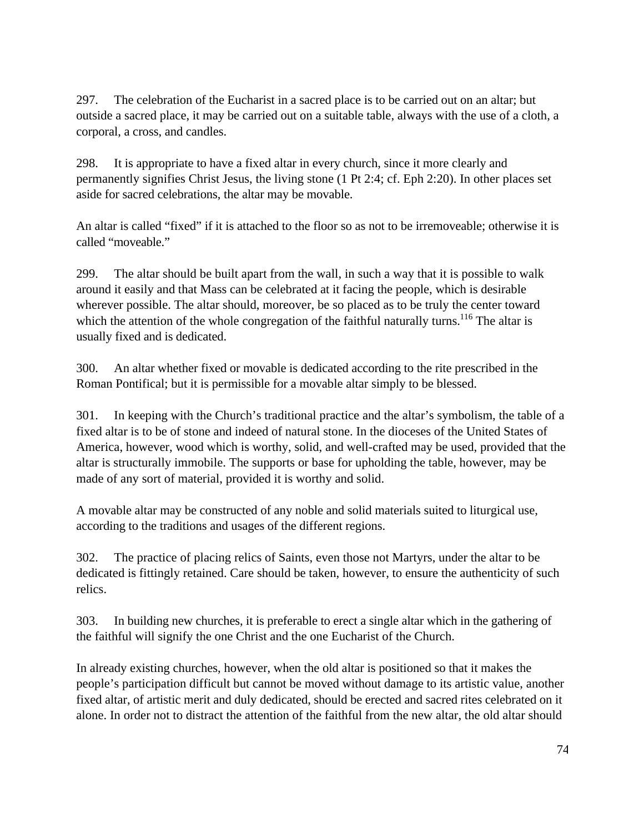297. The celebration of the Eucharist in a sacred place is to be carried out on an altar; but outside a sacred place, it may be carried out on a suitable table, always with the use of a cloth, a corporal, a cross, and candles.

298. It is appropriate to have a fixed altar in every church, since it more clearly and permanently signifies Christ Jesus, the living stone (1 Pt 2:4; cf. Eph 2:20). In other places set aside for sacred celebrations, the altar may be movable.

An altar is called "fixed" if it is attached to the floor so as not to be irremoveable; otherwise it is called "moveable."

299. The altar should be built apart from the wall, in such a way that it is possible to walk around it easily and that Mass can be celebrated at it facing the people, which is desirable wherever possible. The altar should, moreover, be so placed as to be truly the center toward which the attention of the whole congregation of the faithful naturally turns.<sup>116</sup> The altar is usually fixed and is dedicated.

300. An altar whether fixed or movable is dedicated according to the rite prescribed in the Roman Pontifical; but it is permissible for a movable altar simply to be blessed.

301. In keeping with the Church's traditional practice and the altar's symbolism, the table of a fixed altar is to be of stone and indeed of natural stone. In the dioceses of the United States of America, however, wood which is worthy, solid, and well-crafted may be used, provided that the altar is structurally immobile. The supports or base for upholding the table, however, may be made of any sort of material, provided it is worthy and solid.

A movable altar may be constructed of any noble and solid materials suited to liturgical use, according to the traditions and usages of the different regions.

302. The practice of placing relics of Saints, even those not Martyrs, under the altar to be dedicated is fittingly retained. Care should be taken, however, to ensure the authenticity of such relics.

303. In building new churches, it is preferable to erect a single altar which in the gathering of the faithful will signify the one Christ and the one Eucharist of the Church.

In already existing churches, however, when the old altar is positioned so that it makes the people's participation difficult but cannot be moved without damage to its artistic value, another fixed altar, of artistic merit and duly dedicated, should be erected and sacred rites celebrated on it alone. In order not to distract the attention of the faithful from the new altar, the old altar should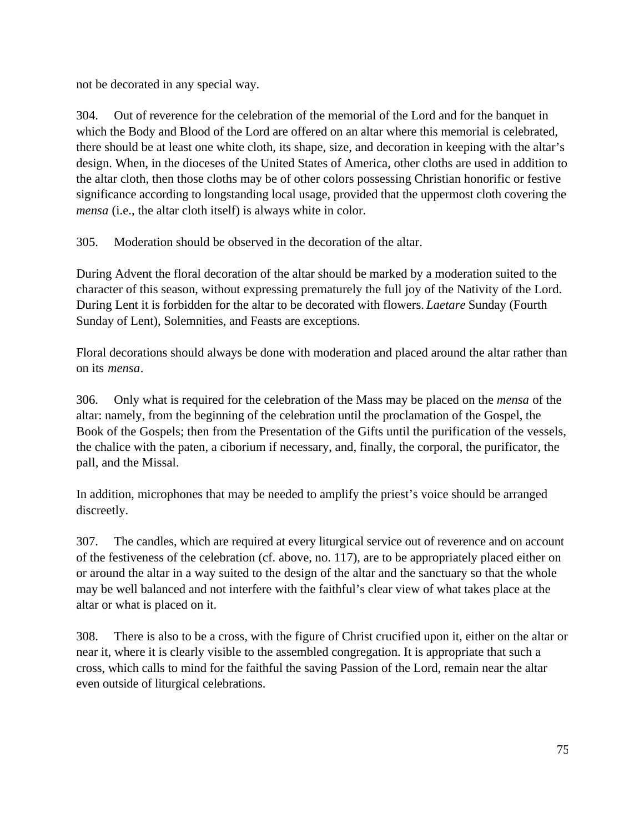not be decorated in any special way.

304. Out of reverence for the celebration of the memorial of the Lord and for the banquet in which the Body and Blood of the Lord are offered on an altar where this memorial is celebrated, there should be at least one white cloth, its shape, size, and decoration in keeping with the altar's design. When, in the dioceses of the United States of America, other cloths are used in addition to the altar cloth, then those cloths may be of other colors possessing Christian honorific or festive significance according to longstanding local usage, provided that the uppermost cloth covering the *mensa* (i.e., the altar cloth itself) is always white in color.

305. Moderation should be observed in the decoration of the altar.

During Advent the floral decoration of the altar should be marked by a moderation suited to the character of this season, without expressing prematurely the full joy of the Nativity of the Lord. During Lent it is forbidden for the altar to be decorated with flowers. *Laetare* Sunday (Fourth Sunday of Lent), Solemnities, and Feasts are exceptions.

Floral decorations should always be done with moderation and placed around the altar rather than on its *mensa*.

306. Only what is required for the celebration of the Mass may be placed on the *mensa* of the altar: namely, from the beginning of the celebration until the proclamation of the Gospel, the Book of the Gospels; then from the Presentation of the Gifts until the purification of the vessels, the chalice with the paten, a ciborium if necessary, and, finally, the corporal, the purificator, the pall, and the Missal.

In addition, microphones that may be needed to amplify the priest's voice should be arranged discreetly.

307. The candles, which are required at every liturgical service out of reverence and on account of the festiveness of the celebration (cf. above, no. 117), are to be appropriately placed either on or around the altar in a way suited to the design of the altar and the sanctuary so that the whole may be well balanced and not interfere with the faithful's clear view of what takes place at the altar or what is placed on it.

308. There is also to be a cross, with the figure of Christ crucified upon it, either on the altar or near it, where it is clearly visible to the assembled congregation. It is appropriate that such a cross, which calls to mind for the faithful the saving Passion of the Lord, remain near the altar even outside of liturgical celebrations.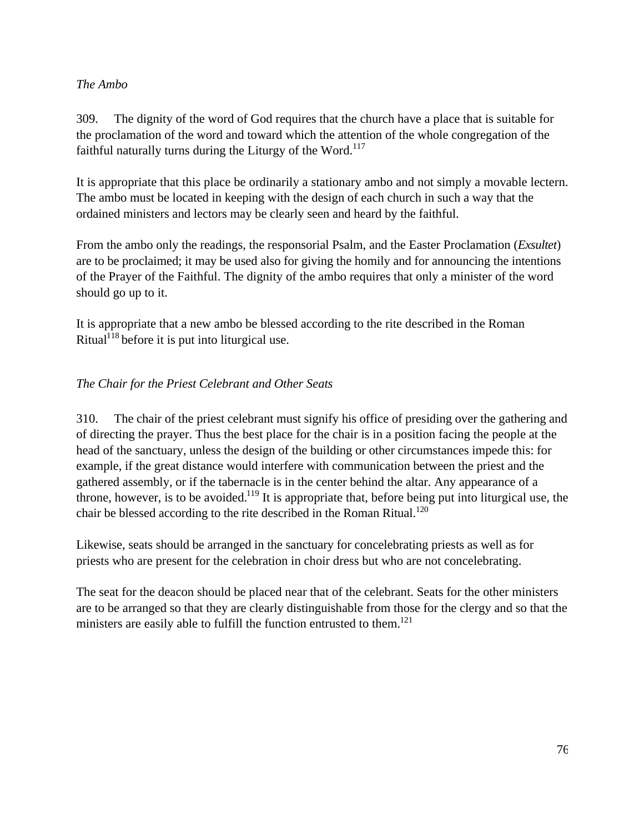#### *The Ambo*

309. The dignity of the word of God requires that the church have a place that is suitable for the proclamation of the word and toward which the attention of the whole congregation of the faithful naturally turns during the Liturgy of the Word.<sup>117</sup>

It is appropriate that this place be ordinarily a stationary ambo and not simply a movable lectern. The ambo must be located in keeping with the design of each church in such a way that the ordained ministers and lectors may be clearly seen and heard by the faithful.

From the ambo only the readings, the responsorial Psalm, and the Easter Proclamation (*Exsultet*) are to be proclaimed; it may be used also for giving the homily and for announcing the intentions of the Prayer of the Faithful. The dignity of the ambo requires that only a minister of the word should go up to it.

It is appropriate that a new ambo be blessed according to the rite described in the Roman Ritual<sup>118</sup> before it is put into liturgical use.

#### *The Chair for the Priest Celebrant and Other Seats*

310. The chair of the priest celebrant must signify his office of presiding over the gathering and of directing the prayer. Thus the best place for the chair is in a position facing the people at the head of the sanctuary, unless the design of the building or other circumstances impede this: for example, if the great distance would interfere with communication between the priest and the gathered assembly, or if the tabernacle is in the center behind the altar. Any appearance of a throne, however, is to be avoided.<sup>119</sup> It is appropriate that, before being put into liturgical use, the chair be blessed according to the rite described in the Roman Ritual.<sup>120</sup>

Likewise, seats should be arranged in the sanctuary for concelebrating priests as well as for priests who are present for the celebration in choir dress but who are not concelebrating.

The seat for the deacon should be placed near that of the celebrant. Seats for the other ministers are to be arranged so that they are clearly distinguishable from those for the clergy and so that the ministers are easily able to fulfill the function entrusted to them.<sup>121</sup>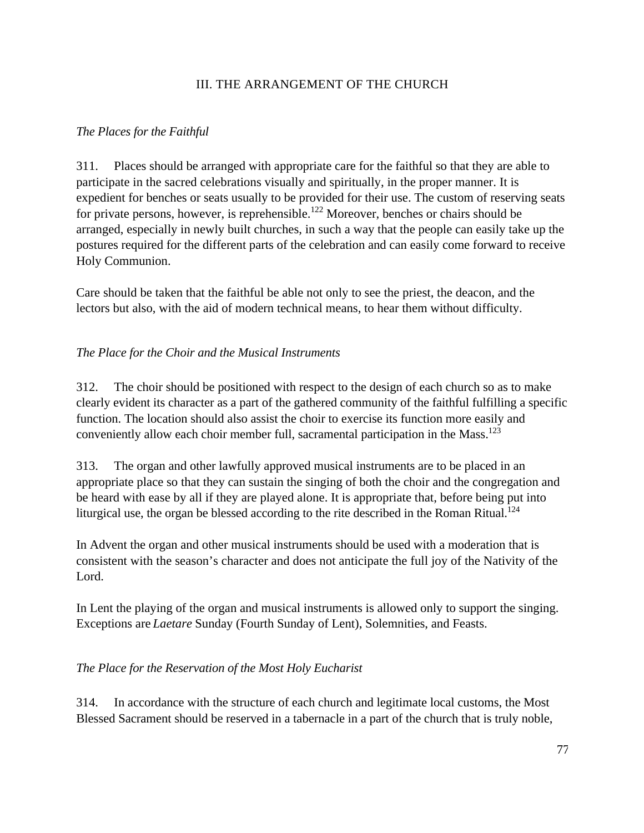### III. THE ARRANGEMENT OF THE CHURCH

### *The Places for the Faithful*

311. Places should be arranged with appropriate care for the faithful so that they are able to participate in the sacred celebrations visually and spiritually, in the proper manner. It is expedient for benches or seats usually to be provided for their use. The custom of reserving seats for private persons, however, is reprehensible.<sup>122</sup> Moreover, benches or chairs should be arranged, especially in newly built churches, in such a way that the people can easily take up the postures required for the different parts of the celebration and can easily come forward to receive Holy Communion.

Care should be taken that the faithful be able not only to see the priest, the deacon, and the lectors but also, with the aid of modern technical means, to hear them without difficulty.

### *The Place for the Choir and the Musical Instruments*

312. The choir should be positioned with respect to the design of each church so as to make clearly evident its character as a part of the gathered community of the faithful fulfilling a specific function. The location should also assist the choir to exercise its function more easily and conveniently allow each choir member full, sacramental participation in the Mass.<sup>123</sup>

313. The organ and other lawfully approved musical instruments are to be placed in an appropriate place so that they can sustain the singing of both the choir and the congregation and be heard with ease by all if they are played alone. It is appropriate that, before being put into liturgical use, the organ be blessed according to the rite described in the Roman Ritual.<sup>124</sup>

In Advent the organ and other musical instruments should be used with a moderation that is consistent with the season's character and does not anticipate the full joy of the Nativity of the Lord.

In Lent the playing of the organ and musical instruments is allowed only to support the singing. Exceptions are *Laetare* Sunday (Fourth Sunday of Lent), Solemnities, and Feasts.

#### *The Place for the Reservation of the Most Holy Eucharist*

314. In accordance with the structure of each church and legitimate local customs, the Most Blessed Sacrament should be reserved in a tabernacle in a part of the church that is truly noble,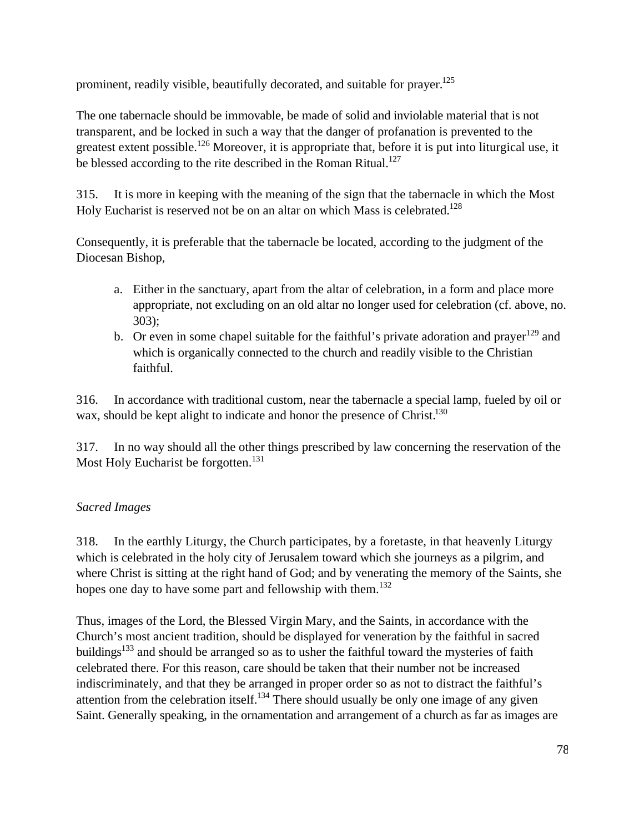prominent, readily visible, beautifully decorated, and suitable for prayer.<sup>125</sup>

The one tabernacle should be immovable, be made of solid and inviolable material that is not transparent, and be locked in such a way that the danger of profanation is prevented to the greatest extent possible.<sup>126</sup> Moreover, it is appropriate that, before it is put into liturgical use, it be blessed according to the rite described in the Roman Ritual.<sup>127</sup>

315. It is more in keeping with the meaning of the sign that the tabernacle in which the Most Holy Eucharist is reserved not be on an altar on which Mass is celebrated.<sup>128</sup>

Consequently, it is preferable that the tabernacle be located, according to the judgment of the Diocesan Bishop,

- a. Either in the sanctuary, apart from the altar of celebration, in a form and place more appropriate, not excluding on an old altar no longer used for celebration (cf. above, no. 303);
- b. Or even in some chapel suitable for the faithful's private adoration and prayer<sup>129</sup> and which is organically connected to the church and readily visible to the Christian faithful.

316. In accordance with traditional custom, near the tabernacle a special lamp, fueled by oil or wax, should be kept alight to indicate and honor the presence of Christ.<sup>130</sup>

317. In no way should all the other things prescribed by law concerning the reservation of the Most Holy Eucharist be forgotten.<sup>131</sup>

## *Sacred Images*

318. In the earthly Liturgy, the Church participates, by a foretaste, in that heavenly Liturgy which is celebrated in the holy city of Jerusalem toward which she journeys as a pilgrim, and where Christ is sitting at the right hand of God; and by venerating the memory of the Saints, she hopes one day to have some part and fellowship with them.<sup>132</sup>

Thus, images of the Lord, the Blessed Virgin Mary, and the Saints, in accordance with the Church's most ancient tradition, should be displayed for veneration by the faithful in sacred buildings<sup>133</sup> and should be arranged so as to usher the faithful toward the mysteries of faith celebrated there. For this reason, care should be taken that their number not be increased indiscriminately, and that they be arranged in proper order so as not to distract the faithful's attention from the celebration itself.<sup>134</sup> There should usually be only one image of any given Saint. Generally speaking, in the ornamentation and arrangement of a church as far as images are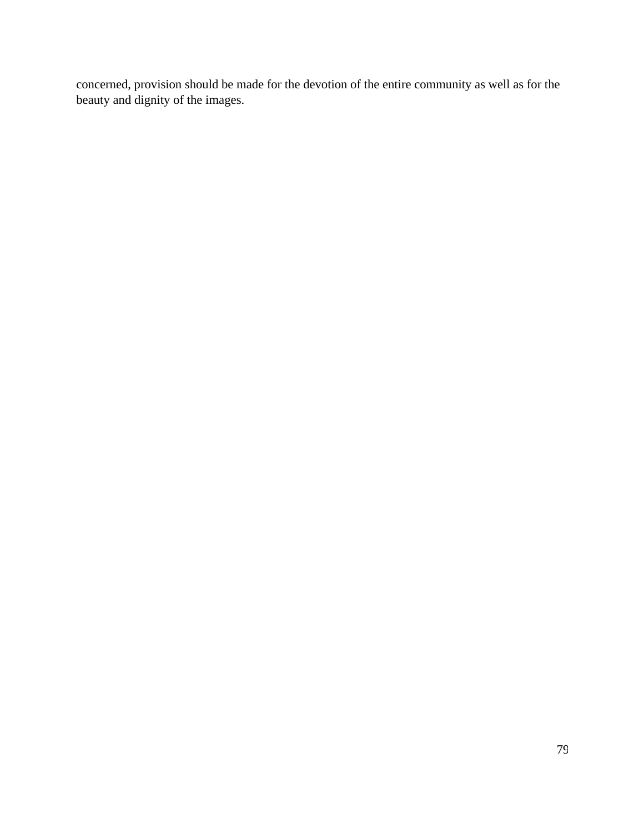concerned, provision should be made for the devotion of the entire community as well as for the beauty and dignity of the images.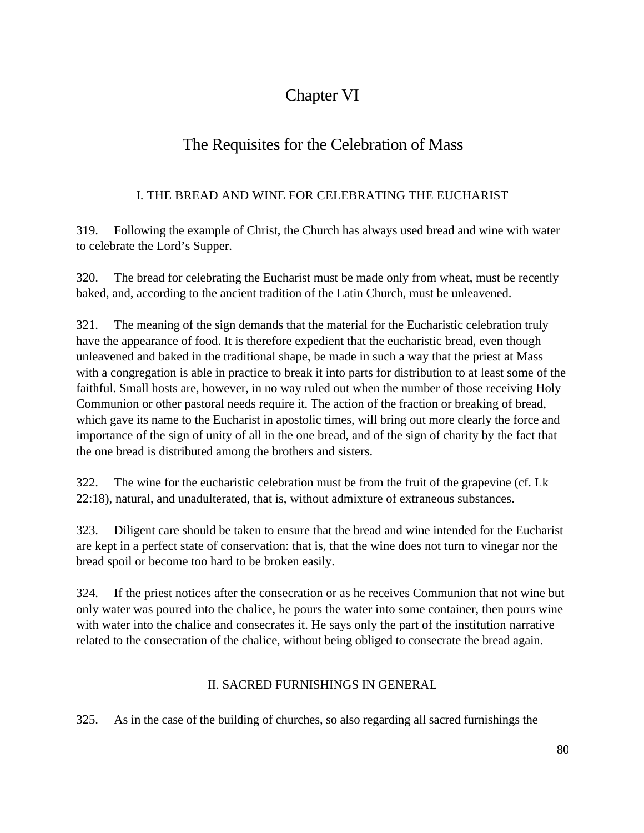# Chapter VI

# The Requisites for the Celebration of Mass

# I. THE BREAD AND WINE FOR CELEBRATING THE EUCHARIST

319. Following the example of Christ, the Church has always used bread and wine with water to celebrate the Lord's Supper.

320. The bread for celebrating the Eucharist must be made only from wheat, must be recently baked, and, according to the ancient tradition of the Latin Church, must be unleavened.

321. The meaning of the sign demands that the material for the Eucharistic celebration truly have the appearance of food. It is therefore expedient that the eucharistic bread, even though unleavened and baked in the traditional shape, be made in such a way that the priest at Mass with a congregation is able in practice to break it into parts for distribution to at least some of the faithful. Small hosts are, however, in no way ruled out when the number of those receiving Holy Communion or other pastoral needs require it. The action of the fraction or breaking of bread, which gave its name to the Eucharist in apostolic times, will bring out more clearly the force and importance of the sign of unity of all in the one bread, and of the sign of charity by the fact that the one bread is distributed among the brothers and sisters.

322. The wine for the eucharistic celebration must be from the fruit of the grapevine (cf. Lk 22:18), natural, and unadulterated, that is, without admixture of extraneous substances.

323. Diligent care should be taken to ensure that the bread and wine intended for the Eucharist are kept in a perfect state of conservation: that is, that the wine does not turn to vinegar nor the bread spoil or become too hard to be broken easily.

324. If the priest notices after the consecration or as he receives Communion that not wine but only water was poured into the chalice, he pours the water into some container, then pours wine with water into the chalice and consecrates it. He says only the part of the institution narrative related to the consecration of the chalice, without being obliged to consecrate the bread again.

## II. SACRED FURNISHINGS IN GENERAL

325. As in the case of the building of churches, so also regarding all sacred furnishings the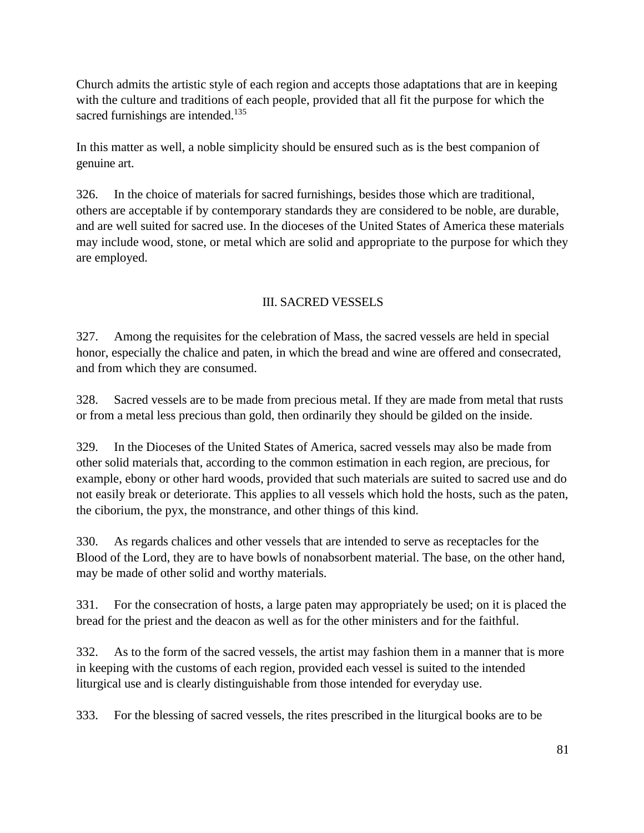Church admits the artistic style of each region and accepts those adaptations that are in keeping with the culture and traditions of each people, provided that all fit the purpose for which the sacred furnishings are intended.<sup>135</sup>

In this matter as well, a noble simplicity should be ensured such as is the best companion of genuine art.

326. In the choice of materials for sacred furnishings, besides those which are traditional, others are acceptable if by contemporary standards they are considered to be noble, are durable, and are well suited for sacred use. In the dioceses of the United States of America these materials may include wood, stone, or metal which are solid and appropriate to the purpose for which they are employed.

## III. SACRED VESSELS

327. Among the requisites for the celebration of Mass, the sacred vessels are held in special honor, especially the chalice and paten, in which the bread and wine are offered and consecrated, and from which they are consumed.

328. Sacred vessels are to be made from precious metal. If they are made from metal that rusts or from a metal less precious than gold, then ordinarily they should be gilded on the inside.

329. In the Dioceses of the United States of America, sacred vessels may also be made from other solid materials that, according to the common estimation in each region, are precious, for example, ebony or other hard woods, provided that such materials are suited to sacred use and do not easily break or deteriorate. This applies to all vessels which hold the hosts, such as the paten, the ciborium, the pyx, the monstrance, and other things of this kind.

330. As regards chalices and other vessels that are intended to serve as receptacles for the Blood of the Lord, they are to have bowls of nonabsorbent material. The base, on the other hand, may be made of other solid and worthy materials.

331. For the consecration of hosts, a large paten may appropriately be used; on it is placed the bread for the priest and the deacon as well as for the other ministers and for the faithful.

332. As to the form of the sacred vessels, the artist may fashion them in a manner that is more in keeping with the customs of each region, provided each vessel is suited to the intended liturgical use and is clearly distinguishable from those intended for everyday use.

333. For the blessing of sacred vessels, the rites prescribed in the liturgical books are to be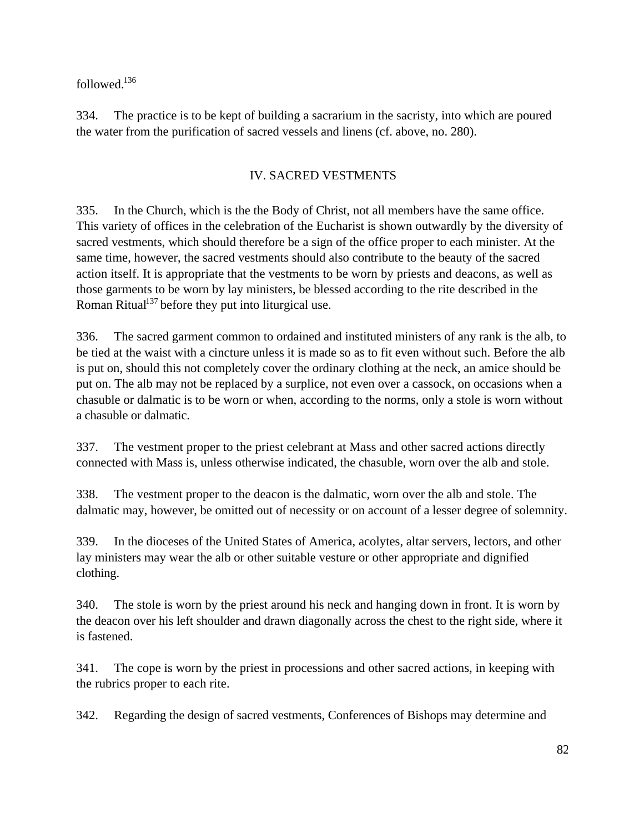followed.<sup>136</sup>

334. The practice is to be kept of building a sacrarium in the sacristy, into which are poured the water from the purification of sacred vessels and linens (cf. above, no. 280).

## IV. SACRED VESTMENTS

335. In the Church, which is the the Body of Christ, not all members have the same office. This variety of offices in the celebration of the Eucharist is shown outwardly by the diversity of sacred vestments, which should therefore be a sign of the office proper to each minister. At the same time, however, the sacred vestments should also contribute to the beauty of the sacred action itself. It is appropriate that the vestments to be worn by priests and deacons, as well as those garments to be worn by lay ministers, be blessed according to the rite described in the Roman Ritual $1^{137}$  before they put into liturgical use.

336. The sacred garment common to ordained and instituted ministers of any rank is the alb, to be tied at the waist with a cincture unless it is made so as to fit even without such. Before the alb is put on, should this not completely cover the ordinary clothing at the neck, an amice should be put on. The alb may not be replaced by a surplice, not even over a cassock, on occasions when a chasuble or dalmatic is to be worn or when, according to the norms, only a stole is worn without a chasuble or dalmatic.

337. The vestment proper to the priest celebrant at Mass and other sacred actions directly connected with Mass is, unless otherwise indicated, the chasuble, worn over the alb and stole.

338. The vestment proper to the deacon is the dalmatic, worn over the alb and stole. The dalmatic may, however, be omitted out of necessity or on account of a lesser degree of solemnity.

339. In the dioceses of the United States of America, acolytes, altar servers, lectors, and other lay ministers may wear the alb or other suitable vesture or other appropriate and dignified clothing.

340. The stole is worn by the priest around his neck and hanging down in front. It is worn by the deacon over his left shoulder and drawn diagonally across the chest to the right side, where it is fastened.

341. The cope is worn by the priest in processions and other sacred actions, in keeping with the rubrics proper to each rite.

342. Regarding the design of sacred vestments, Conferences of Bishops may determine and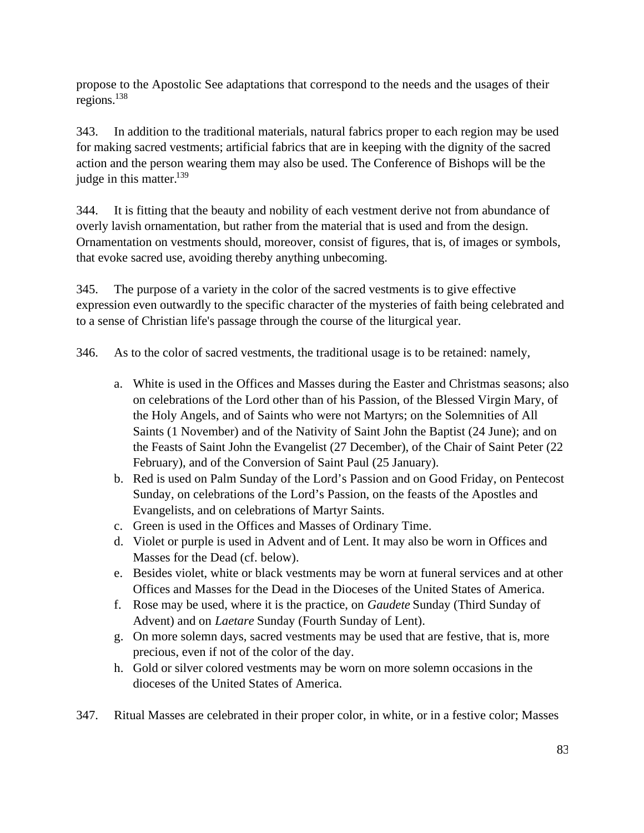propose to the Apostolic See adaptations that correspond to the needs and the usages of their regions.<sup>138</sup>

343. In addition to the traditional materials, natural fabrics proper to each region may be used for making sacred vestments; artificial fabrics that are in keeping with the dignity of the sacred action and the person wearing them may also be used. The Conference of Bishops will be the judge in this matter. $139$ 

344. It is fitting that the beauty and nobility of each vestment derive not from abundance of overly lavish ornamentation, but rather from the material that is used and from the design. Ornamentation on vestments should, moreover, consist of figures, that is, of images or symbols, that evoke sacred use, avoiding thereby anything unbecoming.

345. The purpose of a variety in the color of the sacred vestments is to give effective expression even outwardly to the specific character of the mysteries of faith being celebrated and to a sense of Christian life's passage through the course of the liturgical year.

346. As to the color of sacred vestments, the traditional usage is to be retained: namely,

- a. White is used in the Offices and Masses during the Easter and Christmas seasons; also on celebrations of the Lord other than of his Passion, of the Blessed Virgin Mary, of the Holy Angels, and of Saints who were not Martyrs; on the Solemnities of All Saints (1 November) and of the Nativity of Saint John the Baptist (24 June); and on the Feasts of Saint John the Evangelist (27 December), of the Chair of Saint Peter (22 February), and of the Conversion of Saint Paul (25 January).
- b. Red is used on Palm Sunday of the Lord's Passion and on Good Friday, on Pentecost Sunday, on celebrations of the Lord's Passion, on the feasts of the Apostles and Evangelists, and on celebrations of Martyr Saints.
- c. Green is used in the Offices and Masses of Ordinary Time.
- d. Violet or purple is used in Advent and of Lent. It may also be worn in Offices and Masses for the Dead (cf. below).
- e. Besides violet, white or black vestments may be worn at funeral services and at other Offices and Masses for the Dead in the Dioceses of the United States of America.
- f. Rose may be used, where it is the practice, on *Gaudete* Sunday (Third Sunday of Advent) and on *Laetare* Sunday (Fourth Sunday of Lent).
- g. On more solemn days, sacred vestments may be used that are festive, that is, more precious, even if not of the color of the day.
- h. Gold or silver colored vestments may be worn on more solemn occasions in the dioceses of the United States of America.
- 347. Ritual Masses are celebrated in their proper color, in white, or in a festive color; Masses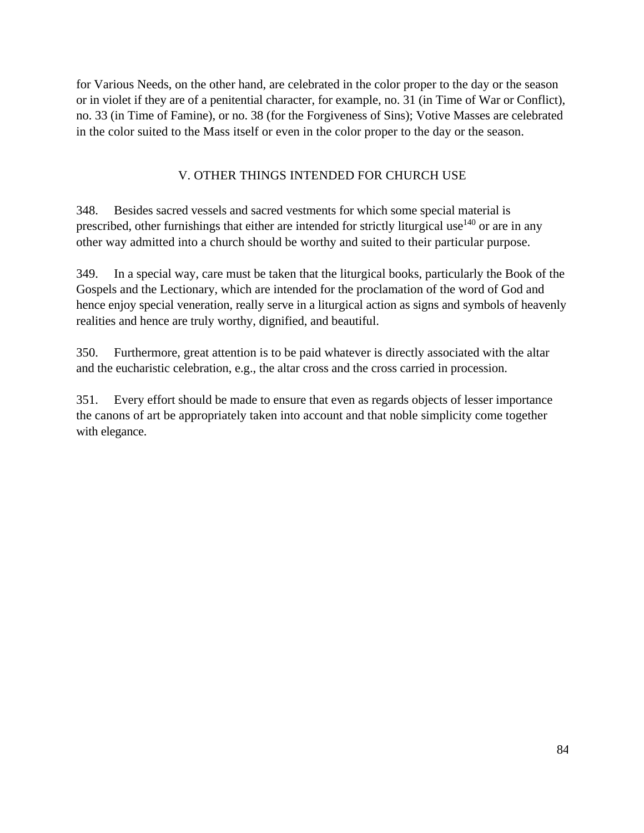for Various Needs, on the other hand, are celebrated in the color proper to the day or the season or in violet if they are of a penitential character, for example, no. 31 (in Time of War or Conflict), no. 33 (in Time of Famine), or no. 38 (for the Forgiveness of Sins); Votive Masses are celebrated in the color suited to the Mass itself or even in the color proper to the day or the season.

#### V. OTHER THINGS INTENDED FOR CHURCH USE

348. Besides sacred vessels and sacred vestments for which some special material is prescribed, other furnishings that either are intended for strictly liturgical use<sup>140</sup> or are in any other way admitted into a church should be worthy and suited to their particular purpose.

349. In a special way, care must be taken that the liturgical books, particularly the Book of the Gospels and the Lectionary, which are intended for the proclamation of the word of God and hence enjoy special veneration, really serve in a liturgical action as signs and symbols of heavenly realities and hence are truly worthy, dignified, and beautiful.

350. Furthermore, great attention is to be paid whatever is directly associated with the altar and the eucharistic celebration, e.g., the altar cross and the cross carried in procession.

351. Every effort should be made to ensure that even as regards objects of lesser importance the canons of art be appropriately taken into account and that noble simplicity come together with elegance.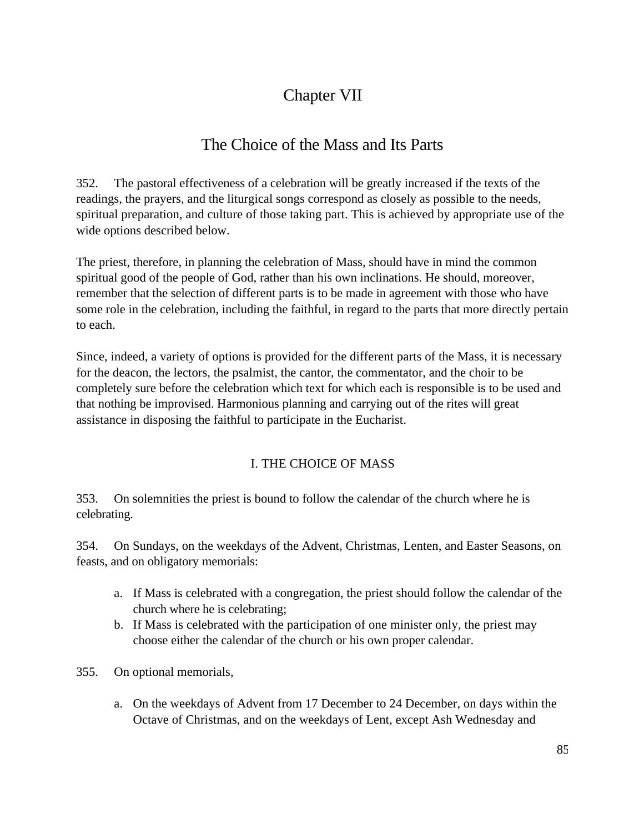# Chapter VII

# The Choice of the Mass and Its Parts

352. The pastoral effectiveness of a celebration will be greatly increased if the texts of the readings, the prayers, and the liturgical songs correspond as closely as possible to the needs, spiritual preparation, and culture of those taking part. This is achieved by appropriate use of the wide options described below.

The priest, therefore, in planning the celebration of Mass, should have in mind the common spiritual good of the people of God, rather than his own inclinations. He should, moreover, remember that the selection of different parts is to be made in agreement with those who have some role in the celebration, including the faithful, in regard to the parts that more directly pertain to each.

Since, indeed, a variety of options is provided for the different parts of the Mass, it is necessary for the deacon, the lectors, the psalmist, the cantor, the commentator, and the choir to be completely sure before the celebration which text for which each is responsible is to be used and that nothing be improvised. Harmonious planning and carrying out of the rites will great assistance in disposing the faithful to participate in the Eucharist.

## I. THE CHOICE OF MASS

353. On solemnities the priest is bound to follow the calendar of the church where he is celebrating.

354. On Sundays, on the weekdays of the Advent, Christmas, Lenten, and Easter Seasons, on feasts, and on obligatory memorials:

- a. If Mass is celebrated with a congregation, the priest should follow the calendar of the church where he is celebrating;
- b. If Mass is celebrated with the participation of one minister only, the priest may choose either the calendar of the church or his own proper calendar.
- 355. On optional memorials,
	- a. On the weekdays of Advent from 17 December to 24 December, on days within the Octave of Christmas, and on the weekdays of Lent, except Ash Wednesday and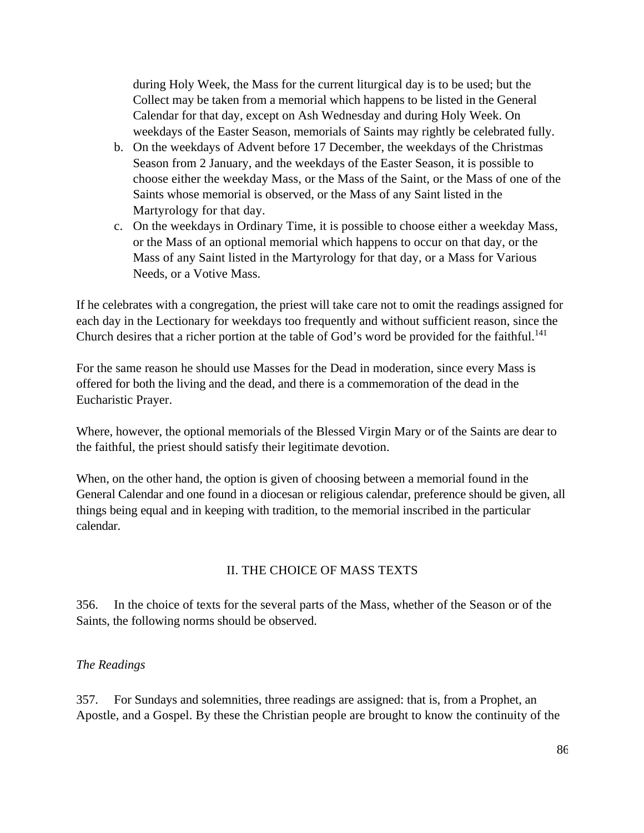during Holy Week, the Mass for the current liturgical day is to be used; but the Collect may be taken from a memorial which happens to be listed in the General Calendar for that day, except on Ash Wednesday and during Holy Week. On weekdays of the Easter Season, memorials of Saints may rightly be celebrated fully.

- b. On the weekdays of Advent before 17 December, the weekdays of the Christmas Season from 2 January, and the weekdays of the Easter Season, it is possible to choose either the weekday Mass, or the Mass of the Saint, or the Mass of one of the Saints whose memorial is observed, or the Mass of any Saint listed in the Martyrology for that day.
- c. On the weekdays in Ordinary Time, it is possible to choose either a weekday Mass, or the Mass of an optional memorial which happens to occur on that day, or the Mass of any Saint listed in the Martyrology for that day, or a Mass for Various Needs, or a Votive Mass.

If he celebrates with a congregation, the priest will take care not to omit the readings assigned for each day in the Lectionary for weekdays too frequently and without sufficient reason, since the Church desires that a richer portion at the table of God's word be provided for the faithful.<sup>141</sup>

For the same reason he should use Masses for the Dead in moderation, since every Mass is offered for both the living and the dead, and there is a commemoration of the dead in the Eucharistic Prayer.

Where, however, the optional memorials of the Blessed Virgin Mary or of the Saints are dear to the faithful, the priest should satisfy their legitimate devotion.

When, on the other hand, the option is given of choosing between a memorial found in the General Calendar and one found in a diocesan or religious calendar, preference should be given, all things being equal and in keeping with tradition, to the memorial inscribed in the particular calendar.

## II. THE CHOICE OF MASS TEXTS

356. In the choice of texts for the several parts of the Mass, whether of the Season or of the Saints, the following norms should be observed.

#### *The Readings*

357. For Sundays and solemnities, three readings are assigned: that is, from a Prophet, an Apostle, and a Gospel. By these the Christian people are brought to know the continuity of the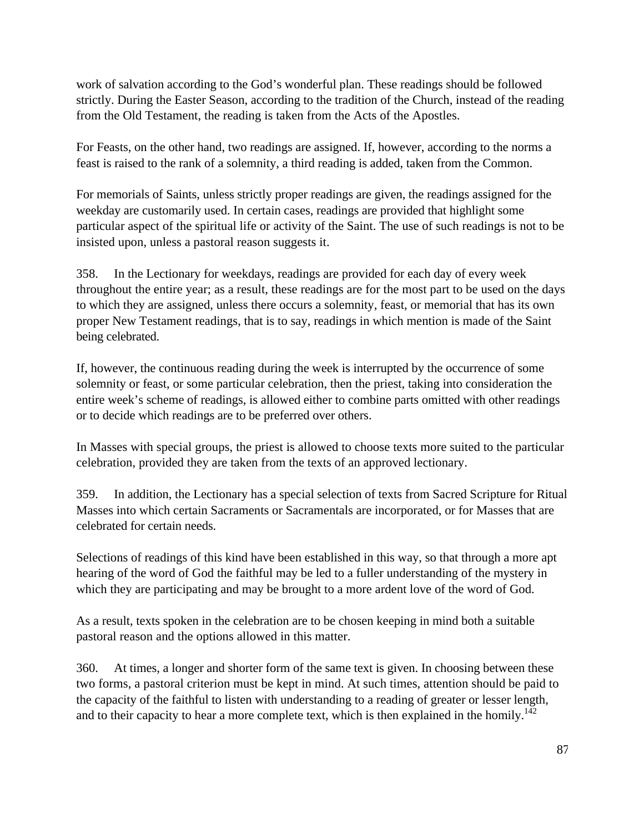work of salvation according to the God's wonderful plan. These readings should be followed strictly. During the Easter Season, according to the tradition of the Church, instead of the reading from the Old Testament, the reading is taken from the Acts of the Apostles.

For Feasts, on the other hand, two readings are assigned. If, however, according to the norms a feast is raised to the rank of a solemnity, a third reading is added, taken from the Common.

For memorials of Saints, unless strictly proper readings are given, the readings assigned for the weekday are customarily used. In certain cases, readings are provided that highlight some particular aspect of the spiritual life or activity of the Saint. The use of such readings is not to be insisted upon, unless a pastoral reason suggests it.

358. In the Lectionary for weekdays, readings are provided for each day of every week throughout the entire year; as a result, these readings are for the most part to be used on the days to which they are assigned, unless there occurs a solemnity, feast, or memorial that has its own proper New Testament readings, that is to say, readings in which mention is made of the Saint being celebrated.

If, however, the continuous reading during the week is interrupted by the occurrence of some solemnity or feast, or some particular celebration, then the priest, taking into consideration the entire week's scheme of readings, is allowed either to combine parts omitted with other readings or to decide which readings are to be preferred over others.

In Masses with special groups, the priest is allowed to choose texts more suited to the particular celebration, provided they are taken from the texts of an approved lectionary.

359. In addition, the Lectionary has a special selection of texts from Sacred Scripture for Ritual Masses into which certain Sacraments or Sacramentals are incorporated, or for Masses that are celebrated for certain needs.

Selections of readings of this kind have been established in this way, so that through a more apt hearing of the word of God the faithful may be led to a fuller understanding of the mystery in which they are participating and may be brought to a more ardent love of the word of God.

As a result, texts spoken in the celebration are to be chosen keeping in mind both a suitable pastoral reason and the options allowed in this matter.

360. At times, a longer and shorter form of the same text is given. In choosing between these two forms, a pastoral criterion must be kept in mind. At such times, attention should be paid to the capacity of the faithful to listen with understanding to a reading of greater or lesser length, and to their capacity to hear a more complete text, which is then explained in the homily.<sup>142</sup>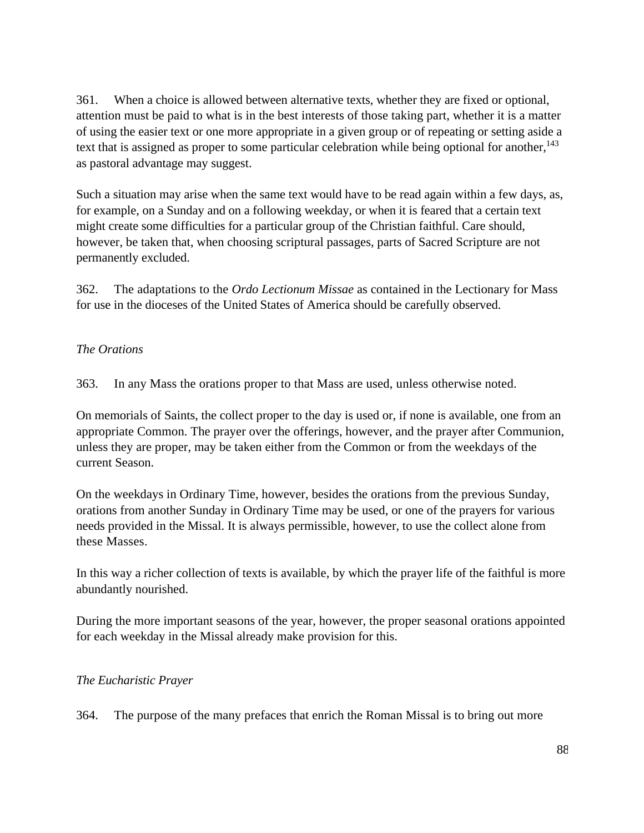361. When a choice is allowed between alternative texts, whether they are fixed or optional, attention must be paid to what is in the best interests of those taking part, whether it is a matter of using the easier text or one more appropriate in a given group or of repeating or setting aside a text that is assigned as proper to some particular celebration while being optional for another,  $^{143}$ as pastoral advantage may suggest.

Such a situation may arise when the same text would have to be read again within a few days, as, for example, on a Sunday and on a following weekday, or when it is feared that a certain text might create some difficulties for a particular group of the Christian faithful. Care should, however, be taken that, when choosing scriptural passages, parts of Sacred Scripture are not permanently excluded.

362. The adaptations to the *Ordo Lectionum Missae* as contained in the Lectionary for Mass for use in the dioceses of the United States of America should be carefully observed.

#### *The Orations*

363. In any Mass the orations proper to that Mass are used, unless otherwise noted.

On memorials of Saints, the collect proper to the day is used or, if none is available, one from an appropriate Common. The prayer over the offerings, however, and the prayer after Communion, unless they are proper, may be taken either from the Common or from the weekdays of the current Season.

On the weekdays in Ordinary Time, however, besides the orations from the previous Sunday, orations from another Sunday in Ordinary Time may be used, or one of the prayers for various needs provided in the Missal. It is always permissible, however, to use the collect alone from these Masses.

In this way a richer collection of texts is available, by which the prayer life of the faithful is more abundantly nourished.

During the more important seasons of the year, however, the proper seasonal orations appointed for each weekday in the Missal already make provision for this.

#### *The Eucharistic Prayer*

364. The purpose of the many prefaces that enrich the Roman Missal is to bring out more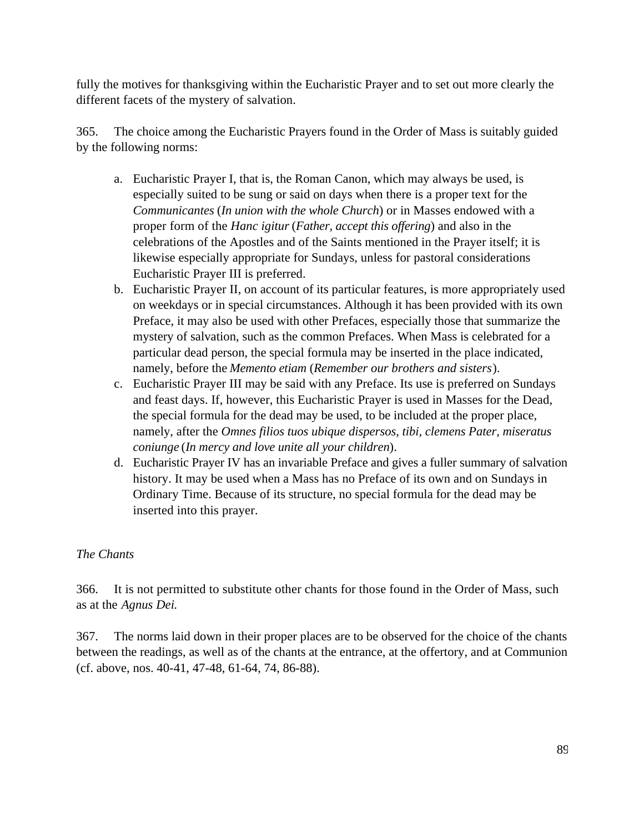fully the motives for thanksgiving within the Eucharistic Prayer and to set out more clearly the different facets of the mystery of salvation.

365. The choice among the Eucharistic Prayers found in the Order of Mass is suitably guided by the following norms:

- a. Eucharistic Prayer I, that is, the Roman Canon, which may always be used, is especially suited to be sung or said on days when there is a proper text for the *Communicantes* (*In union with the whole Church*) or in Masses endowed with a proper form of the *Hanc igitur* (*Father, accept this offering*) and also in the celebrations of the Apostles and of the Saints mentioned in the Prayer itself; it is likewise especially appropriate for Sundays, unless for pastoral considerations Eucharistic Prayer III is preferred.
- b. Eucharistic Prayer II, on account of its particular features, is more appropriately used on weekdays or in special circumstances. Although it has been provided with its own Preface, it may also be used with other Prefaces, especially those that summarize the mystery of salvation, such as the common Prefaces. When Mass is celebrated for a particular dead person, the special formula may be inserted in the place indicated, namely, before the *Memento etiam* (*Remember our brothers and sisters*).
- c. Eucharistic Prayer III may be said with any Preface. Its use is preferred on Sundays and feast days. If, however, this Eucharistic Prayer is used in Masses for the Dead, the special formula for the dead may be used, to be included at the proper place, namely, after the *Omnes filios tuos ubique dispersos, tibi, clemens Pater, miseratus coniunge* (*In mercy and love unite all your children*).
- d. Eucharistic Prayer IV has an invariable Preface and gives a fuller summary of salvation history. It may be used when a Mass has no Preface of its own and on Sundays in Ordinary Time. Because of its structure, no special formula for the dead may be inserted into this prayer.

## *The Chants*

366. It is not permitted to substitute other chants for those found in the Order of Mass, such as at the *Agnus Dei*.

367. The norms laid down in their proper places are to be observed for the choice of the chants between the readings, as well as of the chants at the entrance, at the offertory, and at Communion (cf. above, nos. 40-41, 47-48, 61-64, 74, 86-88).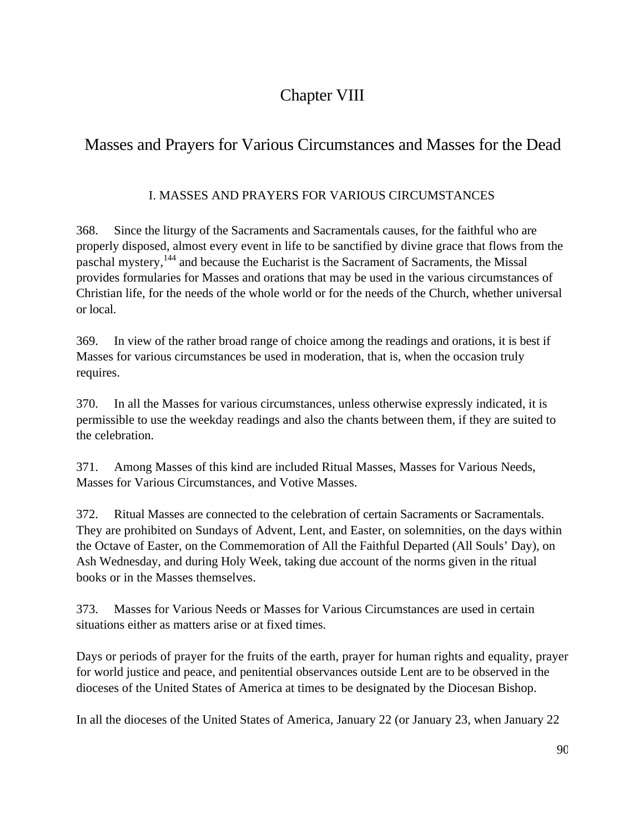# Chapter VIII

# Masses and Prayers for Various Circumstances and Masses for the Dead

## I. MASSES AND PRAYERS FOR VARIOUS CIRCUMSTANCES

368. Since the liturgy of the Sacraments and Sacramentals causes, for the faithful who are properly disposed, almost every event in life to be sanctified by divine grace that flows from the paschal mystery,<sup>144</sup> and because the Eucharist is the Sacrament of Sacraments, the Missal provides formularies for Masses and orations that may be used in the various circumstances of Christian life, for the needs of the whole world or for the needs of the Church, whether universal or local.

369. In view of the rather broad range of choice among the readings and orations, it is best if Masses for various circumstances be used in moderation, that is, when the occasion truly requires.

370. In all the Masses for various circumstances, unless otherwise expressly indicated, it is permissible to use the weekday readings and also the chants between them, if they are suited to the celebration.

371. Among Masses of this kind are included Ritual Masses, Masses for Various Needs, Masses for Various Circumstances, and Votive Masses.

372. Ritual Masses are connected to the celebration of certain Sacraments or Sacramentals. They are prohibited on Sundays of Advent, Lent, and Easter, on solemnities, on the days within the Octave of Easter, on the Commemoration of All the Faithful Departed (All Souls' Day), on Ash Wednesday, and during Holy Week, taking due account of the norms given in the ritual books or in the Masses themselves.

373. Masses for Various Needs or Masses for Various Circumstances are used in certain situations either as matters arise or at fixed times.

Days or periods of prayer for the fruits of the earth, prayer for human rights and equality, prayer for world justice and peace, and penitential observances outside Lent are to be observed in the dioceses of the United States of America at times to be designated by the Diocesan Bishop.

In all the dioceses of the United States of America, January 22 (or January 23, when January 22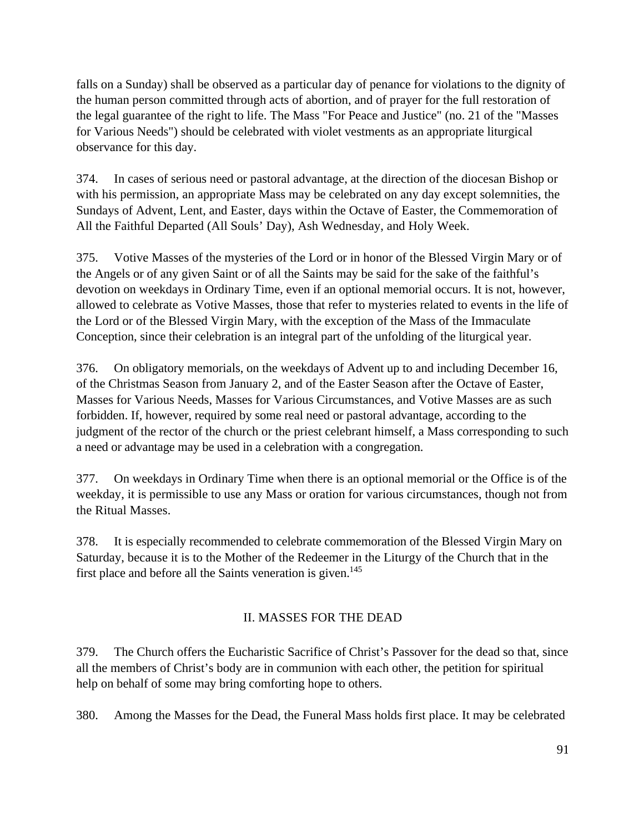falls on a Sunday) shall be observed as a particular day of penance for violations to the dignity of the human person committed through acts of abortion, and of prayer for the full restoration of the legal guarantee of the right to life. The Mass "For Peace and Justice" (no. 21 of the "Masses for Various Needs") should be celebrated with violet vestments as an appropriate liturgical observance for this day.

374. In cases of serious need or pastoral advantage, at the direction of the diocesan Bishop or with his permission, an appropriate Mass may be celebrated on any day except solemnities, the Sundays of Advent, Lent, and Easter, days within the Octave of Easter, the Commemoration of All the Faithful Departed (All Souls' Day), Ash Wednesday, and Holy Week.

375. Votive Masses of the mysteries of the Lord or in honor of the Blessed Virgin Mary or of the Angels or of any given Saint or of all the Saints may be said for the sake of the faithful's devotion on weekdays in Ordinary Time, even if an optional memorial occurs. It is not, however, allowed to celebrate as Votive Masses, those that refer to mysteries related to events in the life of the Lord or of the Blessed Virgin Mary, with the exception of the Mass of the Immaculate Conception, since their celebration is an integral part of the unfolding of the liturgical year.

376. On obligatory memorials, on the weekdays of Advent up to and including December 16, of the Christmas Season from January 2, and of the Easter Season after the Octave of Easter, Masses for Various Needs, Masses for Various Circumstances, and Votive Masses are as such forbidden. If, however, required by some real need or pastoral advantage, according to the judgment of the rector of the church or the priest celebrant himself, a Mass corresponding to such a need or advantage may be used in a celebration with a congregation.

377. On weekdays in Ordinary Time when there is an optional memorial or the Office is of the weekday, it is permissible to use any Mass or oration for various circumstances, though not from the Ritual Masses.

378. It is especially recommended to celebrate commemoration of the Blessed Virgin Mary on Saturday, because it is to the Mother of the Redeemer in the Liturgy of the Church that in the first place and before all the Saints veneration is given.<sup>145</sup>

## II. MASSES FOR THE DEAD

379. The Church offers the Eucharistic Sacrifice of Christ's Passover for the dead so that, since all the members of Christ's body are in communion with each other, the petition for spiritual help on behalf of some may bring comforting hope to others.

380. Among the Masses for the Dead, the Funeral Mass holds first place. It may be celebrated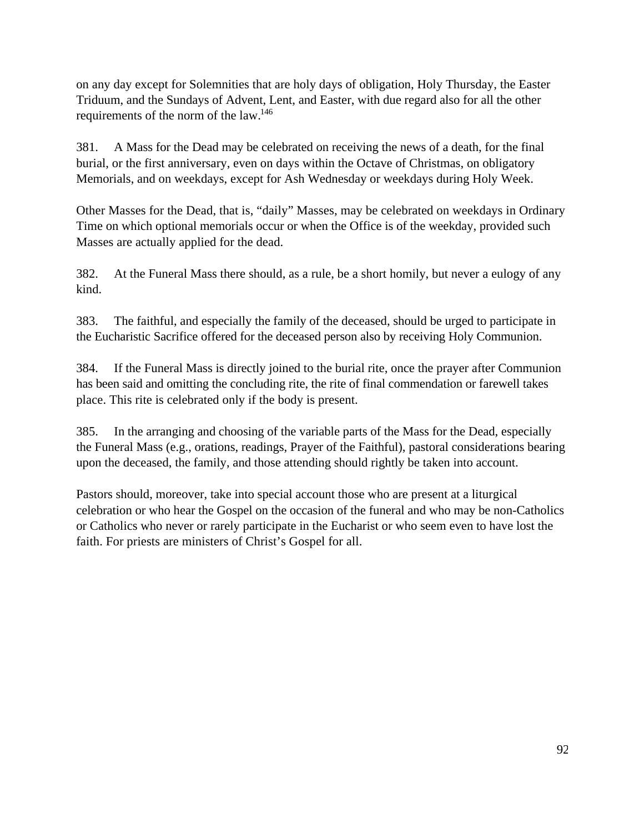on any day except for Solemnities that are holy days of obligation, Holy Thursday, the Easter Triduum, and the Sundays of Advent, Lent, and Easter, with due regard also for all the other requirements of the norm of the law.<sup>146</sup>

381. A Mass for the Dead may be celebrated on receiving the news of a death, for the final burial, or the first anniversary, even on days within the Octave of Christmas, on obligatory Memorials, and on weekdays, except for Ash Wednesday or weekdays during Holy Week.

Other Masses for the Dead, that is, "daily" Masses, may be celebrated on weekdays in Ordinary Time on which optional memorials occur or when the Office is of the weekday, provided such Masses are actually applied for the dead.

382. At the Funeral Mass there should, as a rule, be a short homily, but never a eulogy of any kind.

383. The faithful, and especially the family of the deceased, should be urged to participate in the Eucharistic Sacrifice offered for the deceased person also by receiving Holy Communion.

384. If the Funeral Mass is directly joined to the burial rite, once the prayer after Communion has been said and omitting the concluding rite, the rite of final commendation or farewell takes place. This rite is celebrated only if the body is present.

385. In the arranging and choosing of the variable parts of the Mass for the Dead, especially the Funeral Mass (e.g., orations, readings, Prayer of the Faithful), pastoral considerations bearing upon the deceased, the family, and those attending should rightly be taken into account.

Pastors should, moreover, take into special account those who are present at a liturgical celebration or who hear the Gospel on the occasion of the funeral and who may be non-Catholics or Catholics who never or rarely participate in the Eucharist or who seem even to have lost the faith. For priests are ministers of Christ's Gospel for all.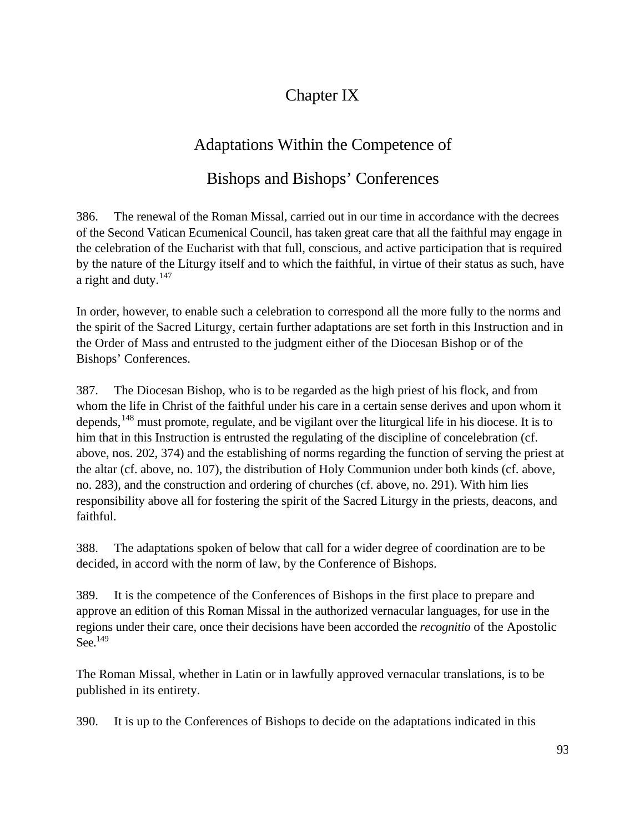# Chapter IX

# Adaptations Within the Competence of

# Bishops and Bishops' Conferences

386. The renewal of the Roman Missal, carried out in our time in accordance with the decrees of the Second Vatican Ecumenical Council, has taken great care that all the faithful may engage in the celebration of the Eucharist with that full, conscious, and active participation that is required by the nature of the Liturgy itself and to which the faithful, in virtue of their status as such, have a right and duty. $147$ 

In order, however, to enable such a celebration to correspond all the more fully to the norms and the spirit of the Sacred Liturgy, certain further adaptations are set forth in this Instruction and in the Order of Mass and entrusted to the judgment either of the Diocesan Bishop or of the Bishops' Conferences.

387. The Diocesan Bishop, who is to be regarded as the high priest of his flock, and from whom the life in Christ of the faithful under his care in a certain sense derives and upon whom it depends,<sup>148</sup> must promote, regulate, and be vigilant over the liturgical life in his diocese. It is to him that in this Instruction is entrusted the regulating of the discipline of concelebration (cf. above, nos. 202, 374) and the establishing of norms regarding the function of serving the priest at the altar (cf. above, no. 107), the distribution of Holy Communion under both kinds (cf. above, no. 283), and the construction and ordering of churches (cf. above, no. 291). With him lies responsibility above all for fostering the spirit of the Sacred Liturgy in the priests, deacons, and faithful.

388. The adaptations spoken of below that call for a wider degree of coordination are to be decided, in accord with the norm of law, by the Conference of Bishops.

389. It is the competence of the Conferences of Bishops in the first place to prepare and approve an edition of this Roman Missal in the authorized vernacular languages, for use in the regions under their care, once their decisions have been accorded the *recognitio* of the Apostolic See.<sup>149</sup>

The Roman Missal, whether in Latin or in lawfully approved vernacular translations, is to be published in its entirety.

390. It is up to the Conferences of Bishops to decide on the adaptations indicated in this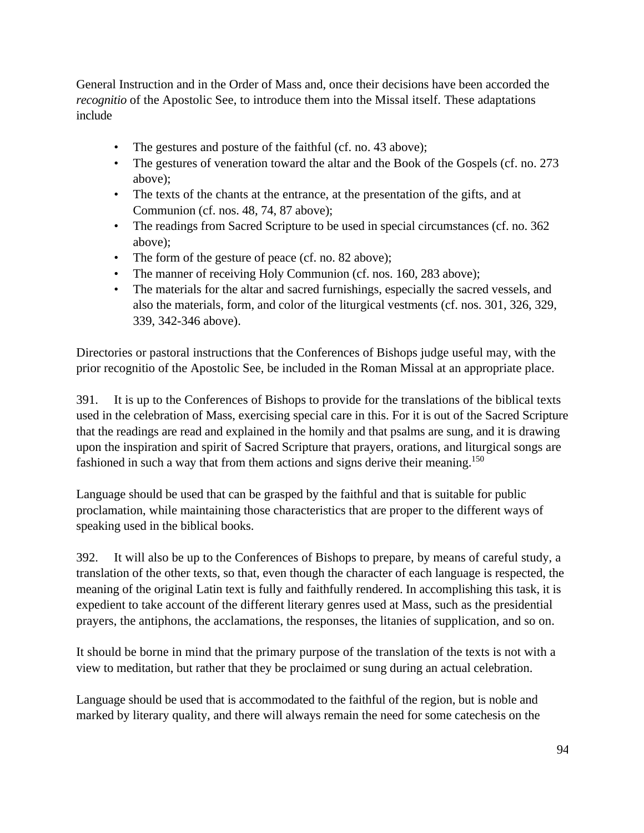General Instruction and in the Order of Mass and, once their decisions have been accorded the *recognitio* of the Apostolic See, to introduce them into the Missal itself. These adaptations include

- The gestures and posture of the faithful (cf. no. 43 above);
- The gestures of veneration toward the altar and the Book of the Gospels (cf. no. 273) above);
- The texts of the chants at the entrance, at the presentation of the gifts, and at Communion (cf. nos. 48, 74, 87 above);
- The readings from Sacred Scripture to be used in special circumstances (cf. no. 362) above);
- The form of the gesture of peace (cf. no. 82 above);
- The manner of receiving Holy Communion (cf. nos. 160, 283 above);
- The materials for the altar and sacred furnishings, especially the sacred vessels, and also the materials, form, and color of the liturgical vestments (cf. nos. 301, 326, 329, 339, 342-346 above).

Directories or pastoral instructions that the Conferences of Bishops judge useful may, with the prior recognitio of the Apostolic See, be included in the Roman Missal at an appropriate place.

391. It is up to the Conferences of Bishops to provide for the translations of the biblical texts used in the celebration of Mass, exercising special care in this. For it is out of the Sacred Scripture that the readings are read and explained in the homily and that psalms are sung, and it is drawing upon the inspiration and spirit of Sacred Scripture that prayers, orations, and liturgical songs are fashioned in such a way that from them actions and signs derive their meaning.<sup>150</sup>

Language should be used that can be grasped by the faithful and that is suitable for public proclamation, while maintaining those characteristics that are proper to the different ways of speaking used in the biblical books.

392. It will also be up to the Conferences of Bishops to prepare, by means of careful study, a translation of the other texts, so that, even though the character of each language is respected, the meaning of the original Latin text is fully and faithfully rendered. In accomplishing this task, it is expedient to take account of the different literary genres used at Mass, such as the presidential prayers, the antiphons, the acclamations, the responses, the litanies of supplication, and so on.

It should be borne in mind that the primary purpose of the translation of the texts is not with a view to meditation, but rather that they be proclaimed or sung during an actual celebration.

Language should be used that is accommodated to the faithful of the region, but is noble and marked by literary quality, and there will always remain the need for some catechesis on the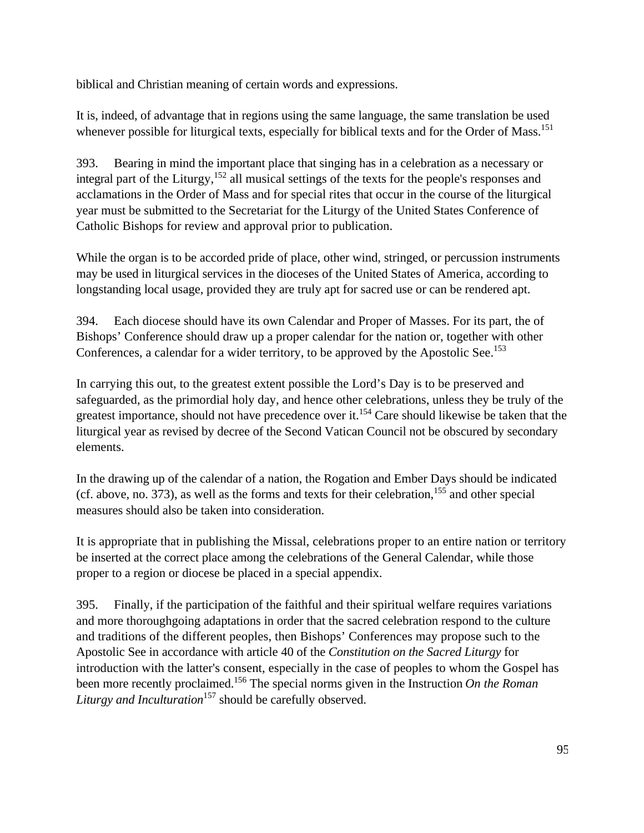biblical and Christian meaning of certain words and expressions.

It is, indeed, of advantage that in regions using the same language, the same translation be used whenever possible for liturgical texts, especially for biblical texts and for the Order of Mass.<sup>151</sup>

393. Bearing in mind the important place that singing has in a celebration as a necessary or integral part of the Liturgy,<sup>152</sup> all musical settings of the texts for the people's responses and acclamations in the Order of Mass and for special rites that occur in the course of the liturgical year must be submitted to the Secretariat for the Liturgy of the United States Conference of Catholic Bishops for review and approval prior to publication.

While the organ is to be accorded pride of place, other wind, stringed, or percussion instruments may be used in liturgical services in the dioceses of the United States of America, according to longstanding local usage, provided they are truly apt for sacred use or can be rendered apt.

394. Each diocese should have its own Calendar and Proper of Masses. For its part, the of Bishops' Conference should draw up a proper calendar for the nation or, together with other Conferences, a calendar for a wider territory, to be approved by the Apostolic See.<sup>153</sup>

In carrying this out, to the greatest extent possible the Lord's Day is to be preserved and safeguarded, as the primordial holy day, and hence other celebrations, unless they be truly of the greatest importance, should not have precedence over it.<sup>154</sup> Care should likewise be taken that the liturgical year as revised by decree of the Second Vatican Council not be obscured by secondary elements.

In the drawing up of the calendar of a nation, the Rogation and Ember Days should be indicated (cf. above, no. 373), as well as the forms and texts for their celebration.<sup>155</sup> and other special measures should also be taken into consideration.

It is appropriate that in publishing the Missal, celebrations proper to an entire nation or territory be inserted at the correct place among the celebrations of the General Calendar, while those proper to a region or diocese be placed in a special appendix.

395. Finally, if the participation of the faithful and their spiritual welfare requires variations and more thoroughgoing adaptations in order that the sacred celebration respond to the culture and traditions of the different peoples, then Bishops' Conferences may propose such to the Apostolic See in accordance with article 40 of the *Constitution on the Sacred Liturgy* for introduction with the latter's consent, especially in the case of peoples to whom the Gospel has been more recently proclaimed.<sup>156</sup> The special norms given in the Instruction *On the Roman Liturgy and Inculturation*<sup>157</sup> should be carefully observed.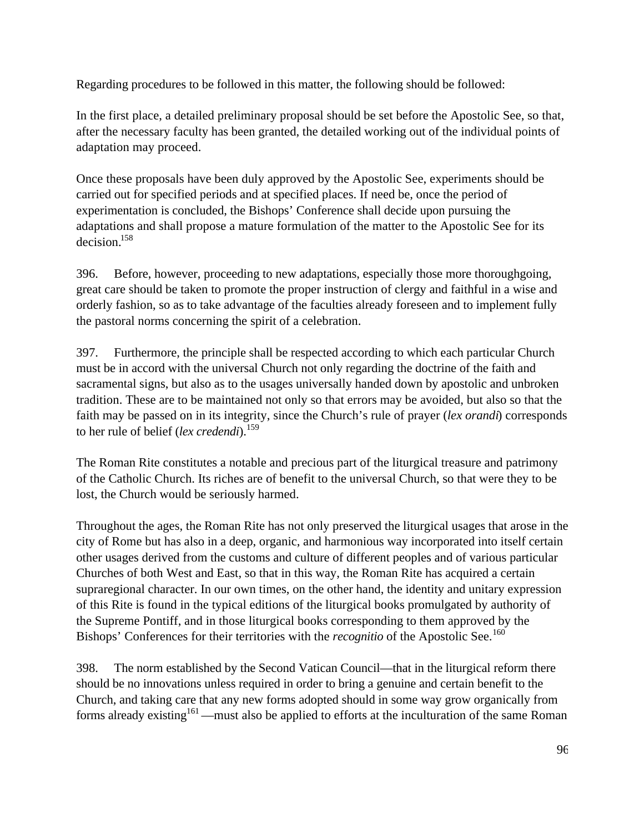Regarding procedures to be followed in this matter, the following should be followed:

In the first place, a detailed preliminary proposal should be set before the Apostolic See, so that, after the necessary faculty has been granted, the detailed working out of the individual points of adaptation may proceed.

Once these proposals have been duly approved by the Apostolic See, experiments should be carried out for specified periods and at specified places. If need be, once the period of experimentation is concluded, the Bishops' Conference shall decide upon pursuing the adaptations and shall propose a mature formulation of the matter to the Apostolic See for its decision.<sup>158</sup>

396. Before, however, proceeding to new adaptations, especially those more thoroughgoing, great care should be taken to promote the proper instruction of clergy and faithful in a wise and orderly fashion, so as to take advantage of the faculties already foreseen and to implement fully the pastoral norms concerning the spirit of a celebration.

397. Furthermore, the principle shall be respected according to which each particular Church must be in accord with the universal Church not only regarding the doctrine of the faith and sacramental signs, but also as to the usages universally handed down by apostolic and unbroken tradition. These are to be maintained not only so that errors may be avoided, but also so that the faith may be passed on in its integrity, since the Church's rule of prayer (*lex orandi*) corresponds to her rule of belief (*lex credendi*).<sup>159</sup>

The Roman Rite constitutes a notable and precious part of the liturgical treasure and patrimony of the Catholic Church. Its riches are of benefit to the universal Church, so that were they to be lost, the Church would be seriously harmed.

Throughout the ages, the Roman Rite has not only preserved the liturgical usages that arose in the city of Rome but has also in a deep, organic, and harmonious way incorporated into itself certain other usages derived from the customs and culture of different peoples and of various particular Churches of both West and East, so that in this way, the Roman Rite has acquired a certain supraregional character. In our own times, on the other hand, the identity and unitary expression of this Rite is found in the typical editions of the liturgical books promulgated by authority of the Supreme Pontiff, and in those liturgical books corresponding to them approved by the Bishops' Conferences for their territories with the *recognitio* of the Apostolic See.<sup>160</sup>

398. The norm established by the Second Vatican Council—that in the liturgical reform there should be no innovations unless required in order to bring a genuine and certain benefit to the Church, and taking care that any new forms adopted should in some way grow organically from forms already existing<sup>161</sup>—must also be applied to efforts at the inculturation of the same Roman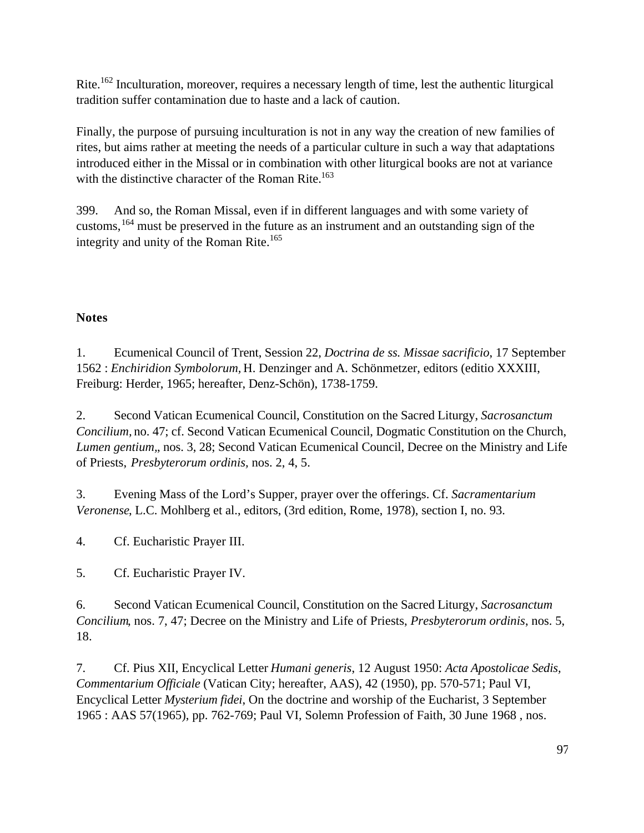Rite.<sup>162</sup> Inculturation, moreover, requires a necessary length of time, lest the authentic liturgical tradition suffer contamination due to haste and a lack of caution.

Finally, the purpose of pursuing inculturation is not in any way the creation of new families of rites, but aims rather at meeting the needs of a particular culture in such a way that adaptations introduced either in the Missal or in combination with other liturgical books are not at variance with the distinctive character of the Roman Rite.<sup>163</sup>

399. And so, the Roman Missal, even if in different languages and with some variety of customs,<sup>164</sup> must be preserved in the future as an instrument and an outstanding sign of the integrity and unity of the Roman Rite.<sup>165</sup>

## **Notes**

1. Ecumenical Council of Trent, Session 22, *Doctrina de ss. Missae sacrificio*, 17 September 1562 : *Enchiridion Symbolorum,* H. Denzinger and A. Schönmetzer, editors (editio XXXIII, Freiburg: Herder, 1965; hereafter, Denz-Schön), 1738-1759.

2. Second Vatican Ecumenical Council, Constitution on the Sacred Liturgy, *Sacrosanctum Concilium,* no. 47; cf. Second Vatican Ecumenical Council, Dogmatic Constitution on the Church, *Lumen gentium,*, nos. 3, 28; Second Vatican Ecumenical Council, Decree on the Ministry and Life of Priests, *Presbyterorum ordinis,* nos. 2, 4, 5.

3. Evening Mass of the Lord's Supper, prayer over the offerings. Cf. *Sacramentarium Veronense*, L.C. Mohlberg et al., editors, (3rd edition, Rome, 1978), section I, no. 93.

4. Cf. Eucharistic Prayer III.

5. Cf. Eucharistic Prayer IV.

6. Second Vatican Ecumenical Council, Constitution on the Sacred Liturgy, *Sacrosanctum Concilium*, nos. 7, 47; Decree on the Ministry and Life of Priests, *Presbyterorum ordinis*, nos. 5, 18.

7. Cf. Pius XII, Encyclical Letter *Humani generis*, 12 August 1950: *Acta Apostolicae Sedis, Commentarium Officiale* (Vatican City; hereafter, AAS), 42 (1950), pp. 570-571; Paul VI, Encyclical Letter *Mysterium fidei*, On the doctrine and worship of the Eucharist, 3 September 1965 : AAS 57(1965), pp. 762-769; Paul VI, Solemn Profession of Faith, 30 June 1968 , nos.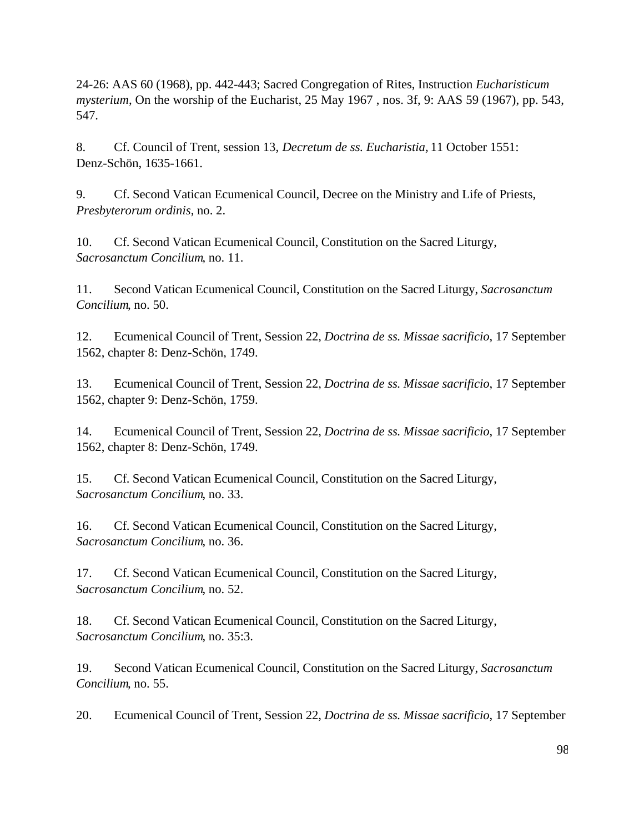24-26: AAS 60 (1968), pp. 442-443; Sacred Congregation of Rites, Instruction *Eucharisticum mysterium*, On the worship of the Eucharist, 25 May 1967 , nos. 3f, 9: AAS 59 (1967), pp. 543, 547.

8. Cf. Council of Trent, session 13, *Decretum de ss. Eucharistia,* 11 October 1551: Denz-Schön, 1635-1661.

9. Cf. Second Vatican Ecumenical Council, Decree on the Ministry and Life of Priests, *Presbyterorum ordinis*, no. 2.

10. Cf. Second Vatican Ecumenical Council, Constitution on the Sacred Liturgy, *Sacrosanctum Concilium*, no. 11.

11. Second Vatican Ecumenical Council, Constitution on the Sacred Liturgy, *Sacrosanctum Concilium*, no. 50.

12. Ecumenical Council of Trent, Session 22, *Doctrina de ss. Missae sacrificio*, 17 September 1562, chapter 8: Denz-Schön, 1749.

13. Ecumenical Council of Trent, Session 22, *Doctrina de ss. Missae sacrificio*, 17 September 1562, chapter 9: Denz-Schön, 1759.

14. Ecumenical Council of Trent, Session 22, *Doctrina de ss. Missae sacrificio*, 17 September 1562, chapter 8: Denz-Schön, 1749.

15. Cf. Second Vatican Ecumenical Council, Constitution on the Sacred Liturgy, *Sacrosanctum Concilium*, no. 33.

16. Cf. Second Vatican Ecumenical Council, Constitution on the Sacred Liturgy, *Sacrosanctum Concilium*, no. 36.

17. Cf. Second Vatican Ecumenical Council, Constitution on the Sacred Liturgy, *Sacrosanctum Concilium*, no. 52.

18. Cf. Second Vatican Ecumenical Council, Constitution on the Sacred Liturgy, *Sacrosanctum Concilium*, no. 35:3.

19. Second Vatican Ecumenical Council, Constitution on the Sacred Liturgy, *Sacrosanctum Concilium*, no. 55.

20. Ecumenical Council of Trent, Session 22, *Doctrina de ss. Missae sacrificio*, 17 September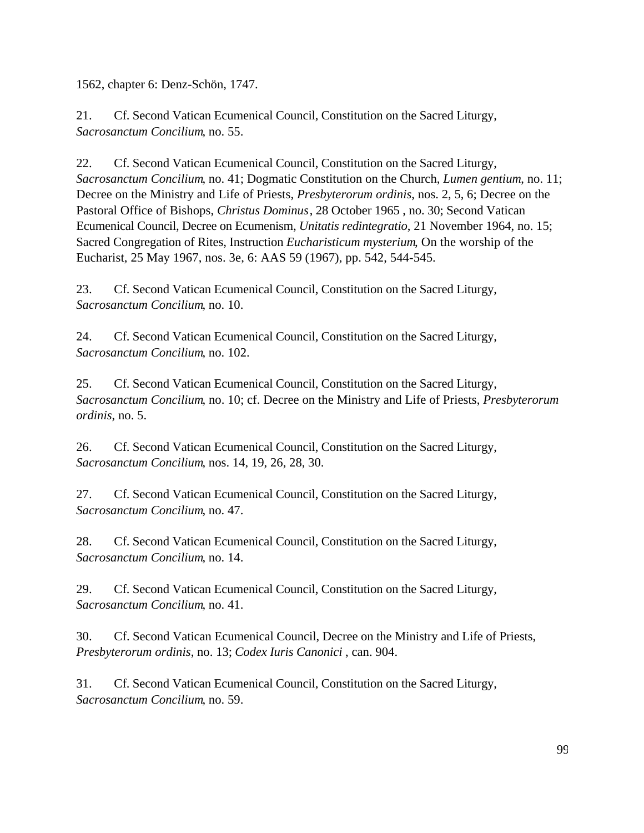1562, chapter 6: Denz-Schön, 1747.

21. Cf. Second Vatican Ecumenical Council, Constitution on the Sacred Liturgy, *Sacrosanctum Concilium*, no. 55.

22. Cf. Second Vatican Ecumenical Council, Constitution on the Sacred Liturgy, *Sacrosanctum Concilium*, no. 41; Dogmatic Constitution on the Church, *Lumen gentium*, no. 11; Decree on the Ministry and Life of Priests, *Presbyterorum ordinis*, nos. 2, 5, 6; Decree on the Pastoral Office of Bishops, *Christus Dominus*, 28 October 1965 , no. 30; Second Vatican Ecumenical Council, Decree on Ecumenism, *Unitatis redintegratio*, 21 November 1964, no. 15; Sacred Congregation of Rites, Instruction *Eucharisticum mysterium*, On the worship of the Eucharist, 25 May 1967, nos. 3e, 6: AAS 59 (1967), pp. 542, 544-545.

23. Cf. Second Vatican Ecumenical Council, Constitution on the Sacred Liturgy, *Sacrosanctum Concilium*, no. 10.

24. Cf. Second Vatican Ecumenical Council, Constitution on the Sacred Liturgy, *Sacrosanctum Concilium*, no. 102.

25. Cf. Second Vatican Ecumenical Council, Constitution on the Sacred Liturgy, *Sacrosanctum Concilium*, no. 10; cf. Decree on the Ministry and Life of Priests, *Presbyterorum ordinis*, no. 5.

26. Cf. Second Vatican Ecumenical Council, Constitution on the Sacred Liturgy, *Sacrosanctum Concilium*, nos. 14, 19, 26, 28, 30.

27. Cf. Second Vatican Ecumenical Council, Constitution on the Sacred Liturgy, *Sacrosanctum Concilium*, no. 47.

28. Cf. Second Vatican Ecumenical Council, Constitution on the Sacred Liturgy, *Sacrosanctum Concilium*, no. 14.

29. Cf. Second Vatican Ecumenical Council, Constitution on the Sacred Liturgy, *Sacrosanctum Concilium*, no. 41.

30. Cf. Second Vatican Ecumenical Council, Decree on the Ministry and Life of Priests, *Presbyterorum ordinis*, no. 13; *Codex Iuris Canonici* , can. 904.

31. Cf. Second Vatican Ecumenical Council, Constitution on the Sacred Liturgy, *Sacrosanctum Concilium*, no. 59.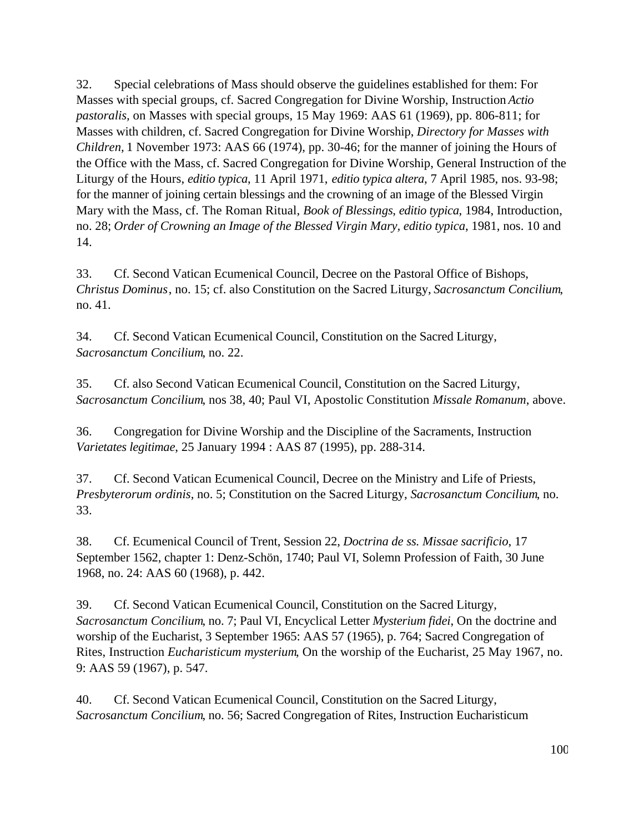32. Special celebrations of Mass should observe the guidelines established for them: For Masses with special groups, cf. Sacred Congregation for Divine Worship, Instruction *Actio pastoralis,* on Masses with special groups, 15 May 1969: AAS 61 (1969), pp. 806-811; for Masses with children, cf. Sacred Congregation for Divine Worship, *Directory for Masses with Children,* 1 November 1973: AAS 66 (1974), pp. 30-46; for the manner of joining the Hours of the Office with the Mass, cf. Sacred Congregation for Divine Worship, General Instruction of the Liturgy of the Hours, *editio typica*, 11 April 1971, *editio typica altera*, 7 April 1985, nos. 93-98; for the manner of joining certain blessings and the crowning of an image of the Blessed Virgin Mary with the Mass, cf. The Roman Ritual, *Book of Blessings*, *editio typica*, 1984, Introduction, no. 28; *Order of Crowning an Image of the Blessed Virgin Mary, editio typica*, 1981, nos. 10 and 14.

33. Cf. Second Vatican Ecumenical Council, Decree on the Pastoral Office of Bishops, *Christus Dominus*, no. 15; cf. also Constitution on the Sacred Liturgy, *Sacrosanctum Concilium*, no. 41.

34. Cf. Second Vatican Ecumenical Council, Constitution on the Sacred Liturgy, *Sacrosanctum Concilium*, no. 22.

35. Cf. also Second Vatican Ecumenical Council, Constitution on the Sacred Liturgy, *Sacrosanctum Concilium*, nos 38, 40; Paul VI, Apostolic Constitution *Missale Romanum*, above.

36. Congregation for Divine Worship and the Discipline of the Sacraments, Instruction *Varietates legitimae*, 25 January 1994 : AAS 87 (1995), pp. 288-314.

37. Cf. Second Vatican Ecumenical Council, Decree on the Ministry and Life of Priests, *Presbyterorum ordinis*, no. 5; Constitution on the Sacred Liturgy, *Sacrosanctum Concilium*, no. 33.

38. Cf. Ecumenical Council of Trent, Session 22, *Doctrina de ss. Missae sacrificio*, 17 September 1562, chapter 1: Denz-Schön, 1740; Paul VI, Solemn Profession of Faith, 30 June 1968, no. 24: AAS 60 (1968), p. 442.

39. Cf. Second Vatican Ecumenical Council, Constitution on the Sacred Liturgy, *Sacrosanctum Concilium*, no. 7; Paul VI, Encyclical Letter *Mysterium fidei*, On the doctrine and worship of the Eucharist, 3 September 1965: AAS 57 (1965), p. 764; Sacred Congregation of Rites, Instruction *Eucharisticum mysterium*, On the worship of the Eucharist, 25 May 1967, no. 9: AAS 59 (1967), p. 547.

40. Cf. Second Vatican Ecumenical Council, Constitution on the Sacred Liturgy, *Sacrosanctum Concilium*, no. 56; Sacred Congregation of Rites, Instruction Eucharisticum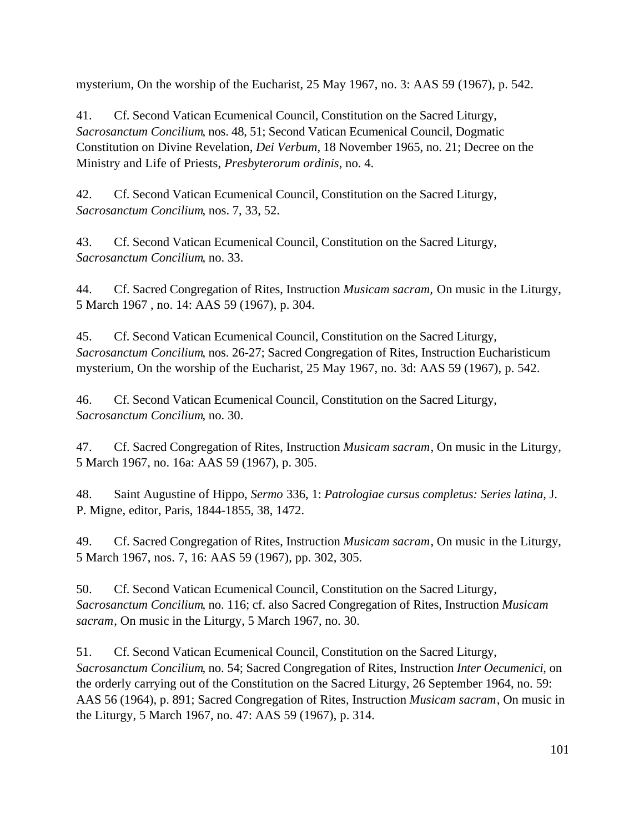mysterium, On the worship of the Eucharist, 25 May 1967, no. 3: AAS 59 (1967), p. 542.

41. Cf. Second Vatican Ecumenical Council, Constitution on the Sacred Liturgy, *Sacrosanctum Concilium*, nos. 48, 51; Second Vatican Ecumenical Council, Dogmatic Constitution on Divine Revelation, *Dei Verbum,* 18 November 1965, no. 21; Decree on the Ministry and Life of Priests, *Presbyterorum ordinis*, no. 4.

42. Cf. Second Vatican Ecumenical Council, Constitution on the Sacred Liturgy, *Sacrosanctum Concilium*, nos. 7, 33, 52.

43. Cf. Second Vatican Ecumenical Council, Constitution on the Sacred Liturgy, *Sacrosanctum Concilium*, no. 33.

44. Cf. Sacred Congregation of Rites, Instruction *Musicam sacram,* On music in the Liturgy, 5 March 1967 , no. 14: AAS 59 (1967), p. 304.

45. Cf. Second Vatican Ecumenical Council, Constitution on the Sacred Liturgy, *Sacrosanctum Concilium*, nos. 26-27; Sacred Congregation of Rites, Instruction Eucharisticum mysterium, On the worship of the Eucharist, 25 May 1967, no. 3d: AAS 59 (1967), p. 542.

46. Cf. Second Vatican Ecumenical Council, Constitution on the Sacred Liturgy, *Sacrosanctum Concilium*, no. 30.

47. Cf. Sacred Congregation of Rites, Instruction *Musicam sacram*, On music in the Liturgy, 5 March 1967, no. 16a: AAS 59 (1967), p. 305.

48. Saint Augustine of Hippo, *Sermo* 336, 1: *Patrologiae cursus completus: Series latina,* J. P. Migne, editor, Paris, 1844-1855, 38, 1472.

49. Cf. Sacred Congregation of Rites, Instruction *Musicam sacram*, On music in the Liturgy, 5 March 1967, nos. 7, 16: AAS 59 (1967), pp. 302, 305.

50. Cf. Second Vatican Ecumenical Council, Constitution on the Sacred Liturgy, *Sacrosanctum Concilium*, no. 116; cf. also Sacred Congregation of Rites, Instruction *Musicam sacram*, On music in the Liturgy, 5 March 1967, no. 30.

51. Cf. Second Vatican Ecumenical Council, Constitution on the Sacred Liturgy, *Sacrosanctum Concilium*, no. 54; Sacred Congregation of Rites, Instruction *Inter Oecumenici,* on the orderly carrying out of the Constitution on the Sacred Liturgy, 26 September 1964, no. 59: AAS 56 (1964), p. 891; Sacred Congregation of Rites, Instruction *Musicam sacram*, On music in the Liturgy, 5 March 1967, no. 47: AAS 59 (1967), p. 314.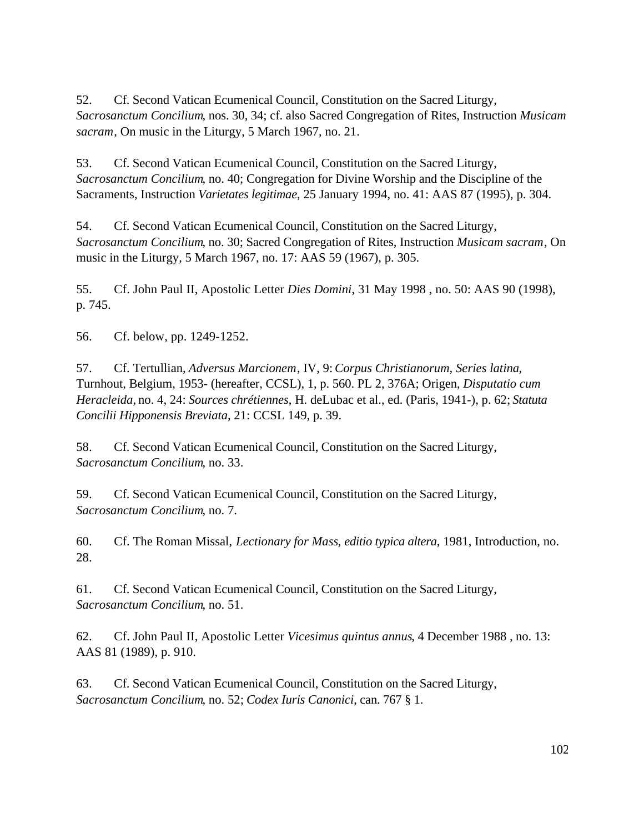52. Cf. Second Vatican Ecumenical Council, Constitution on the Sacred Liturgy, *Sacrosanctum Concilium*, nos. 30, 34; cf. also Sacred Congregation of Rites, Instruction *Musicam sacram*, On music in the Liturgy, 5 March 1967, no. 21.

53. Cf. Second Vatican Ecumenical Council, Constitution on the Sacred Liturgy, *Sacrosanctum Concilium*, no. 40; Congregation for Divine Worship and the Discipline of the Sacraments, Instruction *Varietates legitimae*, 25 January 1994, no. 41: AAS 87 (1995), p. 304.

54. Cf. Second Vatican Ecumenical Council, Constitution on the Sacred Liturgy, *Sacrosanctum Concilium*, no. 30; Sacred Congregation of Rites, Instruction *Musicam sacram*, On music in the Liturgy, 5 March 1967, no. 17: AAS 59 (1967), p. 305.

55. Cf. John Paul II, Apostolic Letter *Dies Domini*, 31 May 1998 , no. 50: AAS 90 (1998), p. 745.

56. Cf. below, pp. 1249-1252.

57. Cf. Tertullian, *Adversus Marcionem*, IV, 9: *Corpus Christianorum, Series latina*, Turnhout, Belgium, 1953- (hereafter, CCSL), 1, p. 560. PL 2, 376A; Origen, *Disputatio cum Heracleida,* no. 4, 24: *Sources chrétiennes*, H. deLubac et al., ed. (Paris, 1941-), p. 62; *Statuta Concilii Hipponensis Breviata*, 21: CCSL 149, p. 39.

58. Cf. Second Vatican Ecumenical Council, Constitution on the Sacred Liturgy, *Sacrosanctum Concilium*, no. 33.

59. Cf. Second Vatican Ecumenical Council, Constitution on the Sacred Liturgy, *Sacrosanctum Concilium*, no. 7.

60. Cf. The Roman Missal, *Lectionary for Mass*, *editio typica altera*, 1981, Introduction, no. 28.

61. Cf. Second Vatican Ecumenical Council, Constitution on the Sacred Liturgy, *Sacrosanctum Concilium*, no. 51.

62. Cf. John Paul II, Apostolic Letter *Vicesimus quintus annus*, 4 December 1988 , no. 13: AAS 81 (1989), p. 910.

63. Cf. Second Vatican Ecumenical Council, Constitution on the Sacred Liturgy, *Sacrosanctum Concilium*, no. 52; *Codex Iuris Canonici*, can. 767 § 1.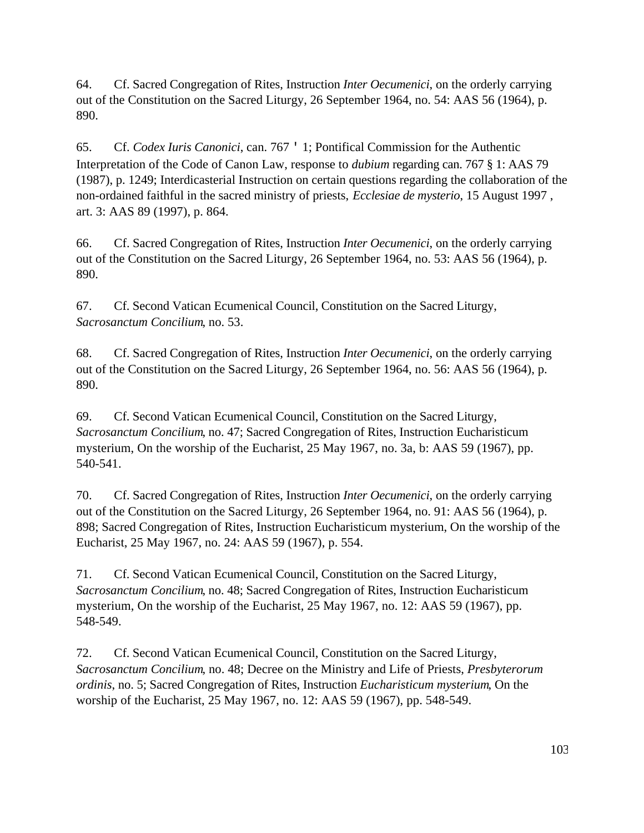64. Cf. Sacred Congregation of Rites, Instruction *Inter Oecumenici*, on the orderly carrying out of the Constitution on the Sacred Liturgy, 26 September 1964, no. 54: AAS 56 (1964), p. 890.

65. Cf. *Codex Iuris Canonici*, can. 767 ' 1; Pontifical Commission for the Authentic Interpretation of the Code of Canon Law, response to *dubium* regarding can. 767 § 1: AAS 79 (1987), p. 1249; Interdicasterial Instruction on certain questions regarding the collaboration of the non-ordained faithful in the sacred ministry of priests, *Ecclesiae de mysterio*, 15 August 1997 , art. 3: AAS 89 (1997), p. 864.

66. Cf. Sacred Congregation of Rites, Instruction *Inter Oecumenici*, on the orderly carrying out of the Constitution on the Sacred Liturgy, 26 September 1964, no. 53: AAS 56 (1964), p. 890.

67. Cf. Second Vatican Ecumenical Council, Constitution on the Sacred Liturgy, *Sacrosanctum Concilium*, no. 53.

68. Cf. Sacred Congregation of Rites, Instruction *Inter Oecumenici*, on the orderly carrying out of the Constitution on the Sacred Liturgy, 26 September 1964, no. 56: AAS 56 (1964), p. 890.

69. Cf. Second Vatican Ecumenical Council, Constitution on the Sacred Liturgy, *Sacrosanctum Concilium*, no. 47; Sacred Congregation of Rites, Instruction Eucharisticum mysterium, On the worship of the Eucharist, 25 May 1967, no. 3a, b: AAS 59 (1967), pp. 540-541.

70. Cf. Sacred Congregation of Rites, Instruction *Inter Oecumenici*, on the orderly carrying out of the Constitution on the Sacred Liturgy, 26 September 1964, no. 91: AAS 56 (1964), p. 898; Sacred Congregation of Rites, Instruction Eucharisticum mysterium, On the worship of the Eucharist, 25 May 1967, no. 24: AAS 59 (1967), p. 554.

71. Cf. Second Vatican Ecumenical Council, Constitution on the Sacred Liturgy, *Sacrosanctum Concilium*, no. 48; Sacred Congregation of Rites, Instruction Eucharisticum mysterium, On the worship of the Eucharist, 25 May 1967, no. 12: AAS 59 (1967), pp. 548-549.

72. Cf. Second Vatican Ecumenical Council, Constitution on the Sacred Liturgy, *Sacrosanctum Concilium*, no. 48; Decree on the Ministry and Life of Priests, *Presbyterorum ordinis*, no. 5; Sacred Congregation of Rites, Instruction *Eucharisticum mysterium*, On the worship of the Eucharist, 25 May 1967, no. 12: AAS 59 (1967), pp. 548-549.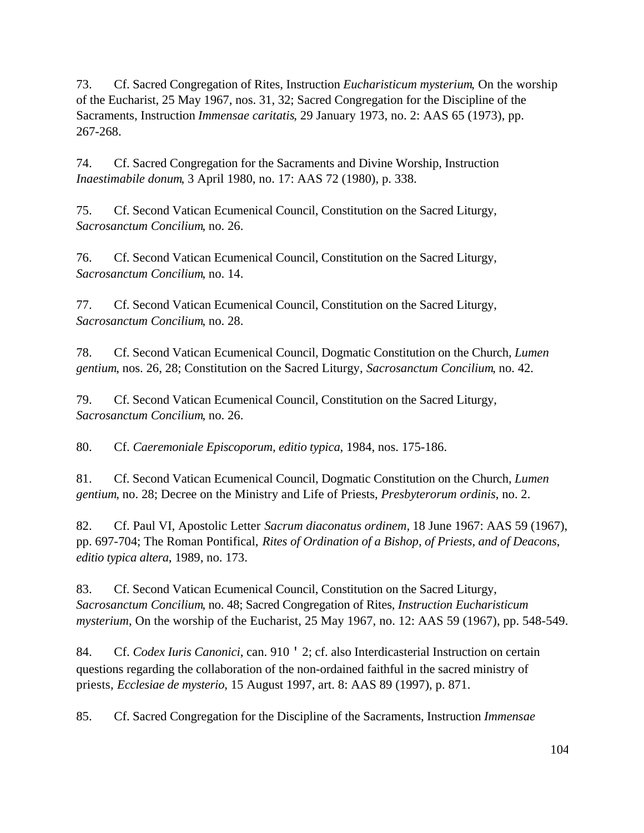73. Cf. Sacred Congregation of Rites, Instruction *Eucharisticum mysterium*, On the worship of the Eucharist, 25 May 1967, nos. 31, 32; Sacred Congregation for the Discipline of the Sacraments, Instruction *Immensae caritatis*, 29 January 1973, no. 2: AAS 65 (1973), pp. 267-268.

74. Cf. Sacred Congregation for the Sacraments and Divine Worship, Instruction *Inaestimabile donum*, 3 April 1980, no. 17: AAS 72 (1980), p. 338.

75. Cf. Second Vatican Ecumenical Council, Constitution on the Sacred Liturgy, *Sacrosanctum Concilium*, no. 26.

76. Cf. Second Vatican Ecumenical Council, Constitution on the Sacred Liturgy, *Sacrosanctum Concilium*, no. 14.

77. Cf. Second Vatican Ecumenical Council, Constitution on the Sacred Liturgy, *Sacrosanctum Concilium*, no. 28.

78. Cf. Second Vatican Ecumenical Council, Dogmatic Constitution on the Church, *Lumen gentium*, nos. 26, 28; Constitution on the Sacred Liturgy, *Sacrosanctum Concilium*, no. 42.

79. Cf. Second Vatican Ecumenical Council, Constitution on the Sacred Liturgy, *Sacrosanctum Concilium*, no. 26.

80. Cf. *Caeremoniale Episcoporum, editio typica*, 1984, nos. 175-186.

81. Cf. Second Vatican Ecumenical Council, Dogmatic Constitution on the Church, *Lumen gentium*, no. 28; Decree on the Ministry and Life of Priests, *Presbyterorum ordinis*, no. 2.

82. Cf. Paul VI, Apostolic Letter *Sacrum diaconatus ordinem,* 18 June 1967: AAS 59 (1967), pp. 697-704; The Roman Pontifical, *Rites of Ordination of a Bishop, of Priests, and of Deacons*, *editio typica altera*, 1989, no. 173.

83. Cf. Second Vatican Ecumenical Council, Constitution on the Sacred Liturgy, *Sacrosanctum Concilium*, no. 48; Sacred Congregation of Rites, *Instruction Eucharisticum mysterium*, On the worship of the Eucharist, 25 May 1967, no. 12: AAS 59 (1967), pp. 548-549.

84. Cf. *Codex Iuris Canonici*, can. 910 ' 2; cf. also Interdicasterial Instruction on certain questions regarding the collaboration of the non-ordained faithful in the sacred ministry of priests, *Ecclesiae de mysterio*, 15 August 1997, art. 8: AAS 89 (1997), p. 871.

85. Cf. Sacred Congregation for the Discipline of the Sacraments, Instruction *Immensae*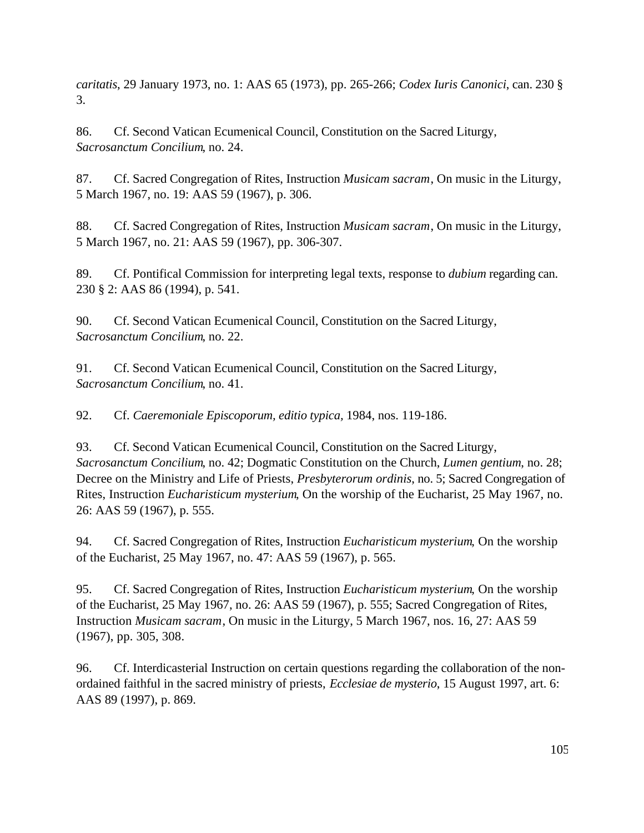*caritatis*, 29 January 1973, no. 1: AAS 65 (1973), pp. 265-266; *Codex Iuris Canonici*, can. 230 § 3.

86. Cf. Second Vatican Ecumenical Council, Constitution on the Sacred Liturgy, *Sacrosanctum Concilium*, no. 24.

87. Cf. Sacred Congregation of Rites, Instruction *Musicam sacram*, On music in the Liturgy, 5 March 1967, no. 19: AAS 59 (1967), p. 306.

88. Cf. Sacred Congregation of Rites, Instruction *Musicam sacram*, On music in the Liturgy, 5 March 1967, no. 21: AAS 59 (1967), pp. 306-307.

89. Cf. Pontifical Commission for interpreting legal texts, response to *dubium* regarding can. 230 § 2: AAS 86 (1994), p. 541.

90. Cf. Second Vatican Ecumenical Council, Constitution on the Sacred Liturgy, *Sacrosanctum Concilium*, no. 22.

91. Cf. Second Vatican Ecumenical Council, Constitution on the Sacred Liturgy, *Sacrosanctum Concilium*, no. 41.

92. Cf. *Caeremoniale Episcoporum, editio typica,* 1984, nos. 119-186.

93. Cf. Second Vatican Ecumenical Council, Constitution on the Sacred Liturgy, *Sacrosanctum Concilium*, no. 42; Dogmatic Constitution on the Church, *Lumen gentium*, no. 28; Decree on the Ministry and Life of Priests, *Presbyterorum ordinis*, no. 5; Sacred Congregation of Rites, Instruction *Eucharisticum mysterium*, On the worship of the Eucharist, 25 May 1967, no. 26: AAS 59 (1967), p. 555.

94. Cf. Sacred Congregation of Rites, Instruction *Eucharisticum mysterium*, On the worship of the Eucharist, 25 May 1967, no. 47: AAS 59 (1967), p. 565.

95. Cf. Sacred Congregation of Rites, Instruction *Eucharisticum mysterium*, On the worship of the Eucharist, 25 May 1967, no. 26: AAS 59 (1967), p. 555; Sacred Congregation of Rites, Instruction *Musicam sacram*, On music in the Liturgy, 5 March 1967, nos. 16, 27: AAS 59 (1967), pp. 305, 308.

96. Cf. Interdicasterial Instruction on certain questions regarding the collaboration of the nonordained faithful in the sacred ministry of priests, *Ecclesiae de mysterio*, 15 August 1997, art. 6: AAS 89 (1997), p. 869.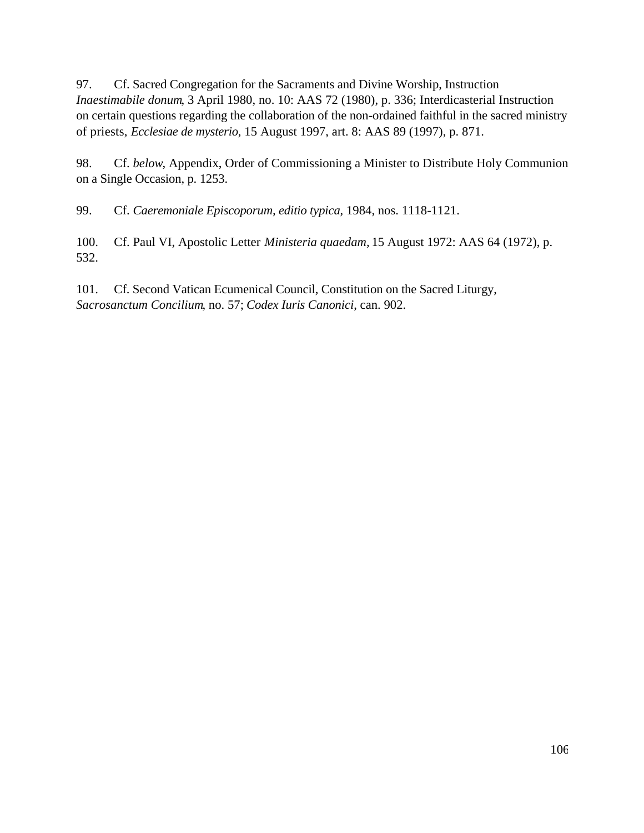97. Cf. Sacred Congregation for the Sacraments and Divine Worship, Instruction *Inaestimabile donum*, 3 April 1980, no. 10: AAS 72 (1980), p. 336; Interdicasterial Instruction on certain questions regarding the collaboration of the non-ordained faithful in the sacred ministry of priests, *Ecclesiae de mysterio*, 15 August 1997, art. 8: AAS 89 (1997), p. 871.

98. Cf. *below*, Appendix, Order of Commissioning a Minister to Distribute Holy Communion on a Single Occasion, p. 1253.

99. Cf. *Caeremoniale Episcoporum, editio typica*, 1984, nos. 1118-1121.

100. Cf. Paul VI, Apostolic Letter *Ministeria quaedam,* 15 August 1972: AAS 64 (1972), p. 532.

101. Cf. Second Vatican Ecumenical Council, Constitution on the Sacred Liturgy, *Sacrosanctum Concilium*, no. 57; *Codex Iuris Canonici*, can. 902.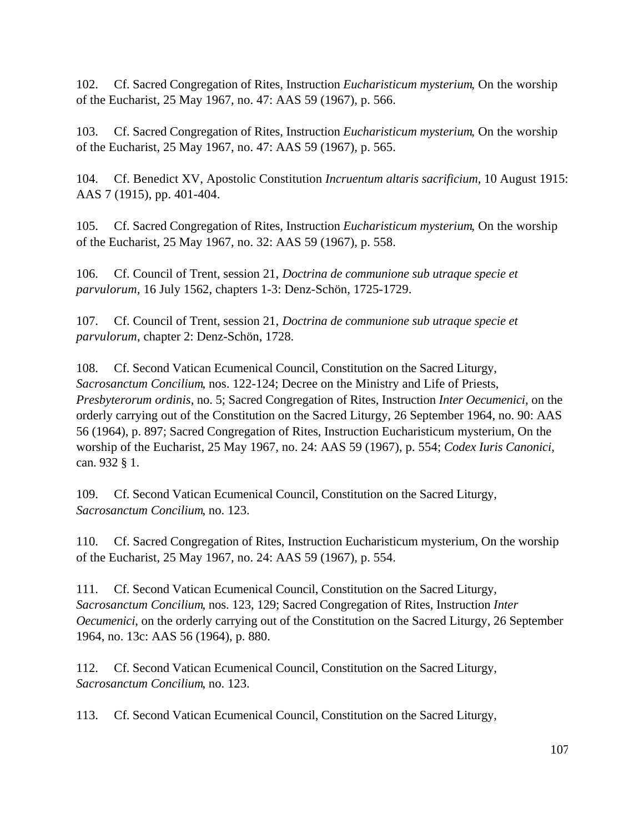102. Cf. Sacred Congregation of Rites, Instruction *Eucharisticum mysterium*, On the worship of the Eucharist, 25 May 1967, no. 47: AAS 59 (1967), p. 566.

103. Cf. Sacred Congregation of Rites, Instruction *Eucharisticum mysterium*, On the worship of the Eucharist, 25 May 1967, no. 47: AAS 59 (1967), p. 565.

104. Cf. Benedict XV, Apostolic Constitution *Incruentum altaris sacrificium,* 10 August 1915: AAS 7 (1915), pp. 401-404.

105. Cf. Sacred Congregation of Rites, Instruction *Eucharisticum mysterium*, On the worship of the Eucharist, 25 May 1967, no. 32: AAS 59 (1967), p. 558.

106. Cf. Council of Trent, session 21, *Doctrina de communione sub utraque specie et parvulorum,* 16 July 1562, chapters 1-3: Denz-Schön, 1725-1729.

107. Cf. Council of Trent, session 21, *Doctrina de communione sub utraque specie et parvulorum*, chapter 2: Denz-Schön, 1728.

108. Cf. Second Vatican Ecumenical Council, Constitution on the Sacred Liturgy, *Sacrosanctum Concilium*, nos. 122-124; Decree on the Ministry and Life of Priests, *Presbyterorum ordinis*, no. 5; Sacred Congregation of Rites, Instruction *Inter Oecumenici*, on the orderly carrying out of the Constitution on the Sacred Liturgy, 26 September 1964, no. 90: AAS 56 (1964), p. 897; Sacred Congregation of Rites, Instruction Eucharisticum mysterium, On the worship of the Eucharist, 25 May 1967, no. 24: AAS 59 (1967), p. 554; *Codex Iuris Canonici*, can. 932 § 1.

109. Cf. Second Vatican Ecumenical Council, Constitution on the Sacred Liturgy, *Sacrosanctum Concilium*, no. 123.

110. Cf. Sacred Congregation of Rites, Instruction Eucharisticum mysterium, On the worship of the Eucharist, 25 May 1967, no. 24: AAS 59 (1967), p. 554.

111. Cf. Second Vatican Ecumenical Council, Constitution on the Sacred Liturgy, *Sacrosanctum Concilium*, nos. 123, 129; Sacred Congregation of Rites, Instruction *Inter Oecumenici*, on the orderly carrying out of the Constitution on the Sacred Liturgy, 26 September 1964, no. 13c: AAS 56 (1964), p. 880.

112. Cf. Second Vatican Ecumenical Council, Constitution on the Sacred Liturgy, *Sacrosanctum Concilium*, no. 123.

113. Cf. Second Vatican Ecumenical Council, Constitution on the Sacred Liturgy,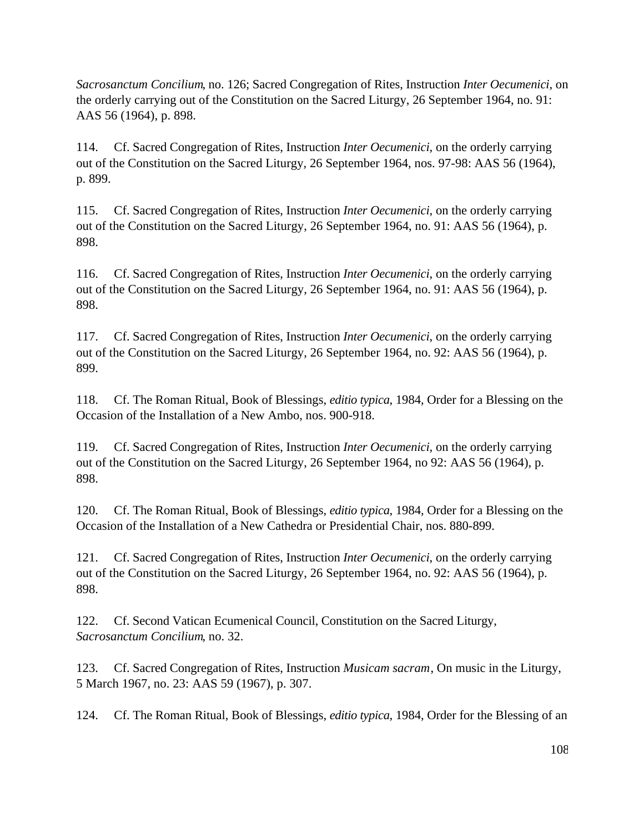*Sacrosanctum Concilium*, no. 126; Sacred Congregation of Rites, Instruction *Inter Oecumenici*, on the orderly carrying out of the Constitution on the Sacred Liturgy, 26 September 1964, no. 91: AAS 56 (1964), p. 898.

114. Cf. Sacred Congregation of Rites, Instruction *Inter Oecumenici*, on the orderly carrying out of the Constitution on the Sacred Liturgy, 26 September 1964, nos. 97-98: AAS 56 (1964), p. 899.

115. Cf. Sacred Congregation of Rites, Instruction *Inter Oecumenici*, on the orderly carrying out of the Constitution on the Sacred Liturgy, 26 September 1964, no. 91: AAS 56 (1964), p. 898.

116. Cf. Sacred Congregation of Rites, Instruction *Inter Oecumenici*, on the orderly carrying out of the Constitution on the Sacred Liturgy, 26 September 1964, no. 91: AAS 56 (1964), p. 898.

117. Cf. Sacred Congregation of Rites, Instruction *Inter Oecumenici*, on the orderly carrying out of the Constitution on the Sacred Liturgy, 26 September 1964, no. 92: AAS 56 (1964), p. 899.

118. Cf. The Roman Ritual, Book of Blessings, *editio typica*, 1984, Order for a Blessing on the Occasion of the Installation of a New Ambo, nos. 900-918.

119. Cf. Sacred Congregation of Rites, Instruction *Inter Oecumenici*, on the orderly carrying out of the Constitution on the Sacred Liturgy, 26 September 1964, no 92: AAS 56 (1964), p. 898.

120. Cf. The Roman Ritual, Book of Blessings, *editio typica*, 1984, Order for a Blessing on the Occasion of the Installation of a New Cathedra or Presidential Chair, nos. 880-899.

121. Cf. Sacred Congregation of Rites, Instruction *Inter Oecumenici*, on the orderly carrying out of the Constitution on the Sacred Liturgy, 26 September 1964, no. 92: AAS 56 (1964), p. 898.

122. Cf. Second Vatican Ecumenical Council, Constitution on the Sacred Liturgy, *Sacrosanctum Concilium*, no. 32.

123. Cf. Sacred Congregation of Rites, Instruction *Musicam sacram*, On music in the Liturgy, 5 March 1967, no. 23: AAS 59 (1967), p. 307.

124. Cf. The Roman Ritual, Book of Blessings, *editio typica*, 1984, Order for the Blessing of an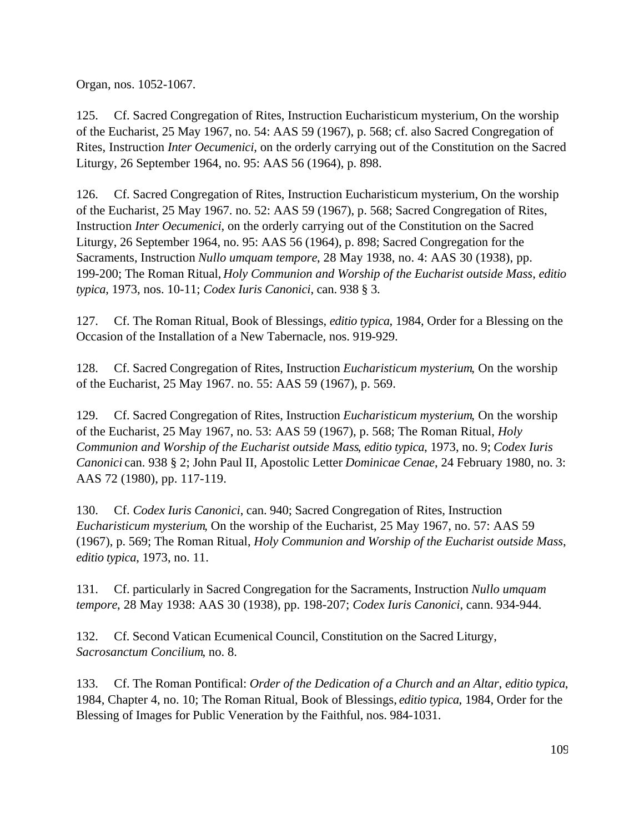Organ, nos. 1052-1067.

125. Cf. Sacred Congregation of Rites, Instruction Eucharisticum mysterium, On the worship of the Eucharist, 25 May 1967, no. 54: AAS 59 (1967), p. 568; cf. also Sacred Congregation of Rites, Instruction *Inter Oecumenici*, on the orderly carrying out of the Constitution on the Sacred Liturgy, 26 September 1964, no. 95: AAS 56 (1964), p. 898.

126. Cf. Sacred Congregation of Rites, Instruction Eucharisticum mysterium, On the worship of the Eucharist, 25 May 1967. no. 52: AAS 59 (1967), p. 568; Sacred Congregation of Rites, Instruction *Inter Oecumenici*, on the orderly carrying out of the Constitution on the Sacred Liturgy, 26 September 1964, no. 95: AAS 56 (1964), p. 898; Sacred Congregation for the Sacraments, Instruction *Nullo umquam tempore*, 28 May 1938, no. 4: AAS 30 (1938), pp. 199-200; The Roman Ritual, *Holy Communion and Worship of the Eucharist outside Mass*, *editio typica*, 1973, nos. 10-11; *Codex Iuris Canonici*, can. 938 § 3.

127. Cf. The Roman Ritual, Book of Blessings, *editio typica*, 1984, Order for a Blessing on the Occasion of the Installation of a New Tabernacle, nos. 919-929.

128. Cf. Sacred Congregation of Rites, Instruction *Eucharisticum mysterium*, On the worship of the Eucharist, 25 May 1967. no. 55: AAS 59 (1967), p. 569.

129. Cf. Sacred Congregation of Rites, Instruction *Eucharisticum mysterium*, On the worship of the Eucharist, 25 May 1967, no. 53: AAS 59 (1967), p. 568; The Roman Ritual, *Holy Communion and Worship of the Eucharist outside Mass*, *editio typica*, 1973, no. 9; *Codex Iuris Canonici* can. 938 § 2; John Paul II, Apostolic Letter *Dominicae Cenae*, 24 February 1980, no. 3: AAS 72 (1980), pp. 117-119.

130. Cf. *Codex Iuris Canonici*, can. 940; Sacred Congregation of Rites, Instruction *Eucharisticum mysterium*, On the worship of the Eucharist, 25 May 1967, no. 57: AAS 59 (1967), p. 569; The Roman Ritual, *Holy Communion and Worship of the Eucharist outside Mass*, *editio typica*, 1973, no. 11.

131. Cf. particularly in Sacred Congregation for the Sacraments, Instruction *Nullo umquam tempore*, 28 May 1938: AAS 30 (1938), pp. 198-207; *Codex Iuris Canonici*, cann. 934-944.

132. Cf. Second Vatican Ecumenical Council, Constitution on the Sacred Liturgy, *Sacrosanctum Concilium*, no. 8.

133. Cf. The Roman Pontifical: *Order of the Dedication of a Church and an Altar*, *editio typica*, 1984, Chapter 4, no. 10; The Roman Ritual, Book of Blessings, *editio typica*, 1984, Order for the Blessing of Images for Public Veneration by the Faithful, nos. 984-1031.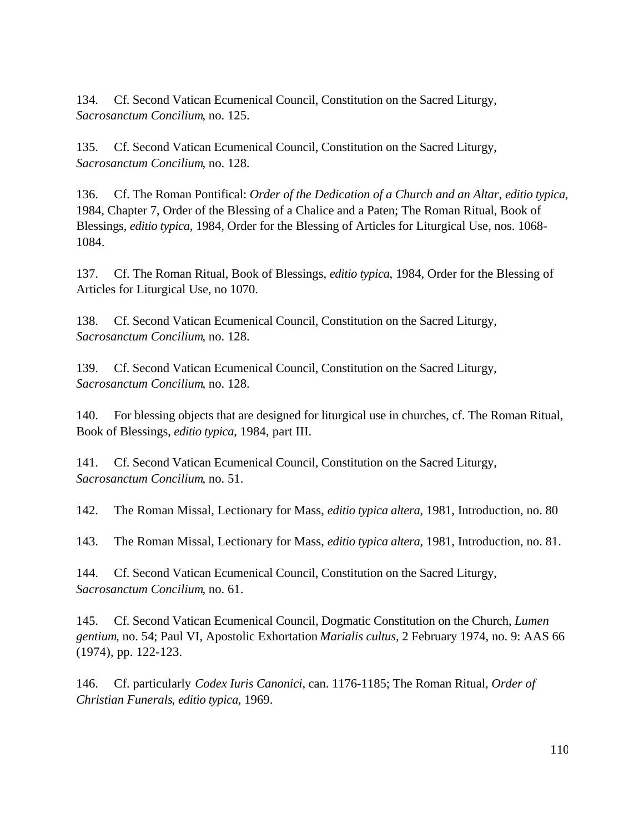134. Cf. Second Vatican Ecumenical Council, Constitution on the Sacred Liturgy, *Sacrosanctum Concilium*, no. 125.

135. Cf. Second Vatican Ecumenical Council, Constitution on the Sacred Liturgy, *Sacrosanctum Concilium*, no. 128.

136. Cf. The Roman Pontifical: *Order of the Dedication of a Church and an Altar*, *editio typica*, 1984, Chapter 7, Order of the Blessing of a Chalice and a Paten; The Roman Ritual, Book of Blessings, *editio typica*, 1984, Order for the Blessing of Articles for Liturgical Use, nos. 1068- 1084.

137. Cf. The Roman Ritual, Book of Blessings, *editio typica*, 1984, Order for the Blessing of Articles for Liturgical Use, no 1070.

138. Cf. Second Vatican Ecumenical Council, Constitution on the Sacred Liturgy, *Sacrosanctum Concilium*, no. 128.

139. Cf. Second Vatican Ecumenical Council, Constitution on the Sacred Liturgy, *Sacrosanctum Concilium*, no. 128.

140. For blessing objects that are designed for liturgical use in churches, cf. The Roman Ritual, Book of Blessings, *editio typica*, 1984, part III.

141. Cf. Second Vatican Ecumenical Council, Constitution on the Sacred Liturgy, *Sacrosanctum Concilium*, no. 51.

142. The Roman Missal, Lectionary for Mass, *editio typica altera*, 1981, Introduction, no. 80

143. The Roman Missal, Lectionary for Mass, *editio typica altera*, 1981, Introduction, no. 81.

144. Cf. Second Vatican Ecumenical Council, Constitution on the Sacred Liturgy, *Sacrosanctum Concilium*, no. 61.

145. Cf. Second Vatican Ecumenical Council, Dogmatic Constitution on the Church, *Lumen gentium*, no. 54; Paul VI, Apostolic Exhortation *Marialis cultus,* 2 February 1974, no. 9: AAS 66 (1974), pp. 122-123.

146. Cf. particularly *Codex Iuris Canonici*, can. 1176-1185; The Roman Ritual*, Order of Christian Funerals*, *editio typica*, 1969.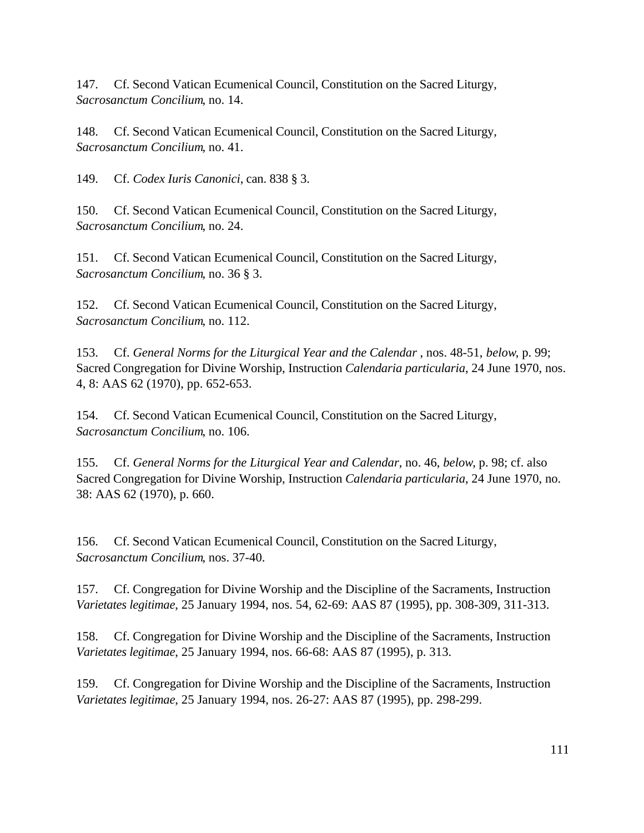147. Cf. Second Vatican Ecumenical Council, Constitution on the Sacred Liturgy, *Sacrosanctum Concilium*, no. 14.

148. Cf. Second Vatican Ecumenical Council, Constitution on the Sacred Liturgy, *Sacrosanctum Concilium*, no. 41.

149. Cf. *Codex Iuris Canonici*, can. 838 § 3.

150. Cf. Second Vatican Ecumenical Council, Constitution on the Sacred Liturgy, *Sacrosanctum Concilium*, no. 24.

151. Cf. Second Vatican Ecumenical Council, Constitution on the Sacred Liturgy, *Sacrosanctum Concilium*, no. 36 § 3.

152. Cf. Second Vatican Ecumenical Council, Constitution on the Sacred Liturgy, *Sacrosanctum Concilium*, no. 112.

153. Cf. *General Norms for the Liturgical Year and the Calendar* , nos. 48-51, *below*, p. 99; Sacred Congregation for Divine Worship, Instruction *Calendaria particularia*, 24 June 1970, nos. 4, 8: AAS 62 (1970), pp. 652-653.

154. Cf. Second Vatican Ecumenical Council, Constitution on the Sacred Liturgy, *Sacrosanctum Concilium*, no. 106.

155. Cf. *General Norms for the Liturgical Year and Calendar*, no. 46, *below*, p. 98; cf. also Sacred Congregation for Divine Worship, Instruction *Calendaria particularia*, 24 June 1970, no. 38: AAS 62 (1970), p. 660.

156. Cf. Second Vatican Ecumenical Council, Constitution on the Sacred Liturgy, *Sacrosanctum Concilium*, nos. 37-40.

157. Cf. Congregation for Divine Worship and the Discipline of the Sacraments, Instruction *Varietates legitimae*, 25 January 1994, nos. 54, 62-69: AAS 87 (1995), pp. 308-309, 311-313.

158. Cf. Congregation for Divine Worship and the Discipline of the Sacraments, Instruction *Varietates legitimae*, 25 January 1994, nos. 66-68: AAS 87 (1995), p. 313.

159. Cf. Congregation for Divine Worship and the Discipline of the Sacraments, Instruction *Varietates legitimae*, 25 January 1994, nos. 26-27: AAS 87 (1995), pp. 298-299.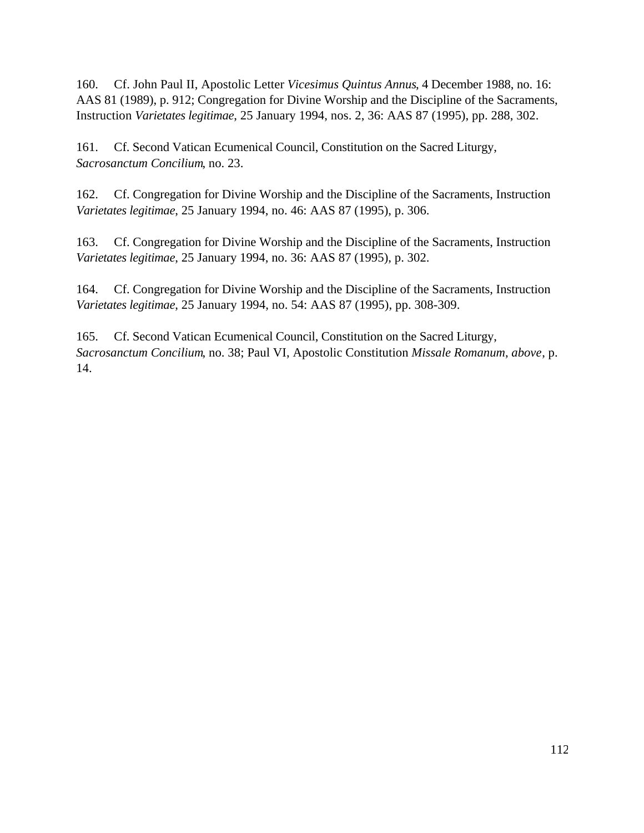160. Cf. John Paul II, Apostolic Letter *Vicesimus Quintus Annus*, 4 December 1988, no. 16: AAS 81 (1989), p. 912; Congregation for Divine Worship and the Discipline of the Sacraments, Instruction *Varietates legitimae*, 25 January 1994, nos. 2, 36: AAS 87 (1995), pp. 288, 302.

161. Cf. Second Vatican Ecumenical Council, Constitution on the Sacred Liturgy, *Sacrosanctum Concilium*, no. 23.

162. Cf. Congregation for Divine Worship and the Discipline of the Sacraments, Instruction *Varietates legitimae*, 25 January 1994, no. 46: AAS 87 (1995), p. 306.

163. Cf. Congregation for Divine Worship and the Discipline of the Sacraments, Instruction *Varietates legitimae*, 25 January 1994, no. 36: AAS 87 (1995), p. 302.

164. Cf. Congregation for Divine Worship and the Discipline of the Sacraments, Instruction *Varietates legitimae*, 25 January 1994, no. 54: AAS 87 (1995), pp. 308-309.

165. Cf. Second Vatican Ecumenical Council, Constitution on the Sacred Liturgy, *Sacrosanctum Concilium*, no. 38; Paul VI, Apostolic Constitution *Missale Romanum*, *above*, p. 14.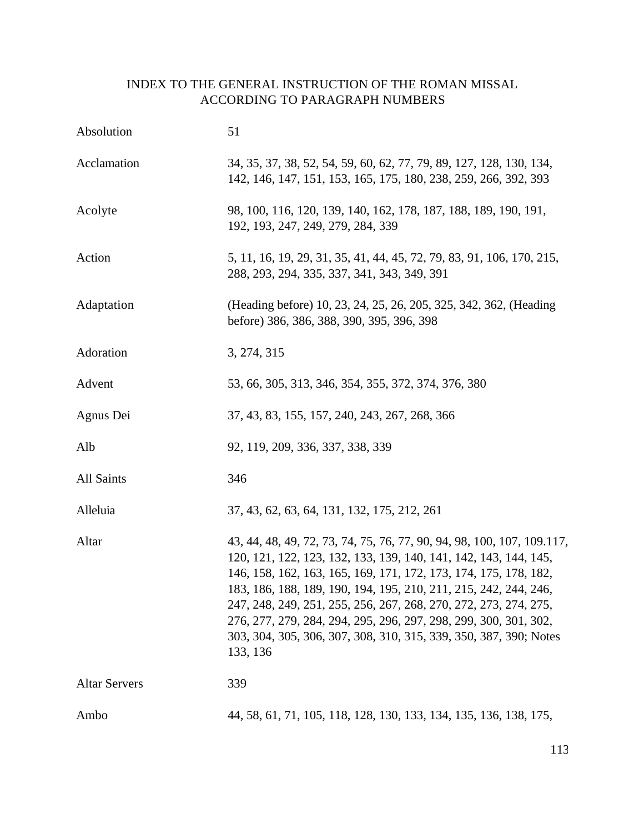## INDEX TO THE GENERAL INSTRUCTION OF THE ROMAN MISSAL ACCORDING TO PARAGRAPH NUMBERS

| Absolution           | 51                                                                                                                                                                                                                                                                                                                                                                                                                                                                                                          |
|----------------------|-------------------------------------------------------------------------------------------------------------------------------------------------------------------------------------------------------------------------------------------------------------------------------------------------------------------------------------------------------------------------------------------------------------------------------------------------------------------------------------------------------------|
| Acclamation          | 34, 35, 37, 38, 52, 54, 59, 60, 62, 77, 79, 89, 127, 128, 130, 134,<br>142, 146, 147, 151, 153, 165, 175, 180, 238, 259, 266, 392, 393                                                                                                                                                                                                                                                                                                                                                                      |
| Acolyte              | 98, 100, 116, 120, 139, 140, 162, 178, 187, 188, 189, 190, 191,<br>192, 193, 247, 249, 279, 284, 339                                                                                                                                                                                                                                                                                                                                                                                                        |
| Action               | 5, 11, 16, 19, 29, 31, 35, 41, 44, 45, 72, 79, 83, 91, 106, 170, 215,<br>288, 293, 294, 335, 337, 341, 343, 349, 391                                                                                                                                                                                                                                                                                                                                                                                        |
| Adaptation           | (Heading before) 10, 23, 24, 25, 26, 205, 325, 342, 362, (Heading<br>before) 386, 386, 388, 390, 395, 396, 398                                                                                                                                                                                                                                                                                                                                                                                              |
| Adoration            | 3, 274, 315                                                                                                                                                                                                                                                                                                                                                                                                                                                                                                 |
| Advent               | 53, 66, 305, 313, 346, 354, 355, 372, 374, 376, 380                                                                                                                                                                                                                                                                                                                                                                                                                                                         |
| Agnus Dei            | 37, 43, 83, 155, 157, 240, 243, 267, 268, 366                                                                                                                                                                                                                                                                                                                                                                                                                                                               |
| Alb                  | 92, 119, 209, 336, 337, 338, 339                                                                                                                                                                                                                                                                                                                                                                                                                                                                            |
| All Saints           | 346                                                                                                                                                                                                                                                                                                                                                                                                                                                                                                         |
| Alleluia             | 37, 43, 62, 63, 64, 131, 132, 175, 212, 261                                                                                                                                                                                                                                                                                                                                                                                                                                                                 |
| Altar                | 43, 44, 48, 49, 72, 73, 74, 75, 76, 77, 90, 94, 98, 100, 107, 109.117,<br>120, 121, 122, 123, 132, 133, 139, 140, 141, 142, 143, 144, 145,<br>146, 158, 162, 163, 165, 169, 171, 172, 173, 174, 175, 178, 182,<br>183, 186, 188, 189, 190, 194, 195, 210, 211, 215, 242, 244, 246,<br>247, 248, 249, 251, 255, 256, 267, 268, 270, 272, 273, 274, 275,<br>276, 277, 279, 284, 294, 295, 296, 297, 298, 299, 300, 301, 302,<br>303, 304, 305, 306, 307, 308, 310, 315, 339, 350, 387, 390; Notes<br>133, 136 |
| <b>Altar Servers</b> | 339                                                                                                                                                                                                                                                                                                                                                                                                                                                                                                         |
| Ambo                 | 44, 58, 61, 71, 105, 118, 128, 130, 133, 134, 135, 136, 138, 175,                                                                                                                                                                                                                                                                                                                                                                                                                                           |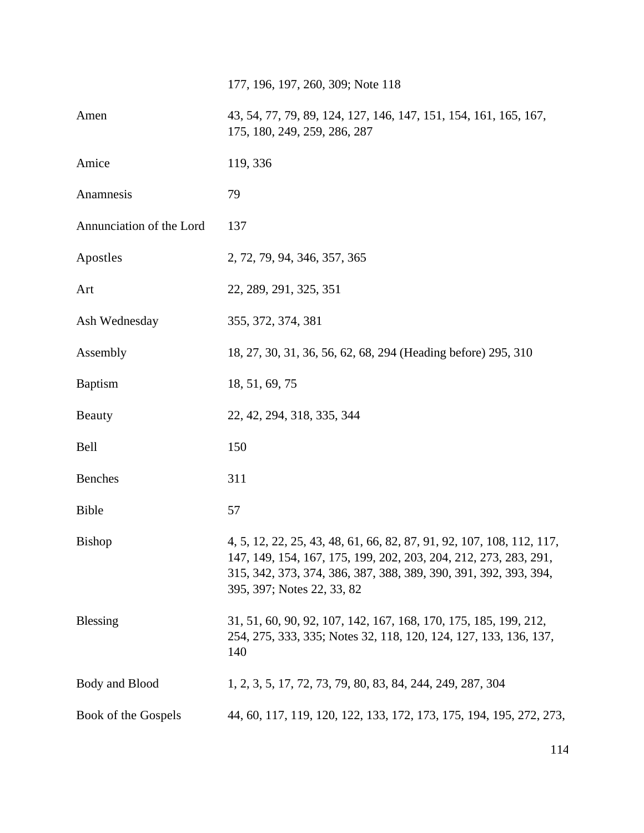|                          | 177, 196, 197, 260, 309; Note 118                                                                                                                                                                                                           |
|--------------------------|---------------------------------------------------------------------------------------------------------------------------------------------------------------------------------------------------------------------------------------------|
| Amen                     | 43, 54, 77, 79, 89, 124, 127, 146, 147, 151, 154, 161, 165, 167,<br>175, 180, 249, 259, 286, 287                                                                                                                                            |
| Amice                    | 119, 336                                                                                                                                                                                                                                    |
| Anamnesis                | 79                                                                                                                                                                                                                                          |
| Annunciation of the Lord | 137                                                                                                                                                                                                                                         |
| Apostles                 | 2, 72, 79, 94, 346, 357, 365                                                                                                                                                                                                                |
| Art                      | 22, 289, 291, 325, 351                                                                                                                                                                                                                      |
| Ash Wednesday            | 355, 372, 374, 381                                                                                                                                                                                                                          |
| Assembly                 | 18, 27, 30, 31, 36, 56, 62, 68, 294 (Heading before) 295, 310                                                                                                                                                                               |
| <b>Baptism</b>           | 18, 51, 69, 75                                                                                                                                                                                                                              |
| Beauty                   | 22, 42, 294, 318, 335, 344                                                                                                                                                                                                                  |
| Bell                     | 150                                                                                                                                                                                                                                         |
| Benches                  | 311                                                                                                                                                                                                                                         |
| Bible                    | 57                                                                                                                                                                                                                                          |
| Bishop                   | 4, 5, 12, 22, 25, 43, 48, 61, 66, 82, 87, 91, 92, 107, 108, 112, 117,<br>147, 149, 154, 167, 175, 199, 202, 203, 204, 212, 273, 283, 291,<br>315, 342, 373, 374, 386, 387, 388, 389, 390, 391, 392, 393, 394,<br>395, 397; Notes 22, 33, 82 |
| <b>Blessing</b>          | 31, 51, 60, 90, 92, 107, 142, 167, 168, 170, 175, 185, 199, 212,<br>254, 275, 333, 335; Notes 32, 118, 120, 124, 127, 133, 136, 137,<br>140                                                                                                 |
| Body and Blood           | 1, 2, 3, 5, 17, 72, 73, 79, 80, 83, 84, 244, 249, 287, 304                                                                                                                                                                                  |
|                          |                                                                                                                                                                                                                                             |

Book of the Gospels 44, 60, 117, 119, 120, 122, 133, 172, 173, 175, 194, 195, 272, 273,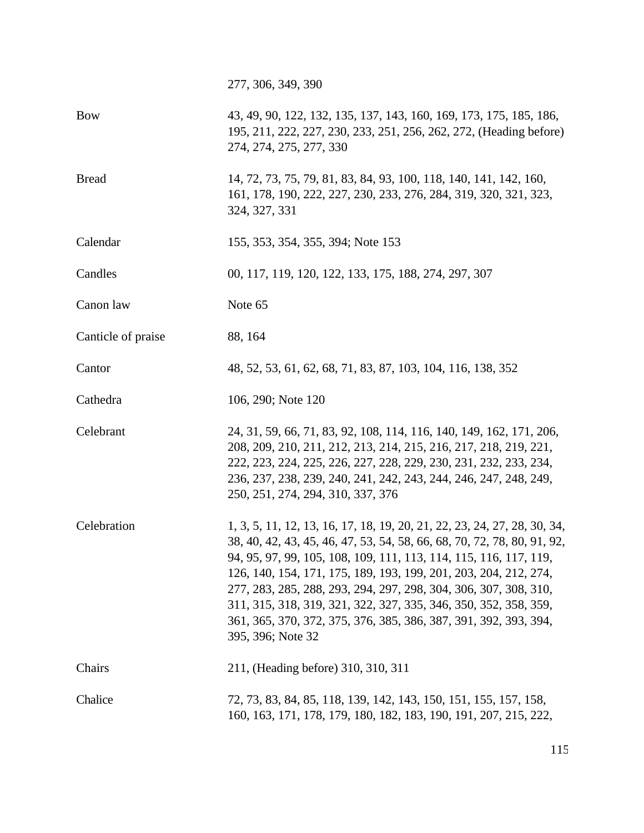277, 306, 349, 390

| Bow                | 43, 49, 90, 122, 132, 135, 137, 143, 160, 169, 173, 175, 185, 186,<br>195, 211, 222, 227, 230, 233, 251, 256, 262, 272, (Heading before)<br>274, 274, 275, 277, 330                                                                                                                                                                                                                                                                                                                                                           |
|--------------------|-------------------------------------------------------------------------------------------------------------------------------------------------------------------------------------------------------------------------------------------------------------------------------------------------------------------------------------------------------------------------------------------------------------------------------------------------------------------------------------------------------------------------------|
| <b>Bread</b>       | 14, 72, 73, 75, 79, 81, 83, 84, 93, 100, 118, 140, 141, 142, 160,<br>161, 178, 190, 222, 227, 230, 233, 276, 284, 319, 320, 321, 323,<br>324, 327, 331                                                                                                                                                                                                                                                                                                                                                                        |
| Calendar           | 155, 353, 354, 355, 394; Note 153                                                                                                                                                                                                                                                                                                                                                                                                                                                                                             |
| Candles            | 00, 117, 119, 120, 122, 133, 175, 188, 274, 297, 307                                                                                                                                                                                                                                                                                                                                                                                                                                                                          |
| Canon law          | Note 65                                                                                                                                                                                                                                                                                                                                                                                                                                                                                                                       |
| Canticle of praise | 88, 164                                                                                                                                                                                                                                                                                                                                                                                                                                                                                                                       |
| Cantor             | 48, 52, 53, 61, 62, 68, 71, 83, 87, 103, 104, 116, 138, 352                                                                                                                                                                                                                                                                                                                                                                                                                                                                   |
| Cathedra           | 106, 290; Note 120                                                                                                                                                                                                                                                                                                                                                                                                                                                                                                            |
| Celebrant          | 24, 31, 59, 66, 71, 83, 92, 108, 114, 116, 140, 149, 162, 171, 206,<br>208, 209, 210, 211, 212, 213, 214, 215, 216, 217, 218, 219, 221,<br>222, 223, 224, 225, 226, 227, 228, 229, 230, 231, 232, 233, 234,<br>236, 237, 238, 239, 240, 241, 242, 243, 244, 246, 247, 248, 249,<br>250, 251, 274, 294, 310, 337, 376                                                                                                                                                                                                          |
| Celebration        | 1, 3, 5, 11, 12, 13, 16, 17, 18, 19, 20, 21, 22, 23, 24, 27, 28, 30, 34,<br>38, 40, 42, 43, 45, 46, 47, 53, 54, 58, 66, 68, 70, 72, 78, 80, 91, 92,<br>94, 95, 97, 99, 105, 108, 109, 111, 113, 114, 115, 116, 117, 119,<br>126, 140, 154, 171, 175, 189, 193, 199, 201, 203, 204, 212, 274,<br>277, 283, 285, 288, 293, 294, 297, 298, 304, 306, 307, 308, 310,<br>311, 315, 318, 319, 321, 322, 327, 335, 346, 350, 352, 358, 359,<br>361, 365, 370, 372, 375, 376, 385, 386, 387, 391, 392, 393, 394,<br>395, 396; Note 32 |
| Chairs             | 211, (Heading before) 310, 310, 311                                                                                                                                                                                                                                                                                                                                                                                                                                                                                           |
| Chalice            | 72, 73, 83, 84, 85, 118, 139, 142, 143, 150, 151, 155, 157, 158,<br>160, 163, 171, 178, 179, 180, 182, 183, 190, 191, 207, 215, 222,                                                                                                                                                                                                                                                                                                                                                                                          |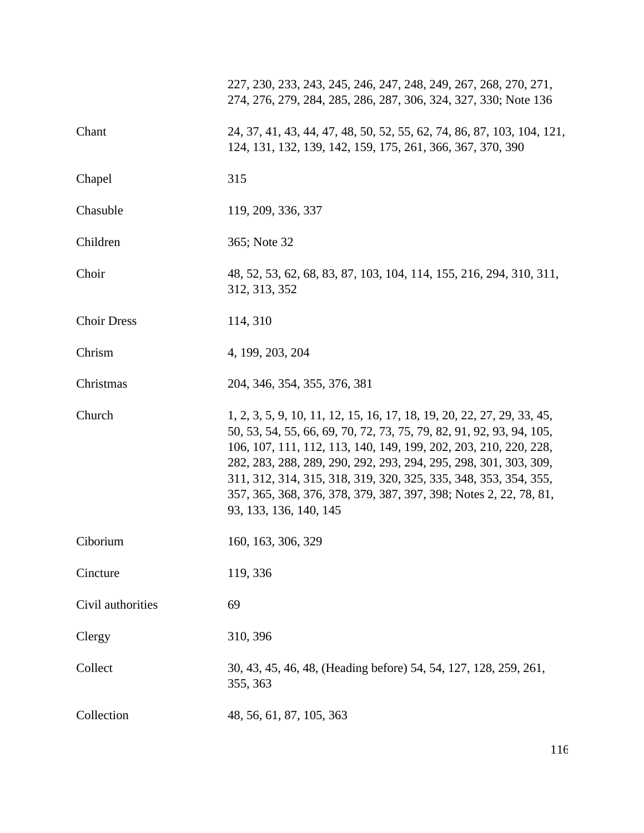|                    | 227, 230, 233, 243, 245, 246, 247, 248, 249, 267, 268, 270, 271,<br>274, 276, 279, 284, 285, 286, 287, 306, 324, 327, 330; Note 136                                                                                                                                                                                                                                                                                                                       |
|--------------------|-----------------------------------------------------------------------------------------------------------------------------------------------------------------------------------------------------------------------------------------------------------------------------------------------------------------------------------------------------------------------------------------------------------------------------------------------------------|
| Chant              | 24, 37, 41, 43, 44, 47, 48, 50, 52, 55, 62, 74, 86, 87, 103, 104, 121,<br>124, 131, 132, 139, 142, 159, 175, 261, 366, 367, 370, 390                                                                                                                                                                                                                                                                                                                      |
| Chapel             | 315                                                                                                                                                                                                                                                                                                                                                                                                                                                       |
| Chasuble           | 119, 209, 336, 337                                                                                                                                                                                                                                                                                                                                                                                                                                        |
| Children           | 365; Note 32                                                                                                                                                                                                                                                                                                                                                                                                                                              |
| Choir              | 48, 52, 53, 62, 68, 83, 87, 103, 104, 114, 155, 216, 294, 310, 311,<br>312, 313, 352                                                                                                                                                                                                                                                                                                                                                                      |
| <b>Choir Dress</b> | 114, 310                                                                                                                                                                                                                                                                                                                                                                                                                                                  |
| Chrism             | 4, 199, 203, 204                                                                                                                                                                                                                                                                                                                                                                                                                                          |
| Christmas          | 204, 346, 354, 355, 376, 381                                                                                                                                                                                                                                                                                                                                                                                                                              |
| Church             | 1, 2, 3, 5, 9, 10, 11, 12, 15, 16, 17, 18, 19, 20, 22, 27, 29, 33, 45,<br>50, 53, 54, 55, 66, 69, 70, 72, 73, 75, 79, 82, 91, 92, 93, 94, 105,<br>106, 107, 111, 112, 113, 140, 149, 199, 202, 203, 210, 220, 228,<br>282, 283, 288, 289, 290, 292, 293, 294, 295, 298, 301, 303, 309,<br>311, 312, 314, 315, 318, 319, 320, 325, 335, 348, 353, 354, 355,<br>357, 365, 368, 376, 378, 379, 387, 397, 398; Notes 2, 22, 78, 81,<br>93, 133, 136, 140, 145 |
| Ciborium           | 160, 163, 306, 329                                                                                                                                                                                                                                                                                                                                                                                                                                        |
| Cincture           | 119, 336                                                                                                                                                                                                                                                                                                                                                                                                                                                  |
| Civil authorities  | 69                                                                                                                                                                                                                                                                                                                                                                                                                                                        |
| Clergy             | 310, 396                                                                                                                                                                                                                                                                                                                                                                                                                                                  |
| Collect            | 30, 43, 45, 46, 48, (Heading before) 54, 54, 127, 128, 259, 261,<br>355, 363                                                                                                                                                                                                                                                                                                                                                                              |
| Collection         | 48, 56, 61, 87, 105, 363                                                                                                                                                                                                                                                                                                                                                                                                                                  |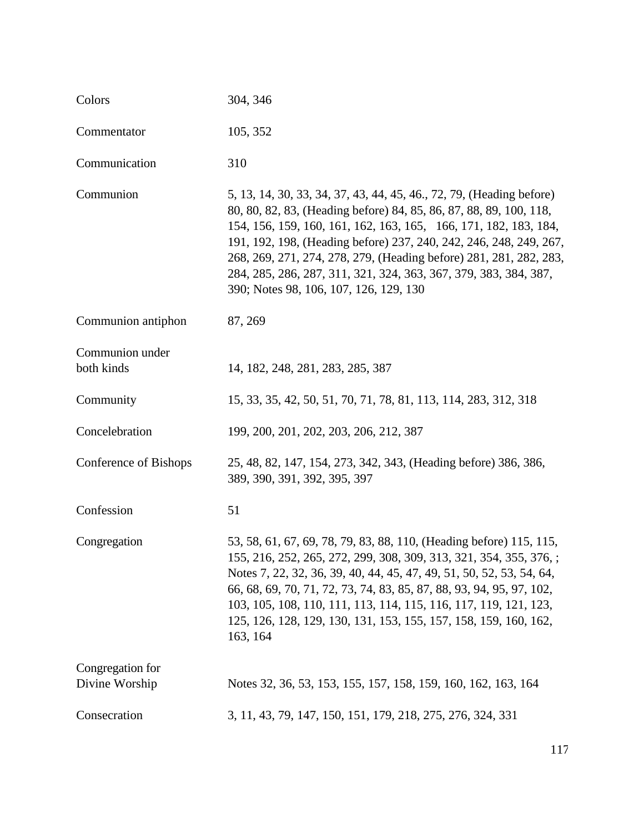| Colors                             | 304, 346                                                                                                                                                                                                                                                                                                                                                                                                                                                                 |
|------------------------------------|--------------------------------------------------------------------------------------------------------------------------------------------------------------------------------------------------------------------------------------------------------------------------------------------------------------------------------------------------------------------------------------------------------------------------------------------------------------------------|
| Commentator                        | 105, 352                                                                                                                                                                                                                                                                                                                                                                                                                                                                 |
| Communication                      | 310                                                                                                                                                                                                                                                                                                                                                                                                                                                                      |
| Communion                          | 5, 13, 14, 30, 33, 34, 37, 43, 44, 45, 46., 72, 79, (Heading before)<br>80, 80, 82, 83, (Heading before) 84, 85, 86, 87, 88, 89, 100, 118,<br>154, 156, 159, 160, 161, 162, 163, 165, 166, 171, 182, 183, 184,<br>191, 192, 198, (Heading before) 237, 240, 242, 246, 248, 249, 267,<br>268, 269, 271, 274, 278, 279, (Heading before) 281, 281, 282, 283,<br>284, 285, 286, 287, 311, 321, 324, 363, 367, 379, 383, 384, 387,<br>390; Notes 98, 106, 107, 126, 129, 130 |
| Communion antiphon                 | 87, 269                                                                                                                                                                                                                                                                                                                                                                                                                                                                  |
| Communion under<br>both kinds      | 14, 182, 248, 281, 283, 285, 387                                                                                                                                                                                                                                                                                                                                                                                                                                         |
| Community                          | 15, 33, 35, 42, 50, 51, 70, 71, 78, 81, 113, 114, 283, 312, 318                                                                                                                                                                                                                                                                                                                                                                                                          |
| Concelebration                     | 199, 200, 201, 202, 203, 206, 212, 387                                                                                                                                                                                                                                                                                                                                                                                                                                   |
| Conference of Bishops              | 25, 48, 82, 147, 154, 273, 342, 343, (Heading before) 386, 386,<br>389, 390, 391, 392, 395, 397                                                                                                                                                                                                                                                                                                                                                                          |
| Confession                         | 51                                                                                                                                                                                                                                                                                                                                                                                                                                                                       |
| Congregation                       | 53, 58, 61, 67, 69, 78, 79, 83, 88, 110, (Heading before) 115, 115,<br>155, 216, 252, 265, 272, 299, 308, 309, 313, 321, 354, 355, 376, ;<br>Notes 7, 22, 32, 36, 39, 40, 44, 45, 47, 49, 51, 50, 52, 53, 54, 64,<br>66, 68, 69, 70, 71, 72, 73, 74, 83, 85, 87, 88, 93, 94, 95, 97, 102,<br>103, 105, 108, 110, 111, 113, 114, 115, 116, 117, 119, 121, 123,<br>125, 126, 128, 129, 130, 131, 153, 155, 157, 158, 159, 160, 162,<br>163, 164                            |
| Congregation for<br>Divine Worship | Notes 32, 36, 53, 153, 155, 157, 158, 159, 160, 162, 163, 164                                                                                                                                                                                                                                                                                                                                                                                                            |
| Consecration                       | 3, 11, 43, 79, 147, 150, 151, 179, 218, 275, 276, 324, 331                                                                                                                                                                                                                                                                                                                                                                                                               |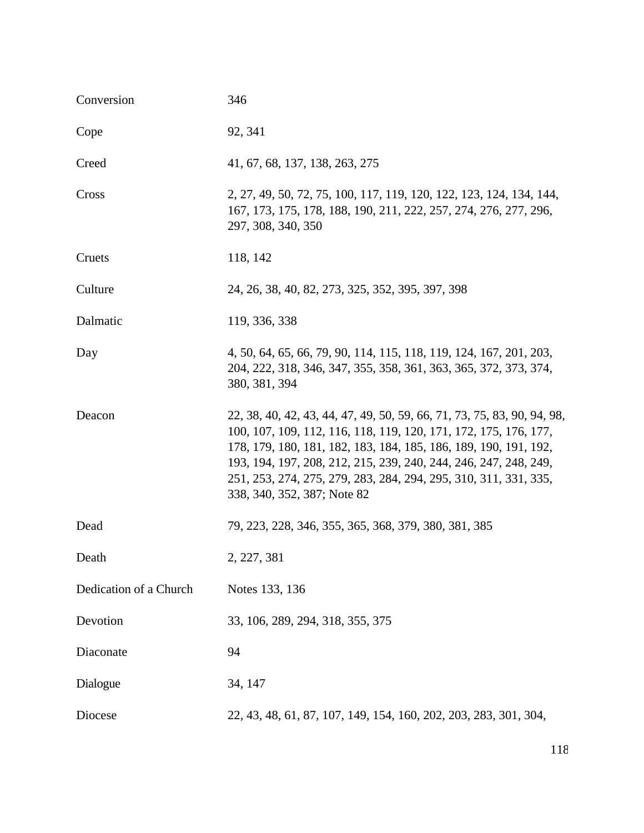| Conversion             | 346                                                                                                                                                                                                                                                                                                                                                                                    |
|------------------------|----------------------------------------------------------------------------------------------------------------------------------------------------------------------------------------------------------------------------------------------------------------------------------------------------------------------------------------------------------------------------------------|
| Cope                   | 92, 341                                                                                                                                                                                                                                                                                                                                                                                |
| Creed                  | 41, 67, 68, 137, 138, 263, 275                                                                                                                                                                                                                                                                                                                                                         |
| Cross                  | 2, 27, 49, 50, 72, 75, 100, 117, 119, 120, 122, 123, 124, 134, 144,<br>167, 173, 175, 178, 188, 190, 211, 222, 257, 274, 276, 277, 296,<br>297, 308, 340, 350                                                                                                                                                                                                                          |
| Cruets                 | 118, 142                                                                                                                                                                                                                                                                                                                                                                               |
| Culture                | 24, 26, 38, 40, 82, 273, 325, 352, 395, 397, 398                                                                                                                                                                                                                                                                                                                                       |
| Dalmatic               | 119, 336, 338                                                                                                                                                                                                                                                                                                                                                                          |
| Day                    | 4, 50, 64, 65, 66, 79, 90, 114, 115, 118, 119, 124, 167, 201, 203,<br>204, 222, 318, 346, 347, 355, 358, 361, 363, 365, 372, 373, 374,<br>380, 381, 394                                                                                                                                                                                                                                |
| Deacon                 | 22, 38, 40, 42, 43, 44, 47, 49, 50, 59, 66, 71, 73, 75, 83, 90, 94, 98,<br>100, 107, 109, 112, 116, 118, 119, 120, 171, 172, 175, 176, 177,<br>178, 179, 180, 181, 182, 183, 184, 185, 186, 189, 190, 191, 192,<br>193, 194, 197, 208, 212, 215, 239, 240, 244, 246, 247, 248, 249,<br>251, 253, 274, 275, 279, 283, 284, 294, 295, 310, 311, 331, 335,<br>338, 340, 352, 387; Note 82 |
| Dead                   | 79, 223, 228, 346, 355, 365, 368, 379, 380, 381, 385                                                                                                                                                                                                                                                                                                                                   |
| Death                  | 2, 227, 381                                                                                                                                                                                                                                                                                                                                                                            |
| Dedication of a Church | Notes 133, 136                                                                                                                                                                                                                                                                                                                                                                         |
| Devotion               | 33, 106, 289, 294, 318, 355, 375                                                                                                                                                                                                                                                                                                                                                       |
| Diaconate              | 94                                                                                                                                                                                                                                                                                                                                                                                     |
| Dialogue               | 34, 147                                                                                                                                                                                                                                                                                                                                                                                |
| Diocese                | 22, 43, 48, 61, 87, 107, 149, 154, 160, 202, 203, 283, 301, 304,                                                                                                                                                                                                                                                                                                                       |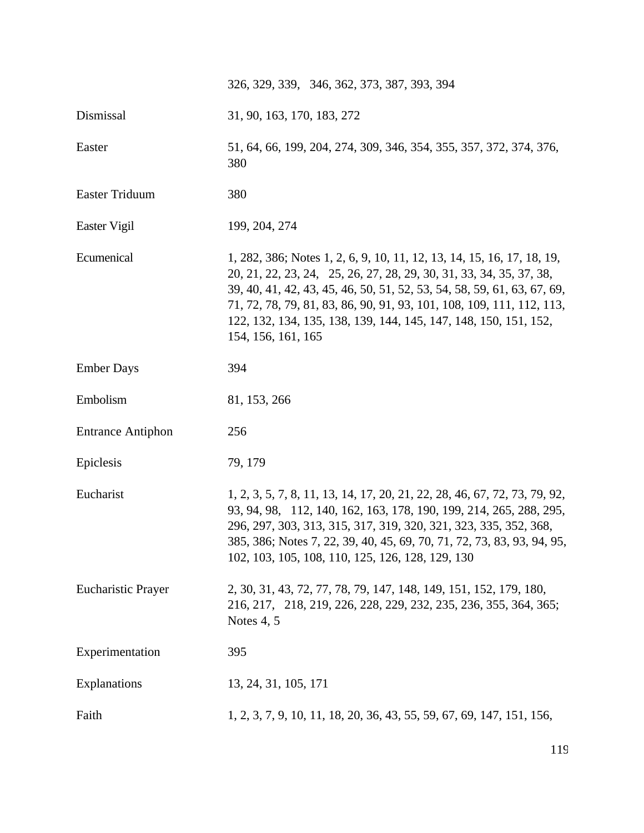|                           | 326, 329, 339, 346, 362, 373, 387, 393, 394                                                                                                                                                                                                                                                                                                                                                 |
|---------------------------|---------------------------------------------------------------------------------------------------------------------------------------------------------------------------------------------------------------------------------------------------------------------------------------------------------------------------------------------------------------------------------------------|
| Dismissal                 | 31, 90, 163, 170, 183, 272                                                                                                                                                                                                                                                                                                                                                                  |
| Easter                    | 51, 64, 66, 199, 204, 274, 309, 346, 354, 355, 357, 372, 374, 376,<br>380                                                                                                                                                                                                                                                                                                                   |
| Easter Triduum            | 380                                                                                                                                                                                                                                                                                                                                                                                         |
| Easter Vigil              | 199, 204, 274                                                                                                                                                                                                                                                                                                                                                                               |
| Ecumenical                | 1, 282, 386; Notes 1, 2, 6, 9, 10, 11, 12, 13, 14, 15, 16, 17, 18, 19,<br>20, 21, 22, 23, 24, 25, 26, 27, 28, 29, 30, 31, 33, 34, 35, 37, 38,<br>39, 40, 41, 42, 43, 45, 46, 50, 51, 52, 53, 54, 58, 59, 61, 63, 67, 69,<br>71, 72, 78, 79, 81, 83, 86, 90, 91, 93, 101, 108, 109, 111, 112, 113,<br>122, 132, 134, 135, 138, 139, 144, 145, 147, 148, 150, 151, 152,<br>154, 156, 161, 165 |
| <b>Ember Days</b>         | 394                                                                                                                                                                                                                                                                                                                                                                                         |
| Embolism                  | 81, 153, 266                                                                                                                                                                                                                                                                                                                                                                                |
| <b>Entrance Antiphon</b>  | 256                                                                                                                                                                                                                                                                                                                                                                                         |
| Epiclesis                 | 79, 179                                                                                                                                                                                                                                                                                                                                                                                     |
| Eucharist                 | 1, 2, 3, 5, 7, 8, 11, 13, 14, 17, 20, 21, 22, 28, 46, 67, 72, 73, 79, 92,<br>93, 94, 98, 112, 140, 162, 163, 178, 190, 199, 214, 265, 288, 295,<br>296, 297, 303, 313, 315, 317, 319, 320, 321, 323, 335, 352, 368,<br>385, 386; Notes 7, 22, 39, 40, 45, 69, 70, 71, 72, 73, 83, 93, 94, 95,<br>102, 103, 105, 108, 110, 125, 126, 128, 129, 130                                           |
| <b>Eucharistic Prayer</b> | 2, 30, 31, 43, 72, 77, 78, 79, 147, 148, 149, 151, 152, 179, 180,<br>216, 217, 218, 219, 226, 228, 229, 232, 235, 236, 355, 364, 365;<br>Notes $4, 5$                                                                                                                                                                                                                                       |
| Experimentation           | 395                                                                                                                                                                                                                                                                                                                                                                                         |
| Explanations              | 13, 24, 31, 105, 171                                                                                                                                                                                                                                                                                                                                                                        |
| Faith                     | 1, 2, 3, 7, 9, 10, 11, 18, 20, 36, 43, 55, 59, 67, 69, 147, 151, 156,                                                                                                                                                                                                                                                                                                                       |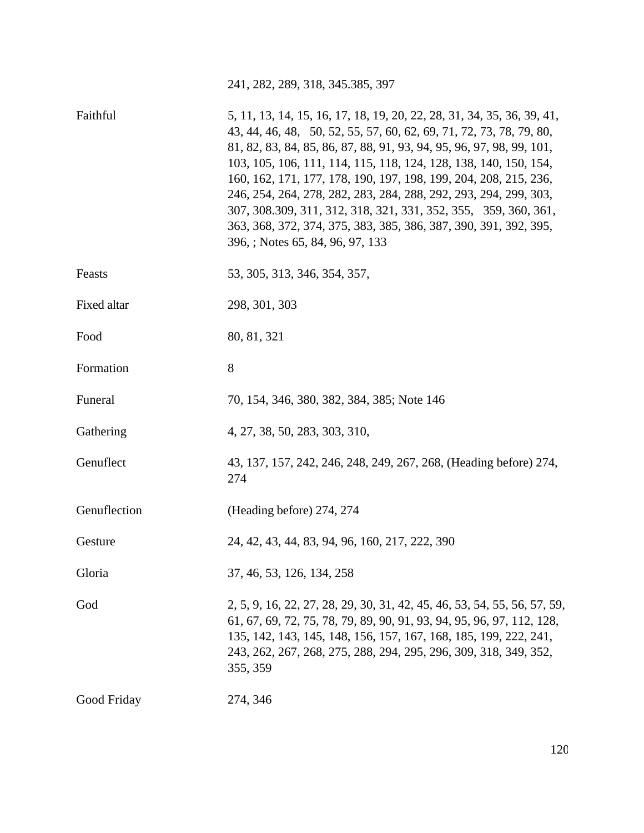|  | 241, 282, 289, 318, 345.385, 397 |  |
|--|----------------------------------|--|
|  |                                  |  |

| Faithful     | 5, 11, 13, 14, 15, 16, 17, 18, 19, 20, 22, 28, 31, 34, 35, 36, 39, 41,<br>43, 44, 46, 48, 50, 52, 55, 57, 60, 62, 69, 71, 72, 73, 78, 79, 80,<br>81, 82, 83, 84, 85, 86, 87, 88, 91, 93, 94, 95, 96, 97, 98, 99, 101,<br>103, 105, 106, 111, 114, 115, 118, 124, 128, 138, 140, 150, 154,<br>160, 162, 171, 177, 178, 190, 197, 198, 199, 204, 208, 215, 236,<br>246, 254, 264, 278, 282, 283, 284, 288, 292, 293, 294, 299, 303,<br>307, 308.309, 311, 312, 318, 321, 331, 352, 355, 359, 360, 361,<br>363, 368, 372, 374, 375, 383, 385, 386, 387, 390, 391, 392, 395,<br>396, ; Notes 65, 84, 96, 97, 133 |
|--------------|--------------------------------------------------------------------------------------------------------------------------------------------------------------------------------------------------------------------------------------------------------------------------------------------------------------------------------------------------------------------------------------------------------------------------------------------------------------------------------------------------------------------------------------------------------------------------------------------------------------|
| Feasts       | 53, 305, 313, 346, 354, 357,                                                                                                                                                                                                                                                                                                                                                                                                                                                                                                                                                                                 |
| Fixed altar  | 298, 301, 303                                                                                                                                                                                                                                                                                                                                                                                                                                                                                                                                                                                                |
| Food         | 80, 81, 321                                                                                                                                                                                                                                                                                                                                                                                                                                                                                                                                                                                                  |
| Formation    | 8                                                                                                                                                                                                                                                                                                                                                                                                                                                                                                                                                                                                            |
| Funeral      | 70, 154, 346, 380, 382, 384, 385; Note 146                                                                                                                                                                                                                                                                                                                                                                                                                                                                                                                                                                   |
| Gathering    | 4, 27, 38, 50, 283, 303, 310,                                                                                                                                                                                                                                                                                                                                                                                                                                                                                                                                                                                |
| Genuflect    | 43, 137, 157, 242, 246, 248, 249, 267, 268, (Heading before) 274,<br>274                                                                                                                                                                                                                                                                                                                                                                                                                                                                                                                                     |
| Genuflection | (Heading before) 274, 274                                                                                                                                                                                                                                                                                                                                                                                                                                                                                                                                                                                    |
| Gesture      | 24, 42, 43, 44, 83, 94, 96, 160, 217, 222, 390                                                                                                                                                                                                                                                                                                                                                                                                                                                                                                                                                               |
| Gloria       | 37, 46, 53, 126, 134, 258                                                                                                                                                                                                                                                                                                                                                                                                                                                                                                                                                                                    |
| God          | 2, 5, 9, 16, 22, 27, 28, 29, 30, 31, 42, 45, 46, 53, 54, 55, 56, 57, 59,<br>61, 67, 69, 72, 75, 78, 79, 89, 90, 91, 93, 94, 95, 96, 97, 112, 128,<br>135, 142, 143, 145, 148, 156, 157, 167, 168, 185, 199, 222, 241,<br>243, 262, 267, 268, 275, 288, 294, 295, 296, 309, 318, 349, 352,<br>355, 359                                                                                                                                                                                                                                                                                                        |
| Good Friday  | 274, 346                                                                                                                                                                                                                                                                                                                                                                                                                                                                                                                                                                                                     |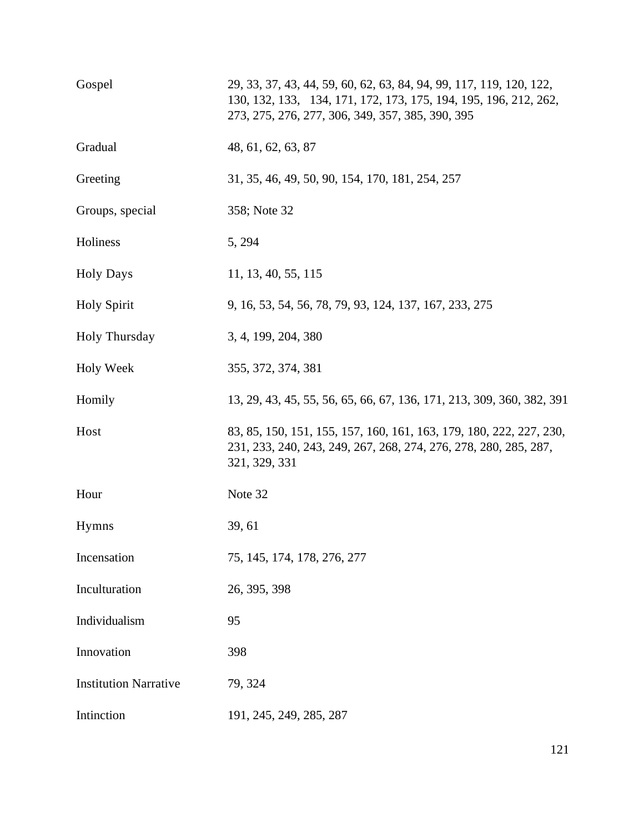| Gospel                       | 29, 33, 37, 43, 44, 59, 60, 62, 63, 84, 94, 99, 117, 119, 120, 122,<br>130, 132, 133, 134, 171, 172, 173, 175, 194, 195, 196, 212, 262,<br>273, 275, 276, 277, 306, 349, 357, 385, 390, 395 |
|------------------------------|---------------------------------------------------------------------------------------------------------------------------------------------------------------------------------------------|
| Gradual                      | 48, 61, 62, 63, 87                                                                                                                                                                          |
| Greeting                     | 31, 35, 46, 49, 50, 90, 154, 170, 181, 254, 257                                                                                                                                             |
| Groups, special              | 358; Note 32                                                                                                                                                                                |
| Holiness                     | 5, 294                                                                                                                                                                                      |
| <b>Holy Days</b>             | 11, 13, 40, 55, 115                                                                                                                                                                         |
| <b>Holy Spirit</b>           | 9, 16, 53, 54, 56, 78, 79, 93, 124, 137, 167, 233, 275                                                                                                                                      |
| <b>Holy Thursday</b>         | 3, 4, 199, 204, 380                                                                                                                                                                         |
| <b>Holy Week</b>             | 355, 372, 374, 381                                                                                                                                                                          |
| Homily                       | 13, 29, 43, 45, 55, 56, 65, 66, 67, 136, 171, 213, 309, 360, 382, 391                                                                                                                       |
| Host                         | 83, 85, 150, 151, 155, 157, 160, 161, 163, 179, 180, 222, 227, 230,<br>231, 233, 240, 243, 249, 267, 268, 274, 276, 278, 280, 285, 287,<br>321, 329, 331                                    |
| Hour                         | Note 32                                                                                                                                                                                     |
| <b>Hymns</b>                 | 39, 61                                                                                                                                                                                      |
| Incensation                  | 75, 145, 174, 178, 276, 277                                                                                                                                                                 |
| Inculturation                | 26, 395, 398                                                                                                                                                                                |
| Individualism                | 95                                                                                                                                                                                          |
| Innovation                   | 398                                                                                                                                                                                         |
| <b>Institution Narrative</b> | 79, 324                                                                                                                                                                                     |
| Intinction                   | 191, 245, 249, 285, 287                                                                                                                                                                     |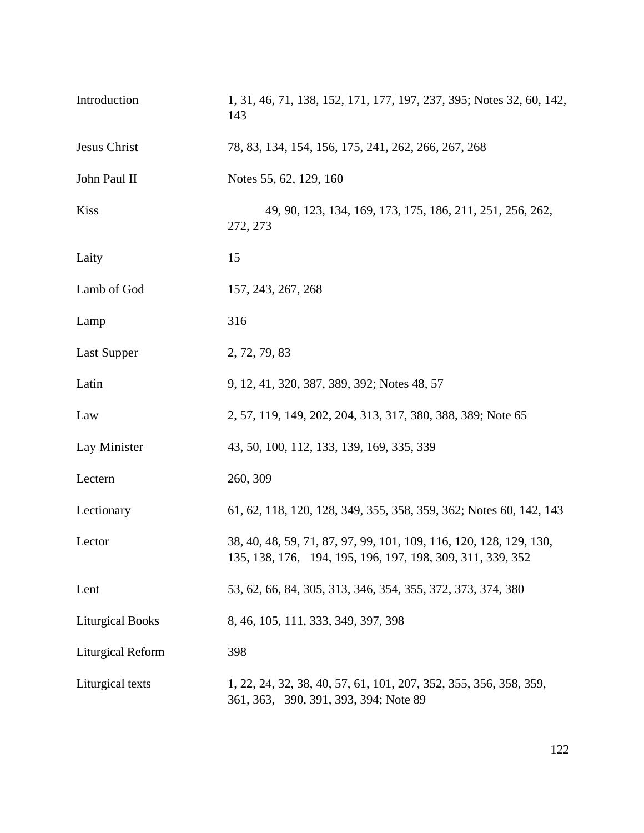| Introduction             | 1, 31, 46, 71, 138, 152, 171, 177, 197, 237, 395; Notes 32, 60, 142,<br>143                                                      |
|--------------------------|----------------------------------------------------------------------------------------------------------------------------------|
| Jesus Christ             | 78, 83, 134, 154, 156, 175, 241, 262, 266, 267, 268                                                                              |
| John Paul II             | Notes 55, 62, 129, 160                                                                                                           |
| <b>Kiss</b>              | 49, 90, 123, 134, 169, 173, 175, 186, 211, 251, 256, 262,<br>272, 273                                                            |
| Laity                    | 15                                                                                                                               |
| Lamb of God              | 157, 243, 267, 268                                                                                                               |
| Lamp                     | 316                                                                                                                              |
| <b>Last Supper</b>       | 2, 72, 79, 83                                                                                                                    |
| Latin                    | 9, 12, 41, 320, 387, 389, 392; Notes 48, 57                                                                                      |
| Law                      | 2, 57, 119, 149, 202, 204, 313, 317, 380, 388, 389; Note 65                                                                      |
| Lay Minister             | 43, 50, 100, 112, 133, 139, 169, 335, 339                                                                                        |
| Lectern                  | 260, 309                                                                                                                         |
| Lectionary               | 61, 62, 118, 120, 128, 349, 355, 358, 359, 362; Notes 60, 142, 143                                                               |
| Lector                   | 38, 40, 48, 59, 71, 87, 97, 99, 101, 109, 116, 120, 128, 129, 130,<br>135, 138, 176, 194, 195, 196, 197, 198, 309, 311, 339, 352 |
| Lent                     | 53, 62, 66, 84, 305, 313, 346, 354, 355, 372, 373, 374, 380                                                                      |
| <b>Liturgical Books</b>  | 8, 46, 105, 111, 333, 349, 397, 398                                                                                              |
| <b>Liturgical Reform</b> | 398                                                                                                                              |
| Liturgical texts         | 1, 22, 24, 32, 38, 40, 57, 61, 101, 207, 352, 355, 356, 358, 359,<br>361, 363, 390, 391, 393, 394; Note 89                       |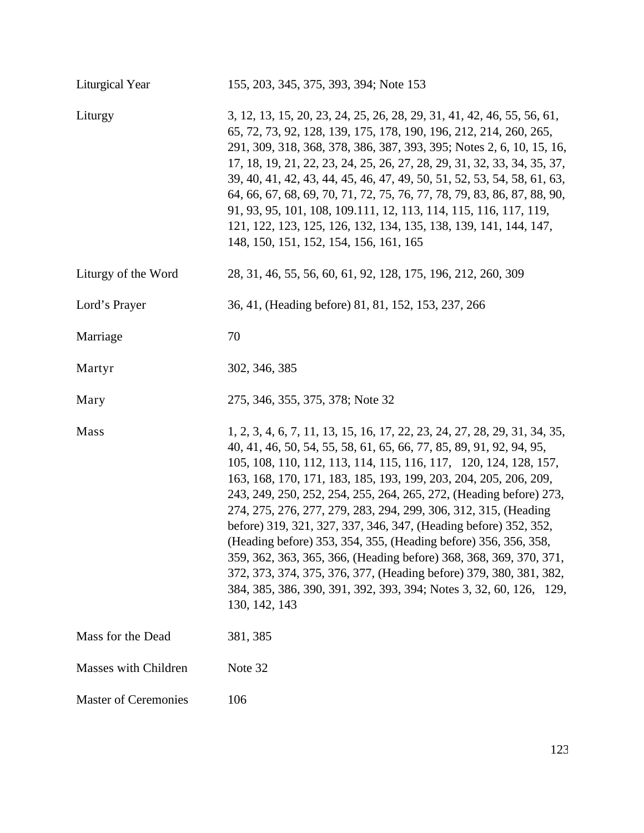| <b>Liturgical Year</b>      | 155, 203, 345, 375, 393, 394; Note 153                                                                                                                                                                                                                                                                                                                                                                                                                                                                                                                                                                                                                                                                                                                                                                      |
|-----------------------------|-------------------------------------------------------------------------------------------------------------------------------------------------------------------------------------------------------------------------------------------------------------------------------------------------------------------------------------------------------------------------------------------------------------------------------------------------------------------------------------------------------------------------------------------------------------------------------------------------------------------------------------------------------------------------------------------------------------------------------------------------------------------------------------------------------------|
| Liturgy                     | 3, 12, 13, 15, 20, 23, 24, 25, 26, 28, 29, 31, 41, 42, 46, 55, 56, 61,<br>65, 72, 73, 92, 128, 139, 175, 178, 190, 196, 212, 214, 260, 265,<br>291, 309, 318, 368, 378, 386, 387, 393, 395; Notes 2, 6, 10, 15, 16,<br>17, 18, 19, 21, 22, 23, 24, 25, 26, 27, 28, 29, 31, 32, 33, 34, 35, 37,<br>39, 40, 41, 42, 43, 44, 45, 46, 47, 49, 50, 51, 52, 53, 54, 58, 61, 63,<br>64, 66, 67, 68, 69, 70, 71, 72, 75, 76, 77, 78, 79, 83, 86, 87, 88, 90,<br>91, 93, 95, 101, 108, 109.111, 12, 113, 114, 115, 116, 117, 119,<br>121, 122, 123, 125, 126, 132, 134, 135, 138, 139, 141, 144, 147,<br>148, 150, 151, 152, 154, 156, 161, 165                                                                                                                                                                      |
| Liturgy of the Word         | 28, 31, 46, 55, 56, 60, 61, 92, 128, 175, 196, 212, 260, 309                                                                                                                                                                                                                                                                                                                                                                                                                                                                                                                                                                                                                                                                                                                                                |
| Lord's Prayer               | 36, 41, (Heading before) 81, 81, 152, 153, 237, 266                                                                                                                                                                                                                                                                                                                                                                                                                                                                                                                                                                                                                                                                                                                                                         |
| Marriage                    | 70                                                                                                                                                                                                                                                                                                                                                                                                                                                                                                                                                                                                                                                                                                                                                                                                          |
| Martyr                      | 302, 346, 385                                                                                                                                                                                                                                                                                                                                                                                                                                                                                                                                                                                                                                                                                                                                                                                               |
| Mary                        | 275, 346, 355, 375, 378; Note 32                                                                                                                                                                                                                                                                                                                                                                                                                                                                                                                                                                                                                                                                                                                                                                            |
| Mass                        | 1, 2, 3, 4, 6, 7, 11, 13, 15, 16, 17, 22, 23, 24, 27, 28, 29, 31, 34, 35,<br>40, 41, 46, 50, 54, 55, 58, 61, 65, 66, 77, 85, 89, 91, 92, 94, 95,<br>105, 108, 110, 112, 113, 114, 115, 116, 117, 120, 124, 128, 157,<br>163, 168, 170, 171, 183, 185, 193, 199, 203, 204, 205, 206, 209,<br>243, 249, 250, 252, 254, 255, 264, 265, 272, (Heading before) 273,<br>274, 275, 276, 277, 279, 283, 294, 299, 306, 312, 315, (Heading<br>before) 319, 321, 327, 337, 346, 347, (Heading before) 352, 352,<br>(Heading before) 353, 354, 355, (Heading before) 356, 356, 358,<br>359, 362, 363, 365, 366, (Heading before) 368, 368, 369, 370, 371,<br>372, 373, 374, 375, 376, 377, (Heading before) 379, 380, 381, 382,<br>384, 385, 386, 390, 391, 392, 393, 394; Notes 3, 32, 60, 126, 129,<br>130, 142, 143 |
| Mass for the Dead           | 381, 385                                                                                                                                                                                                                                                                                                                                                                                                                                                                                                                                                                                                                                                                                                                                                                                                    |
| Masses with Children        | Note 32                                                                                                                                                                                                                                                                                                                                                                                                                                                                                                                                                                                                                                                                                                                                                                                                     |
| <b>Master of Ceremonies</b> | 106                                                                                                                                                                                                                                                                                                                                                                                                                                                                                                                                                                                                                                                                                                                                                                                                         |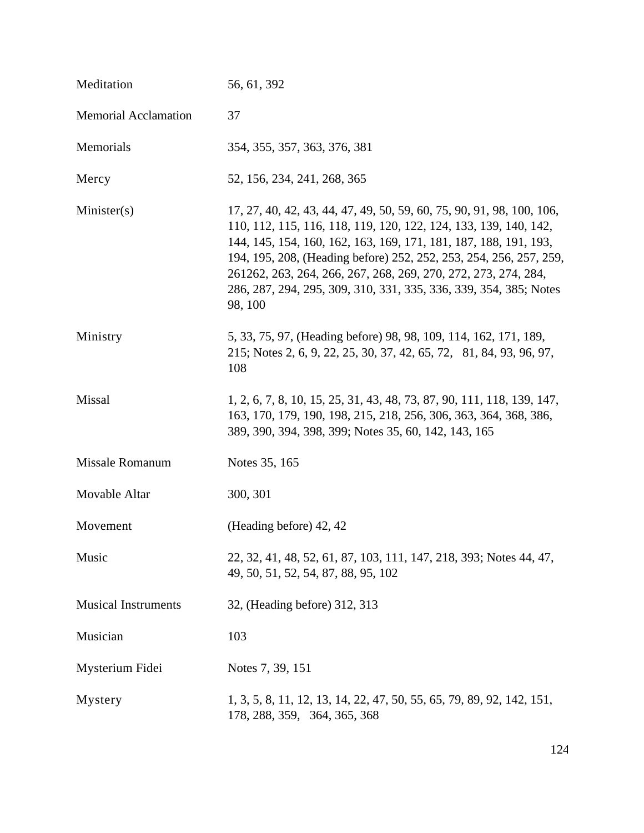| Meditation                  | 56, 61, 392                                                                                                                                                                                                                                                                                                                                                                                                                           |
|-----------------------------|---------------------------------------------------------------------------------------------------------------------------------------------------------------------------------------------------------------------------------------------------------------------------------------------------------------------------------------------------------------------------------------------------------------------------------------|
| <b>Memorial Acclamation</b> | 37                                                                                                                                                                                                                                                                                                                                                                                                                                    |
| Memorials                   | 354, 355, 357, 363, 376, 381                                                                                                                                                                                                                                                                                                                                                                                                          |
| Mercy                       | 52, 156, 234, 241, 268, 365                                                                                                                                                                                                                                                                                                                                                                                                           |
| Minister(s)                 | 17, 27, 40, 42, 43, 44, 47, 49, 50, 59, 60, 75, 90, 91, 98, 100, 106,<br>110, 112, 115, 116, 118, 119, 120, 122, 124, 133, 139, 140, 142,<br>144, 145, 154, 160, 162, 163, 169, 171, 181, 187, 188, 191, 193,<br>194, 195, 208, (Heading before) 252, 252, 253, 254, 256, 257, 259,<br>261262, 263, 264, 266, 267, 268, 269, 270, 272, 273, 274, 284,<br>286, 287, 294, 295, 309, 310, 331, 335, 336, 339, 354, 385; Notes<br>98, 100 |
| Ministry                    | 5, 33, 75, 97, (Heading before) 98, 98, 109, 114, 162, 171, 189,<br>215; Notes 2, 6, 9, 22, 25, 30, 37, 42, 65, 72, 81, 84, 93, 96, 97,<br>108                                                                                                                                                                                                                                                                                        |
| Missal                      | 1, 2, 6, 7, 8, 10, 15, 25, 31, 43, 48, 73, 87, 90, 111, 118, 139, 147,<br>163, 170, 179, 190, 198, 215, 218, 256, 306, 363, 364, 368, 386,<br>389, 390, 394, 398, 399; Notes 35, 60, 142, 143, 165                                                                                                                                                                                                                                    |
| Missale Romanum             | Notes 35, 165                                                                                                                                                                                                                                                                                                                                                                                                                         |
| Movable Altar               | 300, 301                                                                                                                                                                                                                                                                                                                                                                                                                              |
| Movement                    | (Heading before) 42, 42                                                                                                                                                                                                                                                                                                                                                                                                               |
| Music                       | 22, 32, 41, 48, 52, 61, 87, 103, 111, 147, 218, 393; Notes 44, 47,<br>49, 50, 51, 52, 54, 87, 88, 95, 102                                                                                                                                                                                                                                                                                                                             |
| <b>Musical Instruments</b>  | 32, (Heading before) 312, 313                                                                                                                                                                                                                                                                                                                                                                                                         |
| Musician                    | 103                                                                                                                                                                                                                                                                                                                                                                                                                                   |
| Mysterium Fidei             | Notes 7, 39, 151                                                                                                                                                                                                                                                                                                                                                                                                                      |
| Mystery                     | 1, 3, 5, 8, 11, 12, 13, 14, 22, 47, 50, 55, 65, 79, 89, 92, 142, 151,<br>178, 288, 359, 364, 365, 368                                                                                                                                                                                                                                                                                                                                 |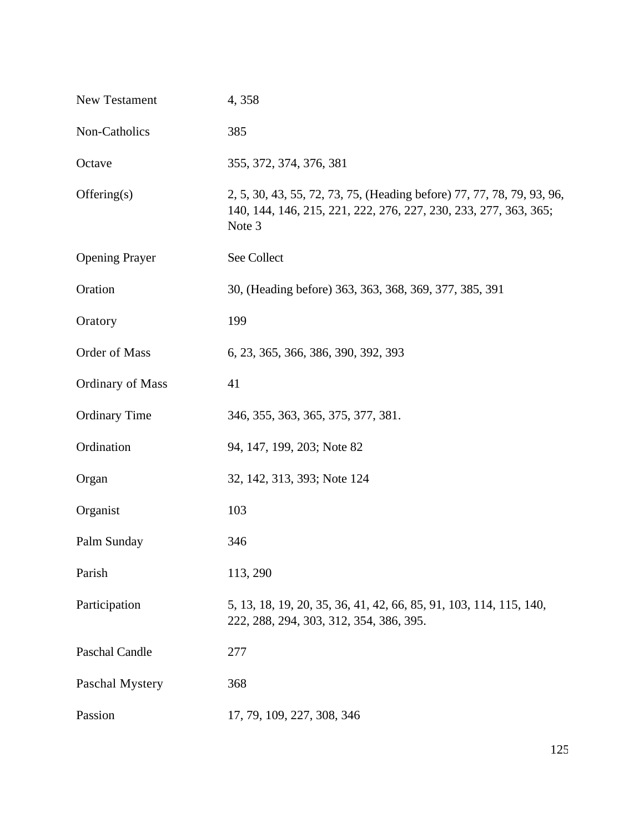| New Testament           | 4,358                                                                                                                                                |
|-------------------------|------------------------------------------------------------------------------------------------------------------------------------------------------|
| Non-Catholics           | 385                                                                                                                                                  |
| Octave                  | 355, 372, 374, 376, 381                                                                                                                              |
| Offering(s)             | 2, 5, 30, 43, 55, 72, 73, 75, (Heading before) 77, 77, 78, 79, 93, 96,<br>140, 144, 146, 215, 221, 222, 276, 227, 230, 233, 277, 363, 365;<br>Note 3 |
| <b>Opening Prayer</b>   | See Collect                                                                                                                                          |
| Oration                 | 30, (Heading before) 363, 363, 368, 369, 377, 385, 391                                                                                               |
| Oratory                 | 199                                                                                                                                                  |
| Order of Mass           | 6, 23, 365, 366, 386, 390, 392, 393                                                                                                                  |
| <b>Ordinary of Mass</b> | 41                                                                                                                                                   |
| <b>Ordinary Time</b>    | 346, 355, 363, 365, 375, 377, 381.                                                                                                                   |
| Ordination              | 94, 147, 199, 203; Note 82                                                                                                                           |
| Organ                   | 32, 142, 313, 393; Note 124                                                                                                                          |
| Organist                | 103                                                                                                                                                  |
| Palm Sunday             | 346                                                                                                                                                  |
| Parish                  | 113, 290                                                                                                                                             |
| Participation           | 5, 13, 18, 19, 20, 35, 36, 41, 42, 66, 85, 91, 103, 114, 115, 140,<br>222, 288, 294, 303, 312, 354, 386, 395.                                        |
| Paschal Candle          | 277                                                                                                                                                  |
| Paschal Mystery         | 368                                                                                                                                                  |
| Passion                 | 17, 79, 109, 227, 308, 346                                                                                                                           |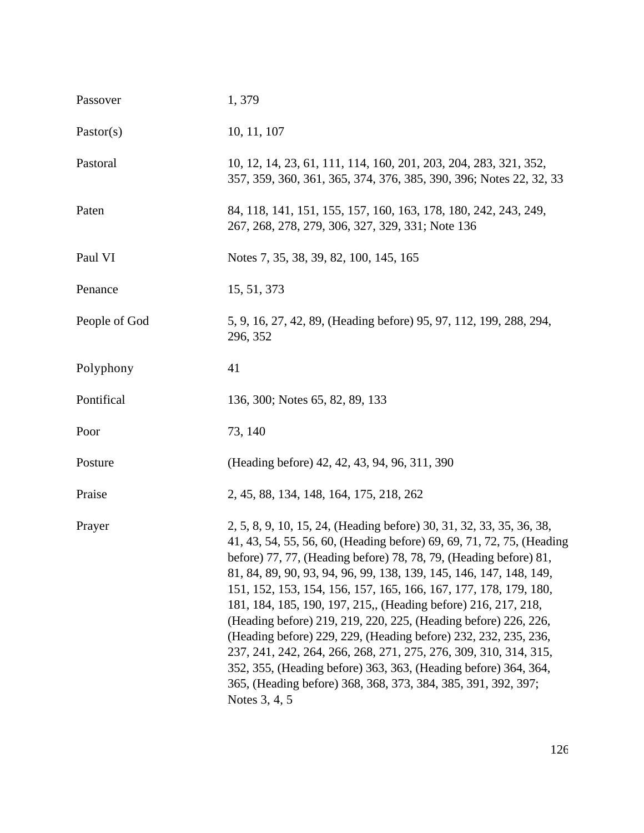| Passover      | 1,379                                                                                                                                                                                                                                                                                                                                                                                                                                                                                                                                                                                                                                                                                                                                                                                         |
|---------------|-----------------------------------------------------------------------------------------------------------------------------------------------------------------------------------------------------------------------------------------------------------------------------------------------------------------------------------------------------------------------------------------------------------------------------------------------------------------------------------------------------------------------------------------------------------------------------------------------------------------------------------------------------------------------------------------------------------------------------------------------------------------------------------------------|
| Pastor $(s)$  | 10, 11, 107                                                                                                                                                                                                                                                                                                                                                                                                                                                                                                                                                                                                                                                                                                                                                                                   |
| Pastoral      | 10, 12, 14, 23, 61, 111, 114, 160, 201, 203, 204, 283, 321, 352,<br>357, 359, 360, 361, 365, 374, 376, 385, 390, 396; Notes 22, 32, 33                                                                                                                                                                                                                                                                                                                                                                                                                                                                                                                                                                                                                                                        |
| Paten         | 84, 118, 141, 151, 155, 157, 160, 163, 178, 180, 242, 243, 249,<br>267, 268, 278, 279, 306, 327, 329, 331; Note 136                                                                                                                                                                                                                                                                                                                                                                                                                                                                                                                                                                                                                                                                           |
| Paul VI       | Notes 7, 35, 38, 39, 82, 100, 145, 165                                                                                                                                                                                                                                                                                                                                                                                                                                                                                                                                                                                                                                                                                                                                                        |
| Penance       | 15, 51, 373                                                                                                                                                                                                                                                                                                                                                                                                                                                                                                                                                                                                                                                                                                                                                                                   |
| People of God | 5, 9, 16, 27, 42, 89, (Heading before) 95, 97, 112, 199, 288, 294,<br>296, 352                                                                                                                                                                                                                                                                                                                                                                                                                                                                                                                                                                                                                                                                                                                |
| Polyphony     | 41                                                                                                                                                                                                                                                                                                                                                                                                                                                                                                                                                                                                                                                                                                                                                                                            |
| Pontifical    | 136, 300; Notes 65, 82, 89, 133                                                                                                                                                                                                                                                                                                                                                                                                                                                                                                                                                                                                                                                                                                                                                               |
| Poor          | 73, 140                                                                                                                                                                                                                                                                                                                                                                                                                                                                                                                                                                                                                                                                                                                                                                                       |
| Posture       | (Heading before) 42, 42, 43, 94, 96, 311, 390                                                                                                                                                                                                                                                                                                                                                                                                                                                                                                                                                                                                                                                                                                                                                 |
| Praise        | 2, 45, 88, 134, 148, 164, 175, 218, 262                                                                                                                                                                                                                                                                                                                                                                                                                                                                                                                                                                                                                                                                                                                                                       |
| Prayer        | 2, 5, 8, 9, 10, 15, 24, (Heading before) 30, 31, 32, 33, 35, 36, 38,<br>41, 43, 54, 55, 56, 60, (Heading before) 69, 69, 71, 72, 75, (Heading<br>before) 77, 77, (Heading before) 78, 78, 79, (Heading before) 81,<br>81, 84, 89, 90, 93, 94, 96, 99, 138, 139, 145, 146, 147, 148, 149,<br>151, 152, 153, 154, 156, 157, 165, 166, 167, 177, 178, 179, 180,<br>181, 184, 185, 190, 197, 215,, (Heading before) 216, 217, 218,<br>(Heading before) 219, 219, 220, 225, (Heading before) 226, 226,<br>(Heading before) 229, 229, (Heading before) 232, 232, 235, 236,<br>237, 241, 242, 264, 266, 268, 271, 275, 276, 309, 310, 314, 315,<br>352, 355, (Heading before) 363, 363, (Heading before) 364, 364,<br>365, (Heading before) 368, 368, 373, 384, 385, 391, 392, 397;<br>Notes 3, 4, 5 |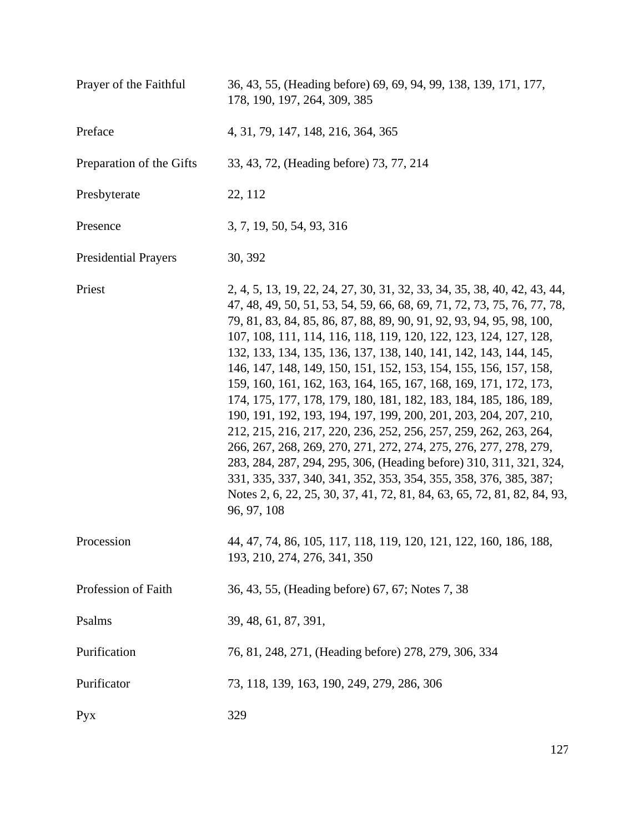| Prayer of the Faithful      | 36, 43, 55, (Heading before) 69, 69, 94, 99, 138, 139, 171, 177,<br>178, 190, 197, 264, 309, 385                                                                                                                                                                                                                                                                                                                                                                                                                                                                                                                                                                                                                                                                                                                                                                                                                                                                                                                                |
|-----------------------------|---------------------------------------------------------------------------------------------------------------------------------------------------------------------------------------------------------------------------------------------------------------------------------------------------------------------------------------------------------------------------------------------------------------------------------------------------------------------------------------------------------------------------------------------------------------------------------------------------------------------------------------------------------------------------------------------------------------------------------------------------------------------------------------------------------------------------------------------------------------------------------------------------------------------------------------------------------------------------------------------------------------------------------|
| Preface                     | 4, 31, 79, 147, 148, 216, 364, 365                                                                                                                                                                                                                                                                                                                                                                                                                                                                                                                                                                                                                                                                                                                                                                                                                                                                                                                                                                                              |
| Preparation of the Gifts    | 33, 43, 72, (Heading before) 73, 77, 214                                                                                                                                                                                                                                                                                                                                                                                                                                                                                                                                                                                                                                                                                                                                                                                                                                                                                                                                                                                        |
| Presbyterate                | 22, 112                                                                                                                                                                                                                                                                                                                                                                                                                                                                                                                                                                                                                                                                                                                                                                                                                                                                                                                                                                                                                         |
| Presence                    | 3, 7, 19, 50, 54, 93, 316                                                                                                                                                                                                                                                                                                                                                                                                                                                                                                                                                                                                                                                                                                                                                                                                                                                                                                                                                                                                       |
| <b>Presidential Prayers</b> | 30, 392                                                                                                                                                                                                                                                                                                                                                                                                                                                                                                                                                                                                                                                                                                                                                                                                                                                                                                                                                                                                                         |
| Priest                      | 2, 4, 5, 13, 19, 22, 24, 27, 30, 31, 32, 33, 34, 35, 38, 40, 42, 43, 44,<br>47, 48, 49, 50, 51, 53, 54, 59, 66, 68, 69, 71, 72, 73, 75, 76, 77, 78,<br>79, 81, 83, 84, 85, 86, 87, 88, 89, 90, 91, 92, 93, 94, 95, 98, 100,<br>107, 108, 111, 114, 116, 118, 119, 120, 122, 123, 124, 127, 128,<br>132, 133, 134, 135, 136, 137, 138, 140, 141, 142, 143, 144, 145,<br>146, 147, 148, 149, 150, 151, 152, 153, 154, 155, 156, 157, 158,<br>159, 160, 161, 162, 163, 164, 165, 167, 168, 169, 171, 172, 173,<br>174, 175, 177, 178, 179, 180, 181, 182, 183, 184, 185, 186, 189,<br>190, 191, 192, 193, 194, 197, 199, 200, 201, 203, 204, 207, 210,<br>212, 215, 216, 217, 220, 236, 252, 256, 257, 259, 262, 263, 264,<br>266, 267, 268, 269, 270, 271, 272, 274, 275, 276, 277, 278, 279,<br>283, 284, 287, 294, 295, 306, (Heading before) 310, 311, 321, 324,<br>331, 335, 337, 340, 341, 352, 353, 354, 355, 358, 376, 385, 387;<br>Notes 2, 6, 22, 25, 30, 37, 41, 72, 81, 84, 63, 65, 72, 81, 82, 84, 93,<br>96, 97, 108 |
| Procession                  | 44, 47, 74, 86, 105, 117, 118, 119, 120, 121, 122, 160, 186, 188,<br>193, 210, 274, 276, 341, 350                                                                                                                                                                                                                                                                                                                                                                                                                                                                                                                                                                                                                                                                                                                                                                                                                                                                                                                               |
| Profession of Faith         | 36, 43, 55, (Heading before) 67, 67; Notes 7, 38                                                                                                                                                                                                                                                                                                                                                                                                                                                                                                                                                                                                                                                                                                                                                                                                                                                                                                                                                                                |
| Psalms                      | 39, 48, 61, 87, 391,                                                                                                                                                                                                                                                                                                                                                                                                                                                                                                                                                                                                                                                                                                                                                                                                                                                                                                                                                                                                            |
| Purification                | 76, 81, 248, 271, (Heading before) 278, 279, 306, 334                                                                                                                                                                                                                                                                                                                                                                                                                                                                                                                                                                                                                                                                                                                                                                                                                                                                                                                                                                           |
| Purificator                 | 73, 118, 139, 163, 190, 249, 279, 286, 306                                                                                                                                                                                                                                                                                                                                                                                                                                                                                                                                                                                                                                                                                                                                                                                                                                                                                                                                                                                      |
| <b>Pyx</b>                  | 329                                                                                                                                                                                                                                                                                                                                                                                                                                                                                                                                                                                                                                                                                                                                                                                                                                                                                                                                                                                                                             |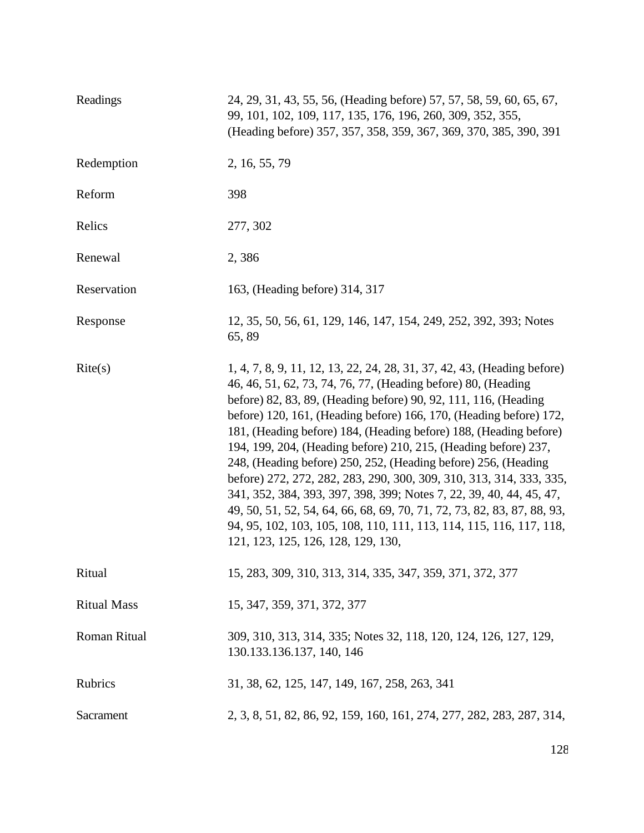| Readings           | 24, 29, 31, 43, 55, 56, (Heading before) 57, 57, 58, 59, 60, 65, 67,<br>99, 101, 102, 109, 117, 135, 176, 196, 260, 309, 352, 355,<br>(Heading before) 357, 357, 358, 359, 367, 369, 370, 385, 390, 391                                                                                                                                                                                                                                                                                                                                                                                                                                                                                                                                                                                                                           |
|--------------------|-----------------------------------------------------------------------------------------------------------------------------------------------------------------------------------------------------------------------------------------------------------------------------------------------------------------------------------------------------------------------------------------------------------------------------------------------------------------------------------------------------------------------------------------------------------------------------------------------------------------------------------------------------------------------------------------------------------------------------------------------------------------------------------------------------------------------------------|
| Redemption         | 2, 16, 55, 79                                                                                                                                                                                                                                                                                                                                                                                                                                                                                                                                                                                                                                                                                                                                                                                                                     |
| Reform             | 398                                                                                                                                                                                                                                                                                                                                                                                                                                                                                                                                                                                                                                                                                                                                                                                                                               |
| Relics             | 277, 302                                                                                                                                                                                                                                                                                                                                                                                                                                                                                                                                                                                                                                                                                                                                                                                                                          |
| Renewal            | 2,386                                                                                                                                                                                                                                                                                                                                                                                                                                                                                                                                                                                                                                                                                                                                                                                                                             |
| Reservation        | 163, (Heading before) 314, 317                                                                                                                                                                                                                                                                                                                                                                                                                                                                                                                                                                                                                                                                                                                                                                                                    |
| Response           | 12, 35, 50, 56, 61, 129, 146, 147, 154, 249, 252, 392, 393; Notes<br>65,89                                                                                                                                                                                                                                                                                                                                                                                                                                                                                                                                                                                                                                                                                                                                                        |
| Rite(s)            | 1, 4, 7, 8, 9, 11, 12, 13, 22, 24, 28, 31, 37, 42, 43, (Heading before)<br>46, 46, 51, 62, 73, 74, 76, 77, (Heading before) 80, (Heading<br>before) 82, 83, 89, (Heading before) 90, 92, 111, 116, (Heading<br>before) 120, 161, (Heading before) 166, 170, (Heading before) 172,<br>181, (Heading before) 184, (Heading before) 188, (Heading before)<br>194, 199, 204, (Heading before) 210, 215, (Heading before) 237,<br>248, (Heading before) 250, 252, (Heading before) 256, (Heading<br>before) 272, 272, 282, 283, 290, 300, 309, 310, 313, 314, 333, 335,<br>341, 352, 384, 393, 397, 398, 399; Notes 7, 22, 39, 40, 44, 45, 47,<br>49, 50, 51, 52, 54, 64, 66, 68, 69, 70, 71, 72, 73, 82, 83, 87, 88, 93,<br>94, 95, 102, 103, 105, 108, 110, 111, 113, 114, 115, 116, 117, 118,<br>121, 123, 125, 126, 128, 129, 130, |
| Ritual             | 15, 283, 309, 310, 313, 314, 335, 347, 359, 371, 372, 377                                                                                                                                                                                                                                                                                                                                                                                                                                                                                                                                                                                                                                                                                                                                                                         |
| <b>Ritual Mass</b> | 15, 347, 359, 371, 372, 377                                                                                                                                                                                                                                                                                                                                                                                                                                                                                                                                                                                                                                                                                                                                                                                                       |
| Roman Ritual       | 309, 310, 313, 314, 335; Notes 32, 118, 120, 124, 126, 127, 129,<br>130.133.136.137, 140, 146                                                                                                                                                                                                                                                                                                                                                                                                                                                                                                                                                                                                                                                                                                                                     |
| Rubrics            | 31, 38, 62, 125, 147, 149, 167, 258, 263, 341                                                                                                                                                                                                                                                                                                                                                                                                                                                                                                                                                                                                                                                                                                                                                                                     |
| Sacrament          | 2, 3, 8, 51, 82, 86, 92, 159, 160, 161, 274, 277, 282, 283, 287, 314,                                                                                                                                                                                                                                                                                                                                                                                                                                                                                                                                                                                                                                                                                                                                                             |

128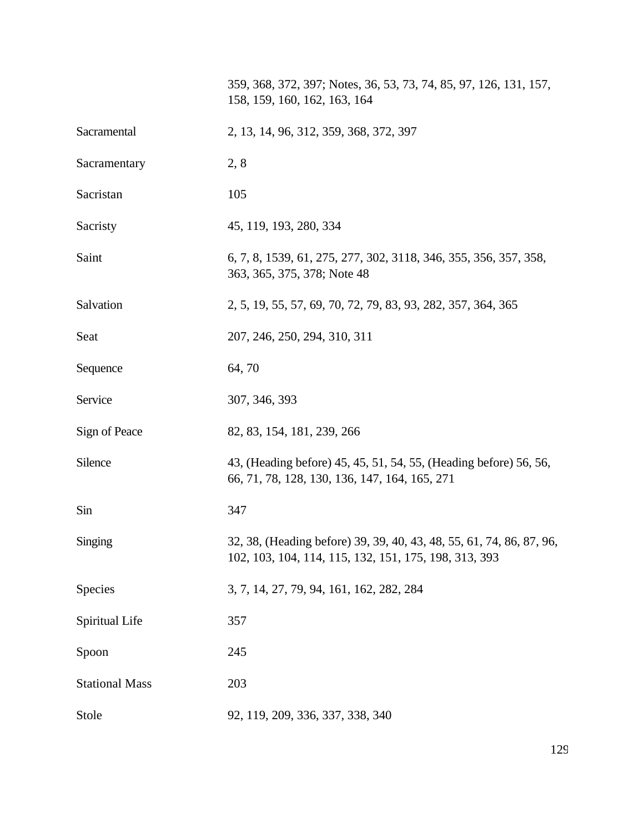|                       | 359, 368, 372, 397; Notes, 36, 53, 73, 74, 85, 97, 126, 131, 157,<br>158, 159, 160, 162, 163, 164                             |
|-----------------------|-------------------------------------------------------------------------------------------------------------------------------|
| Sacramental           | 2, 13, 14, 96, 312, 359, 368, 372, 397                                                                                        |
| Sacramentary          | 2, 8                                                                                                                          |
| Sacristan             | 105                                                                                                                           |
| Sacristy              | 45, 119, 193, 280, 334                                                                                                        |
| Saint                 | 6, 7, 8, 1539, 61, 275, 277, 302, 3118, 346, 355, 356, 357, 358,<br>363, 365, 375, 378; Note 48                               |
| Salvation             | 2, 5, 19, 55, 57, 69, 70, 72, 79, 83, 93, 282, 357, 364, 365                                                                  |
| Seat                  | 207, 246, 250, 294, 310, 311                                                                                                  |
| Sequence              | 64,70                                                                                                                         |
| Service               | 307, 346, 393                                                                                                                 |
| Sign of Peace         | 82, 83, 154, 181, 239, 266                                                                                                    |
| Silence               | 43, (Heading before) 45, 45, 51, 54, 55, (Heading before) 56, 56,<br>66, 71, 78, 128, 130, 136, 147, 164, 165, 271            |
| Sin                   | 347                                                                                                                           |
| Singing               | 32, 38, (Heading before) 39, 39, 40, 43, 48, 55, 61, 74, 86, 87, 96,<br>102, 103, 104, 114, 115, 132, 151, 175, 198, 313, 393 |
| Species               | 3, 7, 14, 27, 79, 94, 161, 162, 282, 284                                                                                      |
| Spiritual Life        | 357                                                                                                                           |
| Spoon                 | 245                                                                                                                           |
| <b>Stational Mass</b> | 203                                                                                                                           |
| Stole                 | 92, 119, 209, 336, 337, 338, 340                                                                                              |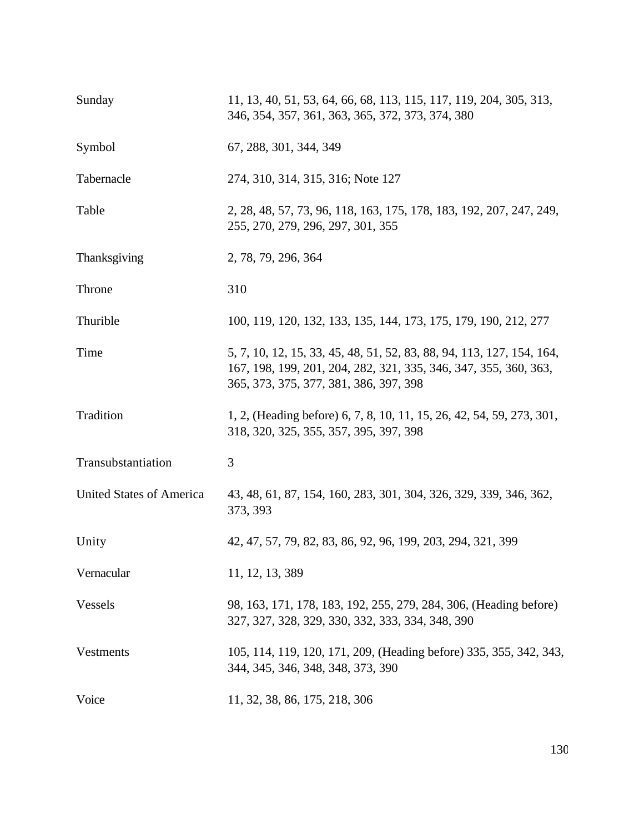| Sunday                   | 11, 13, 40, 51, 53, 64, 66, 68, 113, 115, 117, 119, 204, 305, 313,<br>346, 354, 357, 361, 363, 365, 372, 373, 374, 380                                                              |
|--------------------------|-------------------------------------------------------------------------------------------------------------------------------------------------------------------------------------|
| Symbol                   | 67, 288, 301, 344, 349                                                                                                                                                              |
| Tabernacle               | 274, 310, 314, 315, 316; Note 127                                                                                                                                                   |
| Table                    | 2, 28, 48, 57, 73, 96, 118, 163, 175, 178, 183, 192, 207, 247, 249,<br>255, 270, 279, 296, 297, 301, 355                                                                            |
| Thanksgiving             | 2, 78, 79, 296, 364                                                                                                                                                                 |
| Throne                   | 310                                                                                                                                                                                 |
| Thurible                 | 100, 119, 120, 132, 133, 135, 144, 173, 175, 179, 190, 212, 277                                                                                                                     |
| Time                     | 5, 7, 10, 12, 15, 33, 45, 48, 51, 52, 83, 88, 94, 113, 127, 154, 164,<br>167, 198, 199, 201, 204, 282, 321, 335, 346, 347, 355, 360, 363,<br>365, 373, 375, 377, 381, 386, 397, 398 |
| Tradition                | 1, 2, (Heading before) 6, 7, 8, 10, 11, 15, 26, 42, 54, 59, 273, 301,<br>318, 320, 325, 355, 357, 395, 397, 398                                                                     |
| Transubstantiation       | 3                                                                                                                                                                                   |
| United States of America | 43, 48, 61, 87, 154, 160, 283, 301, 304, 326, 329, 339, 346, 362,<br>373, 393                                                                                                       |
| Unity                    | 42, 47, 57, 79, 82, 83, 86, 92, 96, 199, 203, 294, 321, 399                                                                                                                         |
| Vernacular               | 11, 12, 13, 389                                                                                                                                                                     |
| Vessels                  | 98, 163, 171, 178, 183, 192, 255, 279, 284, 306, (Heading before)<br>327, 327, 328, 329, 330, 332, 333, 334, 348, 390                                                               |
| Vestments                | 105, 114, 119, 120, 171, 209, (Heading before) 335, 355, 342, 343,<br>344, 345, 346, 348, 348, 373, 390                                                                             |
| Voice                    | 11, 32, 38, 86, 175, 218, 306                                                                                                                                                       |